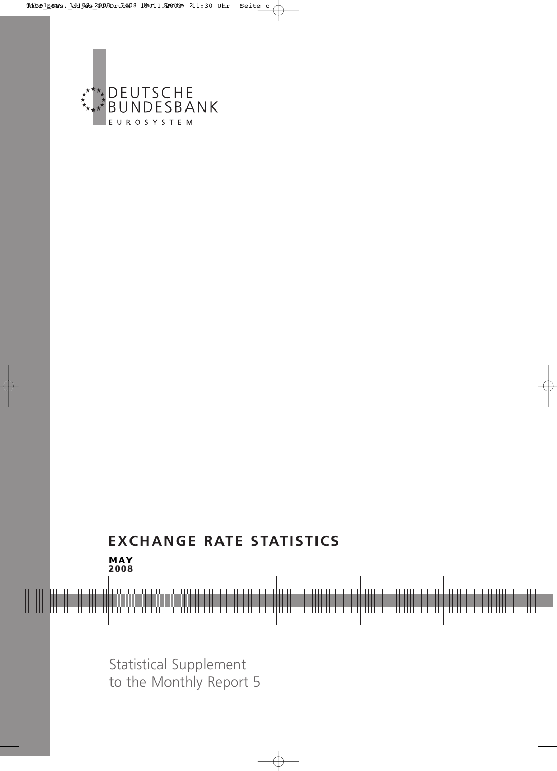

# **EXCHANGE RATE STATISTICS**



Statistical Supplement to the Monthly Report 5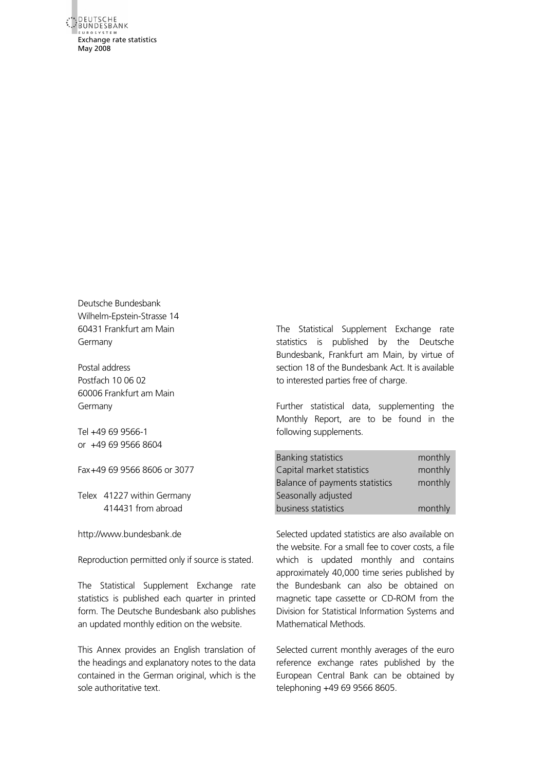

Deutsche Bundesbank Wilhelm-Epstein-Strasse 14 60431 Frankfurt am Main Germany

Postal address Postfach 10 06 02 60006 Frankfurt am Main Germany

Tel +49 69 9566-1 or +49 69 9566 8604

Fax +49 69 9566 8606 or 3077

Telex 41227 within Germany 414431 from abroad

http://www.bundesbank.de

Reproduction permitted only if source is stated.

The Statistical Supplement Exchange rate statistics is published each quarter in printed form. The Deutsche Bundesbank also publishes an updated monthly edition on the website.

This Annex provides an English translation of the headings and explanatory notes to the data contained in the German original, which is the sole authoritative text.

The Statistical Supplement Exchange rate statistics is published by the Deutsche Bundesbank, Frankfurt am Main, by virtue of section 18 of the Bundesbank Act. It is available to interested parties free of charge.

Further statistical data, supplementing the Monthly Report, are to be found in the following supplements.

| monthly |
|---------|
| monthly |
| monthly |
|         |
| monthly |
|         |

Selected updated statistics are also available on the website. For a small fee to cover costs, a file which is updated monthly and contains approximately 40,000 time series published by the Bundesbank can also be obtained on magnetic tape cassette or CD-ROM from the Division for Statistical Information Systems and Mathematical Methods.

Selected current monthly averages of the euro reference exchange rates published by the European Central Bank can be obtained by telephoning +49 69 9566 8605.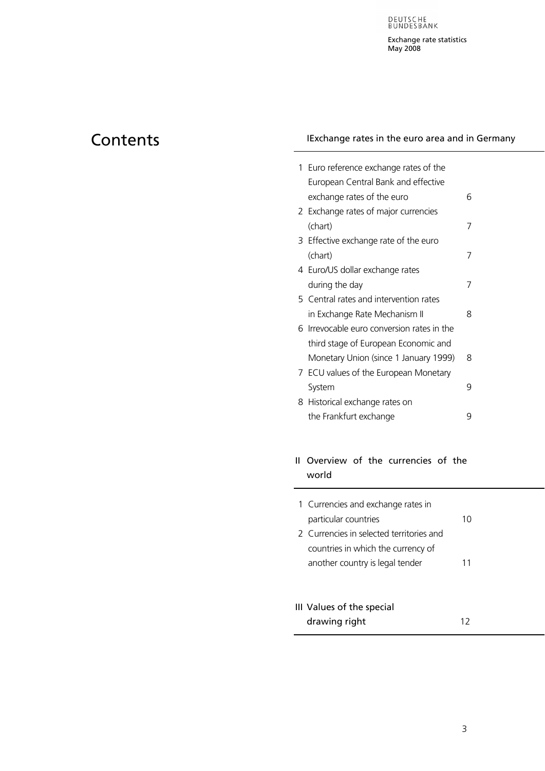Exchange rate statistics May 2008

# <span id="page-2-1"></span><span id="page-2-0"></span>Contents IExchange rates in the euro area and in Germany

| 1.           | Euro reference exchange rates of the       |   |
|--------------|--------------------------------------------|---|
|              | European Central Bank and effective        |   |
|              | exchange rates of the euro                 | 6 |
| $\mathbf{2}$ | Exchange rates of major currencies         |   |
|              | (chart)                                    | 7 |
|              | 3 Effective exchange rate of the euro      |   |
|              | (chart)                                    | 7 |
|              | 4 Euro/US dollar exchange rates            |   |
|              | during the day                             | 7 |
|              | 5 Central rates and intervention rates     |   |
|              | in Exchange Rate Mechanism II              | 8 |
|              | 6 Irrevocable euro conversion rates in the |   |
|              | third stage of European Economic and       |   |
|              | Monetary Union (since 1 January 1999)      | 8 |
|              | 7 ECU values of the European Monetary      |   |
|              | System                                     | 9 |
| 8            | Historical exchange rates on               |   |
|              | the Frankfurt exchange                     |   |

# II Overview of the currencies of the world

| 1 Currencies and exchange rates in       |    |
|------------------------------------------|----|
| particular countries                     | 10 |
| 2 Currencies in selected territories and |    |
| countries in which the currency of       |    |
| another country is legal tender          | 11 |
|                                          |    |
|                                          |    |
| III Values of the special                |    |
| drawing right                            | 12 |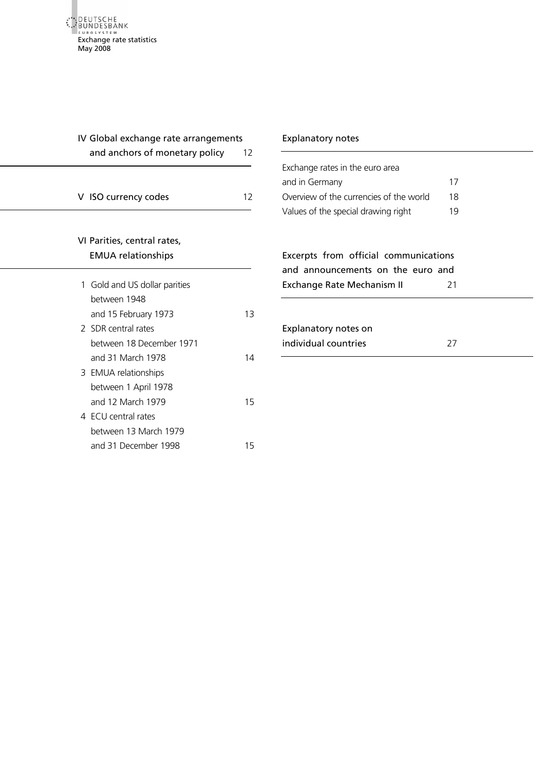<span id="page-3-1"></span>[Exchange rate sta](#page-2-0)tistics May 2008

<span id="page-3-0"></span>

|   | IV Global exchange rate arrangements |    |
|---|--------------------------------------|----|
|   | and anchors of monetary policy       | 12 |
|   |                                      |    |
|   | V ISO currency codes                 | 12 |
|   |                                      |    |
|   | VI Parities, central rates,          |    |
|   | <b>EMUA</b> relationships            |    |
| 1 | Gold and US dollar parities          |    |
|   | hetween 1948                         |    |
|   | and 15 February 1973                 | 13 |
|   | 2 SDR central rates                  |    |
|   | between 18 December 1971             |    |
|   | and 31 March 1978                    | 14 |
|   | 3 EMUA relationships                 |    |
|   | between 1 April 1978                 |    |
|   | and 12 March 1979                    | 15 |
|   | 4 FCU central rates                  |    |
|   | between 13 March 1979                |    |
|   | and 31 December 1998                 | 15 |

# Explanatory notes

| Exchange rates in the euro area<br>and in Germany<br>Overview of the currencies of the world<br>Values of the special drawing right | 17<br>18<br>19 |
|-------------------------------------------------------------------------------------------------------------------------------------|----------------|
| Excerpts from official communications<br>and announcements on the euro and<br>Exchange Rate Mechanism II                            | 21             |
| Explanatory notes on<br>individual countries                                                                                        | 27             |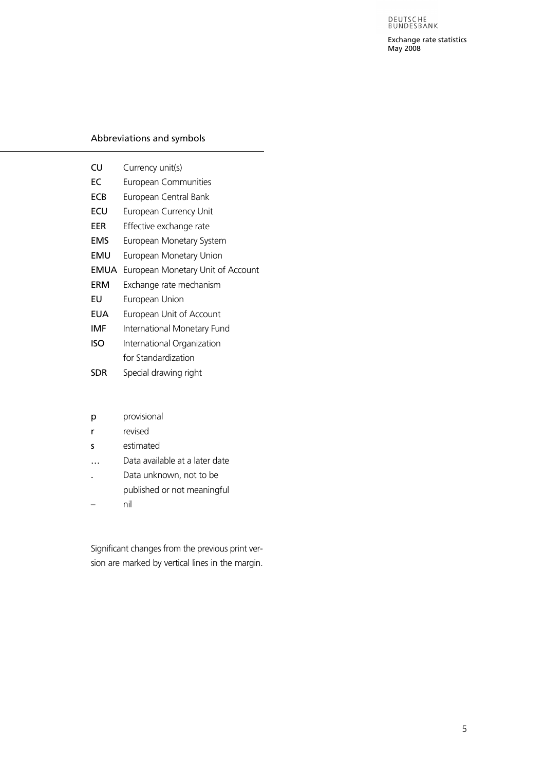Exchange rate statistics May 2008

# Abbreviations and symbols

| CU          | Currency unit(s)                  |
|-------------|-----------------------------------|
| EC          | European Communities              |
| ECB         | European Central Bank             |
| ECU         | European Currency Unit            |
| <b>EER</b>  | Effective exchange rate           |
| <b>EMS</b>  | European Monetary System          |
| EMU         | European Monetary Union           |
| <b>EMUA</b> | European Monetary Unit of Account |
| ERM         | Exchange rate mechanism           |
| EU          | European Union                    |
| EUA         | European Unit of Account          |
| IMF         | International Monetary Fund       |
| ISO         | International Organization        |
|             | for Standardization               |
| SDR         | Special drawing right             |

- p provisional
- r revised
- s estimated
- … Data available at a later date
- . Data unknown, not to be
- published or not meaningful
- nil

Significant changes from the previous print version are marked by vertical lines in the margin.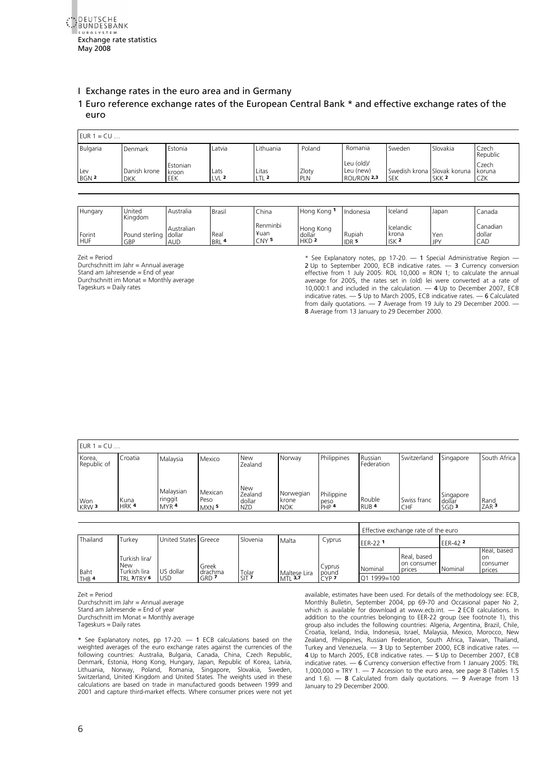<span id="page-5-1"></span><span id="page-5-0"></span>

#### I Exchange rates in the euro area and in Germany

# 1 Euro reference exchange rates of the European Central Bank \* and effective exchange rates of the euro

 $EUR$  1 =  $CU$  ...

| Bulgaria                | Denmark                    | Estonia                         | Latvia                   | Lithuania       | Poland       | Romania                                | Sweden                                             | Slovakia         | Czech<br>Republic |
|-------------------------|----------------------------|---------------------------------|--------------------------|-----------------|--------------|----------------------------------------|----------------------------------------------------|------------------|-------------------|
| Lev<br>BGN <sub>2</sub> | Danish krone<br><b>DKK</b> | Estonian<br>kroon<br><b>EEK</b> | Lats<br>LVL <sub>2</sub> | Litas<br>$T1$ 2 | Zlotv<br>PLN | Leu (old)/<br>Leu (new)<br>ROL/RON 2,3 | Swedish krona Slovak koruna I koruna<br><b>SEK</b> | SKK <sup>2</sup> | Czech<br>CZK      |

| Hungary              | United<br>Kingdom            | Australia                | <b>Brasil</b>            | China                                | Hong Kong                               | <b>Indonesia</b>           | Iceland                                | Japan             | Canada                    |
|----------------------|------------------------------|--------------------------|--------------------------|--------------------------------------|-----------------------------------------|----------------------------|----------------------------------------|-------------------|---------------------------|
| Forint<br><b>HUF</b> | Pound sterling dollar<br>GBP | Australian<br><b>AUD</b> | Real<br>BRL <sup>4</sup> | Renminbi<br>¥uan<br>CNY <sup>5</sup> | Hong Kong<br>dollar<br>HKD <sup>2</sup> | Rupiah<br>IDR <sub>5</sub> | Icelandic<br>krona<br>ISK <sub>2</sub> | Yen<br><b>JPY</b> | Canadian<br>dollar<br>CAD |

Zeit = Period

Durchschnitt im Jahr = Annual average Stand am Jahresende = End of year Durchschnitt im Monat = Monthly average Tageskurs = Daily rates

\* See Explanatory notes, pp 17-20. — 1 Special Administrative Region — 2 Up to September 2000, ECB indicative rates.  $-$  3 Currency conversion effective from 1 July 2005: ROL 10,000 = RON 1; to calculate the annual average for 2005, the rates set in (old) lei were converted at a rate of 10,000:1 and included in the calculation. — 4 Up to December 2007, ECB indicative rates. — 5 Up to March 2005, ECB indicative rates. — 6 Calculated from daily quotations. — 7 Average from 19 July to 29 December 2000. — 8 Average from 13 January to 29 December 2000.

| $EUR 1 = CU $           |                                      |                                          |                                     |                                               |                                  |                                        |                            |                                      |                                         |                                         |
|-------------------------|--------------------------------------|------------------------------------------|-------------------------------------|-----------------------------------------------|----------------------------------|----------------------------------------|----------------------------|--------------------------------------|-----------------------------------------|-----------------------------------------|
| Korea,<br>Republic of   | Croatia                              | Malaysia                                 | Mexico                              | <b>New</b><br>Zealand                         | Norway                           | Philippines                            | Russian<br>Federation      | Switzerland                          | Singapore                               | South Africa                            |
| Won<br>KRW <sup>3</sup> | Kuna<br>HRK <sup>4</sup>             | Malaysian<br>ringgit<br>MYR <sup>4</sup> | Mexican<br>Peso<br>MXN <sup>5</sup> | <b>New</b><br>Zealand<br>dollar<br><b>NZD</b> | Norwegian<br>krone<br><b>NOK</b> | Philippine<br>peso<br>PHP <sup>4</sup> | Rouble<br>RUB <sup>4</sup> | Swiss franc<br><b>CHF</b>            | Singapore<br>dollar<br>SGD <sup>3</sup> | Rand<br>ZAR <sup>3</sup>                |
|                         |                                      |                                          |                                     |                                               |                                  |                                        |                            | Effective exchange rate of the euro  |                                         |                                         |
| Thailand                | Turkey                               | United States Greece                     |                                     | Slovenia                                      | Malta                            | Cyprus                                 | EER-22 1                   |                                      | EER-42 2                                |                                         |
| Baht                    | Turkish lira/<br>New<br>Turkish lira | US dollar                                | Greek<br>drachma                    | Tolar                                         | Maltese Lira                     | Cyprus<br>pound                        | Nominal                    | Real, based<br>on consumer<br>prices | Nominal                                 | Real, based<br>on<br>consumer<br>prices |
| THB <sup>4</sup>        | TRL 3/TRY 6                          | <b>USD</b>                               | GRD <sub>7</sub>                    | SIT <sub>7</sub>                              | $MTL$ 3,7                        | CYP <sub>7</sub>                       | 01 1999=100                |                                      |                                         |                                         |

Zeit = Period

 $\mathsf{r}$ 

Durchschnitt im Jahr = Annual average Stand am Jahresende = End of year Durchschnitt im Monat = Monthly average Tageskurs = Daily rates

\* See Explanatory notes, pp 17-20. — 1 ECB calculations based on the weighted averages of the euro exchange rates against the currencies of the following countries: Australia, Bulgaria, Canada, China, Czech Republic, Denmark, Estonia, Hong Kong, Hungary, Japan, Republic of Korea, Latvia, Lithuania, Norway, Poland, Romania, Singapore, Slovakia, Sweden, Switzerland, United Kingdom and United States. The weights used in these calculations are based on trade in manufactured goods between 1999 and 2001 and capture third-market effects. Where consumer prices were not yet available, estimates have been used. For details of the methodology see: ECB, Monthly Bulletin, September 2004, pp 69-70 and Occasional paper No 2, which is available for download at www.ech.int.  $\rightarrow$  ECB calculations. In addition to the countries belonging to EER-22 group (see footnote 1), this [group also includes the following countries: Algeria, Argentina, Brazil, Chile,](#page-33-0)  Croatia, Iceland, India, Indonesia, Israel, Malaysia, Mexico, Morocco, New Zealand, Philippines, Russian Federation, South Africa, Taiwan, Thailand, Turkey and Venezuela. — 3 Up to September 2000, ECB indicative rates. -4 Up to March 2005, ECB indicative rates. — 5 Up to December 2007, ECB indicative rates. — 6 Currency conversion effective from 1 January 2005: TRL 1,000,000 = TRY 1.  $-7$  Accession to the euro area, see page 8 (Tables 1.5) and  $1.6$ .  $-$  8 Calculated from daily quotations.  $-$  9 Average from 13 January to 29 December 2000.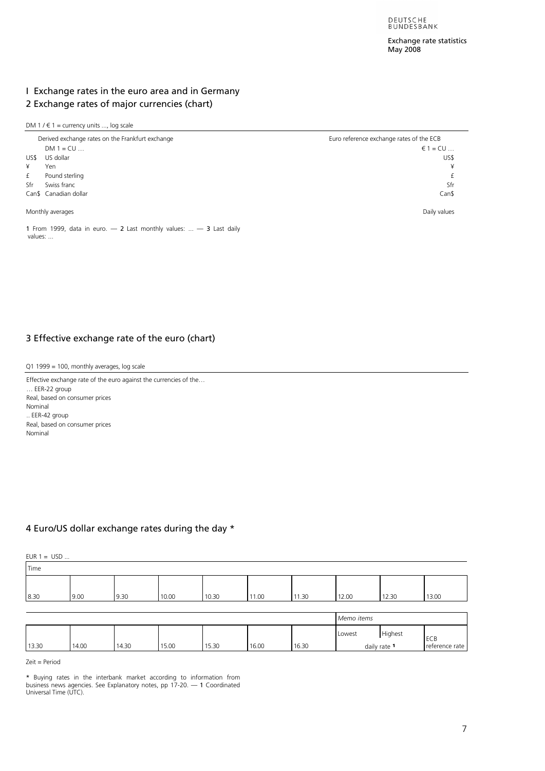[Exchange rate statis](#page-2-0)tics May 2008

# <span id="page-6-0"></span>I Exchange rates in the euro area and in Germany 2 Exchange rates of major currencies (chart)

#### DM 1 /  $\in$  1 = currency units ..., log scale

Derived exchange rates on the Frankfurt exchange EUR exchange Euro reference exchange rates of the ECB

- 
- 
- 
- 
- 

#### Monthly averages **Daily values** Daily values

1 From 1999, data in euro.  $-$  2 Last monthly values:  $... - 3$  Last daily values: ...

 $DM 1 = CU ...$   $\qquad \qquad \qquad \qquad \in 1 = CU ...$ US\$ US dollar US\$ [¥ Yen ¥](#page-40-0)   $\epsilon$  Pound sterling  $\epsilon$ Sfr Swiss franc Sfr Can\$ Canadian dollar Canadian dollar Cans

# [3 Effective exchange rate of the euro \(chart\)](#page-41-0)

#### Q1 1999 = 100, monthly averages, log scale

Effective exchange rate of the euro against the currencies of the… … EER-22 group Real, based on consumer prices Nominal .. EER-42 group Real, based on consumer prices Nominal

# 4 Euro/US dollar exchange rates during the day \*

EUR  $1 =$  USD ...

| Time  |       |       |       |       |       |       |                        |         |                       |
|-------|-------|-------|-------|-------|-------|-------|------------------------|---------|-----------------------|
| 8.30  | 9.00  | 9.30  | 10.00 | 10.30 | 11.00 | 11.30 | 12.00                  | 12.30   | 13.00                 |
|       |       |       |       |       |       |       |                        |         |                       |
|       |       |       |       |       |       |       | Memo items             |         |                       |
| 13.30 | 14.00 | 14.30 | 15.00 | 15.30 | 16.00 | 16.30 | Lowest<br>daily rate 1 | Highest | ECB<br>reference rate |

Zeit = Period

\* Buying rates in the interbank market according to information from business news agencies. See Explanatory notes, pp 17-20. — 1 Coordinated Universal Time (UTC).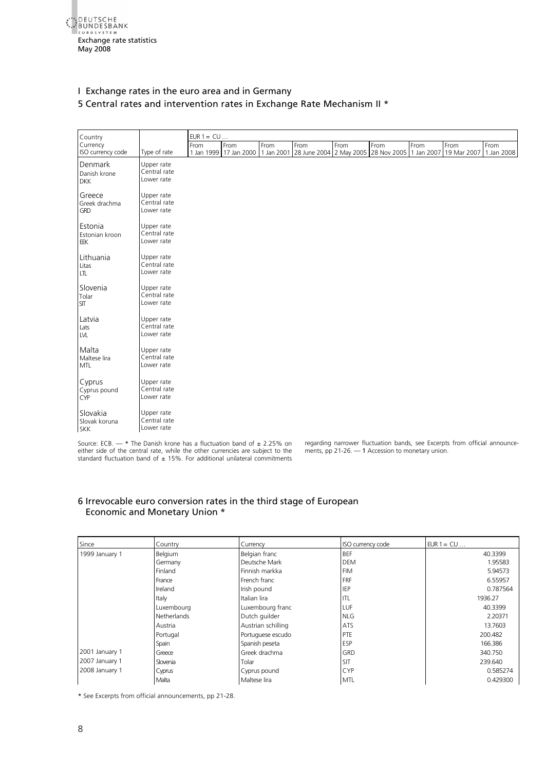<span id="page-7-0"></span>

# I Exchange rates in the euro area and in Germany [5 Central rates and intervention rates in Exchange Rate Mechanism II \\*](#page-44-0)

| Country                                 |                                          | EUR $1 = CU$ |             |            |              |      |                        |            |             |            |
|-----------------------------------------|------------------------------------------|--------------|-------------|------------|--------------|------|------------------------|------------|-------------|------------|
| Currency                                |                                          | From         | From        | From       | From         | From | From                   | From       | From        | From       |
| ISO currency code                       | Type of rate                             | 1 Jan 1999   | 17 Jan 2000 | 1 Jan 2001 | 28 June 2004 |      | 2 May 2005 28 Nov 2005 | 1 Jan 2007 | 19 Mar 2007 | 1.Jan 2008 |
| Denmark<br>Danish krone<br><b>DKK</b>   | Upper rate<br>Central rate<br>Lower rate |              |             |            |              |      |                        |            |             |            |
| Greece<br>Greek drachma<br><b>GRD</b>   | Upper rate<br>Central rate<br>Lower rate |              |             |            |              |      |                        |            |             |            |
| Estonia<br>Estonian kroon<br>EEK        | Upper rate<br>Central rate<br>Lower rate |              |             |            |              |      |                        |            |             |            |
| Lithuania<br>Litas<br>LTL.              | Upper rate<br>Central rate<br>Lower rate |              |             |            |              |      |                        |            |             |            |
| Slovenia<br>Tolar<br><b>SIT</b>         | Upper rate<br>Central rate<br>Lower rate |              |             |            |              |      |                        |            |             |            |
| Latvia<br>Lats<br><b>LVL</b>            | Upper rate<br>Central rate<br>Lower rate |              |             |            |              |      |                        |            |             |            |
| Malta<br>Maltese lira<br><b>MTL</b>     | Upper rate<br>Central rate<br>Lower rate |              |             |            |              |      |                        |            |             |            |
| Cyprus<br>Cyprus pound<br><b>CYP</b>    | Upper rate<br>Central rate<br>Lower rate |              |             |            |              |      |                        |            |             |            |
| Slovakia<br>Slovak koruna<br><b>SKK</b> | Upper rate<br>Central rate<br>Lower rate |              |             |            |              |      |                        |            |             |            |

Source: ECB.  $-$  \* The Danish krone has a fluctuation band of  $\pm$  2.25% on either side of the central rate, while the other currencies are subject to the standard fluctuation band of  $\pm$  15%. For additional unilateral commitments regarding narrower fluctuation bands, see Excerpts from official announcements,  $pp$  21-26.  $-$  1 Accession to monetary union.

## 6 Irrevocable euro conversion rates in the third stage of European Economic and Monetary Union \*

| Since          | Country     | Currency           | ISO currency code | EUR $1 = CU$ |
|----------------|-------------|--------------------|-------------------|--------------|
| 1999 January 1 | Belgium     | Belgian franc      | <b>BEF</b>        | 40.3399      |
|                | Germany     | Deutsche Mark      | <b>DEM</b>        | 1.95583      |
|                | Finland     | Finnish markka     | <b>FIM</b>        | 5.94573      |
|                | France      | French franc       | FRF               | 6.55957      |
|                | Ireland     | Irish pound        | IEP               | 0.787564     |
|                | Italy       | Italian lira       | <b>ITL</b>        | 1936.27      |
|                | Luxembourg  | Luxembourg franc   | LUF               | 40.3399      |
|                | Netherlands | Dutch quilder      | <b>NLG</b>        | 2.20371      |
|                | Austria     | Austrian schilling | <b>ATS</b>        | 13.7603      |
|                | Portugal    | Portuguese escudo  | PTE               | 200.482      |
|                | Spain       | Spanish peseta     | ESP               | 166.386      |
| 2001 January 1 | Greece      | Greek drachma      | GRD               | 340.750      |
| 2007 January 1 | Slovenia    | Tolar              | SIT               | 239.640      |
| 2008 January 1 | Cyprus      | Cyprus pound       | <b>CYP</b>        | 0.585274     |
|                | Malta       | Maltese lira       | MTL               | 0.429300     |

\* See Excerpts from official announcements, pp 21-28.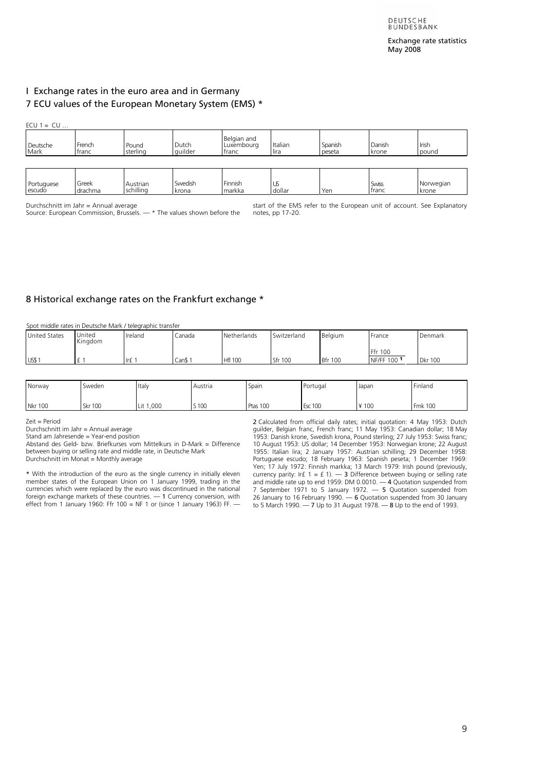krone

# <span id="page-8-0"></span>I Exchange rates in the euro area and in Germany [7 ECU values of the European Monetary System \(EMS\) \\*](#page-45-0)

| $ECU 1 = CU $    |                 |                   |                  |                                    |                 |                   |                 |                |
|------------------|-----------------|-------------------|------------------|------------------------------------|-----------------|-------------------|-----------------|----------------|
| Deutsche<br>Mark | French<br>franc | Pound<br>sterling | Dutch<br>quilder | Belgian and<br>Luxembourg<br>tranc | Italian<br>lira | Spanish<br>peseta | Danish<br>krone | Irish<br>pound |
| Portuguese       | Greek           | Austrian          | Swedish          | Finnish                            | US              |                   | Swiss           | Norwegian      |

Portuguese escudo Greek drachma Austrian schilling Swedish krona Finnish markka US dollar Yen Swiss franc

Durchschnitt im Jahr = Annual average Source: European Commission, Brussels. — \* The values shown before the start of the EMS refer to the European unit of account. See Explanatory notes, pp 17-20.

# [8 Historical exchange rates on the Frankfurt exchange \\*](#page-46-0)

|  |  | Spot middle rates in Deutsche Mark / telegraphic transfer |
|--|--|-----------------------------------------------------------|
|  |  |                                                           |

| <b>United States</b> | United<br>Kingdom | Ireland | Canada | Netherlands    | Switzerland    | Belgium        | France                 | Denmark        |
|----------------------|-------------------|---------|--------|----------------|----------------|----------------|------------------------|----------------|
| US\$                 |                   | ⊔r£ ∶   | Can\$  | <b>Hfl 100</b> | <b>Sfr 100</b> | <b>Bfr 100</b> | Ffr 100<br>NF/FF 100 1 | <b>Dkr 100</b> |

| Norway         | Sweden         | Italy         | Austria | <b>Spain</b> | Portugal       | Japan | Finland        |
|----------------|----------------|---------------|---------|--------------|----------------|-------|----------------|
| <b>Nkr 100</b> | <b>Skr 100</b> | .000<br>. Lit | S 100   | Ptas 100     | <b>Esc 100</b> | ¥100  | <b>Fmk 100</b> |

Zeit = Period

Durchschnitt im Jahr = Annual average

Stand am Jahresende = Year-end position

Abstand des Geld- bzw. Briefkurses vom Mittelkurs in D-Mark = Difference between buying or selling rate and middle rate, in Deutsche Mark Durchschnitt im Monat = Monthly average

\* With the introduction of the euro as the single currency in initially eleven member states of the European Union on 1 January 1999, trading in the currencies which were replaced by the euro was discontinued in the national foreign exchange markets of these countries. — 1 Currency conversion, with effect from 1 January 1960: Ffr 100 = NF 1 or (since 1 January 1963) FF. —

2 Calculated from official daily rates; initial quotation: 4 May 1953: Dutch guilder, Belgian franc, French franc; 11 May 1953: Canadian dollar; 18 May 1953: Danish krone, Swedish krona, Pound sterling; 27 July 1953: Swiss franc; 10 August 1953: US dollar; 14 December 1953: Norwegian krone; 22 August 1955: Italian lira; 2 January 1957: Austrian schilling; 29 December 1958: Portuguese escudo; 18 February 1963: Spanish peseta; 1 December 1969: Yen; 17 July 1972: Finnish markka; 13 March 1979: Irish pound (previously, currency parity: Ir $f = f 1$ . - 3 Difference between buying or selling rate and middle rate up to end 1959: DM 0.0010. — 4 Quotation suspended from 7 September 1971 to 5 January 1972. — 5 Quotation suspended from 26 January to 16 February 1990. - 6 Quotation suspended from 30 January to 5 March 1990. — 7 Up to 31 August 1978. — 8 Up to the end of 1993.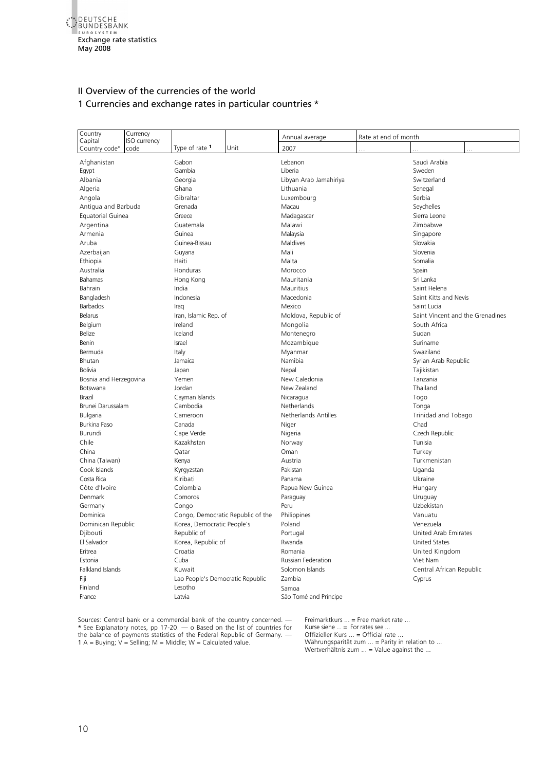<span id="page-9-0"></span>

# II Overview of the currencies of the world 1 Currencies and exchange rates in particular countries \*

| Country                  | Currency                    |                                   |      | Annual average            | Rate at end of month |                                  |  |
|--------------------------|-----------------------------|-----------------------------------|------|---------------------------|----------------------|----------------------------------|--|
| Capital<br>Country code° | <b>ISO</b> currency<br>code | Type of rate 1                    | Unit | 2007                      |                      |                                  |  |
|                          |                             |                                   |      |                           |                      |                                  |  |
| Afghanistan              |                             | Gabon                             |      | Lebanon                   |                      | Saudi Arabia                     |  |
| Egypt                    |                             | Gambia                            |      | Liberia                   |                      | Sweden                           |  |
| Albania                  |                             | Georgia                           |      | Libyan Arab Jamahiriya    |                      | Switzerland                      |  |
| Algeria                  |                             | Ghana                             |      | Lithuania                 |                      | Senegal                          |  |
| Angola                   |                             | Gibraltar                         |      | Luxembourg                |                      | Serbia                           |  |
| Antigua and Barbuda      |                             | Grenada                           |      | Macau                     |                      | Seychelles                       |  |
| Equatorial Guinea        |                             | Greece                            |      | Madagascar                |                      | Sierra Leone                     |  |
| Argentina                |                             | Guatemala                         |      | Malawi                    |                      | Zimbabwe                         |  |
| Armenia                  |                             | Guinea                            |      | Malaysia                  |                      | Singapore                        |  |
| Aruba                    |                             | Guinea-Bissau                     |      | Maldives                  |                      | Slovakia                         |  |
| Azerbaijan               |                             | Guyana                            |      | Mali                      |                      | Slovenia                         |  |
| Ethiopia                 |                             | Haiti                             |      | Malta                     |                      | Somalia                          |  |
| Australia                |                             | Honduras                          |      | Morocco                   |                      | Spain                            |  |
| Bahamas                  |                             | Hong Kong                         |      | Mauritania                |                      | Sri Lanka                        |  |
| Bahrain                  |                             | India                             |      | Mauritius                 |                      | Saint Helena                     |  |
| Bangladesh               |                             | Indonesia                         |      | Macedonia                 |                      | Saint Kitts and Nevis            |  |
| Barbados                 |                             | Iraq                              |      | Mexico                    |                      | Saint Lucia                      |  |
| Belarus                  |                             | Iran, Islamic Rep. of             |      | Moldova, Republic of      |                      | Saint Vincent and the Grenadines |  |
| Belgium                  |                             | Ireland                           |      | Mongolia                  |                      | South Africa                     |  |
| <b>Belize</b>            |                             | Iceland                           |      | Montenegro                |                      | Sudan                            |  |
| Benin                    |                             | Israel                            |      | Mozambique                |                      | Suriname                         |  |
| Bermuda                  |                             | Italy                             |      | Myanmar                   |                      | Swaziland                        |  |
| Bhutan                   |                             | Jamaica                           |      | Namibia                   |                      | Syrian Arab Republic             |  |
| <b>Bolivia</b>           |                             | Japan                             |      | Nepal                     |                      | Tajikistan                       |  |
| Bosnia and Herzegovina   |                             | Yemen                             |      | New Caledonia             |                      | Tanzania                         |  |
| Botswana                 |                             | Jordan                            |      | New Zealand               |                      | Thailand                         |  |
| Brazil                   |                             | Cayman Islands                    |      | Nicaragua                 |                      | Togo                             |  |
| Brunei Darussalam        |                             | Cambodia                          |      | Netherlands               |                      | Tonga                            |  |
| <b>Bulgaria</b>          |                             | Cameroon                          |      | Netherlands Antilles      |                      | Trinidad and Tobago              |  |
| Burkina Faso             |                             | Canada                            |      | Niger                     |                      | Chad                             |  |
| Burundi                  |                             | Cape Verde                        |      | Nigeria                   |                      | Czech Republic                   |  |
| Chile                    |                             | Kazakhstan                        |      | Norway                    |                      | Tunisia                          |  |
| China                    |                             | Qatar                             |      | Oman                      |                      | Turkey                           |  |
| China (Taiwan)           |                             | Kenya                             |      | Austria                   |                      | Turkmenistan                     |  |
| Cook Islands             |                             | Kyrgyzstan                        |      | Pakistan                  |                      | Uganda                           |  |
| Costa Rica               |                             | Kiribati                          |      | Panama                    |                      | Ukraine                          |  |
| Côte d'Ivoire            |                             | Colombia                          |      | Papua New Guinea          |                      | Hungary                          |  |
| Denmark                  |                             | Comoros                           |      | Paraguay                  |                      | Uruguay                          |  |
| Germany                  |                             | Congo                             |      | Peru                      |                      | Uzbekistan                       |  |
| Dominica                 |                             | Congo, Democratic Republic of the |      | Philippines               |                      | Vanuatu                          |  |
| Dominican Republic       |                             | Korea, Democratic People's        |      | Poland                    |                      | Venezuela                        |  |
| Djibouti                 |                             | Republic of                       |      | Portugal                  |                      | <b>United Arab Emirates</b>      |  |
| El Salvador              |                             | Korea, Republic of                |      | Rwanda                    |                      | <b>United States</b>             |  |
| Eritrea                  |                             | Croatia                           |      | Romania                   |                      | United Kingdom                   |  |
| Estonia                  |                             | Cuba                              |      | <b>Russian Federation</b> |                      | Viet Nam                         |  |
| Falkland Islands         |                             | Kuwait                            |      | Solomon Islands           |                      | Central African Republic         |  |
| Fiji                     |                             | Lao People's Democratic Republic  |      | Zambia                    |                      | Cyprus                           |  |
| Finland                  |                             | Lesotho                           |      | Samoa                     |                      |                                  |  |
| France                   |                             | Latvia                            |      | São Tomé and Príncipe     |                      |                                  |  |
|                          |                             |                                   |      |                           |                      |                                  |  |

Sources: Central bank or a commercial bank of the country concerned. — \* See Explanatory notes, pp 17-20. — o Based on the list of countries for the balance of payments statistics of the Federal Republic of Germany. —  $1 A = Buying; V = Selling; M = Middle; W = Calculated value.$ 

Freimarktkurs ... = Free market rate ... Kurse siehe ... = For rates see ... Offizieller Kurs ... = Official rate ... Währungsparität zum ... = Parity in relation to ... Wertverhältnis zum  $\ldots$  = Value against the  $\ldots$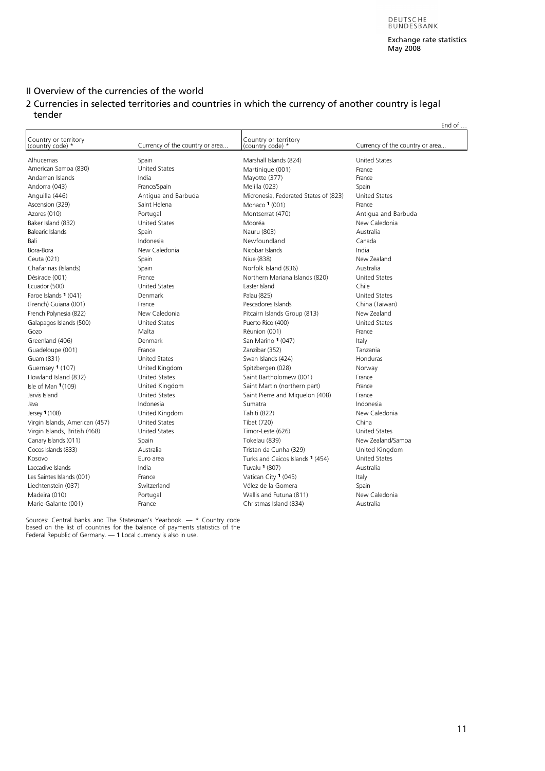# <span id="page-10-0"></span>II Overview of the currencies of the world

# [2 Currencies in selected territories and countries in which the currency of another country is legal](#page-73-0)  tender

|                                          |                                 |                                          | End of $\dots$                  |
|------------------------------------------|---------------------------------|------------------------------------------|---------------------------------|
| Country or territory<br>(country code) * | Currency of the country or area | Country or territory<br>(country code) * | Currency of the country or area |
| Alhucemas                                | Spain                           | Marshall Islands (824)                   | <b>United States</b>            |
| American Samoa (830)                     | <b>United States</b>            | Martinique (001)                         | France                          |
| Andaman Islands                          | India                           | Mayotte (377)                            | France                          |
| Andorra (043)                            | France/Spain                    | Melilla (023)                            | Spain                           |
| Anguilla (446)                           | Antigua and Barbuda             | Micronesia, Federated States of (823)    | <b>United States</b>            |
| Ascension (329)                          | Saint Helena                    | Monaco 1 (001)                           | France                          |
| Azores (010)                             | Portugal                        | Montserrat (470)                         | Antigua and Barbuda             |
| Baker Island (832)                       | <b>United States</b>            | Mooréa                                   | New Caledonia                   |
| <b>Balearic Islands</b>                  | Spain                           | Nauru (803)                              | Australia                       |
| Bali                                     | Indonesia                       | Newfoundland                             | Canada                          |
| Bora-Bora                                | New Caledonia                   | Nicobar Islands                          | India                           |
| Ceuta (021)                              | Spain                           | Niue (838)                               | New Zealand                     |
| Chafarinas (Islands)                     | Spain                           | Norfolk Island (836)                     | Australia                       |
| Désirade (001)                           | France                          | Northern Mariana Islands (820)           | <b>United States</b>            |
| Ecuador (500)                            | <b>United States</b>            | Easter Island                            | Chile                           |
| Faroe Islands 1 (041)                    | Denmark                         | Palau (825)                              | <b>United States</b>            |
| (French) Guiana (001)                    | France                          | Pescadores Islands                       | China (Taiwan)                  |
| French Polynesia (822)                   | New Caledonia                   | Pitcairn Islands Group (813)             | New Zealand                     |
| Galapagos Islands (500)                  | <b>United States</b>            | Puerto Rico (400)                        | <b>United States</b>            |
| Gozo                                     | Malta                           | Réunion (001)                            | France                          |
| Greenland (406)                          | Denmark                         | San Marino 1 (047)                       | Italy                           |
| Guadeloupe (001)                         | France                          | Zanzibar (352)                           | Tanzania                        |
| Guam (831)                               | <b>United States</b>            | Swan Islands (424)                       | Honduras                        |
| Guernsey 1 (107)                         | United Kingdom                  | Spitzbergen (028)                        | Norway                          |
| Howland Island (832)                     | <b>United States</b>            | Saint Bartholomew (001)                  | France                          |
| Isle of Man $1(109)$                     | United Kingdom                  | Saint Martin (northern part)             | France                          |
| Jarvis Island                            | <b>United States</b>            | Saint Pierre and Miguelon (408)          | France                          |
| Java                                     | Indonesia                       | Sumatra                                  | Indonesia                       |
| Jersey 1 (108)                           | United Kingdom                  | Tahiti (822)                             | New Caledonia                   |
| Virgin Islands, American (457)           | <b>United States</b>            | Tibet (720)                              | China                           |
| Virgin Islands, British (468)            | <b>United States</b>            | Timor-Leste (626)                        | <b>United States</b>            |
| Canary Islands (011)                     | Spain                           | Tokelau (839)                            | New Zealand/Samoa               |
| Cocos Islands (833)                      | Australia                       | Tristan da Cunha (329)                   | United Kingdom                  |
| Kosovo                                   | Euro area                       | Turks and Caicos Islands 1 (454)         | <b>United States</b>            |
| Laccadive Islands                        | India                           | Tuvalu <sup>1</sup> (807)                | Australia                       |
| Les Saintes Islands (001)                | France                          | Vatican City 1 (045)                     | Italy                           |
| Liechtenstein (037)                      | Switzerland                     | Vélez de la Gomera                       | Spain                           |
| Madeira (010)                            | Portugal                        | Wallis and Futuna (811)                  | New Caledonia                   |
| Marie-Galante (001)                      | France                          | Christmas Island (834)                   | Australia                       |
|                                          |                                 |                                          |                                 |

Sources: Central banks and The Statesman's Yearbook. — \* Country code based on the list of countries for the balance of payments statistics of the Federal Republic of Germany. — 1 Local currency is also in use.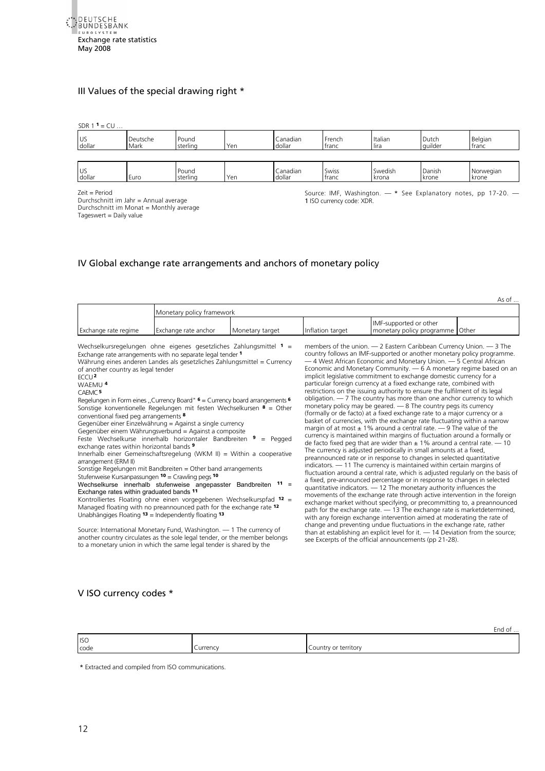<span id="page-11-0"></span>

# [III Values of the special drawing right \\*](#page-74-0)

SDR  $1$  **1** = CU

| <b>IUS</b>           | Deutsche | Pound             | Yen | Canadian           | French         | Italian          | Dutch           | Belgian            |
|----------------------|----------|-------------------|-----|--------------------|----------------|------------------|-----------------|--------------------|
| dollar               | Mark     | sterling          |     | dollar             | tranc          | lira             | quilder         | tranc              |
| <b>IUS</b><br>dollar | Euro     | Pound<br>sterling | Yen | Canadian<br>dollar | Swiss<br>tranc | Swedish<br>krona | Danish<br>krone | Norwegian<br>krone |

Zeit = Period

Durchschnitt im Jahr = Annual average Durchschnitt im Monat = Monthly average Tageswert = Daily value

Source: IMF, Washington. — \* See Explanatory notes, pp 17-20. — 1 ISO currency code: XDR.

 $A \cap A$ 

#### [IV Global exchange rate arrangements and anchors of monetary policy](#page-76-0)

|                      |                           |                 |                  |                                                           | $\sim$ |
|----------------------|---------------------------|-----------------|------------------|-----------------------------------------------------------|--------|
|                      | Monetary policy framework |                 |                  |                                                           |        |
| Exchange rate regime | Exchange rate anchor      | Monetary target | Inflation target | IMF-supported or other<br>monetary policy programme Other |        |

Wechselkursregelungen ohne eigenes gesetzliches Zahlungsmittel **<sup>1</sup>** = Exchange rate arrangements with no separate legal tender **<sup>1</sup>** Währung eines anderen Landes als gesetzliches Zahlungsmittel = Currency

|                                    | <b>The Community Contract Contracts on Separation</b> Community Similar Contract Cy |
|------------------------------------|-------------------------------------------------------------------------------------|
| of another country as legal tender |                                                                                     |
| FCC112                             |                                                                                     |

ECCU **<sup>2</sup>**

#### WAEMU **<sup>4</sup>**

CAEMC **<sup>5</sup>**

Regelungen in Form eines ,,Currency Board" **<sup>6</sup>** = Currency board arrangements **<sup>6</sup>** Sonstige konventionelle Regelungen mit festen Wechselkursen **<sup>8</sup>** = Other conventional fixed peg arrangements **<sup>8</sup>**

Gegenüber einer Einzelwährung = Against a single currency

Gegenüber einem Währungsverbund = Against a composite

Feste Wechselkurse innerhalb horizontaler Bandbreiten **<sup>9</sup>** = Pegged exchange rates within horizontal bands **<sup>9</sup>**

Innerhalb einer Gemeinschaftsregelung (WKM II) = Within a cooperative arrangement (ERM II)

Sonstige Regelungen mit Bandbreiten = Other band arrangements

Stufenweise Kursanpassungen **<sup>10</sup>** = Crawling pegs **<sup>10</sup>**

#### Wechselkurse innerhalb stufenweise angepasster Bandbreiten **11** = Exchange rates within graduated bands **<sup>11</sup>**

Kontrolliertes Floating ohne einen vorgegebenen Wechselkurspfad <sup>12</sup> = Managed floating with no preannounced path for the exchange rate **<sup>12</sup>** Unabhängiges Floating **<sup>13</sup>** = Independently floating **<sup>13</sup>**

Source: International Monetary Fund, Washington. — 1 The currency of another country circulates as the sole legal tender, or the member belongs to a monetary union in which the same legal tender is shared by the

members of the union. — 2 Eastern Caribbean Currency Union. — 3 The country follows an IMF-supported or another monetary policy programme. — 4 West African Economic and Monetary Union. — 5 Central African Economic and Monetary Community.  $-6$  A monetary regime based on an implicit legislative commitment to exchange domestic currency for a particular foreign currency at a fixed exchange rate, combined with restrictions on the issuing authority to ensure the fulfilment of its legal obligation. — 7 The country has more than one anchor currency to which monetary policy may be geared. — 8 The country pegs its currency (formally or de facto) at a fixed exchange rate to a major currency or a basket of currencies, with the exchange rate fluctuating within a narrow margin of at most  $\pm$  1% around a central rate.  $-$  9 The value of the currency is maintained within margins of fluctuation around a formally or de facto fixed peg that are wider than  $\pm$  1% around a central rate.  $-$  10 The currency is adjusted periodically in small amounts at a fixed, preannounced rate or in response to changes in selected quantitative indicators. — 11 The currency is maintained within certain margins of fluctuation around a central rate, which is adjusted regularly on the basis of a fixed, pre-announced percentage or in response to changes in selected quantitative indicators.  $-12$  The monetary authority influences the  $-$  12 The monetary authority influences the movements of the exchange rate through active intervention in the foreign exchange market without specifying, or precommitting to, a preannounced path for the exchange rate. — 13 The exchange rate is marketdetermined, with any foreign exchange intervention aimed at moderating the rate of change and preventing undue fluctuations in the exchange rate, rather than at establishing an explicit level for it. — 14 Deviation from the source; see Excerpts of the official announcements (pp 21-28).

# [V ISO currency codes \\*](#page-78-0)

End of . ISO Currency Currency Country or territory

\* Extracted and compiled from ISO communications.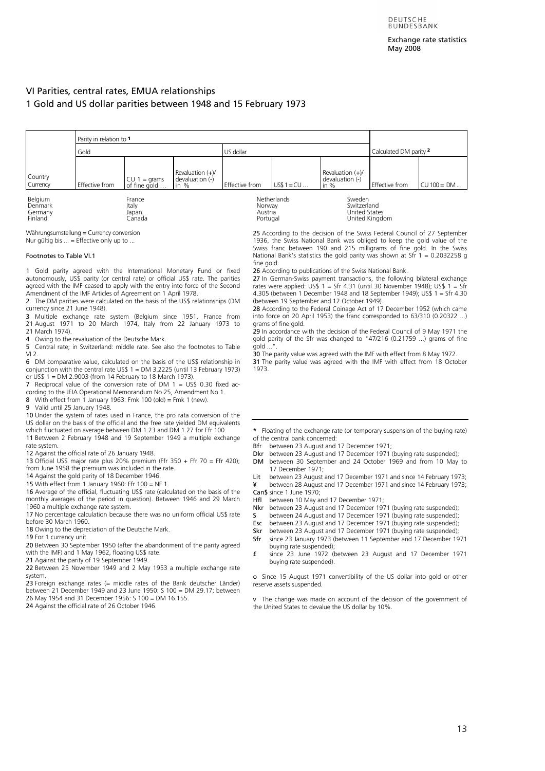# <span id="page-12-0"></span>VI Parities, central rates, EMUA relationships [1 Gold and US dollar parities between 1948 and 15 February 1973](#page-80-0)

| Calculated DM parity 2<br>Gold<br>US dollar<br>Revaluation $(+)$ /<br>Revaluation (+)/<br>Country<br>$CU 1 = \text{grams}$<br>devaluation (-)<br>devaluation (-)<br>Currency<br>Effective from<br><b>Effective from</b><br>$US$1 = CU$<br><b>Effective from</b><br>$CU 100 = DM $<br>in $%$<br>of fine gold<br>in $%$<br>Belgium<br>France<br>Netherlands<br>Sweden<br>Denmark<br>Italy<br>Norway<br>Switzerland<br><b>United States</b><br>Germany<br>Japan<br>Austria<br>Finland<br>Canada<br>Portugal<br>United Kingdom                                                                                                                                                                                                                                                                                                                                                                                                                                                                                                                                                                                                                                                                                                                                                                                                                                                                                                                                                                                                                                                                                                                                                                                                                                                                                                                                                                                                                                                                                                                                                                                                                                                                                                                                                                                                                                                                                                                                                                                                                                                                                                                                                                                                                                                                                                                                                                                                                                                                                                                                                                                                                                                                                                                                                                                                                                                                                                                                                                                                                                                                                                                                                                                                                                                                                                                                                                                                                                                                                                                                                                                                                                                                                                                                                                                                                                                                                                                                                                                                                                                                                                                                                                                                                                                                                                                                                                                                                                                                                                                                                                                                                                                                                                                                                                                                                                            |
|-----------------------------------------------------------------------------------------------------------------------------------------------------------------------------------------------------------------------------------------------------------------------------------------------------------------------------------------------------------------------------------------------------------------------------------------------------------------------------------------------------------------------------------------------------------------------------------------------------------------------------------------------------------------------------------------------------------------------------------------------------------------------------------------------------------------------------------------------------------------------------------------------------------------------------------------------------------------------------------------------------------------------------------------------------------------------------------------------------------------------------------------------------------------------------------------------------------------------------------------------------------------------------------------------------------------------------------------------------------------------------------------------------------------------------------------------------------------------------------------------------------------------------------------------------------------------------------------------------------------------------------------------------------------------------------------------------------------------------------------------------------------------------------------------------------------------------------------------------------------------------------------------------------------------------------------------------------------------------------------------------------------------------------------------------------------------------------------------------------------------------------------------------------------------------------------------------------------------------------------------------------------------------------------------------------------------------------------------------------------------------------------------------------------------------------------------------------------------------------------------------------------------------------------------------------------------------------------------------------------------------------------------------------------------------------------------------------------------------------------------------------------------------------------------------------------------------------------------------------------------------------------------------------------------------------------------------------------------------------------------------------------------------------------------------------------------------------------------------------------------------------------------------------------------------------------------------------------------------------------------------------------------------------------------------------------------------------------------------------------------------------------------------------------------------------------------------------------------------------------------------------------------------------------------------------------------------------------------------------------------------------------------------------------------------------------------------------------------------------------------------------------------------------------------------------------------------------------------------------------------------------------------------------------------------------------------------------------------------------------------------------------------------------------------------------------------------------------------------------------------------------------------------------------------------------------------------------------------------------------------------------------------------------------------------------------------------------------------------------------------------------------------------------------------------------------------------------------------------------------------------------------------------------------------------------------------------------------------------------------------------------------------------------------------------------------------------------------------------------------------------------------------------------------------------------------------------------------------------------------------------------------------------------------------------------------------------------------------------------------------------------------------------------------------------------------------------------------------------------------------------------------------------------------------------------------------------------------------------------------------------------------------------------------------------------------------------------------------------------------------|
|                                                                                                                                                                                                                                                                                                                                                                                                                                                                                                                                                                                                                                                                                                                                                                                                                                                                                                                                                                                                                                                                                                                                                                                                                                                                                                                                                                                                                                                                                                                                                                                                                                                                                                                                                                                                                                                                                                                                                                                                                                                                                                                                                                                                                                                                                                                                                                                                                                                                                                                                                                                                                                                                                                                                                                                                                                                                                                                                                                                                                                                                                                                                                                                                                                                                                                                                                                                                                                                                                                                                                                                                                                                                                                                                                                                                                                                                                                                                                                                                                                                                                                                                                                                                                                                                                                                                                                                                                                                                                                                                                                                                                                                                                                                                                                                                                                                                                                                                                                                                                                                                                                                                                                                                                                                                                                                                                                       |
|                                                                                                                                                                                                                                                                                                                                                                                                                                                                                                                                                                                                                                                                                                                                                                                                                                                                                                                                                                                                                                                                                                                                                                                                                                                                                                                                                                                                                                                                                                                                                                                                                                                                                                                                                                                                                                                                                                                                                                                                                                                                                                                                                                                                                                                                                                                                                                                                                                                                                                                                                                                                                                                                                                                                                                                                                                                                                                                                                                                                                                                                                                                                                                                                                                                                                                                                                                                                                                                                                                                                                                                                                                                                                                                                                                                                                                                                                                                                                                                                                                                                                                                                                                                                                                                                                                                                                                                                                                                                                                                                                                                                                                                                                                                                                                                                                                                                                                                                                                                                                                                                                                                                                                                                                                                                                                                                                                       |
| Währungsumstellung = Currency conversion<br>25 According to the decision of the Swiss Federal Council of 27 September<br>Nur gültig bis $\ldots$ = Effective only up to $\ldots$<br>1936, the Swiss National Bank was obliged to keep the gold value of the<br>Swiss franc between 190 and 215 milligrams of fine gold. In the Swiss<br>Footnotes to Table VI.1<br>National Bank's statistics the gold parity was shown at Sfr $1 = 0.2032258$ g<br>fine gold.<br>26 According to publications of the Swiss National Bank.<br>1 Gold parity agreed with the International Monetary Fund or fixed<br>autonomously, US\$ parity (or central rate) or official US\$ rate. The parities<br>27 In German-Swiss payment transactions, the following bilateral exchange<br>agreed with the IMF ceased to apply with the entry into force of the Second<br>rates were applied: US\$ 1 = Sfr 4.31 (until 30 November 1948); US\$ 1 = Sfr<br>Amendment of the IMF Articles of Agreement on 1 April 1978.<br>4.305 (between 1 December 1948 and 18 September 1949); US\$ 1 = Sfr 4.30<br>2 The DM parities were calculated on the basis of the US\$ relationships (DM<br>(between 19 September and 12 October 1949).<br>28 According to the Federal Coinage Act of 17 December 1952 (which came<br>currency since 21 June 1948).<br>3 Multiple exchange rate system (Belgium since 1951, France from<br>into force on 20 April 1953) the franc corresponded to $63/310$ (0.20322 )<br>grams of fine gold.<br>21 August 1971 to 20 March 1974, Italy from 22 January 1973 to<br>21 March 1974).<br>29 In accordance with the decision of the Federal Council of 9 May 1971 the<br>4 Owing to the revaluation of the Deutsche Mark.<br>gold parity of the Sfr was changed to "47/216 (0.21759 ) grams of fine<br>$gold \dots$ ".<br>5 Central rate; in Switzerland: middle rate. See also the footnotes to Table<br>VI2.<br>30 The parity value was agreed with the IMF with effect from 8 May 1972.<br>6 DM comparative value, calculated on the basis of the US\$ relationship in<br>31 The parity value was agreed with the IMF with effect from 18 October<br>conjunction with the central rate US\$ $1 = DM$ 3.2225 (until 13 February 1973)<br>1973.<br>or US\$ 1 = DM 2.9003 (from 14 February to 18 March 1973).<br>7 Reciprocal value of the conversion rate of DM $1 = US$$ 0.30 fixed ac-<br>cording to the JEIA Operational Memorandum No 25, Amendment No 1.<br>8 With effect from 1 January 1963: Fmk 100 (old) = Fmk 1 (new).<br>9 Valid until 25 January 1948.<br>10 Under the system of rates used in France, the pro rata conversion of the<br>US dollar on the basis of the official and the free rate yielded DM equivalents<br>which fluctuated on average between DM 1.23 and DM 1.27 for Ffr 100.<br>* Floating of the exchange rate (or temporary suspension of the buying rate)<br>11 Between 2 February 1948 and 19 September 1949 a multiple exchange<br>of the central bank concerned:<br>rate system.<br>Bfr between 23 August and 17 December 1971;<br>12 Against the official rate of 26 January 1948.<br>Dkr between 23 August and 17 December 1971 (buying rate suspended);<br>13 Official US\$ major rate plus 20% premium (Ffr 350 + Ffr 70 = Ffr 420);<br>DM between 30 September and 24 October 1969 and from 10 May to<br>from June 1958 the premium was included in the rate.<br>17 December 1971;<br>14 Against the gold parity of 18 December 1946.<br>between 23 August and 17 December 1971 and since 14 February 1973;<br>Lit<br>15 With effect from 1 January 1960: Ffr 100 = NF 1.<br>between 28 August and 17 December 1971 and since 14 February 1973;<br>¥<br><b>16</b> Average of the official, fluctuating US\$ rate (calculated on the basis of the<br>Can\$ since 1 June 1970:<br>monthly averages of the period in question). Between 1946 and 29 March<br>Hfl between 10 May and 17 December 1971;<br>1960 a multiple exchange rate system.<br><b>Nkr</b> between 23 August and 17 December 1971 (buying rate suspended);<br>17 No percentage calculation because there was no uniform official US\$ rate<br>s<br>between 24 August and 17 December 1971 (buying rate suspended);<br>before 30 March 1960.<br>Esc between 23 August and 17 December 1971 (buying rate suspended);<br>18 Owing to the depreciation of the Deutsche Mark.<br><b>Skr</b> between 23 August and 17 December 1971 (buying rate suspended);<br>19 For 1 currency unit.<br>Sfr<br>since 23 January 1973 (between 11 September and 17 December 1971<br>20 Between 30 September 1950 (after the abandonment of the parity agreed<br>buying rate suspended);<br>with the IMF) and 1 May 1962, floating US\$ rate.<br>£<br>since 23 June 1972 (between 23 August and 17 December 1971<br>21 Against the parity of 19 September 1949.<br>buying rate suspended).<br>22 Between 25 November 1949 and 2 May 1953 a multiple exchange rate<br>system.<br><b>o</b> Since 15 August 1971 convertibility of the US dollar into gold or other<br>23 Foreign exchange rates (= middle rates of the Bank deutscher Länder)<br>reserve assets suspended.<br>between 21 December 1949 and 23 June 1950: S 100 = DM 29.17; between<br>26 May 1954 and 31 December 1956: S 100 = DM 16.155.<br>v The change was made on account of the decision of the government of |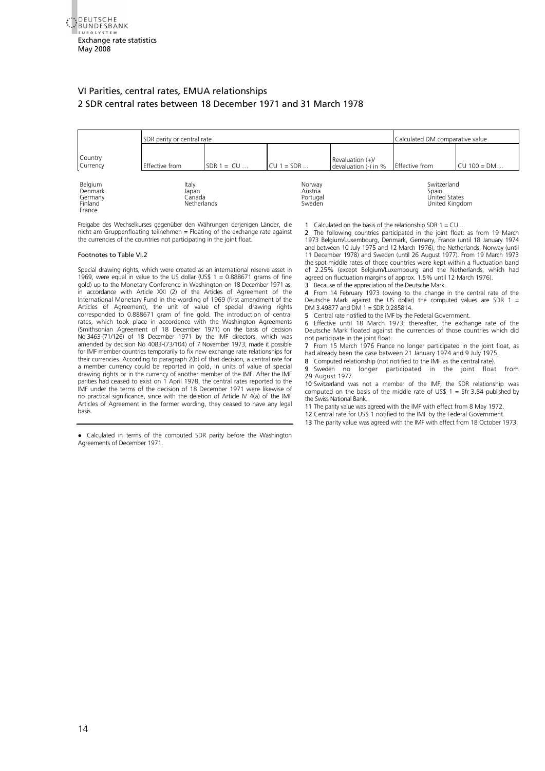<span id="page-13-0"></span>

# VI Parities, central rates, EMUA relationships [2 SDR central rates between 18 December 1971 and 31 March 1978](#page-82-0)

|                                          | SDR parity or central rate              |              | Calculated DM comparative value         |                                            |                                                                |                |
|------------------------------------------|-----------------------------------------|--------------|-----------------------------------------|--------------------------------------------|----------------------------------------------------------------|----------------|
| Country<br>Currency                      | <b>Effective from</b>                   | $SDR 1 = CU$ | $CU 1 = SDR $                           | Revaluation $(+)/$<br>devaluation (-) in % | <b>Effective from</b>                                          | $CU 100 = DM $ |
| Belgium<br>Denmark<br>Germany<br>Finland | Italy<br>Japan<br>Canada<br>Netherlands |              | Norway<br>Austria<br>Portugal<br>Sweden |                                            | Switzerland<br>Spain<br><b>United States</b><br>United Kingdom |                |

Freigabe des Wechselkurses gegenüber den Währungen derjenigen Länder, die nicht am Gruppenfloating teilnehmen = Floating of the exchange rate against the currencies of the countries not participating in the joint float.

#### Footnotes to Table VI.2

France

Special drawing rights, which were created as an international reserve asset in 1969, were equal in value to the US dollar (US\$  $1 = 0.888671$  grams of fine gold) up to the Monetary Conference in Washington on 18 December 1971 as, in accordance with Article XXI (2) of the Articles of Agreement of the International Monetary Fund in the wording of 1969 (first amendment of the Articles of Agreement), the unit of value of special drawing rights corresponded to 0.888671 gram of fine gold. The introduction of central rates, which took place in accordance with the Washington Agreements (Smithsonian Agreement of 18 December 1971) on the basis of decision No 3463-(71/126) of 18 December 1971 by the IMF directors, which was amended by decision No 4083-(73/104) of 7 November 1973, made it possible for IMF member countries temporarily to fix new exchange rate relationships for their currencies. According to paragraph 2(b) of that decision, a central rate for a member currency could be reported in gold, in units of value of special drawing rights or in the currency of another member of the IMF. After the IMF parities had ceased to exist on 1 April 1978, the central rates reported to the IMF under the terms of the decision of 18 December 1971 were likewise of no practical significance, since with the deletion of Article IV 4(a) of the IMF Articles of Agreement in the former wording, they ceased to have any legal basis.

1 Calculated on the basis of the relationship SDR  $1 = CU$  ...

2 The following countries participated in the joint float: as from 19 March 1973 Belgium/Luxembourg, Denmark, Germany, France (until 18 January 1974 and between 10 July 1975 and 12 March 1976), the Netherlands, Norway (until 11 December 1978) and Sweden (until 26 August 1977). From 19 March 1973 the spot middle rates of those countries were kept within a fluctuation band of 2.25% (except Belgium/Luxembourg and the Netherlands, which had agreed on fluctuation margins of approx. 1.5% until 12 March 1976).

3 Because of the appreciation of the Deutsche Mark.

4 From 14 February 1973 (owing to the change in the central rate of the Deutsche Mark against the US dollar) the computed values are SDR 1 = DM 3.49877 and DM 1 = SDR 0.285814.

5 Central rate notified to the IMF by the Federal Government.<br>6 Effective until 18 March 1973: thereafter the excha

Effective until 18 March 1973; thereafter, the exchange rate of the Deutsche Mark floated against the currencies of those countries which did not participate in the joint float.

7 From 15 March 1976 France no longer participated in the joint float, as had already been the case between 21 January 1974 and 9 July 1975.

8 Computed relationship (not notified to the IMF as the central rate).

9 Sweden no longer participated in the joint float from 29 August 1977.

10 Switzerland was not a member of the IMF; the SDR relationship was computed on the basis of the middle rate of US\$  $1 =$  Sfr 3.84 published by the Swiss National Bank.

11 The parity value was agreed with the IMF with effect from 8 May 1972.

12 Central rate for US\$ 1 notified to the IMF by the Federal Government.

13 The parity value was agreed with the IMF with effect from 18 October 1973.

● Calculated in terms of the computed SDR parity before the Washington Agreements of December 1971.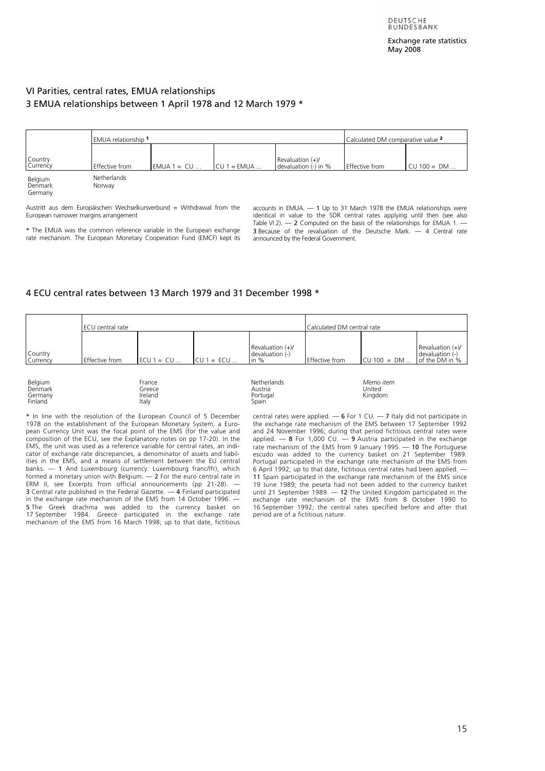# <span id="page-14-0"></span>VI Parities, central rates, EMUA relationships [3 EMUA relationships between 1 April 1978 and 12 March 1979 \\*](#page-84-0)

|                               | EMUA relationship 1   |               |                       |                                            | Calculated DM comparative value 2 |                |
|-------------------------------|-----------------------|---------------|-----------------------|--------------------------------------------|-----------------------------------|----------------|
| Country<br>Currency           | <b>Effective from</b> | EMUA $1 = CU$ | $=$ EMUA<br><b>CU</b> | Revaluation $(+)/$<br>devaluation (-) in % | <b>Effective from</b>             | $CU 100 = DM $ |
| Belgium<br>Denmark<br>Germany | Netherlands<br>Norway |               |                       |                                            |                                   |                |

Austritt aus dem Europäischen Wechselkursverbund = Withdrawal from the European narrower margins arrangement

\* The EMUA was the common reference variable in the European exchange rate mechanism. The European Monetary Cooperation Fund (EMCF) kept its accounts in EMUA. — 1 Up to 31 March 1978 the EMUA relationships were identical in value to the SDR central rates applying until then (see also Table VI 2).  $-$  2 Computed on the basis of the relationships for EMUA 1. 3 Because of the revaluation of the Deutsche Mark. — 4 Central rate announced by the Federal Government.

# [4 ECU central rates between 13 March 1979 and 31 December 1998 \\*](#page-85-0)

|                     | <b>ECU</b> central rate |                |              | Calculated DM central rate                       |                       |                |                                                          |
|---------------------|-------------------------|----------------|--------------|--------------------------------------------------|-----------------------|----------------|----------------------------------------------------------|
| Country<br>Currency | <b>Effective from</b>   | $ECU$ 1 = $CU$ | $ICU1 = ECU$ | Revaluation $(+)/$<br>devaluation (-)<br>$\ln\%$ | <b>Effective from</b> | $CU 100 = DM $ | Revaluation $(+)$ /<br>devaluation (-)<br>of the DM in % |

| Belgium | France  | <b>Netherlands</b> | Memo item |
|---------|---------|--------------------|-----------|
| Denmark | Greece  | Austria            | United    |
| Germany | Ireland | Portugal           | Kingdom   |
| Finland | Italy   | Spain              |           |

\* In line with the resolution of the European Council of 5 December 1978 on the establishment of the European Monetary System, a European Currency Unit was the focal point of the EMS (for the value and composition of the ECU, see the Explanatory notes on pp 17-20). In the EMS, the unit was used as a reference variable for central rates, an indicator of exchange rate discrepancies, a denominator of assets and liabilities in the EMS, and a means of settlement between the EU central banks. — 1 And Luxembourg (currency: Luxembourg franc/lfr), which formed a monetary union with Belgium. — 2 For the euro central rate in ERM II, see Excerpts from official announcements (pp 21-28). 3 Central rate published in the Federal Gazette. - 4 Finland participated in the exchange rate mechanism of the EMS from 14 October 1996. 5 The Greek drachma was added to the currency basket on 17 September 1984. Greece participated in the exchange rate mechanism of the EMS from 16 March 1998; up to that date, fictitious central rates were applied.  $-6$  For 1 CU.  $-7$  Italy did not participate in the exchange rate mechanism of the EMS between 17 September 1992 and 24 November 1996; during that period fictitious central rates were applied.  $-$  8 For 1,000 CU.  $-$  9 Austria participated in the exchange rate mechanism of the EMS from 9 January 1995. - 10 The Portuguese escudo was added to the currency basket on 21 September 1989. Portugal participated in the exchange rate mechanism of the EMS from 6 April 1992; up to that date, fictitious central rates had been applied. — 11 Spain participated in the exchange rate mechanism of the EMS since 19 June 1989; the peseta had not been added to the currency basket until 21 September 1989. — 12 The United Kingdom participated in the exchange rate mechanism of the EMS from 8 October 1990 to 16 September 1992; the central rates specified before and after that period are of a fictitious nature.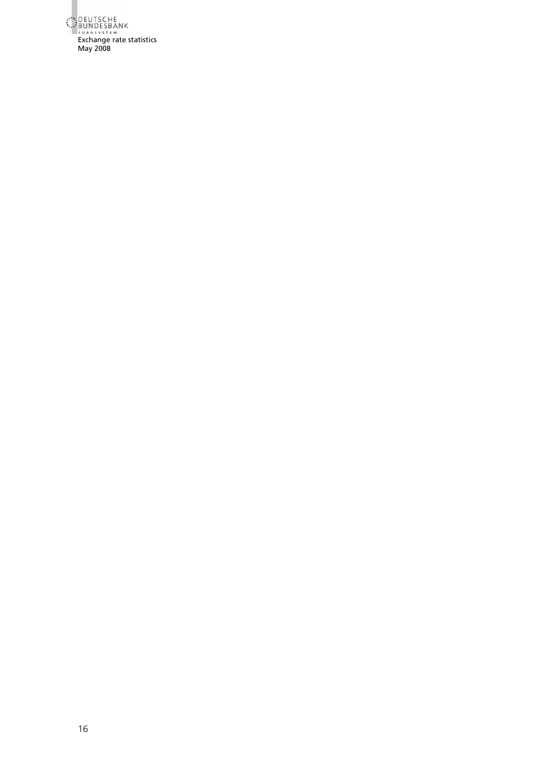[Exchange rate sta](#page-3-0)tistics May 2008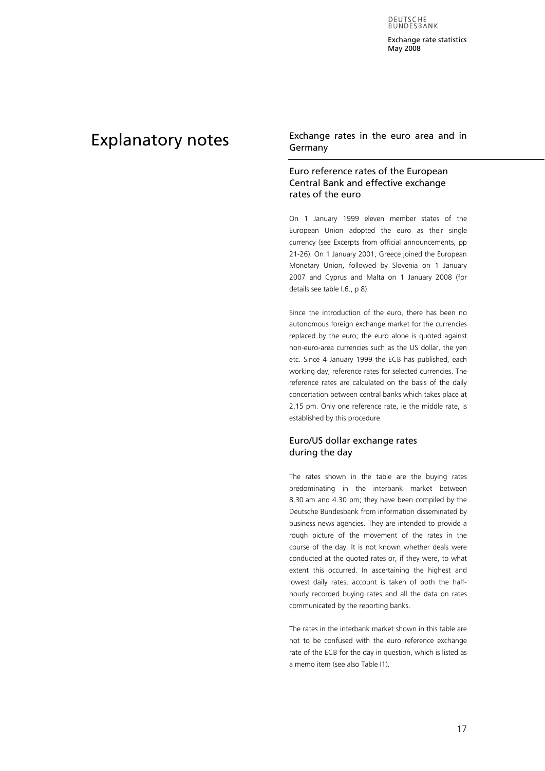Excha[nge rate statistics](#page-3-0)  May 2008

<span id="page-16-0"></span>Explanatory notes<br>
Explanatory notes<br>  $\frac{1}{2}$ <br>  $\frac{1}{2}$ <br>  $\frac{1}{2}$ <br>  $\frac{1}{2}$ Germany

# Euro reference rates of the European Central Bank and effective exchange rates of the euro

On 1 January 1999 eleven member states of the European Union adopted the euro as their single currency (see Excerpts from official announcements, pp 21-26). On 1 January 2001, Greece joined the European Monetary Union, followed by Slovenia on 1 January 2007 and Cyprus and Malta on 1 January 2008 (for details see table I.6., p 8).

Since the introduction of the euro, there has been no autonomous foreign exchange market for the currencies replaced by the euro; the euro alone is quoted against non-euro-area currencies such as the US dollar, the yen etc. Since 4 January 1999 the ECB has published, each working day, reference rates for selected currencies. The reference rates are calculated on the basis of the daily concertation between central banks which takes place at 2.15 pm. Only one reference rate, ie the middle rate, is established by this procedure.

#### Euro/US dollar exchange rates during the day

The rates shown in the table are the buying rates predominating in the interbank market between 8.30 am and 4.30 pm; they have been compiled by the Deutsche Bundesbank from information disseminated by business news agencies. They are intended to provide a rough picture of the movement of the rates in the course of the day. It is not known whether deals were conducted at the quoted rates or, if they were, to what extent this occurred. In ascertaining the highest and lowest daily rates, account is taken of both the halfhourly recorded buying rates and all the data on rates communicated by the reporting banks.

The rates in the interbank market shown in this table are not to be confused with the euro reference exchange rate of the ECB for the day in question, which is listed as a memo item (see also Table I1).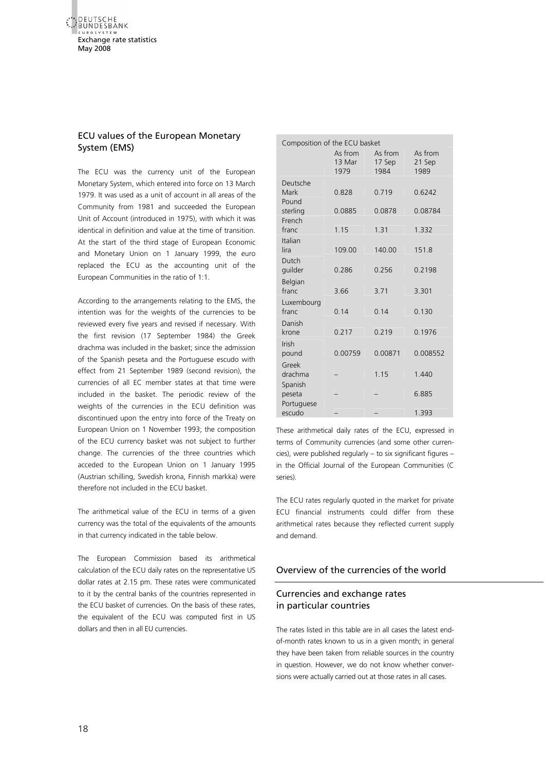<span id="page-17-0"></span>

# ECU values of the European Monetary System (EMS)

The ECU was the currency unit of the European Monetary System, which entered into force on 13 March 1979. It was used as a unit of account in all areas of the Community from 1981 and succeeded the European Unit of Account (introduced in 1975), with which it was identical in definition and value at the time of transition. At the start of the third stage of European Economic and Monetary Union on 1 January 1999, the euro replaced the ECU as the accounting unit of the European Communities in the ratio of 1:1.

According to the arrangements relating to the EMS, the intention was for the weights of the currencies to be reviewed every five years and revised if necessary. With the first revision (17 September 1984) the Greek drachma was included in the basket; since the admission of the Spanish peseta and the Portuguese escudo with effect from 21 September 1989 (second revision), the currencies of all EC member states at that time were included in the basket. The periodic review of the weights of the currencies in the ECU definition was discontinued upon the entry into force of the Treaty on European Union on 1 November 1993; the composition of the ECU currency basket was not subject to further change. The currencies of the three countries which acceded to the European Union on 1 January 1995 (Austrian schilling, Swedish krona, Finnish markka) were therefore not included in the ECU basket.

The arithmetical value of the ECU in terms of a given currency was the total of the equivalents of the amounts in that currency indicated in the table below.

The European Commission based its arithmetical calculation of the ECU daily rates on the representative US dollar rates at 2.15 pm. These rates were communicated to it by the central banks of the countries represented in the ECU basket of currencies. On the basis of these rates, the equivalent of the ECU was computed first in US dollars and then in all EU currencies.

| Composition of the ECU basket |                           |                           |                           |  |  |  |  |  |  |  |
|-------------------------------|---------------------------|---------------------------|---------------------------|--|--|--|--|--|--|--|
|                               | As from<br>13 Mar<br>1979 | As from<br>17 Sep<br>1984 | As from<br>21 Sep<br>1989 |  |  |  |  |  |  |  |
| Deutsche                      |                           |                           |                           |  |  |  |  |  |  |  |
| Mark                          | 0.828                     | 0.719                     | 0.6242                    |  |  |  |  |  |  |  |
| Pound                         |                           |                           |                           |  |  |  |  |  |  |  |
| sterling<br>French            | 0.0885                    | 0.0878                    | 0.08784                   |  |  |  |  |  |  |  |
| franc                         | 1.15                      | 1.31                      | 1.332                     |  |  |  |  |  |  |  |
| Italian                       |                           |                           |                           |  |  |  |  |  |  |  |
| lira                          | 109.00                    | 140.00                    | 151.8                     |  |  |  |  |  |  |  |
| Dutch                         |                           |                           |                           |  |  |  |  |  |  |  |
| guilder                       | 0.286                     | 0.256                     | 0.2198                    |  |  |  |  |  |  |  |
| Belgian                       |                           |                           |                           |  |  |  |  |  |  |  |
| franc                         | 3.66                      | 3.71                      | 3.301                     |  |  |  |  |  |  |  |
| Luxembourg                    |                           |                           |                           |  |  |  |  |  |  |  |
| franc                         | 0.14                      | 0.14                      | 0.130                     |  |  |  |  |  |  |  |
| Danish                        |                           |                           |                           |  |  |  |  |  |  |  |
| krone                         | 0.217                     | 0.219                     | 0.1976                    |  |  |  |  |  |  |  |
| Irish                         |                           |                           |                           |  |  |  |  |  |  |  |
| pound                         | 0.00759                   | 0.00871                   | 0.008552                  |  |  |  |  |  |  |  |
| Greek                         |                           |                           |                           |  |  |  |  |  |  |  |
| drachma                       |                           | 1.15                      | 1.440                     |  |  |  |  |  |  |  |
| Spanish                       |                           |                           |                           |  |  |  |  |  |  |  |
| peseta                        |                           |                           | 6.885                     |  |  |  |  |  |  |  |
| Portuguese<br>escudo          |                           |                           | 1.393                     |  |  |  |  |  |  |  |
|                               |                           |                           |                           |  |  |  |  |  |  |  |

These arithmetical daily rates of the ECU, expressed in terms of Community currencies (and some other currencies), were published regularly – to six significant figures – in the Official Journal of the European Communities (C series).

The ECU rates regularly quoted in the market for private ECU financial instruments could differ from these arithmetical rates because they reflected current supply and demand.

## Overview of the currencies of the world

#### Currencies and exchange rates in particular countries

The rates listed in this table are in all cases the latest endof-month rates known to us in a given month; in general they have been taken from reliable sources in the country in question. However, we do not know whether conversions were actually carried out at those rates in all cases.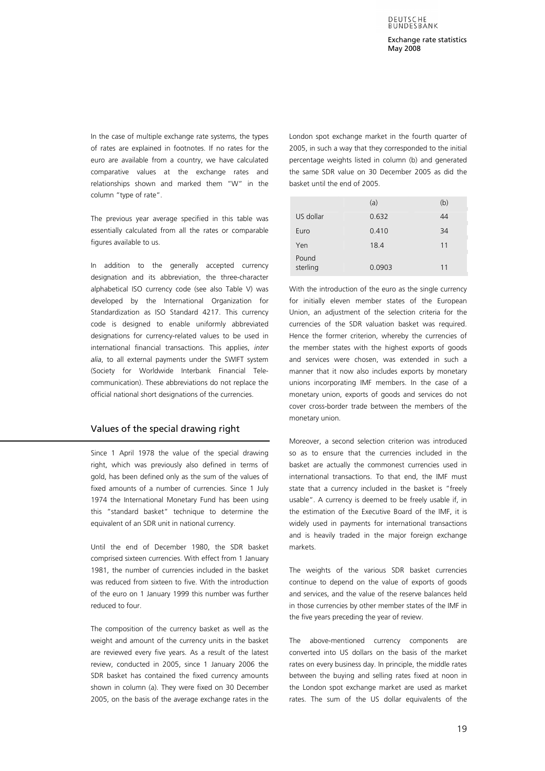<span id="page-18-0"></span>In the case of multiple exchange rate systems, the types of rates are explained in footnotes. If no rates for the euro are available from a country, we have calculated comparative values at the exchange rates and relationships shown and marked them "W" in the column "type of rate".

The previous year average specified in this table was essentially calculated from all the rates or comparable figures available to us.

In addition to the generally accepted currency designation and its abbreviation, the three-character alphabetical ISO currency code (see also Table V) was developed by the International Organization for Standardization as ISO Standard 4217. This currency code is designed to enable uniformly abbreviated designations for currency-related values to be used in international financial transactions. This applies, *inter alia*, to all external payments under the SWIFT system (Society for Worldwide Interbank Financial Telecommunication). These abbreviations do not replace the official national short designations of the currencies.

#### Values of the special drawing right

Since 1 April 1978 the value of the special drawing right, which was previously also defined in terms of gold, has been defined only as the sum of the values of fixed amounts of a number of currencies. Since 1 July 1974 the International Monetary Fund has been using this "standard basket" technique to determine the equivalent of an SDR unit in national currency.

Until the end of December 1980, the SDR basket comprised sixteen currencies. With effect from 1 January 1981, the number of currencies included in the basket was reduced from sixteen to five. With the introduction of the euro on 1 January 1999 this number was further reduced to four.

The composition of the currency basket as well as the weight and amount of the currency units in the basket are reviewed every five years. As a result of the latest review, conducted in 2005, since 1 January 2006 the SDR basket has contained the fixed currency amounts shown in column (a). They were fixed on 30 December 2005, on the basis of the average exchange rates in the London spot exchange market in the fourth quarter of 2005, in such a way that they corresponded to the initial percentage weights listed in column (b) and generated the same SDR value on 30 December 2005 as did the basket until the end of 2005.

|                   | (a)    | (b) |
|-------------------|--------|-----|
| US dollar         | 0.632  | 44  |
| Euro              | 0.410  | 34  |
| Yen               | 18.4   | 11  |
| Pound<br>sterling | 0.0903 | 11  |

With the introduction of the euro as the single currency for initially eleven member states of the European Union, an adjustment of the selection criteria for the currencies of the SDR valuation basket was required. Hence the former criterion, whereby the currencies of the member states with the highest exports of goods and services were chosen, was extended in such a manner that it now also includes exports by monetary unions incorporating IMF members. In the case of a monetary union, exports of goods and services do not cover cross-border trade between the members of the monetary union.

Moreover, a second selection criterion was introduced so as to ensure that the currencies included in the basket are actually the commonest currencies used in international transactions. To that end, the IMF must state that a currency included in the basket is "freely usable". A currency is deemed to be freely usable if, in the estimation of the Executive Board of the IMF, it is widely used in payments for international transactions and is heavily traded in the major foreign exchange markets.

The weights of the various SDR basket currencies continue to depend on the value of exports of goods and services, and the value of the reserve balances held in those currencies by other member states of the IMF in the five years preceding the year of review.

The above-mentioned currency components are converted into US dollars on the basis of the market rates on every business day. In principle, the middle rates between the buying and selling rates fixed at noon in the London spot exchange market are used as market rates. The sum of the US dollar equivalents of the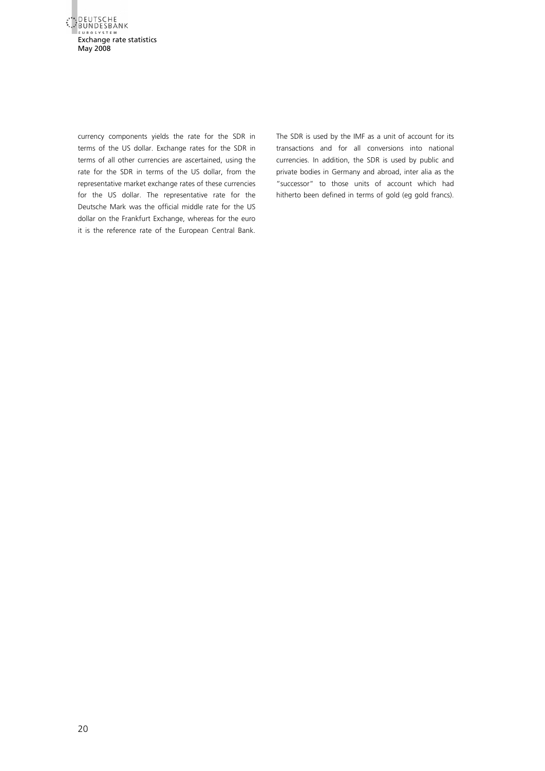

currency components yields the rate for the SDR in terms of the US dollar. Exchange rates for the SDR in terms of all other currencies are ascertained, using the rate for the SDR in terms of the US dollar, from the representative market exchange rates of these currencies for the US dollar. The representative rate for the Deutsche Mark was the official middle rate for the US dollar on the Frankfurt Exchange, whereas for the euro it is the reference rate of the European Central Bank.

The SDR is used by the IMF as a unit of account for its transactions and for all conversions into national currencies. In addition, the SDR is used by public and private bodies in Germany and abroad, inter alia as the "successor" to those units of account which had hitherto been defined in terms of gold (eg gold francs).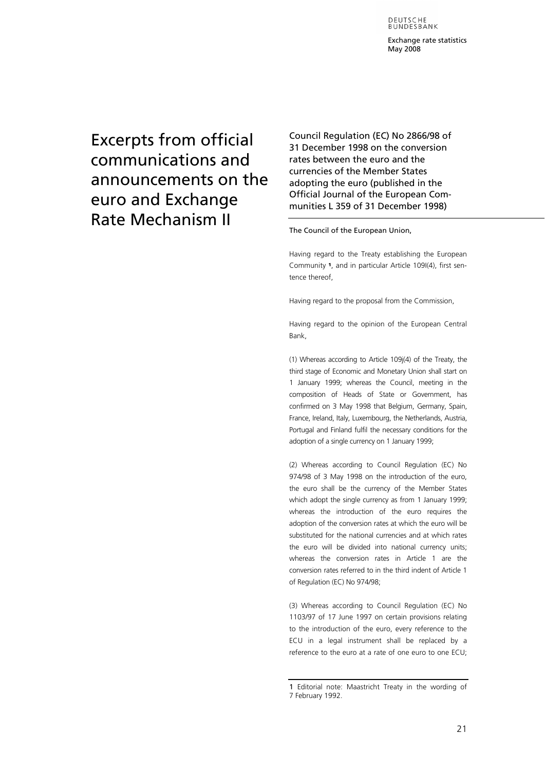[Exchange rate statistics](#page-3-1)  May 2008

# <span id="page-20-0"></span>Excerpts from official communications and announcements on the euro and Exchange Rate Mechanism II

Council Regulation (EC) No 2866/98 of 31 December 1998 on the conversion rates between the euro and the currencies of the Member States adopting the euro (published in the Official Journal of the European Communities L 359 of 31 December 1998)

#### The Council of the European Union,

Having regard to the Treaty establishing the European Community **1**, and in particular Article 109I(4), first sentence thereof,

Having regard to the proposal from the Commission,

Having regard to the opinion of the European Central Bank,

(1) Whereas according to Article 109j(4) of the Treaty, the third stage of Economic and Monetary Union shall start on 1 January 1999; whereas the Council, meeting in the composition of Heads of State or Government, has confirmed on 3 May 1998 that Belgium, Germany, Spain, France, Ireland, Italy, Luxembourg, the Netherlands, Austria, Portugal and Finland fulfil the necessary conditions for the adoption of a single currency on 1 January 1999;

(2) Whereas according to Council Regulation (EC) No 974/98 of 3 May 1998 on the introduction of the euro, the euro shall be the currency of the Member States which adopt the single currency as from 1 January 1999; whereas the introduction of the euro requires the adoption of the conversion rates at which the euro will be substituted for the national currencies and at which rates the euro will be divided into national currency units; whereas the conversion rates in Article 1 are the conversion rates referred to in the third indent of Article 1 of Regulation (EC) No 974/98;

(3) Whereas according to Council Regulation (EC) No 1103/97 of 17 June 1997 on certain provisions relating to the introduction of the euro, every reference to the ECU in a legal instrument shall be replaced by a reference to the euro at a rate of one euro to one ECU;

<sup>1</sup> Editorial note: Maastricht Treaty in the wording of 7 February 1992.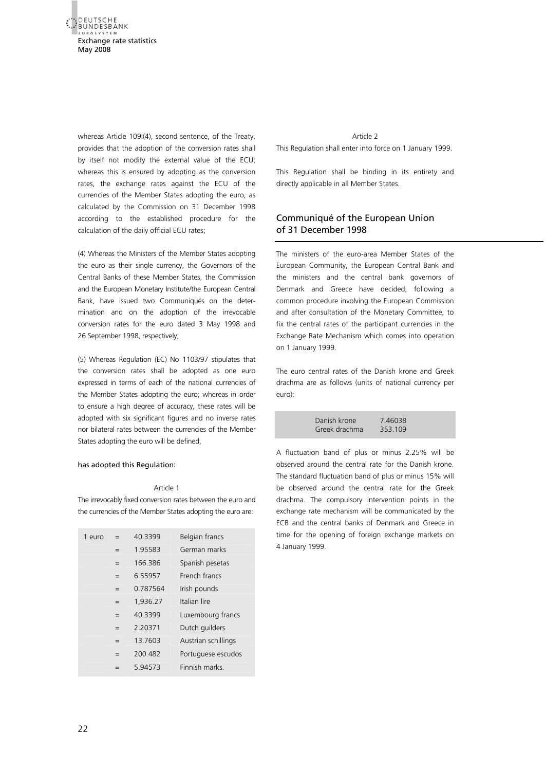

whereas Article 109I(4), second sentence, of the Treaty, provides that the adoption of the conversion rates shall by itself not modify the external value of the ECU; whereas this is ensured by adopting as the conversion rates, the exchange rates against the ECU of the currencies of the Member States adopting the euro, as calculated by the Commission on 31 December 1998 according to the established procedure for the calculation of the daily official ECU rates;

(4) Whereas the Ministers of the Member States adopting the euro as their single currency, the Governors of the Central Banks of these Member States, the Commission and the European Monetary Institute/the European Central Bank, have issued two Communiqués on the determination and on the adoption of the irrevocable conversion rates for the euro dated 3 May 1998 and 26 September 1998, respectively;

(5) Whereas Regulation (EC) No 1103/97 stipulates that the conversion rates shall be adopted as one euro expressed in terms of each of the national currencies of the Member States adopting the euro; whereas in order to ensure a high degree of accuracy, these rates will be adopted with six significant figures and no inverse rates nor bilateral rates between the currencies of the Member States adopting the euro will be defined,

#### has adopted this Regulation:

#### Article 1

The irrevocably fixed conversion rates between the euro and the currencies of the Member States adopting the euro are:

| 1 euro |     | 40.3399  | Belgian francs      |
|--------|-----|----------|---------------------|
|        |     | 195583   | German marks        |
|        |     | 166.386  | Spanish pesetas     |
|        | $=$ | 6.55957  | French francs       |
|        | $=$ | 0 787564 | Irish pounds        |
|        |     | 1,936.27 | Italian lire        |
|        | $=$ | 40 3399  | Luxembourg francs   |
|        | $=$ | 2 20371  | Dutch guilders      |
|        | $=$ | 13.7603  | Austrian schillings |
|        | $=$ | 200.482  | Portuguese escudos  |
|        |     | 594573   | Finnish marks       |

#### Article 2

This Regulation shall enter into force on 1 January 1999.

This Regulation shall be binding in its entirety and directly applicable in all Member States.

# Communiqué of the European Union of 31 December 1998

The ministers of the euro-area Member States of the European Community, the European Central Bank and the ministers and the central bank governors of Denmark and Greece have decided, following a common procedure involving the European Commission and after consultation of the Monetary Committee, to fix the central rates of the participant currencies in the Exchange Rate Mechanism which comes into operation on 1 January 1999.

The euro central rates of the Danish krone and Greek drachma are as follows (units of national currency per euro):

| Danish krone  | 7.46038 |
|---------------|---------|
| Greek drachma | 353.109 |

A fluctuation band of plus or minus 2.25% will be observed around the central rate for the Danish krone. The standard fluctuation band of plus or minus 15% will be observed around the central rate for the Greek drachma. The compulsory intervention points in the exchange rate mechanism will be communicated by the ECB and the central banks of Denmark and Greece in time for the opening of foreign exchange markets on 4 January 1999.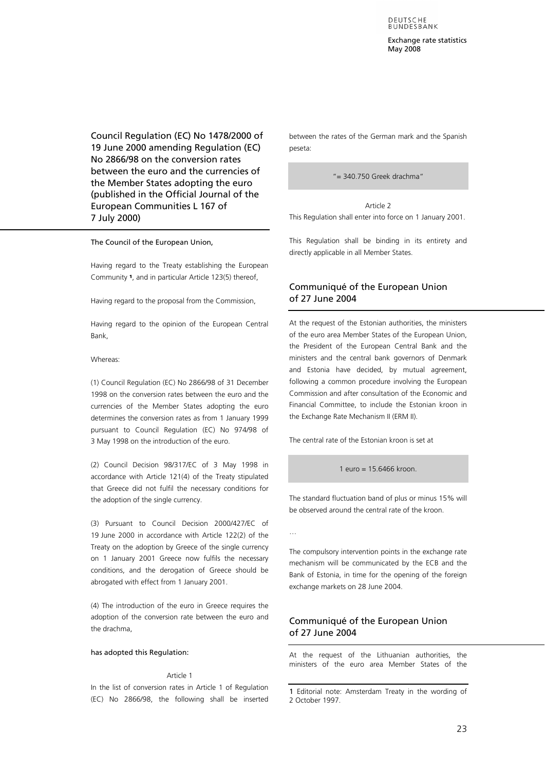[Exchange rate statistics](#page-3-1)  May 2008

Council Regulation (EC) No 1478/2000 of 19 June 2000 amending Regulation (EC) No 2866/98 on the conversion rates between the euro and the currencies of the Member States adopting the euro (published in the Official Journal of the European Communities L 167 of 7 July 2000)

The Council of the European Union,

Having regard to the Treaty establishing the European Community **1**, and in particular Article 123(5) thereof,

Having regard to the proposal from the Commission,

Having regard to the opinion of the European Central Bank,

#### Whereas:

(1) Council Regulation (EC) No 2866/98 of 31 December 1998 on the conversion rates between the euro and the currencies of the Member States adopting the euro determines the conversion rates as from 1 January 1999 pursuant to Council Regulation (EC) No 974/98 of 3 May 1998 on the introduction of the euro.

(2) Council Decision 98/317/EC of 3 May 1998 in accordance with Article 121(4) of the Treaty stipulated that Greece did not fulfil the necessary conditions for the adoption of the single currency.

(3) Pursuant to Council Decision 2000/427/EC of 19 June 2000 in accordance with Article 122(2) of the Treaty on the adoption by Greece of the single currency on 1 January 2001 Greece now fulfils the necessary conditions, and the derogation of Greece should be abrogated with effect from 1 January 2001.

(4) The introduction of the euro in Greece requires the adoption of the conversion rate between the euro and the drachma,

#### has adopted this Regulation:

#### Article 1

In the list of conversion rates in Article 1 of Regulation (EC) No 2866/98, the following shall be inserted between the rates of the German mark and the Spanish peseta:

#### "= 340.750 Greek drachma"

Article 2 This Regulation shall enter into force on 1 January 2001.

This Regulation shall be binding in its entirety and directly applicable in all Member States.

# Communiqué of the European Union of 27 June 2004

At the request of the Estonian authorities, the ministers of the euro area Member States of the European Union, the President of the European Central Bank and the ministers and the central bank governors of Denmark and Estonia have decided, by mutual agreement, following a common procedure involving the European Commission and after consultation of the Economic and Financial Committee, to include the Estonian kroon in the Exchange Rate Mechanism II (ERM II).

The central rate of the Estonian kroon is set at

#### 1 euro = 15.6466 kroon.

The standard fluctuation band of plus or minus 15% will be observed around the central rate of the kroon.

…

The compulsory intervention points in the exchange rate mechanism will be communicated by the ECB and the Bank of Estonia, in time for the opening of the foreign exchange markets on 28 June 2004.

# Communiqué of the European Union of 27 June 2004

At the request of the Lithuanian authorities, the ministers of the euro area Member States of the

<sup>1</sup> Editorial note: Amsterdam Treaty in the wording of 2 October 1997.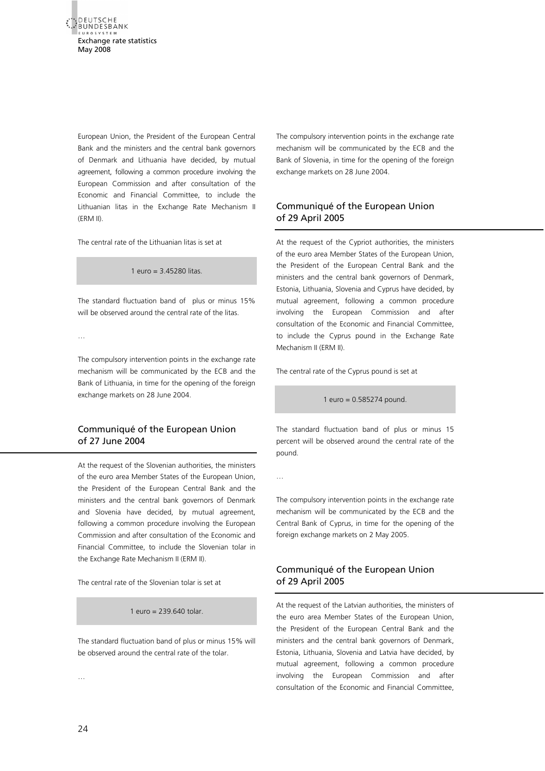

European Union, the President of the European Central Bank and the ministers and the central bank governors of Denmark and Lithuania have decided, by mutual agreement, following a common procedure involving the European Commission and after consultation of the Economic and Financial Committee, to include the Lithuanian litas in the Exchange Rate Mechanism II (ERM II).

The central rate of the Lithuanian litas is set at

$$
1 \text{ euro} = 3.45280 \text{ litas.}
$$

The standard fluctuation band of plus or minus 15% will be observed around the central rate of the litas.

…

The compulsory intervention points in the exchange rate mechanism will be communicated by the ECB and the Bank of Lithuania, in time for the opening of the foreign exchange markets on 28 June 2004.

# Communiqué of the European Union of 27 June 2004

At the request of the Slovenian authorities, the ministers of the euro area Member States of the European Union, the President of the European Central Bank and the ministers and the central bank governors of Denmark and Slovenia have decided, by mutual agreement, following a common procedure involving the European Commission and after consultation of the Economic and Financial Committee, to include the Slovenian tolar in the Exchange Rate Mechanism II (ERM II).

The central rate of the Slovenian tolar is set at

#### 1 euro = 239.640 tolar.

The standard fluctuation band of plus or minus 15% will be observed around the central rate of the tolar.

The compulsory intervention points in the exchange rate mechanism will be communicated by the ECB and the Bank of Slovenia, in time for the opening of the foreign exchange markets on 28 June 2004.

### Communiqué of the European Union of 29 ApriI 2005

At the request of the Cypriot authorities, the ministers of the euro area Member States of the European Union, the President of the European Central Bank and the ministers and the central bank governors of Denmark, Estonia, Lithuania, Slovenia and Cyprus have decided, by mutual agreement, following a common procedure involving the European Commission and after consultation of the Economic and Financial Committee, to include the Cyprus pound in the Exchange Rate Mechanism II (ERM II).

The central rate of the Cyprus pound is set at

1 euro = 0.585274 pound.

The standard fluctuation band of plus or minus 15 percent will be observed around the central rate of the pound.

…

The compulsory intervention points in the exchange rate mechanism will be communicated by the ECB and the Central Bank of Cyprus, in time for the opening of the foreign exchange markets on 2 May 2005.

## Communiqué of the European Union of 29 April 2005

At the request of the Latvian authorities, the ministers of the euro area Member States of the European Union, the President of the European Central Bank and the ministers and the central bank governors of Denmark, Estonia, Lithuania, Slovenia and Latvia have decided, by mutual agreement, following a common procedure involving the European Commission and after consultation of the Economic and Financial Committee,

…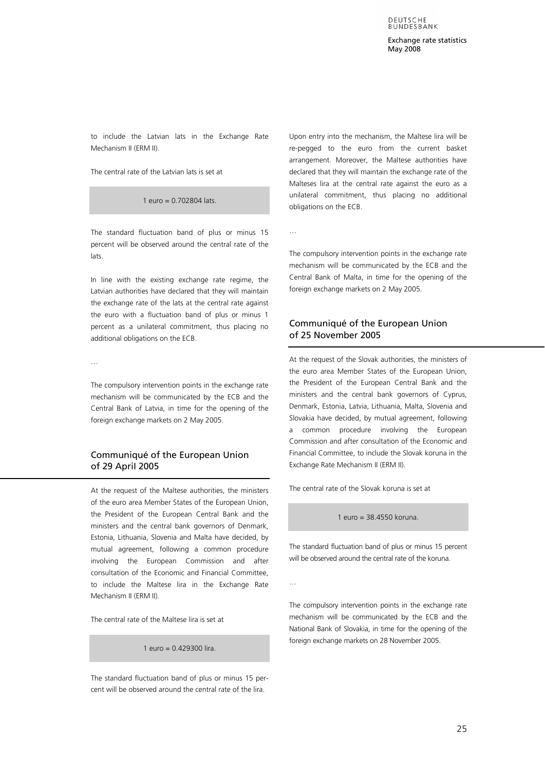[Exchange rate statistics](#page-3-1)  May 2008

to include the Latvian lats in the Exchange Rate Mechanism II (ERM II).

The central rate of the Latvian lats is set at

1 euro = 0.702804 lats.

The standard fluctuation band of plus or minus 15 percent will be observed around the central rate of the lats.

In line with the existing exchange rate regime, the Latvian authorities have declared that they will maintain the exchange rate of the lats at the central rate against the euro with a fluctuation band of plus or minus 1 percent as a unilateral commitment, thus placing no additional obligations on the ECB.

…

The compulsory intervention points in the exchange rate mechanism will be communicated by the ECB and the Central Bank of Latvia, in time for the opening of the foreign exchange markets on 2 May 2005.

# Communiqué of the European Union of 29 ApriI 2005

At the request of the Maltese authorities, the ministers of the euro area Member States of the European Union, the President of the European Central Bank and the ministers and the central bank governors of Denmark, Estonia, Lithuania, Slovenia and Malta have decided, by mutual agreement, following a common procedure involving the European Commission and after consultation of the Economic and Financial Committee, to include the Maltese lira in the Exchange Rate Mechanism II (ERM II).

The central rate of the Maltese lira is set at

1 euro = 0.429300 lira.

The standard fluctuation band of plus or minus 15 percent will be observed around the central rate of the lira.

Upon entry into the mechanism, the Maltese lira will be re-pegged to the euro from the current basket arrangement. Moreover, the Maltese authorities have declared that they will maintain the exchange rate of the Malteses lira at the central rate against the euro as a unilateral commitment, thus placing no additional obligations on the ECB.

…

The compulsory intervention points in the exchange rate mechanism will be communicated by the ECB and the Central Bank of Malta, in time for the opening of the foreign exchange markets on 2 May 2005.

# Communiqué of the European Union of 25 November 2005

At the request of the Slovak authorities, the ministers of the euro area Member States of the European Union, the President of the European Central Bank and the ministers and the central bank governors of Cyprus, Denmark, Estonia, Latvia, Lithuania, Malta, Slovenia and Slovakia have decided, by mutual agreement, following a common procedure involving the European Commission and after consultation of the Economic and Financial Committee, to include the Slovak koruna in the Exchange Rate Mechanism II (ERM II).

The central rate of the Slovak koruna is set at

1 euro = 38.4550 koruna.

The standard fluctuation band of plus or minus 15 percent will be observed around the central rate of the koruna.

…

The compulsory intervention points in the exchange rate mechanism will be communicated by the ECB and the National Bank of Slovakia, in time for the opening of the foreign exchange markets on 28 November 2005.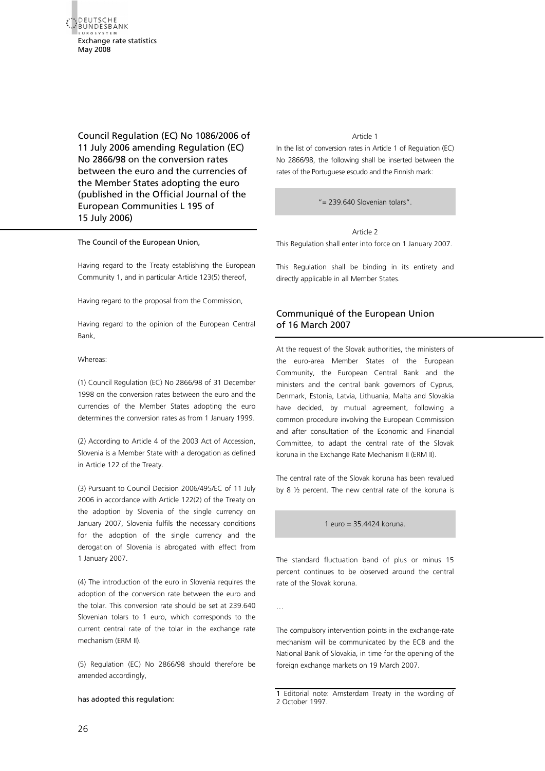

Council Regulation (EC) No 1086/2006 of 11 July 2006 amending Regulation (EC) No 2866/98 on the conversion rates between the euro and the currencies of the Member States adopting the euro (published in the Official Journal of the European Communities L 195 of 15 July 2006)

The Council of the European Union,

Having regard to the Treaty establishing the European Community 1, and in particular Article 123(5) thereof,

Having regard to the proposal from the Commission,

Having regard to the opinion of the European Central Bank,

#### Whereas:

(1) Council Regulation (EC) No 2866/98 of 31 December 1998 on the conversion rates between the euro and the currencies of the Member States adopting the euro determines the conversion rates as from 1 January 1999.

(2) According to Article 4 of the 2003 Act of Accession, Slovenia is a Member State with a derogation as defined in Article 122 of the Treaty.

(3) Pursuant to Council Decision 2006/495/EC of 11 July 2006 in accordance with Article 122(2) of the Treaty on the adoption by Slovenia of the single currency on January 2007, Slovenia fulfils the necessary conditions for the adoption of the single currency and the derogation of Slovenia is abrogated with effect from 1 January 2007.

(4) The introduction of the euro in Slovenia requires the adoption of the conversion rate between the euro and the tolar. This conversion rate should be set at 239.640 Slovenian tolars to 1 euro, which corresponds to the current central rate of the tolar in the exchange rate mechanism (ERM II).

(5) Regulation (EC) No 2866/98 should therefore be amended accordingly,

#### has adopted this regulation:

#### Article 1

In the list of conversion rates in Article 1 of Regulation (EC) No 2866/98, the following shall be inserted between the rates of the Portuguese escudo and the Finnish mark:

 $"$  = 239.640 Slovenian tolars"

Article 2

This Regulation shall enter into force on 1 January 2007.

This Regulation shall be binding in its entirety and directly applicable in all Member States.

# Communiqué of the European Union of 16 March 2007

At the request of the Slovak authorities, the ministers of the euro-area Member States of the European Community, the European Central Bank and the ministers and the central bank governors of Cyprus, Denmark, Estonia, Latvia, Lithuania, Malta and Slovakia have decided, by mutual agreement, following a common procedure involving the European Commission and after consultation of the Economic and Financial Committee, to adapt the central rate of the Slovak koruna in the Exchange Rate Mechanism II (ERM II).

The central rate of the Slovak koruna has been revalued by 8 ½ percent. The new central rate of the koruna is

1 euro = 35.4424 koruna.

The standard fluctuation band of plus or minus 15 percent continues to be observed around the central rate of the Slovak koruna.

…

The compulsory intervention points in the exchange-rate mechanism will be communicated by the ECB and the National Bank of Slovakia, in time for the opening of the foreign exchange markets on 19 March 2007.

1 Editorial note: Amsterdam Treaty in the wording of 2 October 1997.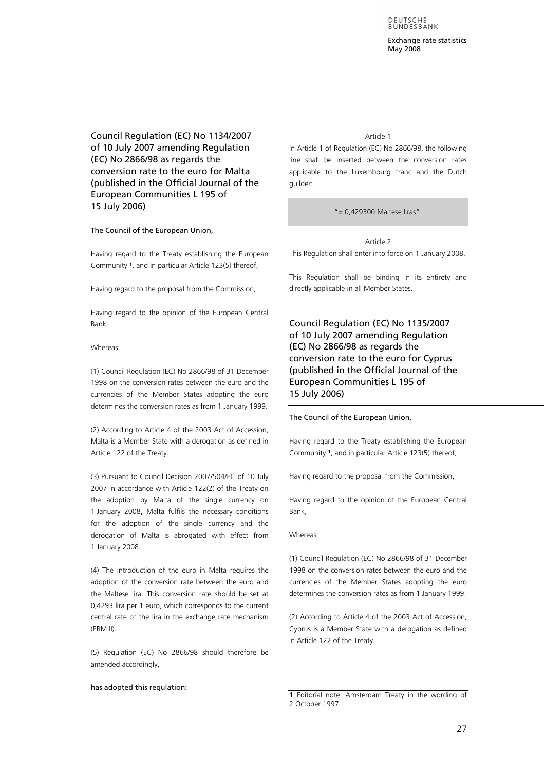[Exchange rate statistics](#page-3-1)  May 2008

<span id="page-26-0"></span>Council Regulation (EC) No 1134/2007 of 10 July 2007 amending Regulation (EC) No 2866/98 as regards the conversion rate to the euro for Malta (published in the Official Journal of the European Communities L 195 of 15 July 2006)

#### The Council of the European Union,

Having regard to the Treaty establishing the European Community **1**, and in particular Article 123(5) thereof,

Having regard to the proposal from the Commission,

Having regard to the opinion of the European Central Bank,

#### Whereas:

(1) Council Regulation (EC) No 2866/98 of 31 December 1998 on the conversion rates between the euro and the currencies of the Member States adopting the euro determines the conversion rates as from 1 January 1999.

(2) According to Article 4 of the 2003 Act of Accession, Malta is a Member State with a derogation as defined in Article 122 of the Treaty.

(3) Pursuant to Council Decision 2007/504/EC of 10 July 2007 in accordance with Article 122(2) of the Treaty on the adoption by Malta of the single currency on 1 January 2008, Malta fulfils the necessary conditions for the adoption of the single currency and the derogation of Malta is abrogated with effect from 1 January 2008.

(4) The introduction of the euro in Malta requires the adoption of the conversion rate between the euro and the Maltese lira. This conversion rate should be set at 0,4293 lira per 1 euro, which corresponds to the current central rate of the lira in the exchange rate mechanism (ERM II).

(5) Regulation (EC) No 2866/98 should therefore be amended accordingly,

#### has adopted this regulation:

#### Article 1

In Article 1 of Regulation (EC) No 2866/98, the following line shall be inserted between the conversion rates applicable to the Luxembourg franc and the Dutch guilder:

"= 0,429300 Maltese liras".

Article 2 This Regulation shall enter into force on 1 January 2008.

This Regulation shall be binding in its entirety and directly applicable in all Member States.

Council Regulation (EC) No 1135/2007 of 10 July 2007 amending Regulation (EC) No 2866/98 as regards the conversion rate to the euro for Cyprus (published in the Official Journal of the European Communities L 195 of 15 July 2006)

#### The Council of the European Union,

Having regard to the Treaty establishing the European Community **1**, and in particular Article 123(5) thereof,

Having regard to the proposal from the Commission,

Having regard to the opinion of the European Central Bank,

#### Whereas:

(1) Council Regulation (EC) No 2866/98 of 31 December 1998 on the conversion rates between the euro and the currencies of the Member States adopting the euro determines the conversion rates as from 1 January 1999.

(2) According to Article 4 of the 2003 Act of Accession, Cyprus is a Member State with a derogation as defined in Article 122 of the Treaty.

1 Editorial note: Amsterdam Treaty in the wording of 2 October 1997.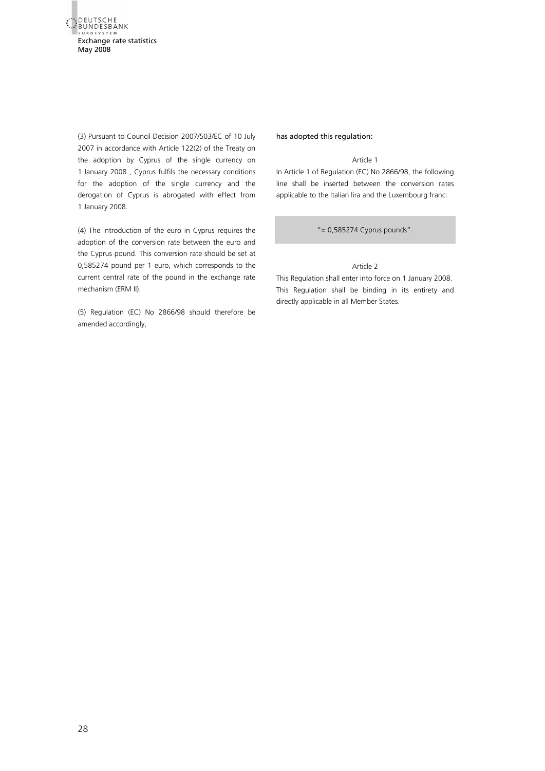

(3) Pursuant to Council Decision 2007/503/EC of 10 July 2007 in accordance with Article 122(2) of the Treaty on the adoption by Cyprus of the single currency on 1 January 2008 , Cyprus fulfils the necessary conditions for the adoption of the single currency and the derogation of Cyprus is abrogated with effect from 1 January 2008.

(4) The introduction of the euro in Cyprus requires the adoption of the conversion rate between the euro and the Cyprus pound. This conversion rate should be set at 0,585274 pound per 1 euro, which corresponds to the current central rate of the pound in the exchange rate mechanism (ERM II).

(5) Regulation (EC) No 2866/98 should therefore be amended accordingly,

# has adopted this regulation:

#### Article 1

In Article 1 of Regulation (EC) No 2866/98, the following line shall be inserted between the conversion rates applicable to the Italian lira and the Luxembourg franc:

"= 0,585274 Cyprus pounds".

#### Article 2

This Regulation shall enter into force on 1 January 2008. This Regulation shall be binding in its entirety and directly applicable in all Member States.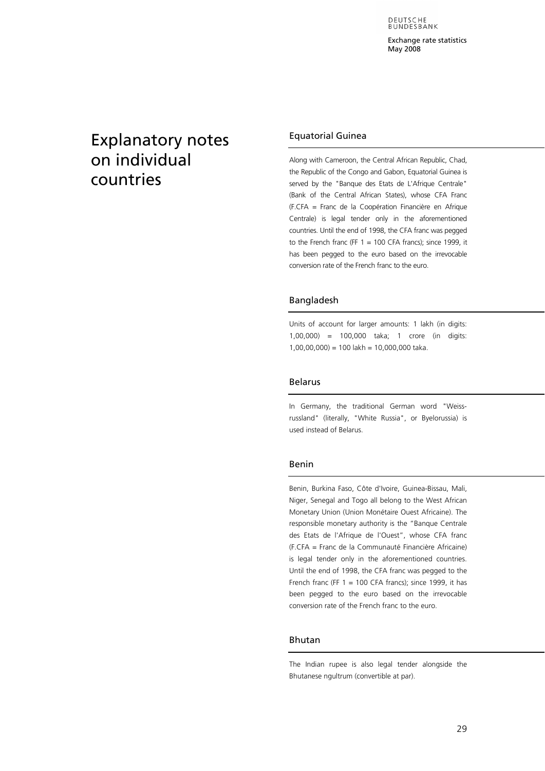[Exchange rate statistics](#page-3-1)  May 2008

# Explanatory notes on individual countries

# Equatorial Guinea

Along with Cameroon, the Central African Republic, Chad, the Republic of the Congo and Gabon, Equatorial Guinea is served by the "Banque des Etats de L'Afrique Centrale" (Bank of the Central African States), whose CFA Franc (F.CFA = Franc de la Coopération Financière en Afrique Centrale) is legal tender only in the aforementioned countries. Until the end of 1998, the CFA franc was pegged to the French franc (FF  $1 = 100$  CFA francs); since 1999, it has been pegged to the euro based on the irrevocable conversion rate of the French franc to the euro.

# Bangladesh

Units of account for larger amounts: 1 lakh (in digits: 1,00,000) = 100,000 taka; 1 crore (in digits:  $1,00,00,000$  = 100 lakh = 10,000,000 taka.

#### Belarus

In Germany, the traditional German word "Weissrussland" (literally, "White Russia", or Byelorussia) is used instead of Belarus.

#### Benin

Benin, Burkina Faso, Côte d'Ivoire, Guinea-Bissau, Mali, Niger, Senegal and Togo all belong to the West African Monetary Union (Union Monétaire Ouest Africaine). The responsible monetary authority is the "Banque Centrale des Etats de l'Afrique de l'Ouest", whose CFA franc (F.CFA = Franc de la Communauté Financière Africaine) is legal tender only in the aforementioned countries. Until the end of 1998, the CFA franc was pegged to the French franc (FF  $1 = 100$  CFA francs); since 1999, it has been pegged to the euro based on the irrevocable conversion rate of the French franc to the euro.

#### Bhutan

The Indian rupee is also legal tender alongside the Bhutanese ngultrum (convertible at par).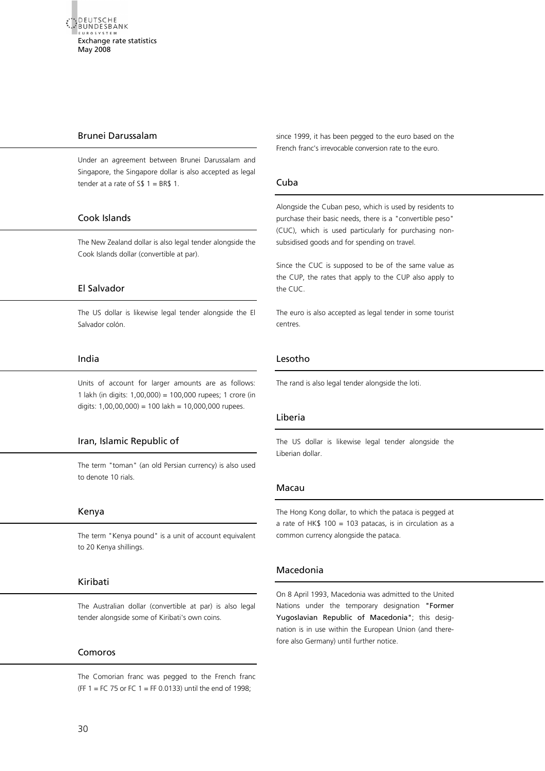

#### Brunei Darussalam

Under an agreement between Brunei Darussalam and Singapore, the Singapore dollar is also accepted as legal tender at a rate of  $S$ 1 = BR$ 1.$ 

#### Cook Islands

The New Zealand dollar is also legal tender alongside the Cook Islands dollar (convertible at par).

#### El Salvador

The US dollar is likewise legal tender alongside the El Salvador colón.

## India

Units of account for larger amounts are as follows: 1 lakh (in digits: 1,00,000) = 100,000 rupees; 1 crore (in digits:  $1,00,00,000$  = 100 lakh = 10,000,000 rupees.

#### Iran, Islamic Republic of

The term "toman" (an old Persian currency) is also used to denote 10 rials.

#### Kenya

The term "Kenya pound" is a unit of account equivalent to 20 Kenya shillings.

# Kiribati

The Australian dollar (convertible at par) is also legal tender alongside some of Kiribati's own coins.

#### Comoros

The Comorian franc was pegged to the French franc (FF 1 = FC 75 or FC 1 = FF 0.0133) until the end of 1998;

since 1999, it has been pegged to the euro based on the French franc's irrevocable conversion rate to the euro.

#### Cuba

Alongside the Cuban peso, which is used by residents to purchase their basic needs, there is a "convertible peso" (CUC), which is used particularly for purchasing nonsubsidised goods and for spending on travel.

Since the CUC is supposed to be of the same value as the CUP, the rates that apply to the CUP also apply to the CUC.

The euro is also accepted as legal tender in some tourist centres.

# Lesotho

The rand is also legal tender alongside the loti.

### Liberia

The US dollar is likewise legal tender alongside the Liberian dollar.

#### Macau

The Hong Kong dollar, to which the pataca is pegged at a rate of HK\$ 100 = 103 patacas, is in circulation as a common currency alongside the pataca.

#### Macedonia

On 8 April 1993, Macedonia was admitted to the United Nations under the temporary designation "Former Yugoslavian Republic of Macedonia"; this designation is in use within the European Union (and therefore also Germany) until further notice.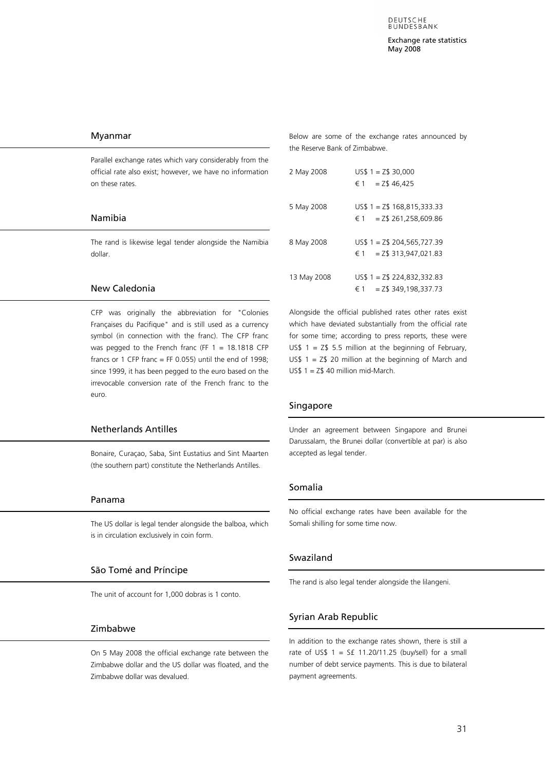Exchange rate statistics May 2008

#### Myanmar

Parallel exchange rates which vary considerably from the official rate also exist; however, we have no information on these rates.

#### Namibia

The rand is likewise legal tender alongside the Namibia dollar.

# New Caledonia

CFP was originally the abbreviation for "Colonies Françaises du Pacifique" and is still used as a currency symbol (in connection with the franc). The CFP franc was pegged to the French franc (FF  $1 = 18.1818$  CFP francs or 1 CFP franc = FF 0.055) until the end of 1998; since 1999, it has been pegged to the euro based on the irrevocable conversion rate of the French franc to the euro.

#### Netherlands Antilles

Bonaire, Curaçao, Saba, Sint Eustatius and Sint Maarten (the southern part) constitute the Netherlands Antilles.

#### Panama

The US dollar is legal tender alongside the balboa, which is in circulation exclusively in coin form.

#### São Tomé and Príncipe

The unit of account for 1,000 dobras is 1 conto.

#### Zimbabwe

On 5 May 2008 the official exchange rate between the [Zimbabwe dollar and the US dollar was floated, and the](#page-5-1)  Zimbabwe dollar was devalued.

Below are some of the exchange rates announced by the Reserve Bank of Zimbabwe.

| 2 May 2008  | $US$1 = Z$30,000$                      |
|-------------|----------------------------------------|
|             | € 1 = $2\frac{1}{2}$ 46,425            |
|             |                                        |
| 5 May 2008  | $US$1 = Z$168,815,333.33$              |
|             | € 1 = $2\frac{1}{2}$ 261,258,609.86    |
|             |                                        |
| 8 May 2008  | $US$1 = Z$204,565,727.39$              |
|             | € 1 = $\overline{2}$ \$ 313,947,021.83 |
|             |                                        |
| 13 May 2008 | $US$1 = Z$24,832,332.83$               |
|             | € 1 = $Z$ \$ 349,198,337.73            |

Alongside the official published rates other rates exist which have deviated substantially from the official rate for some time; according to press reports, these were US\$  $1 = Z$ \$ 5.5 million at the beginning of February, US\$  $1 = Z$ \$ 20 million at the beginning of March and US\$  $1 = Z$$  40 million mid-March.

#### Singapore

Under an agreement between Singapore and Brunei Darussalam, the Brunei dollar (convertible at par) is also accepted as legal tender.

#### Somalia

No official exchange rates have been available for the Somali shilling for some time now.

#### Swaziland

The rand is also legal tender alongside the lilangeni.

## Syrian Arab Republic

In addition to the exchange rates shown, there is still a rate of US\$  $1 = Sf$  11.20/11.25 (buy/sell) for a small number of debt service payments. This is due to bilateral payment agreements.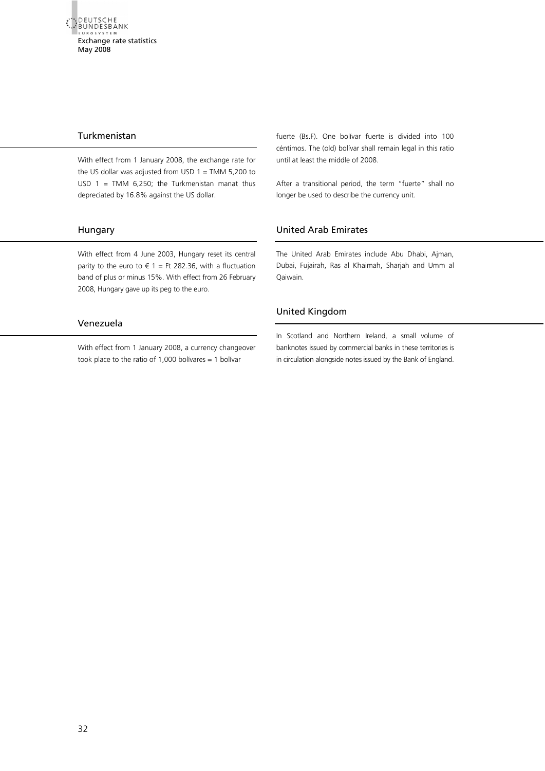<span id="page-31-0"></span>\*\*DEUTSCHE<br>\*\*BUNDESBANK Exchange rate statistics May 2008

# Turkmenistan

With effect from 1 January 2008, the exchange rate for the US dollar was adjusted from USD  $1 = TMM$  5,200 to USD 1 = TMM 6,250; the Turkmenistan manat thus depreciated by 16.8% against the US dollar.

# Hungary

With effect from 4 June 2003, Hungary reset its central parity to the euro to  $\epsilon$  1 = Ft 282.36, with a fluctuation band of plus or minus 15%. With effect from 26 February 2008, Hungary gave up its peg to the euro.

## Venezuela

[With effect from 1 January 2008, a currency changeover](#page-5-1)  took place to the ratio of 1,000 bolívares = 1 bolívar

fuerte (Bs.F). One bolívar fuerte is divided into 100 céntimos. The (old) bolívar shall remain legal in this ratio until at least the middle of 2008.

After a transitional period, the term "fuerte" shall no longer be used to describe the currency unit.

# United Arab Emirates

The United Arab Emirates include Abu Dhabi, Ajman, Dubai, Fujairah, Ras al Khaimah, Sharjah and Umm al Qaiwain.

## United Kingdom

In Scotland and Northern Ireland, a small volume of banknotes issued by commercial banks in these territories is in circulation alongside notes issued by the Bank of England.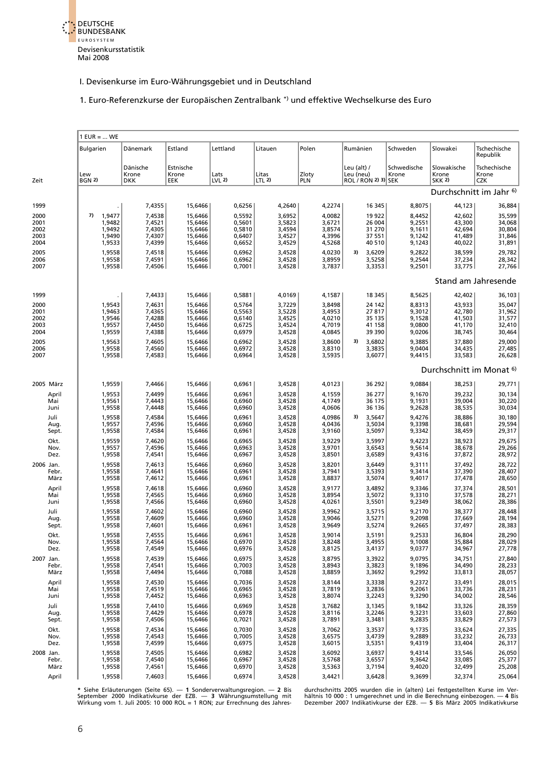<span id="page-32-0"></span>

#### 1. Euro-Referenzkurse der Europäischen Zentralbank \*) und effektive Wechselkurse des Euro

|                                      |                       | $1$ EUR =  WE                                        |                                                |                                                     |                                                |                                                |                                                |                                                 |                                                |                                                |                                                |  |
|--------------------------------------|-----------------------|------------------------------------------------------|------------------------------------------------|-----------------------------------------------------|------------------------------------------------|------------------------------------------------|------------------------------------------------|-------------------------------------------------|------------------------------------------------|------------------------------------------------|------------------------------------------------|--|
|                                      |                       | <b>Bulgarien</b>                                     | Dänemark                                       | Estland                                             | Lettland                                       | Litauen                                        | Polen                                          | Rumänien                                        | Schweden                                       | Slowakei                                       | Tschechische<br>Republik                       |  |
| Zeit                                 |                       | Lew<br><b>BGN 2)</b>                                 | Dänische<br>Krone<br><b>DKK</b>                | Estnische<br>Krone<br><b>EEK</b>                    | Lats<br>LVL <sub>2</sub>                       | Litas<br>LTL 2)                                | Zloty<br>PLN                                   | Leu (alt) /<br>Leu (neu)<br>ROL / RON 2) 3) SEK | Schwedische<br>Krone                           | Slowakische<br>Krone<br><b>SKK 2)</b>          | Tschechische<br>Krone<br><b>CZK</b>            |  |
|                                      |                       |                                                      |                                                |                                                     |                                                |                                                |                                                |                                                 |                                                | Durchschnitt im Jahr <sup>6)</sup>             |                                                |  |
| 1999                                 |                       |                                                      | 7,4355                                         | 15,6466                                             | 0,6256                                         | 4,2640                                         | 4,2274                                         | 16 345                                          | 8,8075                                         | 44,123                                         | 36,884                                         |  |
| 2000<br>2001<br>2002<br>2003<br>2004 |                       | 7)<br>1,9477<br>1,9482<br>1,9492<br>1,9490<br>1,9533 | 7,4538<br>7,4521<br>7,4305<br>7,4307<br>7,4399 | 15,6466<br>15,6466<br>15,6466<br>15,6466<br>15,6466 | 0,5592<br>0,5601<br>0,5810<br>0,6407<br>0,6652 | 3,6952<br>3,5823<br>3,4594<br>3,4527<br>3,4529 | 4,0082<br>3,6721<br>3,8574<br>4,3996<br>4,5268 | 19 922<br>26 004<br>31 270<br>37 551<br>40 510  | 8,4452<br>9,2551<br>9,1611<br>9,1242<br>9,1243 | 42,602<br>43,300<br>42,694<br>41,489<br>40,022 | 35,599<br>34,068<br>30,804<br>31,846<br>31,891 |  |
| 2005<br>2006<br>2007                 |                       | 1,9558<br>1,9558<br>1,9558                           | 7,4518<br>7,4591<br>7,4506                     | 15,6466<br>15,6466<br>15,6466                       | 0,6962<br>0,6962<br>0,7001                     | 3,4528<br>3,4528<br>3,4528                     | 4,0230<br>3,8959<br>3,7837                     | 3,6209<br>3)<br>3,5258<br>3,3353                | 9,2822<br>9,2544<br>9,2501                     | 38,599<br>37,234<br>33,775                     | 29,782<br>28,342<br>27,766                     |  |
|                                      |                       |                                                      |                                                |                                                     |                                                |                                                |                                                |                                                 |                                                |                                                | Stand am Jahresende                            |  |
| 1999                                 |                       |                                                      | 7,4433                                         | 15,6466                                             | 0,5881                                         | 4,0169                                         | 4,1587                                         | 18 345                                          | 8,5625                                         | 42,402                                         | 36,103                                         |  |
| 2000<br>2001<br>2002<br>2003<br>2004 |                       | 1,9543<br>1,9463<br>1,9546<br>1,9557<br>1,9559       | 7,4631<br>7,4365<br>7,4288<br>7,4450<br>7,4388 | 15,6466<br>15,6466<br>15,6466<br>15,6466<br>15,6466 | 0,5764<br>0,5563<br>0,6140<br>0,6725<br>0,6979 | 3,7229<br>3,5228<br>3,4525<br>3,4524<br>3,4528 | 3,8498<br>3,4953<br>4,0210<br>4,7019<br>4,0845 | 24 142<br>27817<br>35 135<br>41 158<br>39 390   | 8,8313<br>9,3012<br>9,1528<br>9,0800<br>9,0206 | 43,933<br>42,780<br>41,503<br>41,170<br>38,745 | 35,047<br>31,962<br>31,577<br>32,410<br>30,464 |  |
| 2005<br>2006<br>2007                 |                       | 1,9563<br>1,9558<br>1,9558                           | 7,4605<br>7,4560<br>7,4583                     | 15,6466<br>15,6466<br>15,6466                       | 0,6962<br>0,6972<br>0,6964                     | 3,4528<br>3,4528<br>3,4528                     | 3,8600<br>3,8310<br>3,5935                     | 3)<br>3,6802<br>3,3835<br>3,6077                | 9,3885<br>9,0404<br>9,4415                     | 37,880<br>34,435<br>33,583                     | 29,000<br>27,485<br>26,628                     |  |
|                                      |                       |                                                      |                                                |                                                     |                                                |                                                |                                                |                                                 |                                                | Durchschnitt im Monat <sup>6)</sup>            |                                                |  |
|                                      | 2005 März             | 1,9559                                               | 7,4466                                         | 15,6466                                             | 0,6961                                         | 3,4528                                         | 4,0123                                         | 36 292                                          | 9,0884                                         | 38,253                                         | 29,771                                         |  |
|                                      | April<br>Mai<br>Juni  | 1,9553<br>1,9561<br>1,9558                           | 7,4499<br>7,4443<br>7,4448                     | 15,6466<br>15,6466<br>15,6466                       | 0,6961<br>0,6960<br>0,6960                     | 3,4528<br>3,4528<br>3,4528                     | 4,1559<br>4,1749<br>4,0606                     | 36 277<br>36 175<br>36 136                      | 9,1670<br>9,1931<br>9,2628                     | 39,232<br>39,004<br>38,535                     | 30,134<br>30,220<br>30,034                     |  |
|                                      | Juli<br>Aug.<br>Sept. | 1,9558<br>1,9557<br>1,9558                           | 7,4584<br>7,4596<br>7,4584                     | 15,6466<br>15,6466<br>15,6466                       | 0,6961<br>0,6960<br>0,6961                     | 3,4528<br>3,4528<br>3,4528                     | 4,0986<br>4,0436<br>3,9160                     | 3)<br>3,5647<br>3,5034<br>3,5097                | 9,4276<br>9,3398<br>9,3342                     | 38,886<br>38,681<br>38,459                     | 30,180<br>29,594<br>29,317                     |  |
|                                      | Okt.<br>Nov.<br>Dez.  | 1,9559<br>1,9557<br>1,9558                           | 7,4620<br>7,4596<br>7,4541                     | 15,6466<br>15,6466<br>15,6466                       | 0,6965<br>0,6963<br>0,6967                     | 3,4528<br>3,4528<br>3,4528                     | 3,9229<br>3,9701<br>3,8501                     | 3,5997<br>3,6543<br>3,6589                      | 9,4223<br>9,5614<br>9,4316                     | 38,923<br>38,678<br>37,872                     | 29,675<br>29,266<br>28,972                     |  |
| 2006 Jan.                            | Febr.<br>März         | 1,9558<br>1,9558<br>1,9558                           | 7,4613<br>7,4641<br>7,4612                     | 15,6466<br>15,6466<br>15,6466                       | 0,6960<br>0,6961<br>0,6961                     | 3,4528<br>3,4528<br>3,4528                     | 3,8201<br>3,7941<br>3,8837                     | 3,6449<br>3,5393<br>3,5074                      | 9,3111<br>9,3414<br>9,4017                     | 37,492<br>37,390<br>37,478                     | 28,722<br>28,407<br>28,650                     |  |
|                                      | April<br>Mai<br>Juni  | 1,9558<br>1,9558<br>1,9558                           | 7,4618<br>7,4565<br>7,4566                     | 15,6466<br>15,6466<br>15,6466                       | 0,6960<br>0,6960<br>0,6960                     | 3,4528<br>3,4528<br>3,4528                     | 3,9177<br>3,8954<br>4,0261                     | 3,4892<br>3,5072<br>3,5501                      | 9,3346<br>9,3310<br>9,2349                     | 37,374<br>37,578<br>38,062                     | 28,501<br>28,271<br>28,386                     |  |
|                                      | Juli<br>Aug.<br>Sept. | 1,9558<br>1,9558<br>1,9558                           | 7,4602<br>7,4609<br>7,4601                     | 15,6466<br>15,6466<br>15,6466                       | 0,6960<br>0,6960<br>0,6961                     | 3,4528<br>3,4528<br>3,4528                     | 3,9962<br>3,9046<br>3,9649                     | 3,5715<br>3,5271<br>3,5274                      | 9,2170<br>9,2098<br>9,2665                     | 38,377<br>37,669<br>37,497                     | 28,448<br>28,194<br>28,383                     |  |
|                                      | Okt.<br>Nov.<br>Dez.  | 1,9558<br>1,9558<br>1,9558                           | 7,4555<br>7,4564<br>7,4549                     | 15,6466<br>15,6466<br>15,6466                       | 0,6961<br>0,6970<br>0,6976                     | 3,4528<br>3,4528<br>3,4528                     | 3,9014<br>3,8248<br>3,8125                     | 3,5191<br>3,4955<br>3,4137                      | 9,2533<br>9,1008<br>9,0377                     | 36,804<br>35,884<br>34,967                     | 28,290<br>28,029<br>27,778                     |  |
| 2007 Jan.                            | Febr.<br>März         | 1,9558<br>1,9558<br>1,9558                           | 7,4539<br>7,4541<br>7,4494                     | 15,6466<br>15,6466<br>15,6466                       | 0,6975<br>0,7003<br>0,7088                     | 3,4528<br>3,4528<br>3,4528                     | 3,8795<br>3,8943<br>3,8859                     | 3,3922<br>3,3823<br>3,3692                      | 9,0795<br>9,1896<br>9,2992                     | 34,751<br>34,490<br>33,813                     | 27,840<br>28,233<br>28,057                     |  |
|                                      | April<br>Mai<br>Juni  | 1,9558<br>1,9558<br>1,9558                           | 7,4530<br>7,4519<br>7,4452                     | 15,6466<br>15,6466<br>15,6466                       | 0,7036<br>0,6965<br>0,6963                     | 3,4528<br>3,4528<br>3,4528                     | 3,8144<br>3,7819<br>3,8074                     | 3,3338<br>3,2836<br>3,2243                      | 9,2372<br>9,2061<br>9,3290                     | 33,491<br>33,736<br>34,002                     | 28,015<br>28,231<br>28,546                     |  |
|                                      | Juli<br>Aug.<br>Sept. | 1,9558<br>1,9558<br>1,9558                           | 7,4410<br>7,4429<br>7,4506                     | 15,6466<br>15,6466<br>15,6466                       | 0,6969<br>0,6978<br>0,7021                     | 3,4528<br>3,4528<br>3,4528                     | 3,7682<br>3,8116<br>3,7891                     | 3,1345<br>3,2246<br>3,3481                      | 9,1842<br>9,3231<br>9,2835                     | 33,326<br>33,603<br>33,829                     | 28,359<br>27,860<br>27,573                     |  |
|                                      | Okt.<br>Nov.<br>Dez.  | 1,9558<br>1,9558<br>1,9558                           | 7,4534<br>7,4543<br>7,4599                     | 15,6466<br>15,6466<br>15,6466                       | 0,7030<br>0,7005<br>0,6975                     | 3,4528<br>3,4528<br>3,4528                     | 3,7062<br>3,6575<br>3,6015                     | 3,3537<br>3,4739<br>3,5351                      | 9,1735<br>9,2889<br>9,4319                     | 33,624<br>33,232<br>33,404                     | 27,335<br>26,733<br>26,317                     |  |
| 2008 Jan.                            | Febr.<br>März         | 1,9558<br>1,9558<br>1,9558<br>1,9558                 | 7,4505<br>7,4540<br>7,4561<br>7,4603           | 15,6466<br>15,6466<br>15,6466<br>15,6466            | 0,6982<br>0,6967<br>0,6970<br>0,6974           | 3,4528<br>3,4528<br>3,4528<br>3,4528           | 3,6092<br>3,5768<br>3,5363<br>3,4421           | 3,6937<br>3,6557<br>3,7194<br>3,6428            | 9,4314<br>9,3642<br>9,4020<br>9,3699           | 33,546<br>33,085<br>32,499<br>32,374           | 26,050<br>25,377<br>25,208<br>25,064           |  |
|                                      | April                 |                                                      |                                                |                                                     |                                                |                                                |                                                |                                                 |                                                |                                                |                                                |  |

\* Siehe Erläuterungen (Seite 65). — 1 Sonderverwaltungsregion. — 2 Bis durchschnitts 2005 wurden die in (alten) Lei festgestellten Kurse im Ver-<br>September 2000 Indikativkurse der EZB. — 3 Währungsumstellung mit hältnis 10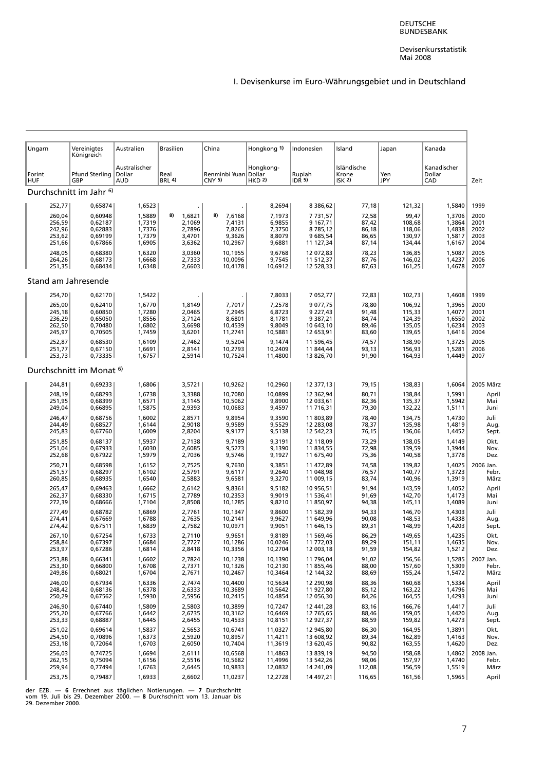<span id="page-33-0"></span>

| Ungarn                             | Vereinigtes<br>Königreich           | Australien                  | <b>Brasilien</b>      |                  | China                                 | Hongkong 1)                   | Indonesien                  | Island                                   | Japan            | Kanada                       |               |
|------------------------------------|-------------------------------------|-----------------------------|-----------------------|------------------|---------------------------------------|-------------------------------|-----------------------------|------------------------------------------|------------------|------------------------------|---------------|
| Forint<br>HUF                      | Pfund Sterling   Dollar<br>GBP      | Australischer<br><b>AUD</b> | Real<br><b>BRL 4)</b> |                  | Renminbi ¥uan Dollar<br><b>CNY 5)</b> | Hongkong-<br>HKD <sub>2</sub> | Rupiah<br>IDR <sub>5</sub>  | Isländische<br>Krone<br>ISK <sub>2</sub> | Yen<br>JPY       | Kanadischer<br>Dollar<br>CAD | Zeit          |
| Durchschnitt im Jahr <sup>6)</sup> |                                     |                             |                       |                  |                                       |                               |                             |                                          |                  |                              |               |
| 252,77                             | 0,65874                             | 1,6523                      |                       |                  |                                       | 8,2694                        | 8 3 8 6, 6 2                | 77,18                                    | 121,32           | 1,5840                       | 1999          |
| 260,04                             | 0,60948                             | 1,5889                      | 8)                    | 1,6821           | 8)<br>7,6168                          | 7,1973                        | 7731,57                     | 72,58                                    | 99,47            | 1,3706                       | 2000          |
| 256,59<br>242,96                   | 0,62187<br>0,62883                  | 1,7319<br>1,7376            |                       | 2,1069<br>2,7896 | 7,4131<br>7,8265                      | 6,9855<br>7,3750              | 9 167,71<br>8785,12         | 87,42<br>86,18                           | 108,68<br>118,06 | 1,3864<br>1,4838             | 2001<br>2002  |
| 253,62                             | 0,69199                             | 1,7379                      |                       | 3,4701           | 9,3626                                | 8,8079                        | 9 685,54                    | 86,65                                    | 130,97           | 1,5817                       | 2003          |
| 251,66                             | 0,67866                             | 1,6905                      |                       | 3,6362           | 10,2967                               | 9,6881                        | 11 127,34                   | 87,14                                    | 134,44           | 1,6167                       | 2004          |
| 248,05<br>264,26                   | 0,68380<br>0,68173                  | 1,6320<br>1,6668            |                       | 3,0360<br>2,7333 | 10,1955<br>10,0096                    | 9,6768<br>9,7545              | 12 072,83<br>11 512,37      | 78,23<br>87,76                           | 136,85<br>146,02 | 1,5087<br>1,4237             | 2005<br>2006  |
| 251,35                             | 0,68434                             | 1,6348                      |                       | 2,6603           | 10,4178                               | 10,6912                       | 12 528,33                   | 87,63                                    | 161,25           | 1,4678                       | 2007          |
| Stand am Jahresende                |                                     |                             |                       |                  |                                       |                               |                             |                                          |                  |                              |               |
| 254,70                             | 0,62170                             | 1,5422                      |                       |                  |                                       | 7,8033                        | 7 052,77                    | 72,83                                    | 102,73           | 1,4608                       | 1999          |
| 265,00<br>245,18                   | 0,62410<br>0,60850                  | 1,6770<br>1,7280            |                       | 1,8149<br>2,0465 | 7,7017<br>7,2945                      | 7,2578<br>6,8723              | 9 0 7 7, 75<br>9 2 2 7, 4 3 | 78,80<br>91,48                           | 106,92           | 1,3965<br>1,4077             | 2000<br>2001  |
| 236,29                             | 0,65050                             | 1,8556                      |                       | 3,7124           | 8,6801                                | 8,1781                        | 9 3 8 7, 21                 | 84,74                                    | 115,33<br>124,39 | 1,6550                       | 2002          |
| 262,50<br>245,97                   | 0,70480<br>0,70505                  | 1,6802<br>1,7459            |                       | 3,6698<br>3,6201 | 10,4539<br>11,2741                    | 9,8049<br>10,5881             | 10 643,10<br>12 653,91      | 89,46<br>83,60                           | 135,05<br>139,65 | 1,6234<br>1,6416             | 2003<br>2004  |
| 252,87                             | 0,68530                             | 1,6109                      |                       | 2,7462           | 9,5204                                | 9,1474                        | 11 596,45                   | 74,57                                    | 138,90           | 1,3725                       | 2005          |
| 251,77                             | 0,67150                             | 1,6691                      |                       | 2,8141           | 10,2793                               | 10,2409                       | 11 844,44                   | 93,13                                    | 156,93           | 1,5281                       | 2006          |
| 253,73                             | 0,73335                             | 1,6757                      |                       | 2,5914           | 10,7524                               | 11,4800                       | 13 826,70                   | 91,90                                    | 164,93           | 1,4449                       | 2007          |
|                                    | Durchschnitt im Monat <sup>6)</sup> |                             |                       |                  |                                       |                               |                             |                                          |                  |                              |               |
| 244,81                             | 0,69233                             | 1,6806                      |                       | 3,5721           | 10,9262                               | 10,2960                       | 12 377,13                   | 79,15                                    | 138,83           | 1,6064                       | 2005 März     |
| 248,19<br>251,95                   | 0,68293<br>0,68399                  | 1,6738<br>1,6571            |                       | 3,3388<br>3,1145 | 10,7080<br>10,5062                    | 10,0899<br>9,8900             | 12 362,94<br>12 033,61      | 80,71<br>82,36                           | 138,84<br>135,37 | 1,5991<br>1,5942             | April<br>Mai  |
| 249,04                             | 0,66895                             | 1,5875                      |                       | 2,9393           | 10,0683                               | 9,4597                        | 11 716,31                   | 79,30                                    | 132,22           | 1,5111                       | Juni          |
| 246,47                             | 0,68756                             | 1,6002                      |                       | 2,8571           | 9,8954                                | 9,3590                        | 11 803,89                   | 78,40                                    | 134,75           | 1,4730                       | Juli          |
| 244,49<br>245,83                   | 0,68527<br>0,67760                  | 1,6144<br>1,6009            |                       | 2,9018<br>2,8204 | 9,9589<br>9,9177                      | 9,5529<br>9,5138              | 12 283,08<br>12 542,23      | 78,37<br>76,15                           | 135,98<br>136,06 | 1,4819<br>1,4452             | Aug.<br>Sept. |
| 251,85                             | 0,68137                             | 1,5937                      |                       | 2,7138           | 9,7189                                | 9,3191                        | 12 118,09                   | 73,29                                    | 138,05           | 1,4149                       | Okt.          |
| 251,04<br>252,68                   | 0,67933<br>0,67922                  | 1,6030<br>1,5979            |                       | 2,6085<br>2,7036 | 9,5273<br>9,5746                      | 9,1390<br>9,1927              | 11 834,55<br>11 675,40      | 72,98<br>75,36                           | 139,59<br>140,58 | 1,3944<br>1,3778             | Nov.<br>Dez.  |
| 250,71                             | 0,68598                             | 1,6152                      |                       | 2,7525           | 9,7630                                | 9,3851                        | 11 472,89                   | 74,58                                    | 139,82           | 1,4025                       | 2006 Jan.     |
| 251,57                             | 0,68297                             | 1,6102                      |                       | 2,5791           | 9,6117                                | 9,2640                        | 11 048,98                   | 76,57                                    | 140,77           | 1,3723                       | Febr.         |
| 260,85                             | 0,68935                             | 1,6540                      |                       | 2,5883           | 9,6581                                | 9,3270                        | 11 009,15                   | 83,74                                    | 140,96           | 1,3919                       | März          |
| 265,47<br>262,37                   | 0,69463<br>0,68330                  | 1,6662<br>1,6715            |                       | 2,6142<br>2.7789 | 9,8361<br>10,2353                     | 9,5182<br>9,9019              | 10 956,51<br>11 536,41      | 91,94<br>91,69                           | 143,59<br>142,70 | 1,4052<br>1,4173             | April<br>Mai  |
| 272,39                             | 0,68666                             | 1,7104                      |                       | 2,8508           | 10,1285                               | 9,8210                        | 11 850,97                   | 94,38                                    | 145,11           | 1,4089                       | Juni          |
| 277,49                             | 0,68782<br>0,67669                  | 1,6869<br>1,6788            |                       | 2,7761<br>2,7635 | 10,1347<br>10,2141                    | 9.8600<br>9,9627              | 11 582,39<br>11 649,96      | 94,33<br>90,08                           | 146,70           | 1,4303<br>1,4338             | Juli          |
| 274,41<br>274,42                   | 0,67511                             | 1,6839                      |                       | 2,7582           | 10,0971                               | 9,9051                        | 11 646,15                   | 89,31                                    | 148,53<br>148,99 | 1,4203                       | Aug.<br>Sept. |
| 267,10                             | 0.67254                             | 1,6733                      |                       | 2,7110           | 9,9651                                | 9,8189                        | 11 569,46                   | 86,29                                    | 149,65           | 1,4235                       | Okt.          |
| 258,84<br>253,97                   | 0,67397<br>0,67286                  | 1.6684<br>1,6814            |                       | 2.7727<br>2,8418 | 10,1286<br>10,3356                    | 10.0246<br>10,2704            | 11 772,03<br>12 003,18      | 89,29<br>91,59                           | 151,11<br>154,82 | 1.4635<br>1,5212             | Nov.<br>Dez.  |
| 253.88                             | 0,66341                             | 1,6602                      |                       | 2,7824           | 10,1238                               | 10,1390                       | 11 796,04                   | 91,02                                    | 156,56           | 1,5285                       | 2007 Jan.     |
| 253,30                             | 0,66800                             | 1,6708                      |                       | 2,7371           | 10,1326                               | 10,2130                       | 11 855,46                   | 88,00                                    | 157,60           | 1,5309                       | Febr.         |
| 249,86                             | 0,68021                             | 1,6704                      |                       | 2,7671           | 10,2467                               | 10,3464                       | 12 144,32                   | 88,69                                    | 155,24           | 1,5472                       | März          |
| 246,00<br>248,42                   | 0,67934<br>0,68136                  | 1,6336<br>1,6378            |                       | 2,7474<br>2,6333 | 10,4400<br>10,3689                    | 10,5634<br>10,5642            | 12 290,98<br>11 927,80      | 88,36<br>85,12                           | 160,68<br>163,22 | 1,5334<br>1,4796             | April<br>Mai  |
| 250,29                             | 0,67562                             | 1,5930                      |                       | 2,5956           | 10,2415                               | 10,4854                       | 12 056,30                   | 84,26                                    | 164,55           | 1,4293                       | Juni          |
| 246,90<br>255,20                   | 0,67440<br>0,67766                  | 1,5809<br>1,6442            |                       | 2,5803<br>2,6735 | 10,3899<br>10,3162                    | 10,7247<br>10,6469            | 12 441,28<br>12 765,65      | 83,16<br>88,46                           | 166,76<br>159,05 | 1,4417<br>1,4420             | Juli          |
| 253,33                             | 0,68887                             | 1,6445                      |                       | 2,6455           | 10,4533                               | 10,8151                       | 12 927,37                   | 88,59                                    | 159,82           | 1,4273                       | Aug.<br>Sept. |
| 251,02                             | 0,69614                             | 1,5837                      |                       | 2,5653           | 10,6741                               | 11,0327                       | 12 945,80                   | 86,30                                    | 164,95           | 1,3891                       | Okt.          |
| 254,50<br>253,18                   | 0,70896<br>0,72064                  | 1,6373<br>1,6703            |                       | 2,5920<br>2,6050 | 10,8957<br>10,7404                    | 11,4211<br>11,3619            | 13 608,92<br>13 620,45      | 89,34<br>90,82                           | 162,89<br>163,55 | 1,4163<br>1,4620             | Nov.<br>Dez.  |
| 256,03                             | 0,74725                             | 1,6694                      |                       | 2,6111           | 10,6568                               | 11,4863                       | 13 839,19                   | 94,50                                    | 158,68           | 1,4862                       | 2008 Jan.     |
| 262,15                             | 0,75094                             | 1,6156                      |                       | 2,5516           | 10,5682                               | 11,4996                       | 13 542,26                   | 98,06                                    | 157,97           | 1,4740                       | Febr.         |
| 259,94                             | 0,77494                             | 1,6763                      |                       | 2,6445           | 10,9833                               | 12,0832                       | 14 241,09                   | 112,08                                   | 156,59           | 1,5519                       | März          |
| 253,75                             | 0,79487                             | 1,6933                      |                       | 2,6602           | 11,0237                               | 12,2728                       | 14 497,21                   | 116,65                                   | 161,56           | 1,5965                       | April         |

der EZB. — **6** Errechnet aus täglichen Notierungen. — **7** Durchschnitt vom 19. Juli bis 29. Dezember 2000. — **8** Durchschnitt vom 13. Januar bis 29. Dezember 2000.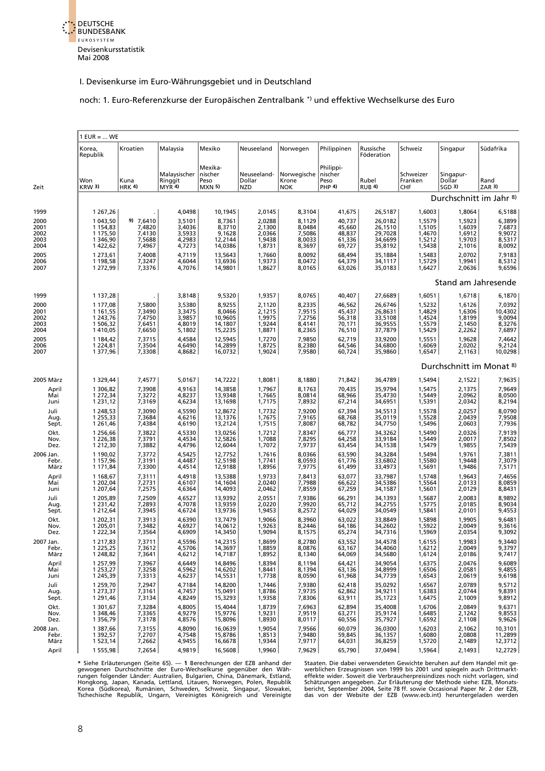

#### noch: 1. Euro-Referenzkurse der Europäischen Zentralbank \*) und effektive Wechselkurse des Euro

|           | $1$ EUR =  WE             |                       |                                          |                                             |                                     |                                    |                                               |                         |                             |                                     |                            |
|-----------|---------------------------|-----------------------|------------------------------------------|---------------------------------------------|-------------------------------------|------------------------------------|-----------------------------------------------|-------------------------|-----------------------------|-------------------------------------|----------------------------|
|           | Korea,<br>Republik        | Kroatien              | Malaysia                                 | Mexiko                                      | Neuseeland                          | Norwegen                           | Philippinen                                   | Russische<br>Föderation | Schweiz                     | Singapur                            | Südafrika                  |
| Zeit      | Won<br>KRW <sub>3</sub> ) | Kuna<br><b>HRK 4)</b> | Malaysischer<br>Ringgit<br><b>MYR4</b> ) | Mexika-<br>nischer<br>Peso<br><b>MXN 5)</b> | Neuseeland-<br>Dollar<br><b>NZD</b> | Norwegische<br>Krone<br><b>NOK</b> | Philippi-<br>nischer<br>Peso<br><b>PHP 4)</b> | Rubel<br><b>RUB 4)</b>  | Schweizer<br>Franken<br>CHF | Singapur-<br>Dollar<br>$SGD$ 3)     | Rand<br>ZAR <sub>3</sub> ) |
|           |                           |                       |                                          |                                             |                                     |                                    |                                               |                         |                             | Durchschnitt im Jahr <sup>8)</sup>  |                            |
| 1999      | 1 267,26                  |                       | 4,0498                                   | 10,1945                                     | 2,0145                              | 8,3104                             | 41,675                                        | 26,5187                 | 1,6003                      | 1,8064                              | 6,5188                     |
| 2000      | 1 043,50                  | 9) 7,6410             | 3,5101                                   | 8,7361                                      | 2,0288                              | 8,1129                             | 40,737                                        | 26,0182                 | 1,5579                      | 1,5923                              | 6,3899                     |
| 2001      | 1 154,83                  | 7,4820                | 3,4036                                   | 8,3710                                      | 2,1300                              | 8,0484                             | 45,660                                        | 26,1510                 | 1,5105                      | 1,6039                              | 7,6873                     |
| 2002      | 1 175,50                  | 7,4130                | 3,5933                                   | 9,1628                                      | 2,0366                              | 7,5086                             | 48,837                                        | 29,7028                 | 1,4670                      | 1,6912                              | 9,9072                     |
| 2003      | 1 346,90                  | 7,5688                | 4,2983                                   | 12,2144                                     | 1,9438                              | 8,0033                             | 61,336                                        | 34,6699                 | 1,5212                      | 1,9703                              | 8,5317                     |
| 2004      | 1 422,62                  | 7,4967                | 4,7273                                   | 14,0386                                     | 1,8731                              | 8,3697                             | 69,727                                        | 35,8192                 | 1,5438                      | 2,1016                              | 8,0092                     |
| 2005      | 1 273,61                  | 7,4008                | 4,7119                                   | 13,5643                                     | 1,7660                              | 8,0092                             | 68,494                                        | 35,1884                 | 1,5483                      | 2.0702                              | 7,9183                     |
| 2006      | 1 198,58                  | 7,3247                | 4,6044                                   | 13,6936                                     | 1,9373                              | 8,0472                             | 64,379                                        | 34,1117                 | 1,5729                      | 1,9941                              | 8,5312                     |
| 2007      | 1 272,99                  | 7,3376                | 4,7076                                   | 14,9801                                     | 1,8627                              | 8,0165                             | 63,026                                        | 35,0183                 | 1,6427                      | 2,0636                              | 9,6596                     |
|           |                           |                       |                                          |                                             |                                     |                                    |                                               |                         |                             | Stand am Jahresende                 |                            |
| 1999      | 1 137,28                  |                       | 3,8148                                   | 9,5320                                      | 1,9357                              | 8,0765                             | 40,407                                        | 27,6689                 | 1,6051                      | 1,6718                              | 6,1870                     |
| 2000      | 1 177,08                  | 7,5800                | 3,5380                                   | 8,9255                                      | 2,1120                              | 8,2335                             | 46,562                                        | 26,6746                 | 1,5232                      | 1,6126                              | 7,0392                     |
| 2001      | 1 1 6 1 , 5 5             | 7,3490                | 3,3475                                   | 8,0466                                      | 2,1215                              | 7,9515                             | 45,437                                        | 26,8631                 | 1,4829                      | 1,6306                              | 10,4302                    |
| 2002      | 1 243,76                  | 7,4750                | 3,9857                                   | 10,9605                                     | 1,9975                              | 7,2756                             | 56,318                                        | 33,5108                 | 1,4524                      | 1,8199                              | 9,0094                     |
| 2003      | 1 506,32                  | 7,6451                | 4,8019                                   | 14,1807                                     | 1,9244                              | 8,4141                             | 70,171                                        | 36,9555                 | 1,5579                      | 2,1450                              | 8,3276                     |
| 2004      | 1410,05                   | 7,6650                | 5,1802                                   | 15,2235                                     | 1,8871                              | 8,2365                             | 76,510                                        | 37,7879                 | 1,5429                      | 2,2262                              | 7,6897                     |
| 2005      | 1 184,42                  | 7,3715                | 4,4584                                   | 12,5945                                     | 1,7270                              | 7,9850                             | 62,719                                        | 33,9200                 | 1,5551                      | 1,9628                              | 7,4642                     |
| 2006      | 1 2 2 4, 8 1              | 7,3504                | 4,6490                                   | 14,2899                                     | 1,8725                              | 8,2380                             | 64,546                                        | 34,6800                 | 1,6069                      | 2,0202                              | 9,2124                     |
| 2007      | 1 377,96                  | 7,3308                | 4,8682                                   | 16,0732                                     | 1,9024                              | 7,9580                             | 60,724                                        | 35,9860                 | 1,6547                      | 2,1163                              | 10,0298                    |
|           |                           |                       |                                          |                                             |                                     |                                    |                                               |                         |                             | Durchschnitt im Monat <sup>8)</sup> |                            |
| 2005 März | 1 3 2 9 , 4 4             | 7,4577                | 5,0167                                   | 14,7222                                     | 1,8081                              | 8,1880                             | 71,842                                        | 36,4789                 | 1,5494                      | 2,1522                              | 7,9635                     |
| April     | 1 306,82                  | 7,3908                | 4,9163                                   | 14,3858                                     | 1,7967                              | 8,1763                             | 70,435                                        | 35,9794                 | 1,5475                      | 2,1375                              | 7,9649                     |
| Mai       | 1 272,34                  | 7,3272                | 4,8237                                   | 13,9348                                     | 1,7665                              | 8,0814                             | 68,966                                        | 35,4730                 | 1,5449                      | 2,0962                              | 8,0500                     |
| Juni      | 1 2 3 1 , 1 2             | 7,3169                | 4,6234                                   | 13,1698                                     | 1,7175                              | 7,8932                             | 67,214                                        | 34,6951                 | 1,5391                      | 2,0342                              | 8,2194                     |
| Juli      | 1 248,53                  | 7,3090                | 4,5590                                   | 12,8672                                     | 1,7732                              | 7,9200                             | 67,394                                        | 34,5513                 | 1,5578                      | 2,0257                              | 8,0790                     |
| Aug.      | 1 255,33                  | 7,3684                | 4,6216                                   | 13,1376                                     | 1,7675                              | 7,9165                             | 68,768                                        | 35,0119                 | 1,5528                      | 2,0439                              | 7,9508                     |
| Sept.     | 1 261,46                  | 7,4384                | 4,6190                                   | 13,2124                                     | 1,7515                              | 7,8087                             | 68,782                                        | 34,7750                 | 1,5496                      | 2,0603                              | 7,7936                     |
| Okt.      | 1 256,66                  | 7,3822                | 4,5330                                   | 13,0256                                     | 1,7212                              | 7,8347                             | 66,777                                        | 34,3262                 | 1,5490                      | 2,0326                              | 7,9139                     |
| Nov.      | 1 2 2 6 , 3 8             | 7,3791                | 4,4534                                   | 12,5826                                     | 1,7088                              | 7,8295                             | 64,258                                        | 33,9184                 | 1,5449                      | 2,0017                              | 7,8502                     |
| Dez.      | 1 212,30                  | 7,3882                | 4,4796                                   | 12,6044                                     | 1,7072                              | 7,9737                             | 63,454                                        | 34,1538                 | 1,5479                      | 1,9855                              | 7,5439                     |
| 2006 Jan. | 1 190,02                  | 7,3772                | 4,5425                                   | 12,7752                                     | 1,7616                              | 8,0366                             | 63,590                                        | 34,3284                 | 1,5494                      | 1,9761                              | 7,3811                     |
| Febr.     | 1 157,96                  | 7,3191                | 4,4487                                   | 12,5198                                     | 1,7741                              | 8,0593                             | 61,776                                        | 33,6802                 | 1,5580                      | 1,9448                              | 7,3079                     |
| März      | 1 171,84                  | 7,3300                | 4,4514                                   | 12,9188                                     | 1,8956                              | 7,9775                             | 61,499                                        | 33,4973                 | 1,5691                      | 1,9486                              | 7,5171                     |
| April     | 1 1 68, 67                | 7,3111                | 4,4918                                   | 13,5388                                     | 1,9733                              | 7,8413                             | 63,077                                        | 33,7987                 | 1,5748                      | 1,9643                              | 7,4656                     |
| Mai       | 1 202,04                  | 7,2731                | 4,6107                                   | 14,1604                                     | 2,0240                              | 7,7988                             | 66,622                                        | 34,5386                 | 1,5564                      | 2,0133                              | 8,0859                     |
| Juni      | 1 207,64                  | 7,2575                | 4,6364                                   | 14,4093                                     | 2,0462                              | 7,8559                             | 67,259                                        | 34,1587                 | 1,5601                      | 2,0129                              | 8,8431                     |
| Juli      | 1 205,89                  | 7,2509                | 4,6527                                   | 13,9392                                     | 2,0551                              | 7,9386                             | 66,291                                        | 34,1393                 | 1,5687                      | 2,0083                              | 8,9892                     |
| Aug.      | 1 2 3 1 , 4 2             | 7,2893                | 4,7078                                   | 13,9359                                     | 2,0220                              | 7,9920                             | 65,712                                        | 34,2755                 | 1,5775                      | 2,0185                              | 8,9034                     |
| Sept.     | 1 2 1 2,64                | 7,3945                | 4,6724                                   | 13,9736                                     | 1,9453                              | 8,2572                             | 64,029                                        | 34,0549                 | 1,5841                      | 2,0101                              | 9,4553                     |
| Okt.      | 1 202,31                  | 7,3913                | 4,6390                                   | 13,7479                                     | 1,9066                              | 8,3960                             | 63,022                                        | 33,8849                 | 1,5898                      | 1,9905                              | 9,6481                     |
| Nov.      | 1 205,01                  | 7,3482                | 4,6927                                   | 14,0612                                     | 1,9263                              | 8,2446                             | 64,186                                        | 34,2602                 | 1,5922                      | 2,0049                              | 9,3616                     |
| Dez.      | 1 222,34                  | 7,3564                | 4,6909                                   | 14,3450                                     | 1,9094                              | 8,1575                             | 65,274                                        | 34,7316                 | 1,5969                      | 2,0354                              | 9,3092                     |
| 2007 Jan. | 1 217,83                  | 7,3711                | 4,5596                                   | 14,2315                                     | 1,8699                              | 8,2780                             | 63,552                                        | 34,4578                 | 1,6155                      | 1,9983                              | 9,3440                     |
| Febr.     | 1 225,25                  | 7,3612                | 4,5706                                   | 14,3697                                     | 1,8859                              | 8,0876                             | 63,167                                        | 34,4060                 | 1,6212                      | 2,0049                              | 9,3797                     |
| März      | 1 248,82                  | 7,3641                | 4,6212                                   | 14,7187                                     | 1,8952                              | 8,1340                             | 64,069                                        | 34,5680                 | 1,6124                      | 2,0186                              | 9,7417                     |
| April     | 1 257,99                  | 7,3967                | 4,6449                                   | 14,8496                                     | 1,8394                              | 8,1194                             | 64,421                                        | 34,9054                 | 1,6375                      | 2,0476                              | 9,6089                     |
| Mai       | 1 253,27                  | 7,3258                | 4,5962                                   | 14,6202                                     | 1,8441                              | 8,1394                             | 63,136                                        | 34,8999                 | 1,6506                      | 2,0581                              | 9,4855                     |
| Juni      | 1 245,39                  | 7,3313                | 4,6237                                   | 14,5531                                     | 1,7738                              | 8,0590                             | 61,968                                        | 34,7739                 | 1,6543                      | 2,0619                              | 9,6198                     |
| Juli      | 1 259,70                  | 7,2947                | 4,7184                                   | 14,8200                                     | 1,7446                              | 7,9380                             | 62,418                                        | 35,0292                 | 1,6567                      | 2,0789                              | 9,5712                     |
| Aug.      | 1 273,37                  | 7,3161                | 4,7457                                   | 15,0491                                     | 1,8786                              | 7,9735                             | 62,862                                        | 34,9211                 | 1,6383                      | 2,0744                              | 9,8391                     |
| Sept.     | 1 291,46                  | 7,3134                | 4,8249                                   | 15,3293                                     | 1,9358                              | 7,8306                             | 63,911                                        | 35,1723                 | 1,6475                      | 2,1009                              | 9,8912                     |
| Okt.      | 1 301,67                  | 7,3284                | 4,8005                                   | 15,4044                                     | 1,8739                              | 7,6963                             | 62,894                                        | 35,4008                 | 1,6706                      | 2,0849                              | 9,6371                     |
| Nov.      | 1 348,46                  | 7,3365                | 4,9279                                   | 15,9776                                     | 1,9231                              | 7,9519                             | 63,271                                        | 35,9174                 | 1,6485                      | 2,1242                              | 9,8553                     |
| Dez.      | 1 3 5 6 , 7 9             | 7,3178                | 4,8576                                   | 15,8096                                     | 1,8930                              | 8,0117                             | 60,556                                        | 35,7927                 | 1,6592                      | 2,1108                              | 9,9626                     |
| 2008 Jan. | 1 387,66                  | 7,3155                | 4,8090                                   | 16,0639                                     | 1,9054                              | 7,9566                             | 60,079                                        | 36,0300                 | 1,6203                      | 2,1062                              | 10,3101                    |
| Febr.     | 1 3 9 2, 5 7              | 7,2707                | 4,7548                                   | 15,8786                                     | 1,8513                              | 7,9480                             | 59,845                                        | 36,1357                 | 1,6080                      | 2,0808                              | 11,2899                    |
| März      | 1 523,14                  | 7,2662                | 4,9455                                   | 16,6678                                     | 1,9344                              | 7,9717                             | 64,031                                        | 36,8259                 | 1,5720                      | 2,1489                              | 12,3712                    |
| April     | 1 555,98                  | 7,2654                | 4,9819                                   | 16,5608                                     | 1,9960                              | 7,9629                             | 65,790                                        | 37,0494                 | 1,5964                      | 2,1493                              | 12,2729                    |

\* Siehe Erläuterungen (Seite 65). — 1 Berechnungen der EZB anhand der Mataten. Die dabei verwendeten Gewichte beruhen auf dem Handel mit ge-<br>Sewogenen Durchschnitte der Euro-Wechselkurse gegenüber den Wäh- werblichen Erzeu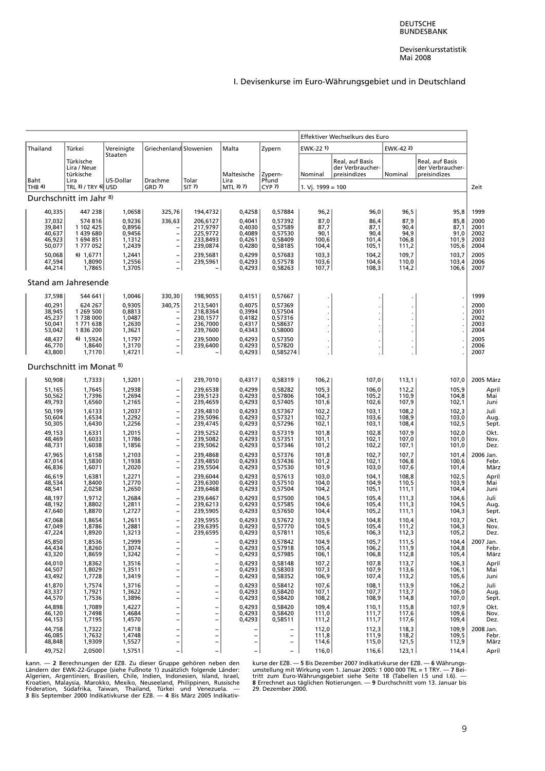|                                                |                                                         |                                                |                                                                                            |                                                                           |                                                |                                                                                  |                                        | Effektiver Wechselkurs des Euro                     |                                        |                                                     |                                      |
|------------------------------------------------|---------------------------------------------------------|------------------------------------------------|--------------------------------------------------------------------------------------------|---------------------------------------------------------------------------|------------------------------------------------|----------------------------------------------------------------------------------|----------------------------------------|-----------------------------------------------------|----------------------------------------|-----------------------------------------------------|--------------------------------------|
| Thailand                                       | Türkei                                                  | Vereinigte                                     | Griechenland Slowenien                                                                     |                                                                           | Malta                                          | Zypern                                                                           | EWK-22 1)                              |                                                     | EWK-42 2)                              |                                                     |                                      |
|                                                | Türkische<br>Lira / Neue<br>türkische                   | Staaten                                        |                                                                                            |                                                                           | Maltesische                                    | Zypern-                                                                          | Nominal                                | Real, auf Basis<br>der Verbraucher-<br>preisindizes | Nominal                                | Real, auf Basis<br>der Verbraucher-<br>preisindizes |                                      |
| Baht<br><b>THB 4)</b>                          | Lira<br>TRL 3) / TRY 6) USD                             | US-Dollar                                      | Drachme<br><b>GRD 7)</b>                                                                   | Tolar<br>SIT 7                                                            | Lira<br>MTL 3) 7)                              | Pfund<br><b>CYP 7)</b>                                                           | 1. Vj. 1999 = 100                      |                                                     |                                        |                                                     | Zeit                                 |
| Durchschnitt im Jahr <sup>8)</sup>             |                                                         |                                                |                                                                                            |                                                                           |                                                |                                                                                  |                                        |                                                     |                                        |                                                     |                                      |
| 40,335                                         | 447 238                                                 | 1,0658                                         | 325,76                                                                                     | 194,4732                                                                  | 0,4258                                         | 0,57884                                                                          | 96,2                                   | 96,0                                                | 96,5                                   | 95,8                                                | 1999                                 |
| 37,032<br>39,841<br>40,637<br>46,923<br>50,077 | 574 816<br>1 102 425<br>1 439 680<br>1694851<br>1777052 | 0,9236<br>0,8956<br>0,9456<br>1,1312<br>1,2439 | 336,63<br>$\overline{\phantom{0}}$<br>$\qquad \qquad -$<br>$\overline{\phantom{0}}$        | 206,6127<br>217,9797<br>225,9772<br>233,8493<br>239,0874                  | 0,4041<br>0,4030<br>0,4089<br>0,4261<br>0,4280 | 0.57392<br>0,57589<br>0,57530<br>0,58409<br>0,58185                              | 87,0<br>87,7<br>90,1<br>100,6<br>104,4 | 86,4<br>87,1<br>90,4<br>101,4<br>105,1              | 87,9<br>90,4<br>94,9<br>106,8<br>111,2 | 85,8<br>87,1<br>91,0<br>101,9<br>105,6              | 2000<br>2001<br>2002<br>2003<br>2004 |
| 50,068<br>47,594<br>44,214                     | 6) 1,6771<br>1,8090<br>1,7865                           | 1,2441<br>1,2556<br>1,3705                     | $\overline{\phantom{0}}$<br>$\overline{\phantom{a}}$<br>$\rightarrow$                      | 239,5681<br>239,5961<br>$\overline{\phantom{a}}$                          | 0,4299<br>0,4293<br>0,4293                     | 0,57683<br>0,57578<br>0,58263                                                    | 103,3<br>103,6<br>107,7                | 104,2<br>104,6<br>108,3                             | 109,7<br>110,0<br>114,2                | 103,7<br>103,4<br>106,6                             | 2005<br>2006<br>2007                 |
| Stand am Jahresende                            |                                                         |                                                |                                                                                            |                                                                           |                                                |                                                                                  |                                        |                                                     |                                        |                                                     |                                      |
| 37,598                                         | 544 641                                                 | 1,0046                                         | 330,30                                                                                     | 198,9055                                                                  | 0,4151                                         | 0,57667                                                                          |                                        |                                                     |                                        |                                                     | 1999                                 |
| 40,291<br>38,945<br>45,237<br>50,041<br>53,042 | 624 267<br>1 269 500<br>1738000<br>1771638<br>1836 200  | 0,9305<br>0,8813<br>1,0487<br>1,2630<br>1,3621 | 340,75<br>$\overline{\phantom{0}}$<br>$\overline{\phantom{0}}$<br>$\overline{\phantom{a}}$ | 213,5401<br>218,8364<br>230,1577<br>236,7000<br>239,7600                  | 0,4075<br>0,3994<br>0,4182<br>0,4317<br>0,4343 | 0,57369<br>0,57504<br>0,57316<br>0,58637<br>0,58000                              |                                        |                                                     |                                        |                                                     | 2000<br>2001<br>2002<br>2003<br>2004 |
| 48,437<br>46,770<br>43,800                     | 6) 1,5924<br>1,8640<br>1,7170                           | 1,1797<br>1,3170<br>1,4721                     | $\bar{a}$<br>$\equiv$                                                                      | 239.5000<br>239.6400<br>$\qquad \qquad -$                                 | 0,4293<br>0,4293<br>0,4293                     | 0,57350<br>0.57820<br>0,585274                                                   |                                        |                                                     |                                        |                                                     | 2005<br>2006<br>2007                 |
| Durchschnitt im Monat <sup>8)</sup>            |                                                         |                                                |                                                                                            |                                                                           |                                                |                                                                                  |                                        |                                                     |                                        |                                                     |                                      |
| 50,908                                         | 1,7333                                                  | 1,3201                                         | $\overline{\phantom{a}}$                                                                   | 239,7010                                                                  | 0,4317                                         | 0,58319                                                                          | 106,2                                  | 107,0                                               | 113,1                                  | 107,0                                               | 2005 März                            |
| 51,165<br>50,562<br>49,793                     | 1,7645<br>1,7396<br>1,6560                              | 1,2938<br>1,2694<br>1,2165                     | $\overline{a}$<br>$\qquad \qquad -$<br>$\overline{a}$                                      | 239,6538<br>239,5123<br>239,4659                                          | 0,4299<br>0,4293<br>0,4293                     | 0,58282<br>0,57806<br>0,57405                                                    | 105,3<br>104,3<br>101,6                | 106,0<br>105,2<br>102,6                             | 112,2<br>110,9<br>107,9                | 105,9<br>104,8<br>102,1                             | April<br>Mai<br>Juni                 |
| 50,199<br>50,604<br>50,305                     | 1,6133<br>1,6534<br>1,6430                              | 1,2037<br>1,2292<br>1,2256                     | $\overline{\phantom{0}}$<br>$\overline{\phantom{a}}$<br>$\overline{a}$                     | 239,4810<br>239,5096<br>239,4745                                          | 0,4293<br>0,4293<br>0,4293                     | 0,57367<br>0,57321<br>0,57296                                                    | 102,2<br>102,7<br>102,1                | 103,1<br>103,6<br>103,1                             | 108,2<br>108,9<br>108,4                | 102,3<br>103,0<br>102,5                             | Juli<br>Aug.<br>Sept.                |
| 49,153<br>48,469<br>48,731                     | 1,6331<br>1,6033<br>1,6038                              | 1,2015<br>1,1786<br>1,1856                     | $\bar{a}$<br>$\overline{\phantom{a}}$                                                      | 239,5252<br>239,5082<br>239,5062                                          | 0,4293<br>0,4293<br>0,4293                     | 0,57319<br>0,57351<br>0,57346                                                    | 101,8<br>101,1<br>101,2                | 102,8<br>102,1<br>102,2                             | 107,9<br>107,0<br>107,1                | 102,0<br>101,0<br>101,0                             | Okt.<br>Nov.<br>Dez.                 |
| 47,965<br>47,014<br>46,836                     | 1,6158<br>1,5830<br>1,6071                              | 1,2103<br>1,1938<br>1,2020                     | $\bar{a}$<br>$\overline{\phantom{a}}$                                                      | 239,4868<br>239,4850<br>239,5504                                          | 0,4293<br>0,4293<br>0,4293                     | 0,57376<br>0,57436<br>0,57530                                                    | 101,8<br>101,2<br>101,9                | 102,7<br>102,1<br>103,0                             | 107,7<br>106,8<br>107,6                | 101,4<br>100,6<br>101,4                             | 2006 Jan.<br>Febr.<br>März           |
| 46,619<br>48,534<br>48,541                     | 1,6381<br>1,8400<br>2,0258                              | 1,2271<br>1,2770<br>1,2650                     | $\bar{a}$<br>$\overline{\phantom{0}}$                                                      | 239,6044<br>239,6300<br>239,6468                                          | 0,4293<br>0,4293<br>0,4293                     | 0,57613<br>0,57510<br>0,57504                                                    | 103,0<br>104,0<br>104,2                | 104,1<br>104,9<br>105,1                             | 108,8<br>110,5<br>111,1                | 102,5<br>103,9<br>104,4                             | April<br>Mai<br>Juni                 |
| 48,197<br>48,192<br>47,640                     | 1,9712<br>1,8802<br>1,8870                              | 1,2684<br>1,2811<br>1,2727                     | $\overline{a}$<br>$\frac{1}{2}$                                                            | 239,6467<br>239,6213<br>239,5905                                          | 0,4293<br>0,4293<br>0,4293                     | 0,57500<br>0,57585<br>0,57650                                                    | 104,5<br>104,6<br>104,4                | 105,4<br>105,4<br>105,2                             | 111,3<br>111,3<br>111,1                | 104,6<br>104,5<br>104,3                             | Juli<br>Aug.<br>Sept.                |
| 47,068<br>47,049<br>47,224                     | 1,8654<br>1,8786<br>1,8920                              | 1,2611<br>1,2881<br>1,3213                     | $\overline{\phantom{0}}$<br>$\overline{\phantom{a}}$                                       | 239,5955<br>239,6395<br>239,6595                                          | 0,4293<br>0,4293<br>0,4293                     | 0,57672<br>0,57770<br>0,57811                                                    | 103,9<br>104,5<br>105,6                | 104,8<br>105,4<br>106,3                             | 110,4<br>111,2<br>112,3                | 103,7<br>104,3<br>105,2                             | Okt.<br>Nov.<br>Dez.                 |
| 45,850<br>44,434<br>43,320                     | 1,8536<br>1,8260<br>1,8659                              | 1,2999<br>1,3074<br>1,3242                     | $\frac{1}{1}$                                                                              | $\qquad \qquad -$                                                         | 0,4293<br>0,4293<br>0,4293                     | 0,57842<br>0,57918<br>0,57985                                                    | 104,9<br>105,4<br>106,1                | 105,7<br>106,2<br>106,8                             | 111,5<br>111,9<br>112,8                | 104,4<br>104,8<br>105,4                             | 2007 Jan.<br>Febr.<br>März           |
| 44,010<br>44,507<br>43,492                     | 1,8362<br>1,8029<br>1,7728                              | 1,3516<br>1,3511<br>1,3419                     | $\frac{1}{1}$<br>$\qquad \qquad -$                                                         | $\qquad \qquad -$<br>$\qquad \qquad -$<br>$\qquad \qquad -$               | 0,4293<br>0,4293<br>0,4293                     | 0,58148<br>0,58303<br>0,58352                                                    | 107,2<br>107,3<br>106,9                | 107,8<br>107,9<br>107,4                             | 113,7<br>113,6<br>113,2                | 106,3<br>106,1<br>105,6                             | April<br>Mai<br>Juni                 |
| 41,870<br>43,337<br>44,570                     | 1,7574<br>1,7921<br>1,7536                              | 1,3716<br>1,3622<br>1,3896                     | $\frac{1}{1}$                                                                              | -<br>$\qquad \qquad -$<br>$\overline{\phantom{0}}$                        | 0,4293<br>0,4293<br>0,4293                     | 0,58412<br>0,58420<br>0,58420                                                    | 107,6<br>107,1<br>108,2                | 108,1<br>107,7<br>108,9                             | 113,9<br>113,7<br>114,8                | 106,2<br>106,0<br>107,0                             | Juli<br>Aug.<br>Sept.                |
| 44,898<br>46,120<br>44,153                     | 1,7089<br>1,7498<br>1,7195                              | 1,4227<br>1,4684<br>1,4570                     | $\frac{1}{1}$                                                                              | $\overline{\phantom{a}}$<br>$\qquad \qquad -$<br>$\overline{\phantom{0}}$ | 0,4293<br>0,4293<br>0,4293                     | 0,58420<br>0,58420<br>0,58511                                                    | 109,4<br>111,0<br>111,2                | 110,1<br>111,7<br>111,7                             | 115,8<br>117,6<br>117,6                | 107,9<br>109,6<br>109,4                             | Okt.<br>Nov.<br>Dez.                 |
| 44,758<br>46,085<br>48,848                     | 1,7322<br>1,7632<br>1,9309                              | 1,4718<br>1,4748<br>1,5527                     | $\qquad \qquad -$<br>$\overline{\phantom{0}}$<br>$\qquad \qquad -$                         | $\qquad \qquad -$<br>$\qquad \qquad -$<br>$\qquad \qquad -$               | -<br>$\qquad \qquad -$                         | $\overline{\phantom{a}}$<br>$\overline{\phantom{a}}$<br>$\overline{\phantom{a}}$ | 112,0<br>111,8<br>114,6                | 112,3<br>111,9<br>115,0                             | 118,3<br>118,2<br>121,5                | 109,9<br>109,5<br>112,9                             | 2008 Jan.<br>Febr.<br>März           |
| 49,752                                         | 2,0500                                                  | 1,5751                                         |                                                                                            | -                                                                         | -                                              | -                                                                                | 116,0                                  | 116,6                                               | 123,1                                  | 114,4                                               | April                                |

kann. — 2 Berechnungen der EZB. Zu dieser Gruppe gehören neben den kurse der EZB. — 5 Bis Dezember 2007 Indikativkurse der EZB. — 6 Währungs-<br>Ländern der EWK-22-Gruppe (siehe Fußnote 1) zusätzlich folgende Länder: umstellu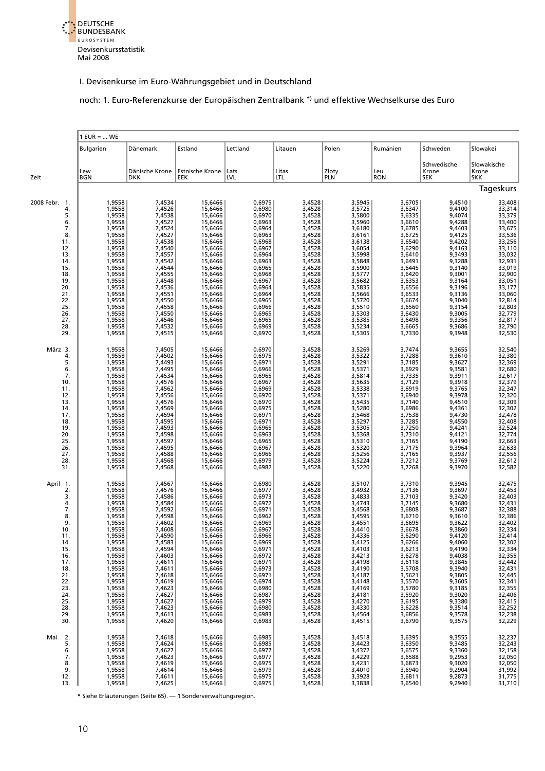

# noch: 1. Euro-Referenzkurse der Europäischen Zentralbank \*) und effektive Wechselkurse des Euro

|                                | $1$ EUR =  WE     |                  |                        |                  |                  |                  |                   |                      |                            |
|--------------------------------|-------------------|------------------|------------------------|------------------|------------------|------------------|-------------------|----------------------|----------------------------|
|                                | <b>Bulgarien</b>  | Dänemark         | Estland                | Lettland         | Litauen          | Polen            | Rumänien          | Schweden             | Slowakei                   |
|                                |                   | Dänische Krone   | <b>Estnische Krone</b> | Lats             |                  |                  |                   | Schwedische<br>Krone | Slowakische<br>Krone       |
| Zeit                           | Lew<br><b>BGN</b> | <b>DKK</b>       | <b>EEK</b>             | <b>LVL</b>       | Litas<br>LTL     | Zloty<br>PLN     | Leu<br><b>RON</b> | <b>SEK</b>           | <b>SKK</b>                 |
|                                |                   |                  |                        |                  |                  |                  |                   |                      | Tageskurs                  |
| 2008 Febr.<br>$\overline{1}$ . | 1,9558            | 7,4534           | 15,6466                | 0,6975           | 3,4528           | 3,5945           | 3,6705            | 9,4510               | 33,408                     |
| 4.                             | 1,9558            | 7,4526           | 15,6466                | 0,6980           | 3,4528           | 3,5725           | 3,6347            | 9,4100               | 33,314                     |
| 5.                             | 1,9558            | 7,4538           | 15,6466                | 0,6970           | 3,4528           | 3,5800           | 3,6335            | 9,4074               | 33,379                     |
| 6.<br>7.                       | 1,9558<br>1,9558  | 7,4527<br>7,4524 | 15,6466<br>15,6466     | 0,6963<br>0,6964 | 3,4528<br>3,4528 | 3,5960<br>3,6180 | 3,6610<br>3,6785  | 9,4288<br>9,4403     | 33,400<br>33,675           |
| 8.                             | 1,9558            | 7,4527           | 15,6466                | 0,6963           | 3,4528           | 3,6161           | 3,6725            | 9,4125               |                            |
| 11.                            | 1,9558            | 7,4538           | 15,6466                | 0,6968           | 3,4528           | 3,6138           | 3,6540            | 9,4202               | 33,536<br>33,256           |
| 12.                            | 1,9558            | 7,4540           | 15,6466                | 0,6967           | 3,4528           | 3,6054           | 3,6290            | 9,4163               | 33,110                     |
| 13.<br>14.                     | 1,9558<br>1,9558  | 7,4557<br>7,4542 | 15,6466<br>15,6466     | 0,6964<br>0,6963 | 3,4528<br>3,4528 | 3,5998<br>3,5848 | 3,6410<br>3,6491  | 9,3493<br>9,3288     | 33,032<br>32,931           |
| 15.                            | 1,9558            | 7,4544           | 15,6466                | 0,6965           | 3,4528           | 3,5900           | 3,6445            | 9,3140               | 33,019                     |
| 18.                            | 1,9558            | 7,4555           | 15,6466                | 0,6968           | 3,4528           | 3,5777           | 3,6420            | 9,3001               | 32,900                     |
| 19.<br>20.                     | 1,9558<br>1,9558  | 7,4548<br>7,4536 | 15,6466<br>15,6466     | 0,6967<br>0,6964 | 3,4528<br>3,4528 | 3,5682<br>3,5835 | 3,6353<br>3,6556  | 9,3164<br>9,3196     | 33,051<br>33,177           |
| 21.                            | 1,9558            | 7,4551           | 15,6466                | 0,6964           | 3,4528           | 3,5666           | 3,6533            | 9,3136               | 33,060                     |
| 22.                            | 1,9558            | 7,4550           | 15,6466                | 0,6965           | 3,4528           | 3,5720           | 3,6674            | 9,3040               | 32,814                     |
| 25.                            | 1,9558            | 7,4558           | 15,6466                | 0,6966           | 3,4528           | 3,5510           | 3,6560            | 9,3154               | 32,803                     |
| 26.<br>27.                     | 1,9558<br>1,9558  | 7,4550<br>7,4546 | 15,6466<br>15,6466     | 0,6965<br>0,6965 | 3,4528<br>3,4528 | 3,5303<br>3,5385 | 3,6430<br>3,6498  | 9,3005<br>9,3356     | 32,779<br>32,817           |
| 28.                            | 1,9558            | 7,4532           | 15,6466                | 0,6969           | 3,4528           | 3,5234           | 3,6665            | 9,3686               | 32,790                     |
| 29.                            | 1,9558            | 7,4515           | 15,6466                | 0,6970           | 3,4528           | 3,5305           | 3,7330            | 9,3948               | 32,530                     |
| März 3.                        | 1,9558            | 7,4505           | 15,6466                | 0,6970           | 3,4528           | 3,5269           | 3,7474            | 9,3655               | 32,540                     |
| 4.                             | 1,9558            | 7,4502           | 15,6466                | 0,6975           | 3,4528           | 3,5322           | 3,7288            | 9,3610               | 32,380                     |
| 5.                             | 1,9558            | 7,4493           | 15,6466                | 0,6971           | 3,4528           | 3,5291           | 3,7185            | 9,3627               | 32,369                     |
| 6.<br>7.                       | 1,9558<br>1,9558  | 7,4495<br>7,4534 | 15,6466<br>15,6466     | 0,6966<br>0,6965 | 3,4528<br>3,4528 | 3,5371           | 3,6929<br>3,7335  | 9,3581<br>9,3911     | 32,680<br>32,617           |
| 10.                            | 1,9558            | 7,4576           | 15,6466                | 0,6967           | 3,4528           | 3,5814<br>3,5635 | 3,7129            | 9,3918               |                            |
| 11.                            | 1,9558            | 7,4562           | 15,6466                | 0,6969           | 3,4528           | 3,5338           | 3,6919            | 9,3765               | 32,379<br>32,347<br>32,320 |
| 12.                            | 1,9558            | 7,4556           | 15,6466                | 0,6970           | 3,4528           | 3,5371           | 3,6940            | 9,3978               |                            |
| 13.<br>14.                     | 1,9558<br>1,9558  | 7,4576<br>7,4569 | 15,6466<br>15,6466     | 0,6970<br>0,6975 | 3,4528<br>3,4528 | 3,5435<br>3,5280 | 3,7140<br>3,6986  | 9,4510<br>9,4361     | 32,309<br>32,302           |
| 17.                            | 1,9558            | 7,4594           | 15,6466                | 0,6971           | 3,4528           | 3,5468           | 3,7538            | 9,4730               | 32,478                     |
| 18.                            | 1,9558            | 7,4595           | 15,6466                | 0,6971           | 3,4528           | 3,5297           | 3,7285            | 9,4550               | 32,408                     |
| 19.<br>20.                     | 1,9558            | 7,4593<br>7,4598 | 15,6466<br>15,6466     | 0,6965<br>0,6963 | 3,4528           | 3,5305           | 3,7250<br>3,7310  | 9,4241<br>9,4121     | 32,524<br>32,774           |
| 25.                            | 1,9558<br>1,9558  | 7,4597           | 15,6466                | 0,6965           | 3,4528<br>3,4528 | 3,5368<br>3,5310 | 3,7165            | 9,4190               | 32,663                     |
| 26.                            | 1,9558            | 7,4595           | 15,6466                | 0,6967           | 3,4528           | 3,5320           | 3,7175            | 9,3964               | 32,633                     |
| 27.                            | 1,9558            | 7,4588           | 15,6466                | 0,6966           | 3,4528           | 3,5256           | 3,7165            | 9,3937               | 32,556                     |
| 28.<br>31.                     | 1,9558<br>1,9558  | 7,4568<br>7,4568 | 15,6466<br>15,6466     | 0,6979<br>0,6982 | 3,4528<br>3,4528 | 3,5224<br>3,5220 | 3,7212<br>3,7268  | 9,3769<br>9,3970     | 32,612<br>32,582           |
|                                |                   |                  |                        |                  |                  |                  |                   |                      |                            |
| April 1.                       | 1,9558            | 7,4567           | 15,6466                | 0,6980           | 3,4528           | 3,5107           | 3,7310            | 9,3945               | 32,475                     |
| 2.<br>3.                       | 1,9558<br>1,9558  | 7,4576<br>7,4586 | 15,6466<br>15,6466     | 0,6977<br>0,6973 | 3,4528<br>3,4528 | 3,4932<br>3,4833 | 3,7136<br>3,7103  | 9,3697<br>9,3420     | 32,453<br>32,403           |
| 4.                             | 1,9558            | 7,4584           | 15,6466                | 0,6972           | 3,4528           | 3,4743           | 3,7145            | 9,3680               | 32,431                     |
| 7.                             | 1,9558            | 7,4592           | 15,6466                | 0,6971           | 3,4528           | 3,4568           | 3,6808            | 9,3687               | 32,388                     |
| 8.<br>9.                       | 1,9558<br>1,9558  | 7,4598<br>7,4602 | 15,6466<br>15,6466     | 0,6962<br>0,6969 | 3,4528<br>3,4528 | 3,4595<br>3,4551 | 3,6710<br>3,6695  | 9,3610<br>9,3622     | 32,386<br>32,402           |
| 10.                            | 1,9558            | 7,4608           | 15,6466                | 0,6967           | 3,4528           | 3,4410           | 3,6678            | 9,3860               | 32,334                     |
| 11.                            | 1,9558            | 7,4590           | 15,6466                | 0,6966           | 3,4528           | 3,4336           | 3,6290            | 9,4120               | 32,414                     |
| 14.                            | 1,9558            | 7,4583           | 15,6466                | 0,6969           | 3,4528           | 3,4125           | 3,6266            | 9,4060               | 32,302<br>32,334           |
| 15.<br>16.                     | 1,9558<br>1,9558  | 7,4594<br>7,4603 | 15,6466<br>15,6466     | 0,6971<br>0,6972 | 3,4528<br>3,4528 | 3,4103<br>3,4213 | 3,6213<br>3,6278  | 9,4190<br>9,4038     | 32,355                     |
| 17.                            | 1,9558            | 7,4611           | 15,6466                | 0,6971           | 3,4528           | 3,4198           | 3,6118            | 9,3845               | 32,442                     |
| 18.                            | 1,9558            | 7,4611           | 15,6466                | 0,6973           | 3,4528           | 3,4190           | 3,5708            | 9,3940               | 32,431                     |
| 21.                            | 1,9558<br>1,9558  | 7,4618           | 15,6466<br>15,6466     | 0,6971<br>0,6974 | 3,4528<br>3,4528 | 3,4187           | 3,5621            | 9,3805               | 32,445<br>32,341           |
| 22.<br>23.                     | 1,9558            | 7,4619<br>7,4623 | 15,6466                | 0,6980           | 3,4528           | 3,4148<br>3,4169 | 3,5570            | 9,3605<br>9,3185     | 32,355                     |
| 24.                            | 1,9558            | 7,4627           | 15,6466                | 0,6987           | 3,4528           | 3,4181           | 3,5780<br>3,5920  | 9,3020               | 32,406                     |
| 25.                            | 1,9558            | 7,4627           | 15,6466                | 0,6979           | 3,4528           | 3,4270           | 3,6195            | 9,3380               | 32,415                     |
| 28.<br>29.                     | 1,9558<br>1,9558  | 7,4623<br>7,4613 | 15,6466<br>15,6466     | 0,6980<br>0,6983 | 3,4528<br>3,4528 | 3,4330<br>3,4564 | 3,6228<br>3,6856  | 9,3514<br>9,3578     | 32,252<br>32,238           |
| 30.                            | 1,9558            | 7,4620           | 15,6466                | 0,6983           | 3,4528           | 3,4515           | 3,6790            | 9,3575               | 32,229                     |
|                                |                   |                  |                        |                  |                  |                  |                   |                      |                            |
| Mai<br>2.<br>5.                | 1,9558<br>1,9558  | 7,4618<br>7,4624 | 15,6466<br>15,6466     | 0,6985<br>0,6985 | 3,4528<br>3,4528 | 3,4518<br>3,4423 | 3,6395<br>3,6350  | 9,3555<br>9,3485     | 32,237<br>32,243           |
| 6.                             | 1,9558            | 7,4627           | 15,6466                | 0,6977           | 3,4528           | 3,4372           | 3,6575            | 9,3360               | 32,158                     |
| 7.                             | 1,9558            | 7,4623           | 15,6466                | 0,6977           | 3,4528           | 3,4229           | 3,6588            | 9,2953               | 32,050                     |
| 8.<br>9.                       | 1,9558<br>1,9558  | 7,4619<br>7,4614 | 15,6466<br>15,6466     | 0,6975<br>0,6979 | 3,4528<br>3,4528 | 3,4231<br>3,4010 | 3,6873<br>3,6940  | 9,3020<br>9,2904     | 32,050<br>31,992           |
| 12.                            | 1,9558            | 7,4611           | 15,6466                | 0,6975           | 3,4528           | 3,3928           | 3,6811            | 9,2873               | 31,775                     |
| 13.                            | 1,9558            | 7,4625           | 15,6466                | 0,6975           | 3,4528           | 3,3838           | 3,6540            | 9,2940               | 31,710                     |

**\*** Siehe Erläuterungen (Seite 65). — **1** Sonderverwaltungsregion.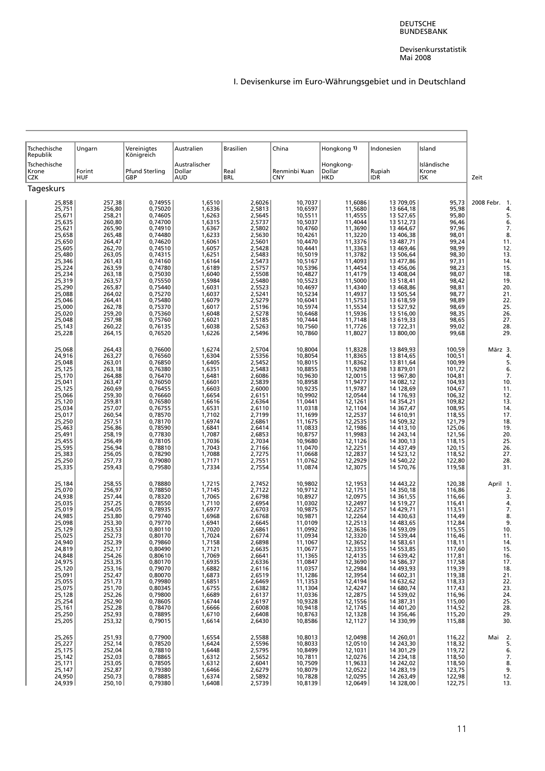| Tschechische<br>Republik            | Ungarn               | Vereinigtes<br>Königreich    | Australien                            | <b>Brasilien</b>   | China                       | Hongkong 1)                       | Indonesien               | Island                             |                  |
|-------------------------------------|----------------------|------------------------------|---------------------------------------|--------------------|-----------------------------|-----------------------------------|--------------------------|------------------------------------|------------------|
| Tschechische<br>Krone<br><b>CZK</b> | Forint<br><b>HUF</b> | <b>Pfund Sterling</b><br>GBP | Australischer<br>Dollar<br><b>AUD</b> | Real<br><b>BRL</b> | Renminbi ¥uan<br><b>CNY</b> | Hongkong-<br>Dollar<br><b>HKD</b> | Rupiah<br><b>IDR</b>     | Isländische<br>Krone<br><b>ISK</b> | Zeit             |
| Tageskurs                           |                      |                              |                                       |                    |                             |                                   |                          |                                    |                  |
| 25,858                              | 257,38               | 0,74955                      | 1,6510                                | 2,6026             | 10,7037                     | 11,6086                           | 13 709,05                | 95,73                              | 2008 Febr. 1     |
| 25,751                              | 256,80               | 0,75020                      | 1,6336                                | 2,5813             | 10,6597                     | 11,5680                           | 13 664,18                | 95,98                              |                  |
| 25,671<br>25,635                    | 258,21<br>260,80     | 0,74605<br>0,74700           | 1,6263                                | 2,5645<br>2,5737   | 10,5511                     | 11,4555<br>11,4044                | 13 527,65<br>13 512,73   | 95,80                              | 5<br>6           |
| 25,621                              | 265,90               | 0,74910                      | 1,6315<br>1,6367                      | 2,5802             | 10,5037<br>10,4760          | 11,3690                           | 13 464,67                | 96,46<br>97,96                     | $\overline{7}$   |
| 25,658<br>25,650                    | 265,48               | 0,74480                      | 1,6233                                | 2,5630             | 10,4261                     | 11,3220                           | 13 406,38                | 98,01                              | 8                |
|                                     | 264,47               | 0,74620                      | 1,6061                                | 2,5601             | 10,4470                     | 11,3376                           | 13 487,71                | 99,24                              | 11               |
| 25,605<br>25,480                    | 262,70<br>263,05     | 0,74510<br>0,74315           | 1,6057                                | 2,5428<br>2,5483   | 10,4441<br>10,5019          | 11,3363<br>11,3782                | 13 469,46<br>13 506,64   | 98,99                              | 12<br>13         |
| 25,346                              | 261,43               | 0,74160                      | 1,6251<br>1,6164                      | 2,5473             | 10,5167                     | 11,4093                           | 13 477,86                | 98,30<br>97,31                     | 14               |
| 25,224                              | 263,59               | 0,74780                      | 1,6189                                | 2,5757             | 10,5396                     | 11,4454                           | 13 456,06                | 98,23                              | 15               |
| 25,234                              | 263,18               | 0,75030                      | 1,6040                                | 2,5508             | 10,4827                     | 11,4179                           | 13 408,04                | 98,07                              | 18               |
| 25,319                              | 263,57               | 0,75550                      | 1,5984                                | 2,5480             | 10,5523                     | 11,5000                           | 13 518,41                | 98,42                              | 19               |
| 25,290<br>25,088                    | 265,87<br>264,02     | 0,75440<br>0,75270           | 1,6031<br>1,6037                      | 2,5523<br>2,5241   | 10,4697<br>10,5234          | 11,4340<br>11,4937                | 13 468,86<br>13 505,54   | 98,81<br>98,77                     | 20<br>21         |
| 25,046                              |                      | 0,75480                      | 1,6079                                | 2,5279             | 10,6041                     | 11,5753                           | 13 618,59                | 98,89                              | 22               |
| 25,000                              | 264,41<br>262,78     | 0,75370                      | 1,6017                                | 2,5196             | 10,5974                     | 11,5534                           | 13 527,92                | 98,69                              | 25               |
| 25,020                              | 259,20               | 0,75360                      | 1,6048                                | 2,5278             | 10,6468                     | 11,5936                           | 13 516,00                | 98,35                              | 26               |
| 25,048                              | 257,98               | 0,75760                      | 1,6021                                | 2,5185             | 10,7444                     | 11,7148                           | 13 619,33                | 98,65                              | 27               |
| 25,143<br>25,228                    | 260,22<br>264,15     | 0,76135<br>0,76520           | 1,6038<br>1,6226                      | 2,5263<br>2,5496   | 10,7560<br>10,7860          | 11,7726<br>11,8027                | 13 722,31<br>13 800,00   | 99,02<br>99,68                     | 28<br>29         |
| 25,068                              | 264,43               | 0,76600                      | 1,6274                                | 2,5704             | 10,8004                     | 11,8328                           | 13 849,93                | 100,59                             | März 3           |
| 24,916                              | 263,27               | 0,76560                      | 1,6304                                | 2,5356             | 10,8054                     | 11,8365                           | 13 814,65                | 100,51                             |                  |
| 25,048<br>25,125                    | 263,01<br>263,18     | 0,76850<br>0,76380           | 1,6405<br>1,6351                      | 2,5452<br>2,5483   | 10,8015<br>10,8855          | 11,8362<br>11,9298                | 13 811,64<br>13 879,01   | 100,99<br>101,72                   | 5<br>6           |
| 25,170                              | 264,88               | 0,76470                      | 1,6481                                | 2,6086             | 10,9630                     | 12,0015                           | 13 967,80                | 104,81                             | $\overline{7}$   |
| 25,041                              | 263,47               | 0,76050                      | 1,6601                                | 2,5839             | 10,8958                     | 11,9477                           | 14 082,12                | 104,93                             | 10               |
| 25,125                              | 260,69               | 0,76455                      | 1,6603                                | 2,6000             | 10,9235                     | 11,9787                           | 14 128,69                | 104,67                             | 11               |
| 25,066                              | 259,30               | 0,76660                      | 1,6654                                | 2,6151             | 10,9902<br>11,0441          | 12,0544                           | 14 176,93                | 106,32                             | 12               |
| 25,120<br>25,034                    | 259,81<br>257,07     | 0,76580<br>0,76755           | 1,6616<br>1,6531                      | 2,6364<br>2,6110   | 11,0318                     | 12,1261<br>12,1104                | 14 3 54, 21<br>14 367,47 | 109,82<br>108,95                   | 13<br>14         |
| 25,017                              | 260,54               | 0,78570                      | 1,7102                                | 2,7199             | 11,1699                     | 12,2537                           | 14 610,91                | 118,55                             | 17               |
| 25,250                              | 257,51               | 0,78170                      | 1,6974                                | 2,6861             | 11,1675                     | 12,2535                           | 14 509,32                | 121,79                             | 18               |
| 25,463                              | 256,86               | 0,78590                      | 1,6841                                | 2,6414             | 11,0833                     | 12,1986                           | 14 413,10                | 125,06                             | 19               |
| 25,491                              | 258,19               | 0,77830                      | 1,7087                                | 2,6853             | 10,8757                     | 11,9983                           | 14 243,14                | 121,56                             | 20               |
| 25,455<br>25,595<br>25,383          | 256,49<br>256,94     | 0,78105<br>0,78810           | 1,7036<br>1,7043                      | 2,7034<br>2,7166   | 10,9680<br>11,0470          | 12,1126<br>12,2251                | 14 300,13<br>14 437,49   | 118,15<br>120,15                   | 25<br>26         |
|                                     | 256,05               | 0,78290                      | 1,7088                                | 2,7275             | 11,0668                     | 12,2837                           | 14 523,12                | 118,52                             | 27               |
| 25,250                              | 257,73               | 0,79080                      | 1,7171                                | 2,7551             | 11,0762                     | 12,2929                           | 14 540,22                | 122,80                             | 28               |
| 25,335                              | 259,43               | 0,79580                      | 1,7334                                | 2,7554             | 11,0874                     | 12,3075                           | 14 570,76                | 119,58                             | 31               |
| 25,184<br>25,070                    | 258,55<br>256,97     | 0,78880<br>0,78850           | 1,7215<br>1,7145                      | 2,7452<br>2,7122   | 10,9802<br>10,9712          | 12,1953<br>12,1751                | 14 443,22<br>14 350,18   | 120,38<br>116,86                   | April<br>-1<br>2 |
| 24,938                              | 257,44               | 0,78320                      | 1,7065                                | 2,6798             | 10,8927                     | 12,0975                           | 14 361,55                | 116,66                             | 3                |
| 25,035                              | 257,25               | 0,78550                      | 1,7110                                | 2,6954             | 11,0302                     | 12,2497                           | 14 519,27                | 116,41                             | 4                |
| 25,019                              | 254,05               | 0,78935                      | 1,6977                                | 2,6703             | 10,9875                     | 12,2257                           | 14 429,71                | 113,51                             | $\overline{7}$   |
| 25,015<br>24,985<br>25,098          | 253,80<br>253,30     | 0,79740<br>0,79770           | 1,6968<br>1,6941                      | 2,6768<br>2,6645   | 10,9871<br>11,0109          | 12,2264<br>12,2513                | 14 430,63<br>14 483,65   | 114,49<br>112,84                   | 8<br>9           |
| 25,129                              | 253,53               | 0,80110                      | 1,7020                                | 2,6861             | 11,0992                     | 12,3636                           | 14 593,09                | 115,55                             | 10               |
| 25,025                              | 252,73               | 0,80170                      | 1,7024                                | 2,6774             | 11,0934                     | 12,3320                           | 14 539,44                | 116,46                             | 11               |
| 24,940                              | 252,39               | 0,79860                      | 1,7158                                | 2,6898             | 11,1067                     | 12,3652                           | 14 583,61                | 118,11                             | 14               |
| 24,819                              | 252,17               | 0,80490                      | 1,7121                                | 2,6635             | 11,0677                     | 12,3355                           | 14 553,85                | 117,60                             | 15               |
| 24,848<br>24,975                    | 254,26<br>253,35     | 0,80610<br>0,80170           | 1,7069<br>1,6935                      | 2,6641<br>2,6336   | 11,1365<br>11,0847          | 12,4135<br>12,3690                | 14 639,42<br>14 586,37   | 117,81<br>117,58                   | 16<br>17         |
| 25,120                              | 253,16               | 0,79070                      | 1,6882                                | 2,6116             | 11,0357                     | 12,2984                           | 14 493,93                | 119,39                             | 18               |
| 25,091<br>25,055                    | 252,47               | 0,80070                      | 1,6873                                | 2,6519             | 11,1286                     | 12,3954                           | 14 602,31                | 119,38                             | 21               |
|                                     | 251,73               | 0,79980                      | 1,6851                                | 2,6469             | 11,1353                     | 12,4194                           | 14 632,62                | 118,33                             | 22               |
| 25,075                              | 251,70               | 0,80345                      | 1,6755                                | 2,6382             | 11,1304                     | 12,4247                           | 14 680,74                | 117,43                             | 23               |
| 25,128<br>25,254                    | 252,26<br>252,90     | 0,79800<br>0,78605           | 1,6689<br>1,6744                      | 2,6137<br>2,6197   | 11,0336<br>10,9328          | 12,2875<br>12,1556                | 14 539,02<br>14 387,31   | 116,96<br>115,00                   | 24<br>25         |
| 25,161                              | 252,28               | 0,78470                      | 1,6666                                | 2,6008             | 10,9418                     | 12,1745                           | 14 401,20                | 114,52                             | 28               |
| 25,250<br>25,205                    | 252,93<br>253,32     | 0,78895<br>0,79015           | 1,6710<br>1,6614                      | 2,6408<br>2,6430   | 10,8763<br>10,8586          | 12,1328<br>12,1127                | 14 356,46<br>14 330,99   | 115,20<br>115,88                   | 29<br>30         |
| 25,265                              | 251,93               | 0,77900                      | 1,6554                                | 2,5588             | 10,8013                     | 12,0498                           | 14 260,01                | 116,22                             | Mai<br>2         |
| 25,227                              | 252,14               | 0,78520                      | 1,6424                                | 2,5596             | 10,8033                     | 12,0510                           | 14 243,30                | 118,32                             | 5                |
| 25,175                              | 252,04               | 0,78810                      | 1,6448                                | 2,5795             | 10,8499                     | 12,1031                           | 14 301,29                | 119,72                             | 6                |
| 25,142                              | 252,03               | 0,78865                      | 1,6312                                | 2,5652             | 10,7811                     | 12,0276                           | 14 234,18                | 118,50                             | $\overline{7}$   |
| 25,171                              | 253,05               | 0,78505                      | 1,6312                                | 2,6041             | 10,7509                     | 11,9633                           | 14 242,02                | 118,50                             | 8                |
| 25,147<br>24,950                    | 252,87<br>250,73     | 0,79380<br>0,78885           | 1,6466<br>1,6374                      | 2,6279<br>2,5892   | 10,8079<br>10,7828          | 12,0522<br>12,0295                | 14 283,19<br>14 263,49   | 123,75<br>122,98                   | 9<br>12          |
| 24,939                              | 250,10               | 0,79380                      | 1,6408                                | 2,5739             | 10,8139                     | 12,0649                           | 14 328,00                | 122,75                             | 13               |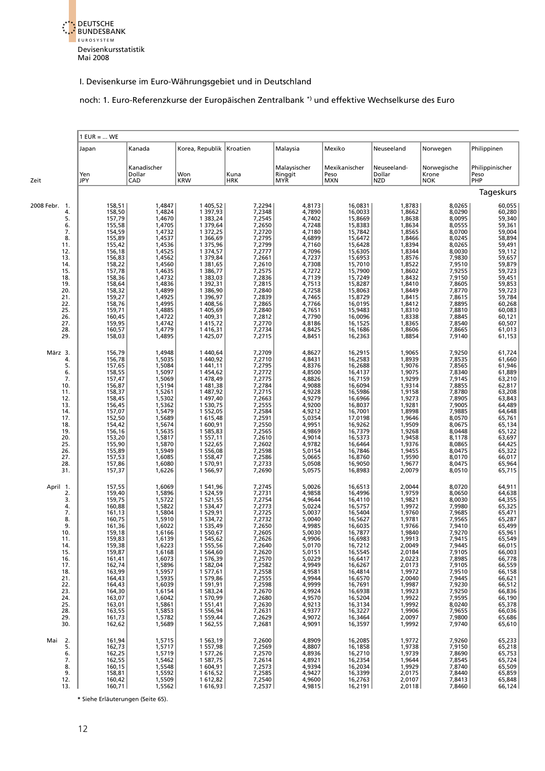

# [noch: 1. Euro-Referenzkurse der Europäischen Zentralbank \\*\) und effektive Wechselkurse des Euro](#page-6-0)

|                                      | $1$ EUR =  WE                  |                              |                            |                    |                                       |                                     |                                     |                                    |                                                          |
|--------------------------------------|--------------------------------|------------------------------|----------------------------|--------------------|---------------------------------------|-------------------------------------|-------------------------------------|------------------------------------|----------------------------------------------------------|
|                                      | Japan                          | Kanada                       | Korea, Republik   Kroatien |                    | Malaysia                              | Mexiko                              | Neuseeland                          | Norwegen                           | Philippinen                                              |
| Zeit                                 | Yen<br>JPY                     | Kanadischer<br>Dollar<br>CAD | Won<br><b>KRW</b>          | Kuna<br><b>HRK</b> | Malaysischer<br>Ringgit<br><b>MYR</b> | Mexikanischer<br>Peso<br><b>MXN</b> | Neuseeland-<br>Dollar<br><b>NZD</b> | Norwegische<br>Krone<br><b>NOK</b> | Philippinischer<br>Peso<br>PHP                           |
|                                      |                                |                              |                            |                    |                                       |                                     |                                     |                                    | Tageskurs                                                |
| 2008 Febr.<br>$\overline{1}$ .<br>4. | 158,51<br>158,50               | 1,4847<br>1,4824             | 1 405,52<br>1 397,93       | 7,2294<br>7,2348   | 4,8173<br>4,7890                      | 16,0831<br>16,0033                  | 1,8783<br>1,8662                    | 8,0265<br>8,0290                   | 60,055<br>60,280                                         |
| 5.<br>6.                             | 157,79<br>155,58               | 1,4670<br>1,4705             | 1 383,24<br>1 379,64       | 7,2545<br>7,2650   | 4,7402<br>4,7248                      | 15,8669<br>15,8383                  | 1,8638<br>1,8634                    | 8,0095<br>8,0555                   | 59,340                                                   |
| 7.<br>8.                             | 154,59<br>155,89               | 1,4732<br>1,4537             | 1 372,25<br>1 366,69       | 7,2720<br>7,2795   | 4,7180<br>4,6899                      | 15,7842<br>15,6472                  | 1,8565<br>1,8466                    | 8,0700<br>8,0245                   | 59,361<br>59,004                                         |
| 11.                                  | 155,42                         | 1,4536                       | 1 375,96                   | 7,2799             | 4,7160                                | 15,6428                             | 1,8394                              | 8,0265                             | 58,894<br>58,894<br>59,491                               |
| 12.<br>13.                           | 156,18<br>156,83               | 1,4525<br>1,4562             | 1 374,57<br>1 379,84       | 7,2777<br>7,2661   | 4,7096<br>4,7237                      | 15,6305<br>15,6953                  | 1,8344<br>1,8576                    | 8,0030<br>7,9830                   | $59,112$<br>$59,657$<br>$59,879$                         |
| 14.<br>15.                           | 158,22<br>157,78               | 1,4560<br>1,4635             | 1 381,65<br>1 386,77       | 7,2610<br>7,2575   | 4,7308<br>4,7272                      | 15,7010<br>15,7900                  | 1,8522<br>1,8602                    | 7,9510<br>7,9255                   | 59,723                                                   |
| 18.                                  | 158,36                         | 1,4732                       | 1 383,03                   | 7,2836             | 4,7139                                | 15,7249                             | 1,8432                              | 7,9150                             |                                                          |
| 19.<br>20.                           | 158,64<br>158,32               | 1,4836<br>1,4899             | 1 392,31<br>1 386,90       | 7,2815<br>7,2840   | 4,7513<br>4,7258                      | 15,8287<br>15,8063                  | 1,8410<br>1,8449                    | 7,8605<br>7,8770                   | 59,451<br>59,853<br>59,723                               |
| 21.<br>22.                           | 159,27<br>158,76               | 1,4925<br>1,4995             | 1 396,97<br>1 408,56       | 7,2839<br>7,2865   | 4,7465<br>4,7766                      | 15,8729<br>16,0195                  | 1,8415<br>1,8412                    | 7,8615<br>7,8895                   | 59,784<br>60,268                                         |
| 25.                                  | 159,71                         | 1,4885                       | 1 405,69                   | 7,2840             | 4,7651                                | 15,9483<br>16,0096                  | 1,8310                              | 7,8810                             |                                                          |
| 26.<br>27.                           | 160,45<br>159,95               | 1,4722<br>1,4742             | 1 409,31<br>1 4 1 5, 7 2   | 7,2812<br>7,2770   | 4,7790<br>4,8186                      | 16,1525                             | 1,8338<br>1,8365                    | 7,8845<br>7,8540                   | 60,083<br>60,121<br>60,507                               |
| 28.<br>29.                           | 160,57<br>158,03               | 1,4779<br>1,4895             | 1416,31<br>1 425,07        | 7,2734<br>7,2715   | 4,8425<br>4,8451                      | 16,1686<br>16,2363                  | 1,8606<br>1,8854                    | 7,8665<br>7,9140                   | 61,013<br>61,153                                         |
| März 3.                              | 156,79                         | 1,4948                       | 1440,64                    | 7,2709             | 4,8627                                | 16,2915                             | 1,9065                              | 7,9250                             |                                                          |
| 4.<br>5.                             | 156,78<br>157,65               | 1,5035<br>1,5084             | 1 440,92<br>1 441,11       | 7,2710<br>7,2795   | 4,8431<br>4,8376                      | 16,2583<br>16,2688                  | 1,8939<br>1,9076                    | 7,8535<br>7,8565                   | 61,724<br>61,660<br>61,946<br>61,889<br>63,210<br>62,817 |
| 6.                                   | 158,55                         | 1,5097                       | 1 454,62                   | 7,2772             | 4,8500<br>4,8826                      | 16,4137                             | 1,9075<br>1,9299                    | 7,8340                             |                                                          |
| 7.<br>10.                            | 157,47<br>156,87               | 1,5069<br>1,5194             | 1478,49<br>1481,38         | 7,2775<br>7,2784   | 4,9088                                | 16,7159<br>16,6094                  | 1,9314                              | 7,9145<br>7,8855                   |                                                          |
| 11.<br>12.                           | 158,37<br>158,45               | 1,5261<br>1,5302             | 1 487,92<br>1 497,40       | 7,2715<br>7,2663   | 4,9228<br>4,9279                      | 16,5986<br>16,6966                  | 1,9158<br>1,9273                    | 7,8780<br>7,8905                   | 63,208                                                   |
| 13.<br>14.                           | 156,45<br>157,07               | 1,5362<br>1,5479             | 1 530,75<br>1 552,05       | 7,2555<br>7,2584   | 4,9200<br>4,9212                      | 16,8037<br>16,7001                  | 1,9281<br>1,8998                    | 7,9005<br>7,9885                   | $63,843$<br>$64,489$<br>$64,648$                         |
| 17.                                  | 152,50                         | 1,5689                       | 1615,48                    | 7,2591             | 5,0354                                | 17,0198                             | 1,9646                              | 8,0570                             | 65,761                                                   |
| 18.<br>19.                           | 154,42<br>156,16               | 1,5674<br>1,5635             | 1600,91<br>1 585,83        | 7,2550<br>7,2565   | 4,9951<br>4,9869                      | 16,9262<br>16,7379                  | 1,9509<br>1,9268                    | 8,0675<br>8,0448                   | 65,134                                                   |
| 20.<br>25.                           | 153,20<br>155,90               | 1,5817<br>1,5870             | 1 557,11<br>1 522,65       | 7,2610<br>7,2602   | 4,9014<br>4,9782                      | 16,5373<br>16,6464                  | 1,9458<br>1,9376                    | 8,1178<br>8,0865                   | $65,122$ $63,697$ $64,425$ $65,322$                      |
| 26.<br>27.                           | 155,89<br>157,53               | 1,5949<br>1,6085             | 1 556,08<br>1 558,47       | 7,2598<br>7,2586   | 5,0154<br>5,0665                      | 16,7846<br>16,8760                  | 1,9455<br>1,9590                    | 8,0475<br>8,0170                   | 66,017                                                   |
| 28.                                  | 157,86                         | 1,6080                       | 1570,91                    | 7,2733             | 5,0508                                | 16,9050                             | 1,9677                              | 8,0475                             | 65,964                                                   |
| 31.                                  | 157,37                         | 1,6226                       | 1 566,97                   | 7,2690             | 5,0575                                | 16,8983                             | 2,0079                              | 8,0510                             | 65,715                                                   |
| April 1.<br>2.                       | 157,55<br>159,40               | 1,6069<br>1,5896             | 1 541,96<br>1 524,59       | 7,2745<br>7,2731   | 5,0026<br>4,9858                      | 16,6513<br>16,4996                  | 2,0044<br>1,9759                    | 8,0720<br>8,0650                   | 64,911<br>64,638                                         |
| 3.<br>4.                             | 159,75<br>160,88               | 1,5722<br>1,5822             | 1 521,55<br>1 534,47       | 7,2754<br>7,2773   | 4,9644<br>5,0224                      | 16,4110<br>16,5757                  | 1,9821<br>1,9972                    | 8,0030<br>7,9980                   | 64,355<br>65,325<br>65,471<br>65,287<br>65,499<br>65,961 |
| 7.<br>8.                             | 161,13<br>160,75               | 1,5804<br>1,5910             | 1 529,91                   | 7,2725<br>7,2732   | 5,0037<br>5,0040                      | 16,5404<br>16,5627                  | 1,9760<br>1,9781                    | 7,9685<br>7,9565                   |                                                          |
| 9.                                   | 161,36                         | 1,6022                       | 1 534,72<br>1 535,49       | 7,2650             | 4,9985                                | 16,6035                             | 1,9766                              | 7,9410                             |                                                          |
| 10.<br>11.                           | 159,18<br>159,83               | 1,6166<br>1,6139             | 1 550,67<br>1 545,62       | 7,2605<br>7,2626   | 5,0030<br>4,9906                      | 16,7877<br>16,6983                  | 1,9840<br>1,9913                    | 7,9270<br>7,9415                   | 65,549                                                   |
| 14.<br>15.                           | 159,38<br>159,87               | 1,6223<br>1,6168             | 1 555,56<br>1 564,60       | 7,2640<br>7,2620   | 5,0170                                | 16,7212<br>16,5545                  | 2,0049                              | 7,9445<br>7,9105                   | 66,015                                                   |
| 16.                                  | 161,41                         | 1,6073                       | 1 576,39                   | 7,2570             | 5,0151<br>5,0229<br>4,9949            | 16,6417                             | 2,0184<br>2,0223                    | 7,8985                             | $66,003$<br>$66,778$<br>$66,559$<br>$66,158$             |
| 17.<br>18.                           | 162,74<br>163,99               | 1,5896<br>1,5957             | 1 582,04<br>1 577,61       | 7,2582<br>7,2558   | 4,9581                                | 16,6267<br>16,4814                  | 2,0173<br>1,9972                    | 7,9105<br>7,9510                   |                                                          |
| 21.<br>22.                           | 164,43<br>164,43               | 1,5935<br>1,6039             | 1 579,86<br>1 591,91       | 7,2555<br>7,2598   | 4,9944<br>4,9999                      | 16,6570<br>16,7691                  | 2,0040<br>1,9987                    | 7,9445<br>7,9230                   | 66,621<br>66,512                                         |
| 23.                                  | 164,30                         | 1,6154                       | 1 583,24                   | 7,2670             | 4,9924                                | 16,6938                             | 1,9923                              | 7,9250                             | $66,836$<br>$66,190$                                     |
| 24.<br>25.                           | 163,07<br>$163,01$<br>$163,55$ | 1,6042<br>1,5861             | 1 570,99<br>1 551,41       | 7,2680<br>7,2630   | 4,9570<br>4,9213                      | 16,5204                             | 1,9922<br>1,9992<br>1,9906          | 7,9595<br>8,0240                   | $65,378$<br>$66,036$                                     |
| 28.<br>29.                           | 161,73                         | 1,5853<br>1,5782             | 1 556,94<br>1 559,44       | 7,2631<br>7,2629   | 4,9377<br>4,9072                      | 16,3134<br>16,3227<br>16,3464       | 2,0097                              | 7,9655<br>7,9800                   | 65,686                                                   |
| 30.                                  | 162,62                         | 1,5689                       | 1 562,55                   | 7,2681             | 4,9091                                | 16,3597                             | 1,9992                              | 7,9740                             | 65,610                                                   |
| Mai<br>2.<br>5.                      | 161,94<br>162,73               | 1,5715<br>1,5717             | 1 563,19<br>1 557,98       | 7,2600<br>7,2569   | 4,8909<br>4,8807                      | 16,2085<br>16,1858                  | 1,9772<br>1,9738                    | 7,9260<br>7,9150                   | 65,233<br>65,218<br>65,753<br>65,724<br>65,509           |
| 6.                                   | 162,25<br>162,55               | 1,5719                       | 1 577,26                   | 7,2570             | 4,8936                                | 16,2710                             | 1,9739                              | 7,8690                             |                                                          |
| 7.<br>8.                             | 160,15                         | 1,5462<br>1,5548             | 1 587,75<br>1 604,91       | 7,2614<br>7,2573   | 4,8921<br>4,9394                      | 16,2354<br>16,2034                  | 1,9644<br>1,9929                    | 7,8545<br>7,8740                   |                                                          |
| 9.                                   | 158,81                         | 1,5592                       | 1616,52                    | 7,2585             | 4,9427                                | 16,3399                             | 2,0175                              | 7,8440<br>7,8413                   | 65,859<br>65,848                                         |
| 12.<br>13.                           | 160,42<br>160,71               | 1,5509<br>1,5562             | 1612,82<br>1 616,93        | 7,2540<br>7,2537   | 4,9600<br>4,9815                      | 16,2763<br>16,2191                  | 2,0107<br>2,0118                    | 7,8460                             | 66, 124                                                  |

**\*** Siehe Erläuterungen (Seite 65).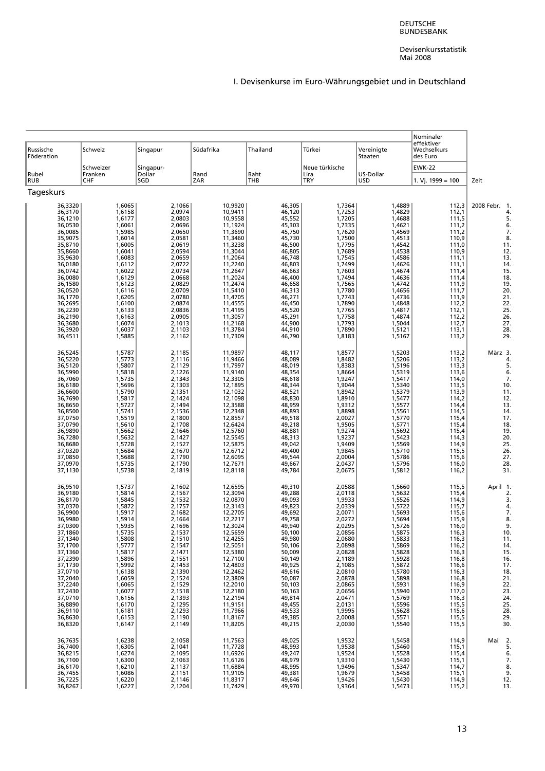|                                                     |                                                |                                                |                                                     |                                                |                                                |                                                | Nominaler<br>effektiver                   |                               |
|-----------------------------------------------------|------------------------------------------------|------------------------------------------------|-----------------------------------------------------|------------------------------------------------|------------------------------------------------|------------------------------------------------|-------------------------------------------|-------------------------------|
| Russische<br>Föderation                             | Schweiz                                        | Singapur                                       | Südafrika                                           | Thailand                                       | Türkei                                         | Vereinigte<br>Staaten                          | Wechselkurs<br>des Euro                   |                               |
| Rubel                                               | Schweizer<br>Franken                           | Singapur-<br>Dollar                            | Rand                                                | Baht                                           | Neue türkische<br>Lira                         | US-Dollar                                      | <b>EWK-22</b>                             |                               |
| RUB                                                 | <b>CHF</b>                                     | SGD                                            | ZAR                                                 | THB                                            | <b>TRY</b>                                     | <b>USD</b>                                     | 1. Vj. 1999 = 100                         | Zeit                          |
| Tageskurs                                           |                                                |                                                |                                                     |                                                |                                                |                                                |                                           |                               |
| 36,3320                                             | 1,6065                                         | 2,1066                                         | 10,9920                                             | 46,305                                         | 1,7364                                         | 1,4889                                         | 112,3                                     | 2008 Febr. 1.                 |
| 36,3170                                             | 1,6158                                         | 2,0974                                         | 10,9411                                             | 46,120                                         | 1,7253                                         | 1,4829                                         | 112,1                                     | 4                             |
| 36,1210                                             | 1,6177                                         | 2,0803                                         | 10,9558                                             | 45,552                                         | 1,7205                                         | 1,4688                                         | 111,5                                     | 5.                            |
| 36,0530                                             | 1,6061                                         | 2,0696                                         | 11,1924                                             | 45,303                                         | 1,7335                                         | 1,4621                                         | 111,2                                     | 6.                            |
| 36,0085                                             | 1,5985                                         | 2,0650                                         | 11,3690                                             | 45,750                                         | 1,7620                                         | 1,4569                                         | 111,2                                     | $\overline{7}$                |
| 35,9075                                             | 1,6014                                         | 2,0581                                         | 11,3460                                             | 45,730                                         | 1,7500                                         | 1,4513                                         | 110,9                                     | 8                             |
| 35,8710                                             | 1,6005                                         | 2,0619                                         | 11,3238                                             | 46,500                                         | 1,7795                                         | 1,4542                                         | 111,0                                     | 11.                           |
| 35,8660                                             | 1,6041                                         | 2,0594                                         | 11,3044                                             | 46,805                                         | 1,7689                                         | 1,4538                                         | 110,9                                     | 12                            |
| 35,9630                                             | 1,6083                                         | 2,0659                                         | 11,2064                                             | 46,748                                         | 1,7545                                         | 1,4586                                         | 111,1                                     | 13                            |
| 36,0180                                             | 1,6112                                         | 2,0722                                         | 11,2240                                             | 46,803                                         | 1,7499                                         | 1,4626                                         | 111,1                                     | 14                            |
| 36,0742                                             | 1,6022                                         | 2,0734                                         | 11,2647                                             | 46,663                                         | 1,7603                                         | 1,4674                                         | 111,4                                     | 15                            |
| 36,0080                                             | 1,6129                                         | 2,0668                                         | 11,2024                                             | 46,400                                         | 1,7494                                         | 1,4636                                         | 111,4                                     | 18                            |
| 36,1580                                             | 1,6123                                         | 2,0829                                         | 11,2474                                             | 46,658                                         | 1,7565                                         | 1,4742                                         | 111,9                                     | 19                            |
| 36,0520                                             | 1,6116                                         | 2,0709                                         | 11,5410                                             | 46,313                                         | 1,7780                                         | 1,4656                                         | 111,7                                     | 20                            |
| 36,1770                                             | 1,6205                                         | 2,0780                                         | 11,4705                                             | 46,271                                         | 1,7743                                         | 1,4736                                         | 111,9                                     | 21                            |
| 36,2695                                             | 1,6100                                         | 2,0874                                         | 11,4555                                             | 46,450                                         | 1,7890                                         | 1,4848                                         | 112,2                                     | 22                            |
| 36,2230                                             | 1,6133                                         | 2,0836                                         | 11,4195                                             | 45,520                                         | 1,7765                                         | 1,4817                                         | 112,1                                     | 25                            |
| 36,2190                                             | 1,6163                                         | 2,0905                                         | 11,3057                                             | 45,291                                         | 1,7758                                         | 1,4874                                         | 112,2                                     | 26                            |
| 36,3680                                             | 1,6074                                         | 2,1013                                         | 11,2168                                             | 44,900                                         | 1,7793                                         | 1,5044                                         | 112,7                                     | 27                            |
| 36,3920                                             | 1,6037                                         | 2,1103                                         | 11,3784                                             | 44,910                                         | 1,7890                                         | 1,5121                                         | 113,1                                     | 28                            |
| 36,4511                                             | 1,5885                                         | 2,1162                                         | 11,7309                                             | 46,790                                         | 1,8183                                         | 1,5167                                         | 113,2                                     | 29                            |
| 36,5245                                             | 1,5787                                         | 2,1185                                         | 11,9897                                             | 48,117                                         | 1,8577                                         | 1,5203                                         | 113,2                                     | März 3                        |
| 36,5220                                             | 1,5773                                         | 2,1116                                         | 11,9466                                             | 48,089                                         | 1,8482                                         | 1,5206                                         | 113,2                                     | 4                             |
| 36,5120                                             | 1,5807                                         | 2,1129                                         | 11,7997                                             | 48,019                                         | 1,8383                                         | 1,5196                                         | 113,3                                     | 5.                            |
| 36,5990                                             | 1,5818                                         | 2,1226                                         | 11,9140                                             | 48,354                                         | 1,8664                                         | 1,5319                                         | 113,6                                     | 6.                            |
| 36,7060                                             | 1,5735                                         | 2,1343                                         | 12,3305                                             | 48,618                                         | 1,9247                                         | 1,5417                                         | 114,0                                     | $\overline{7}$                |
| 36,6180                                             | 1,5696                                         | 2,1303                                         | 12,1895                                             | 48,344                                         | 1,9044                                         | 1,5340                                         | 113,5                                     | 10                            |
| 36,6600                                             | 1,5790                                         | 2,1351                                         | 12,1032                                             | 48,521                                         | 1,8942                                         | 1,5379                                         | 113,9                                     | 11.                           |
| 36,7690                                             | 1,5817                                         | 2,1424                                         | 12,1098                                             | 48,830                                         | 1,8910                                         | 1,5477                                         | 114,2                                     | 12                            |
| 36,8650                                             | 1,5727                                         | 2,1494                                         | 12,3588                                             | 48,959                                         | 1,9312                                         | 1,5577                                         | 114,4                                     | 13                            |
| 36,8500                                             | 1,5741                                         | 2,1536                                         | 12,2348                                             | 48,893                                         | 1,8898                                         | 1,5561                                         | 114,5                                     | 14                            |
| 37,0750                                             | 1,5519                                         | 2,1800                                         | 12,8557                                             | 49,518                                         | 2,0027                                         | 1,5770                                         | 115,4                                     | 17                            |
| 37,0790                                             | 1,5610                                         | 2,1708                                         | 12,6424                                             | 49,218                                         | 1,9505                                         | 1,5771                                         | 115,4                                     | 18                            |
| 36,9890                                             | 1,5662                                         | 2,1646                                         | 12,5760                                             | 48,881                                         | 1,9274                                         | 1,5692                                         | 115,4                                     | 19                            |
| 36,7280                                             | 1,5632                                         | 2,1427                                         | 12,5545                                             | 48,313                                         | 1,9237                                         | 1,5423                                         | 114,3                                     | 20                            |
| 36,8680                                             | 1,5728                                         | 2,1527                                         | 12,5875                                             | 49,042                                         | 1,9409                                         | 1,5569                                         | 114,9                                     | 25                            |
| 37,0320                                             | 1,5684                                         | 2,1670                                         | 12,6712                                             | 49,400                                         | 1,9845                                         | 1,5710                                         | 115,5                                     | 26                            |
| 37,0850                                             | 1,5688                                         | 2,1790                                         | 12,6095                                             | 49,544                                         | 2,0004                                         | 1,5786                                         | 115,6                                     | 27                            |
| 37,0970                                             | 1,5735                                         | 2,1790                                         | 12,7671                                             | 49,667                                         | 2,0437                                         | 1,5796                                         | 116,0                                     | 28                            |
| 37,1130                                             | 1,5738                                         | 2,1819                                         | 12,8118                                             | 49,784                                         | 2,0675                                         | 1,5812                                         | 116,2                                     | 31                            |
| 36,9510                                             | 1,5737                                         | 2,1602                                         | 12,6595                                             | 49,310                                         | 2,0588                                         | 1,5660                                         | 115,5                                     | April 1                       |
| 36,9180                                             | 1,5814                                         | 2,1567                                         | 12,3094                                             | 49,288                                         | 2,0118                                         | 1,5632                                         | 115,4                                     | 2                             |
| 36,8170                                             | 1,5845                                         | 2,1532                                         | 12,0870                                             | 49,093                                         | 1,9933                                         | 1,5526                                         | 114,9                                     | 3.                            |
| 37,0370                                             | 1,5872                                         | 2,1757                                         | 12,3143                                             | 49,823                                         | 2,0339                                         | 1,5722                                         | 115,7                                     | 4                             |
| 36,9900                                             | 1,5917                                         | 2,1682                                         | 12,2705                                             | 49,692                                         | 2,0071                                         | 1,5693                                         | 115,6                                     | $\overline{7}$                |
| 36,9980                                             | 1,5914                                         | 2,1664                                         | 12,2217                                             | 49,758                                         | 2,0272                                         | 1,5694                                         | 115,9                                     | 8                             |
| 37,0300                                             | 1,5935                                         | 2,1696                                         | 12,3024                                             | 49,940                                         | 2,0295                                         | 1,5726                                         | 116,0                                     | 9                             |
| 37,1860                                             | 1,5735                                         | 2,1537                                         | 12,5659                                             | 50,100                                         | 2,0856                                         | 1,5875                                         | 116,3                                     | 10                            |
| 37,1340                                             | 1,5808                                         | 2,1510                                         | 12,4255                                             | 49,980                                         | 2,0680                                         | 1,5833                                         | 116,3                                     | 11                            |
| 37,1700                                             | 1,5777                                         | 2,1547                                         | 12,5051                                             | 50,106                                         | 2,0898                                         | 1,5869                                         | 116,2                                     | 14                            |
| 37,1360                                             | 1,5817                                         | 2,1471                                         | 12,5380                                             | 50,009                                         | 2,0828                                         | 1,5828                                         | 116,3                                     | 15                            |
| 37,2390                                             | 1,5896                                         | 2,1551                                         | 12,7100                                             | 50,149                                         | 2,1189                                         | 1,5928                                         | 116,8                                     | 16                            |
| 37,1730                                             | 1,5992                                         | 2,1453                                         | 12,4803                                             | 49,925                                         | 2,1085                                         | 1,5872                                         | 116,6                                     | 17                            |
| 37,0710                                             | 1,6138                                         | 2,1390                                         | 12,2462                                             | 49,616                                         | 2,0810                                         | 1,5780<br>1,5898                               | 116,3                                     | 18                            |
| 37,2040<br>37,2240<br>37,2430<br>37,0710<br>36,8890 | 1,6059<br>1,6065<br>1,6077<br>1,6156<br>1,6170 | 2,1524<br>2,1529<br>2,1518<br>2,1393<br>2,1295 | 12,3809<br>12,2010<br>12,2180<br>12,2194<br>11,9151 | 50,087<br>50,103<br>50,163<br>49,814<br>49,455 | 2,0878<br>2,0865<br>2,0656<br>2,0471<br>2,0131 | 1,5931<br>1,5940<br>1,5769<br>1,5596           | 116,8<br>116,9<br>117,0<br>116,3<br>115,5 | 21<br>22<br>23<br>24<br>25    |
| 36,9110                                             | 1,6181                                         | 2,1293                                         | 11,7966                                             | 49,533                                         | 1,9995                                         | 1,5628                                         | 115,6                                     | 28                            |
| 36,8630                                             | 1,6153                                         | 2,1190                                         | 11,8167                                             | 49,385                                         | 2,0008                                         | 1,5571                                         | 115,5                                     | 29                            |
| 36,8320                                             | 1,6147                                         | 2,1149                                         | 11,8205                                             | 49,215                                         | 2,0030                                         | 1,5540                                         | 115,5                                     | 30                            |
| 36,7635<br>36,7400<br>36,8215<br>36,7100<br>36,6170 | 1,6238<br>1,6305<br>1,6274<br>1,6300<br>1,6210 | 2,1058<br>2,1041<br>2,1095<br>2,1063<br>2,1137 | 11,7563<br>11,7728<br>11,6926<br>11,6126<br>11,6884 | 49,025<br>48,993<br>49,247<br>48,979<br>48,995 | 1,9532<br>1,9538<br>1,9524<br>1,9310<br>1,9496 | 1,5458<br>1,5460<br>1,5528<br>1,5430<br>1,5347 | 114,9<br>115,1<br>115,4<br>115,1<br>114,7 | 2<br>Mai<br>5<br>6.<br>7<br>8 |
| 36,7455                                             | 1,6086                                         | 2,1151                                         | 11,9105                                             | 49,381                                         | 1,9679                                         | 1,5458                                         | 115,1                                     | 9                             |
| 36,7225                                             | 1,6220                                         | 2,1146                                         | 11,8317                                             | 49,646                                         | 1,9426                                         | 1,5430                                         | 114,9                                     | 12                            |
| 36,8267                                             | 1,6227                                         | 2,1204                                         | 11,7429                                             | 49,970                                         | 1,9364                                         | 1,5473                                         | 115,2                                     | 13                            |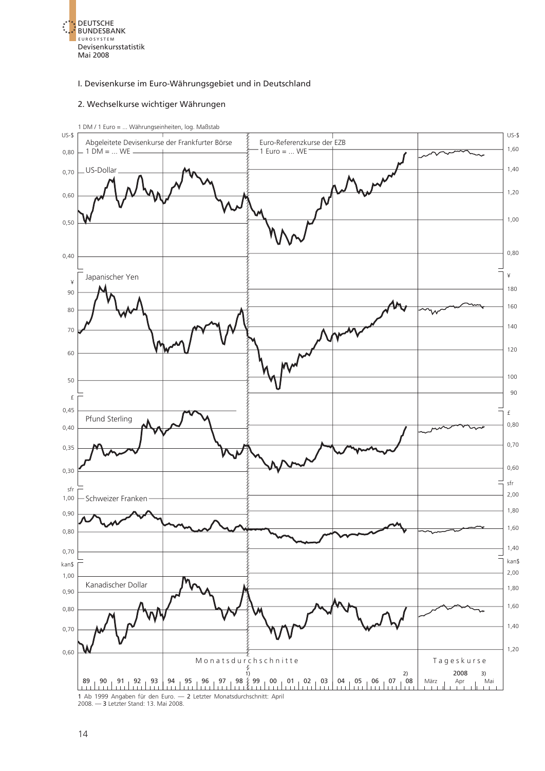

# 2. Wechselkurse wichtiger Währungen

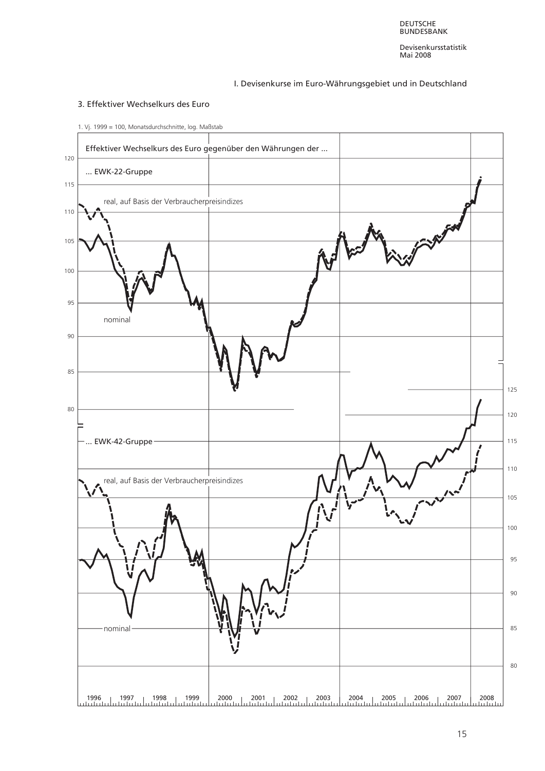Devisenkursstatistik Mai 2008

### I. Devisenkurse im Euro-Währungsgebiet und in Deutschland

### 3. Effektiver Wechselkurs des Euro

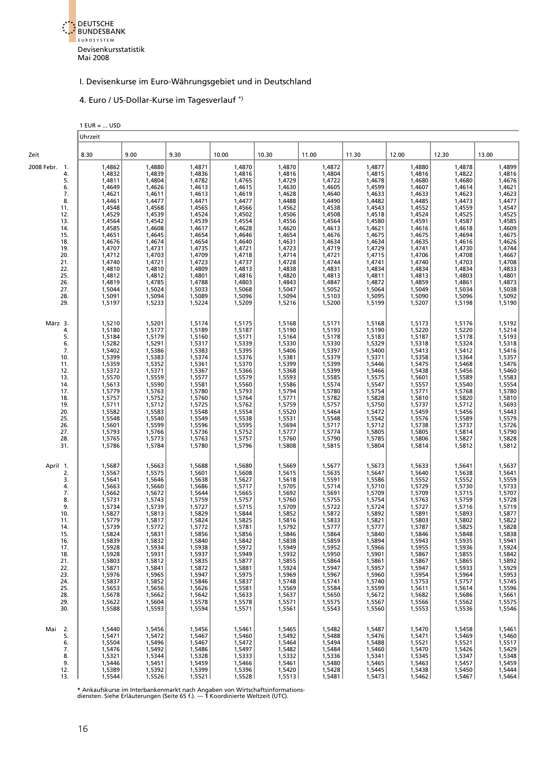

#### 4. Euro / US-Dollar-Kurse im Tagesverlauf \*)

|                                                                 | $1$ EUR =  USD                                                                                   |                                                                                                  |                                                                                        |                                                                                                  |                                                                                        |                                                                                                  |                                                                                                  |                                                                                        |                                                                                                  |                                                                                                  |
|-----------------------------------------------------------------|--------------------------------------------------------------------------------------------------|--------------------------------------------------------------------------------------------------|----------------------------------------------------------------------------------------|--------------------------------------------------------------------------------------------------|----------------------------------------------------------------------------------------|--------------------------------------------------------------------------------------------------|--------------------------------------------------------------------------------------------------|----------------------------------------------------------------------------------------|--------------------------------------------------------------------------------------------------|--------------------------------------------------------------------------------------------------|
|                                                                 | Uhrzeit                                                                                          |                                                                                                  |                                                                                        |                                                                                                  |                                                                                        |                                                                                                  |                                                                                                  |                                                                                        |                                                                                                  |                                                                                                  |
| Zeit                                                            | 8.30                                                                                             | 9.00                                                                                             | 9.30                                                                                   | 10.00                                                                                            | 10.30                                                                                  | 11.00                                                                                            | 11.30                                                                                            | 12.00                                                                                  | 12.30                                                                                            | 13.00                                                                                            |
| 2008 Febr.<br>$\overline{1}$ .<br>4.<br>5.<br>6.                | 1,4862<br>1,4832<br>1,4811<br>1,4649                                                             | 1,4880<br>1,4839<br>1,4804<br>1,4626                                                             | 1,4871<br>1,4836<br>1,4782<br>1,4613                                                   | 1,4870<br>1,4816<br>1,4765<br>1,4615                                                             | 1,4870<br>1,4816<br>1,4729<br>1,4630                                                   | 1,4872<br>1,4804<br>1,4722<br>1,4605                                                             | 1,4877<br>1,4815<br>1,4678<br>1,4599                                                             | 1,4880<br>1,4816<br>1,4680<br>1,4607                                                   | 1,4878<br>1,4822<br>1,4680<br>1,4614                                                             | 1,4899<br>1,4816<br>1,4676<br>1,4621                                                             |
| 7.                                                              | 1,4621                                                                                           | 1,4611                                                                                           | 1,4613                                                                                 | 1,4619                                                                                           | 1,4628                                                                                 | 1,4640                                                                                           | 1,4633                                                                                           | 1,4633                                                                                 | 1,4623                                                                                           | 1,4623                                                                                           |
| 8.                                                              | 1,4461                                                                                           | 1,4477                                                                                           | 1,4471                                                                                 | 1,4477                                                                                           | 1,4488                                                                                 | 1,4490                                                                                           | 1,4482                                                                                           | 1,4485                                                                                 | 1,4473                                                                                           | 1,4477                                                                                           |
| 11.                                                             | 1,4548                                                                                           | 1,4568                                                                                           | 1,4565                                                                                 | 1,4566                                                                                           | 1,4562                                                                                 | 1,4538                                                                                           | 1,4543                                                                                           | 1,4552                                                                                 | 1,4559                                                                                           | 1,4547                                                                                           |
| 12.                                                             | 1,4529                                                                                           | 1,4539                                                                                           | 1,4524                                                                                 | 1,4502                                                                                           | 1,4506                                                                                 | 1,4508                                                                                           | 1,4518                                                                                           | 1,4524                                                                                 | 1,4525                                                                                           | 1,4525                                                                                           |
| 13.                                                             | 1,4564                                                                                           | 1,4542                                                                                           | 1,4539                                                                                 | 1,4554                                                                                           | 1,4556                                                                                 | 1,4564                                                                                           | 1,4580                                                                                           | 1,4591                                                                                 | 1,4587                                                                                           | 1,4585                                                                                           |
| 14.                                                             | 1,4585                                                                                           | 1,4608                                                                                           | 1,4617                                                                                 | 1,4628                                                                                           | 1,4620                                                                                 | 1,4613                                                                                           | 1,4621                                                                                           | 1,4616                                                                                 | 1,4618                                                                                           | 1,4609                                                                                           |
| 15.                                                             | 1,4651                                                                                           | 1,4645                                                                                           | 1,4654                                                                                 | 1,4646                                                                                           | 1,4654                                                                                 | 1,4676                                                                                           | 1,4675                                                                                           | 1,4675                                                                                 | 1,4694                                                                                           | 1,4675                                                                                           |
| 18.                                                             | 1,4676                                                                                           | 1,4674                                                                                           | 1,4654                                                                                 | 1,4640                                                                                           | 1,4631                                                                                 | 1,4634                                                                                           | 1,4634                                                                                           | 1,4635                                                                                 | 1,4616                                                                                           | 1,4626                                                                                           |
| 19.                                                             | 1,4707                                                                                           | 1,4731                                                                                           | 1,4735                                                                                 | 1,4721                                                                                           | 1,4723                                                                                 | 1,4719                                                                                           | 1,4729                                                                                           | 1,4741                                                                                 | 1,4730                                                                                           | 1,4744                                                                                           |
| 20.                                                             | 1,4712                                                                                           | 1,4703                                                                                           | 1,4709                                                                                 | 1,4718                                                                                           | 1,4714                                                                                 | 1,4721                                                                                           | 1,4715                                                                                           | 1,4706                                                                                 | 1,4708                                                                                           | 1,4667                                                                                           |
| 21.                                                             | 1,4740                                                                                           | 1,4721                                                                                           | 1,4723                                                                                 | 1,4737                                                                                           | 1,4728                                                                                 | 1,4744                                                                                           | 1,4741                                                                                           | 1,4740                                                                                 | 1,4703                                                                                           | 1,4708                                                                                           |
| 22.                                                             | 1,4810                                                                                           | 1,4810                                                                                           | 1,4809                                                                                 | 1,4813                                                                                           | 1,4838                                                                                 | 1,4831                                                                                           | 1,4834                                                                                           | 1,4834                                                                                 | 1,4834                                                                                           | 1,4833                                                                                           |
| 25.                                                             | 1,4812                                                                                           | 1,4812                                                                                           | 1,4801                                                                                 | 1,4816                                                                                           | 1,4820                                                                                 | 1,4813                                                                                           | 1,4811                                                                                           | 1,4813                                                                                 | 1,4803                                                                                           | 1,4801                                                                                           |
| 26.                                                             | 1,4819                                                                                           | 1,4785                                                                                           | 1,4788                                                                                 | 1,4803                                                                                           | 1,4843                                                                                 | 1,4847                                                                                           | 1,4872                                                                                           | 1,4859                                                                                 | 1,4861                                                                                           | 1,4873                                                                                           |
| 27.                                                             | 1,5044                                                                                           | 1,5024                                                                                           | 1,5033                                                                                 | 1,5068                                                                                           | 1,5047                                                                                 | 1,5052                                                                                           | 1,5064                                                                                           | 1,5049                                                                                 | 1,5034                                                                                           | 1,5038                                                                                           |
| 28.                                                             | 1,5091                                                                                           | 1,5094                                                                                           | 1,5089                                                                                 | 1,5096                                                                                           | 1,5094                                                                                 | 1,5103                                                                                           | 1,5095                                                                                           | 1,5090                                                                                 | 1,5096                                                                                           | 1,5092                                                                                           |
| 29.                                                             | 1,5197                                                                                           | 1,5233                                                                                           | 1,5224                                                                                 | 1,5209                                                                                           | 1,5216                                                                                 | 1,5200                                                                                           | 1,5199                                                                                           | 1,5207                                                                                 | 1,5198                                                                                           | 1,5190                                                                                           |
| März 3.                                                         | 1,5210                                                                                           | 1,5201                                                                                           | 1,5174                                                                                 | 1,5175                                                                                           | 1,5168                                                                                 | 1,5171                                                                                           | 1,5168                                                                                           | 1,5173                                                                                 | 1,5176                                                                                           | 1,5192                                                                                           |
| 4.                                                              | 1,5180                                                                                           | 1,5177                                                                                           | 1,5189                                                                                 | 1,5187                                                                                           | 1,5190                                                                                 | 1,5193                                                                                           | 1,5190                                                                                           | 1,5220                                                                                 | 1,5220                                                                                           | 1,5214                                                                                           |
| 5.                                                              | 1,5184                                                                                           | 1,5179                                                                                           | 1,5160                                                                                 | 1,5171                                                                                           | 1,5164                                                                                 | 1,5178                                                                                           | 1,5183                                                                                           | 1,5187                                                                                 | 1,5178                                                                                           | 1,5193                                                                                           |
| 6.                                                              | 1,5282                                                                                           | 1,5291                                                                                           | 1,5317                                                                                 | 1,5339                                                                                           | 1,5330                                                                                 | 1,5330                                                                                           | 1,5329                                                                                           | 1,5318                                                                                 | 1,5324                                                                                           | 1,5318                                                                                           |
| 7.                                                              | 1,5402                                                                                           | 1,5386                                                                                           | 1,5383                                                                                 | 1,5395                                                                                           | 1,5406                                                                                 | 1,5397                                                                                           | 1,5400                                                                                           | 1,5413                                                                                 | 1,5412                                                                                           | 1,5416                                                                                           |
| 10.                                                             | 1,5399                                                                                           | 1,5383                                                                                           | 1,5374                                                                                 | 1,5376                                                                                           | 1,5381                                                                                 | 1,5379                                                                                           | 1,5371                                                                                           | 1,5358                                                                                 | 1,5364                                                                                           | 1,5357                                                                                           |
| 11.                                                             | 1,5359                                                                                           | 1,5352                                                                                           | 1,5361                                                                                 | 1,5370                                                                                           | 1,5399                                                                                 | 1,5399                                                                                           | 1,5446                                                                                           | 1,5475                                                                                 | 1,5468                                                                                           | 1,5476                                                                                           |
| 12.                                                             | 1,5372                                                                                           | 1,5371                                                                                           | 1,5367                                                                                 | 1,5366                                                                                           | 1,5368                                                                                 | 1,5399                                                                                           | 1,5466                                                                                           | 1,5438                                                                                 | 1,5456                                                                                           | 1,5460                                                                                           |
| 13.                                                             | 1,5570                                                                                           | 1,5559                                                                                           | 1,5577                                                                                 | 1,5579                                                                                           | 1,5593                                                                                 | 1,5585                                                                                           | 1,5575                                                                                           | 1,5601                                                                                 | 1,5589                                                                                           | 1,5583                                                                                           |
| 14.                                                             | 1,5613                                                                                           | 1,5590                                                                                           | 1,5581                                                                                 | 1,5560                                                                                           | 1,5586                                                                                 | 1,5574                                                                                           | 1,5547                                                                                           | 1,5557                                                                                 | 1,5540                                                                                           | 1,5554                                                                                           |
| 17.                                                             | 1,5779                                                                                           | 1,5763                                                                                           | 1,5780                                                                                 | 1,5793                                                                                           | 1,5794                                                                                 | 1,5780                                                                                           | 1,5754                                                                                           | 1,5771                                                                                 | 1,5768                                                                                           | 1,5780                                                                                           |
| 18.                                                             | 1,5757                                                                                           | 1,5752                                                                                           | 1,5760                                                                                 | 1,5764                                                                                           | 1,5771                                                                                 | 1,5782                                                                                           | 1,5828                                                                                           | 1,5810                                                                                 | 1,5820                                                                                           | 1,5810                                                                                           |
| 19.                                                             | 1,5711                                                                                           | 1,5712                                                                                           | 1,5725                                                                                 | 1,5762                                                                                           | 1,5759                                                                                 | 1,5757                                                                                           | 1,5750                                                                                           | 1,5737                                                                                 | 1,5712                                                                                           | 1,5693                                                                                           |
| 20.                                                             | 1,5582                                                                                           | 1,5583                                                                                           | 1,5548                                                                                 | 1,5554                                                                                           | 1,5520                                                                                 | 1,5464                                                                                           | 1,5472                                                                                           | 1,5459                                                                                 | 1,5456                                                                                           | 1,5443                                                                                           |
| 25.                                                             | 1,5548                                                                                           | 1,5540                                                                                           | 1,5549                                                                                 | 1,5538                                                                                           | 1,5531                                                                                 | 1,5548                                                                                           | 1,5542                                                                                           | 1,5576                                                                                 | 1,5589                                                                                           | 1,5579                                                                                           |
| 26.                                                             | 1,5601                                                                                           | 1,5599                                                                                           | 1,5596                                                                                 | 1,5595                                                                                           | 1,5694                                                                                 | 1,5717                                                                                           | 1,5712                                                                                           | 1,5738                                                                                 | 1,5737                                                                                           | 1,5726                                                                                           |
| 27.                                                             | 1,5793                                                                                           | 1,5766                                                                                           | 1,5736                                                                                 | 1,5752                                                                                           | 1,5777                                                                                 | 1,5774                                                                                           | 1,5805                                                                                           | 1,5805                                                                                 | 1,5814                                                                                           | 1,5790                                                                                           |
| 28.                                                             | 1,5765                                                                                           | 1,5773                                                                                           | 1,5763                                                                                 | 1,5757                                                                                           | 1,5760                                                                                 | 1,5790                                                                                           | 1,5785                                                                                           | 1,5806                                                                                 | 1,5827                                                                                           | 1,5828                                                                                           |
| 31.                                                             | 1,5786                                                                                           | 1,5784                                                                                           | 1,5780                                                                                 | 1,5796                                                                                           | 1,5808                                                                                 | 1,5815                                                                                           | 1,5804                                                                                           | 1,5814                                                                                 | 1,5812                                                                                           | 1,5812                                                                                           |
| April 1.<br>2.<br>3.<br>4.                                      | 1,5687<br>1,5567<br>1,5641<br>1,5663                                                             | 1,5663<br>1,5575<br>1,5646<br>1,5660                                                             | 1,5688<br>1,5601<br>1,5638<br>1,5686<br>1,5644                                         | 1,5680<br>1,5608<br>1,5627<br>1,5717                                                             | 1,5669<br>1,5615<br>1,5618<br>1,5705<br>1,5692                                         | 1,5677<br>1,5635<br>1,5591<br>1,5714                                                             | 1,5673<br>1,5647<br>1,5586<br>1,5710                                                             | 1,5633<br>1,5640<br>1,5552<br>1,5729<br>1,5709                                         | 1,5641<br>1,5638<br>1,5552<br>1,5730                                                             | 1,5637<br>1,5641<br>1,5559<br>1,5733                                                             |
| 7.<br>8.<br>9.<br>10.<br>11.<br>14.<br>15.<br>16.<br>17.<br>18. | 1,5662<br>1,5731<br>1,5734<br>1,5827<br>1,5779<br>1,5739<br>1,5824<br>1,5839<br>1,5928<br>1,5928 | 1,5672<br>1,5743<br>1,5739<br>1,5813<br>1,5817<br>1,5772<br>1,5831<br>1,5832<br>1,5934<br>1,5931 | 1,5759<br>1,5727<br>1,5829<br>1,5824<br>1,5772<br>1,5856<br>1,5840<br>1,5938<br>1,5937 | 1,5665<br>1,5757<br>1,5715<br>1,5844<br>1,5825<br>1,5781<br>1,5856<br>1,5842<br>1,5972<br>1,5949 | 1,5760<br>1,5709<br>1,5852<br>1,5816<br>1,5792<br>1,5846<br>1,5838<br>1,5949<br>1,5932 | 1,5691<br>1,5755<br>1,5722<br>1,5872<br>1,5833<br>1,5777<br>1,5864<br>1,5859<br>1,5952<br>1,5950 | 1,5709<br>1,5754<br>1,5724<br>1,5892<br>1,5821<br>1,5777<br>1,5840<br>1,5894<br>1,5966<br>1,5901 | 1,5763<br>1,5727<br>1,5891<br>1,5803<br>1,5787<br>1,5846<br>1,5943<br>1,5955<br>1,5867 | 1,5715<br>1,5759<br>1,5716<br>1,5893<br>1,5802<br>1,5825<br>1,5848<br>1,5935<br>1,5936<br>1,5855 | 1,5707<br>1,5728<br>1,5719<br>1,5877<br>1,5822<br>1,5828<br>1,5838<br>1,5941<br>1,5924<br>1,5842 |
| 21.                                                             | 1,5803                                                                                           | 1,5812                                                                                           | 1,5835                                                                                 | 1,5877                                                                                           | 1,5855                                                                                 | 1,5864                                                                                           | 1,5861                                                                                           | 1,5867                                                                                 | 1,5865                                                                                           | 1,5892                                                                                           |
| 22.                                                             | 1,5871                                                                                           | 1,5841                                                                                           | 1,5872                                                                                 | 1,5881                                                                                           | 1,5924                                                                                 | 1,5947                                                                                           | 1,5957                                                                                           | 1,5947                                                                                 | 1,5933                                                                                           | 1,5929                                                                                           |
| 23.                                                             | 1,5976                                                                                           | 1,5965                                                                                           | 1,5947                                                                                 | 1,5975                                                                                           | 1,5969                                                                                 | 1,5967                                                                                           | 1,5960                                                                                           | 1,5954                                                                                 | 1,5964                                                                                           | 1,5953                                                                                           |
| 24.                                                             | 1,5837                                                                                           | 1,5852                                                                                           | 1,5846                                                                                 | 1,5837                                                                                           | 1,5748                                                                                 | 1,5741                                                                                           | 1,5740                                                                                           | 1,5753                                                                                 | 1,5757                                                                                           | 1,5745                                                                                           |
| 25.                                                             | 1,5653                                                                                           | 1,5656                                                                                           | 1,5626                                                                                 | 1,5581                                                                                           | 1,5569                                                                                 | 1,5584                                                                                           | 1,5599                                                                                           | 1,5611                                                                                 | 1,5614                                                                                           | 1,5596                                                                                           |
| 28.                                                             | 1,5678                                                                                           | 1,5662                                                                                           | 1,5642                                                                                 | 1,5633                                                                                           | 1,5637                                                                                 | 1,5650                                                                                           | 1,5672                                                                                           | 1,5682                                                                                 | 1,5686                                                                                           | 1,5661                                                                                           |
| 29.                                                             | 1,5622                                                                                           | 1,5604                                                                                           | 1,5578                                                                                 | 1,5578                                                                                           | 1,5571                                                                                 | 1,5575                                                                                           | 1,5567                                                                                           | 1,5566                                                                                 | 1,5562                                                                                           | 1,5575                                                                                           |
| 30.                                                             | 1,5588                                                                                           | 1,5593                                                                                           | 1,5594                                                                                 | 1,5571                                                                                           | 1,5561                                                                                 | 1,5543                                                                                           | 1,5560                                                                                           | 1,5553                                                                                 | 1,5536                                                                                           | 1,5546                                                                                           |
| Mai<br>2.<br>5.<br>6.<br>7.<br>8.<br>9.<br>12.<br>13.           | 1,5440<br>1,5471<br>1,5504<br>1,5476<br>1,5321<br>1,5446<br>1,5389<br>1,5544                     | 1,5456<br>1,5472<br>1,5496<br>1,5492<br>1,5344<br>1,5451<br>1,5392<br>1,5526                     | 1,5456<br>1,5467<br>1,5467<br>1,5486<br>1,5328<br>1,5459<br>1,5399<br>1,5521           | 1,5461<br>1,5460<br>1,5472<br>1,5497<br>1,5333<br>1,5466<br>1,5396<br>1,5528                     | 1,5465<br>1,5492<br>1,5464<br>1,5482<br>1,5332<br>1,5461<br>1,5420<br>1,5513           | 1,5482<br>1,5488<br>1,5494<br>1,5484<br>1,5336<br>1,5480<br>1,5428<br>1,5481                     | 1,5487<br>1,5476<br>1,5488<br>1,5460<br>1,5341<br>1,5465<br>1,5445<br>1,5473                     | 1,5470<br>1,5471<br>1,5521<br>1,5470<br>1,5345<br>1,5463<br>1,5438<br>1,5462           | 1,5458<br>1,5469<br>1,5521<br>1,5426<br>1,5347<br>1,5457<br>1,5450<br>1,5467                     | 1,5461<br>1,5460<br>1,5517<br>1,5429<br>1,5348<br>1,5459<br>1,5444<br>1,5464                     |

**\*** Ankaufskurse im Interbankenmarkt nach Angaben von Wirtschaftsinformations-diensten. Siehe Erläuterungen (Seite 65 f.). — **1** Koordinierte Weltzeit (UTC).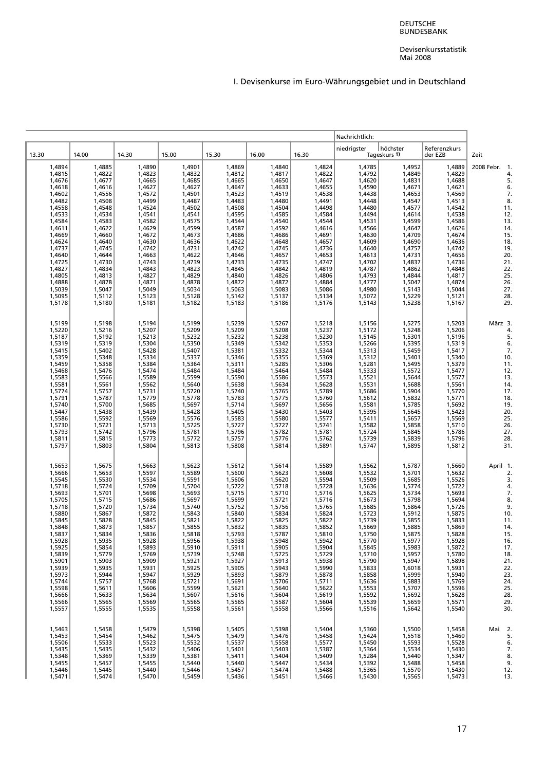|                                      |                  |                  |                  |                  |                            |                  | Nachrichtlich:   |                          |                         |              |
|--------------------------------------|------------------|------------------|------------------|------------------|----------------------------|------------------|------------------|--------------------------|-------------------------|--------------|
| 13.30                                | 14.00            | 14.30            | 15.00            | 15.30            | 16.00                      | 16.30            | niedrigster      | höchster<br>Tageskurs 1) | Referenzkurs<br>der EZB | Zeit         |
| 1,4894                               | 1,4885           | 1,4890           | 1,4901           | 1,4869           | 1,4840                     | 1,4824           | 1,4785           | 1,4952                   | 1,4889                  | 2008 Febr. 1 |
| 1,4815<br>1,4676                     | 1,4822<br>1,4677 | 1,4823<br>1,4665 | 1,4832<br>1,4685 | 1,4812<br>1,4665 | 1,4817<br>1,4650           | 1,4822<br>1,4647 | 1,4792<br>1,4620 | 1,4849<br>1,4831         | 1,4829<br>1,4688        | 4.<br>5.     |
| 1,4618                               | 1,4616           | 1,4627           | 1,4627           | 1,4647           | 1,4633                     | 1,4655           | 1,4590           | 1,4671                   | 1,4621                  | 6.           |
| 1,4602                               | 1,4556           | 1,4572           | 1,4501           | 1,4523           | 1,4519                     | 1,4538           | 1,4438           | 1,4653                   | 1,4569                  | 7.           |
| 1,4482<br>1,4558                     | 1,4508<br>1,4548 | 1,4499<br>1,4524 | 1,4487<br>1,4502 | 1,4483<br>1,4508 | 1,4480<br>1,4504           | 1,4491<br>1,4498 | 1,4448<br>1,4480 | 1,4547<br>1,4577         | 1,4513<br>1,4542        | 8.<br>11.    |
| 1,4533                               | 1,4534           | 1,4541           | 1,4541           | 1,4595           | 1,4585                     | 1,4584           | 1,4494           | 1,4614                   | 1,4538                  | 12.          |
| 1,4584                               | 1,4583           | 1,4582           | 1,4575<br>1,4599 | 1,4544           | 1,4540                     | 1,4544           | 1,4531           | 1,4599                   | 1,4586                  | 13.          |
| 1,4611                               | 1,4622           | 1,4629           |                  | 1,4587           | 1,4592                     | 1,4616           | 1,4566           | 1,4647                   | 1,4626                  | 14.          |
| 1,4669<br>1,4624<br>1,4737           | 1,4660<br>1,4640 | 1,4672<br>1,4630 | 1,4673<br>1,4636 | 1,4686<br>1,4622 | $1,4686$<br>$1,4648$       | 1,4691<br>1,4657 | 1,4630<br>1,4609 | 1,4709<br>1,4690         | 1,4674<br>1,4636        | 15.<br>18.   |
|                                      | 1,4745           | 1,4742           | 1,4731           | 1,4742           | 1,4745                     | 1,4736           | 1,4640           | 1,4757                   | 1,4742                  | 19.          |
| 1,4640                               | 1,4644           | 1,4663           | 1,4622           | 1,4646           | 1,4657                     | 1,4653           | 1,4613           | 1,4731                   | 1,4656                  | 20           |
| 1,4725<br>1,4827<br>1,4805<br>1,4888 | 1,4730<br>1,4834 | 1,4743<br>1,4843 | 1,4739<br>1,4823 | 1,4733<br>1,4845 | 1,4735                     | 1,4747<br>1,4819 | 1,4702<br>1,4787 | 1,4837<br>1,4862         | 1,4736<br>1,4848        | 21.<br>22.   |
|                                      | 1,4813           | 1,4827           | 1,4829           | 1,4840           | 1,4842<br>1,4826           | 1,4806           | 1,4793           | 1,4844                   | 1,4817                  | 25.          |
|                                      | 1,4878           | 1,4871           | 1,4878           | 1,4872           | 1,4872                     | 1,4884           | 1,4777           | 1,5047                   | 1,4874                  | 26.          |
| 1,5039                               | 1,5047           | 1,5049           | 1,5034           | 1,5063           | 1,5083                     | 1,5086           | 1,4980           | 1,5143                   | 1,5044                  | 27.          |
| 1,5095<br>1,5178                     | 1,5112<br>1,5180 | 1,5123<br>1,5181 | 1,5128<br>1,5182 | 1,5142<br>1,5183 | 1,5137<br>1,5186           | 1,5134<br>1,5176 | 1,5072<br>1,5143 | 1,5229<br>1,5238         | 1,5121<br>1,5167        | 28.<br>29.   |
|                                      |                  |                  |                  |                  |                            |                  |                  |                          |                         |              |
| 1,5199                               | 1,5198           | 1,5194           | 1,5199           | 1,5239           | 1,5267                     | 1,5218           | 1,5156           | 1,5275                   | 1,5203                  | März 3       |
| 1,5220                               | 1,5216           | 1,5207           | 1,5209           | 1,5209           | 1,5208                     | 1,5237           | 1,5172           | 1,5248                   | 1,5206<br>1,5196        | 4.<br>5.     |
| 1,5187<br>1,5319                     | 1,5192<br>1,5319 | 1,5213<br>1,5304 | 1,5232<br>1,5350 | 1,5232<br>1,5349 | 1,5238<br>1,5342           | 1,5230<br>1,5353 | 1,5145<br>1,5266 | 1,5301<br>1,5395         | 1,5319                  | 6.           |
| 1,5415                               | 1,5402           | 1,5428           | 1,5407           | 1,5381           | 1,5332                     | 1,5344           | 1,5313           | 1,5459                   | 1,5417                  | 7.           |
| 1,5359                               | 1,5348           | 1,5334           | 1,5337           | 1,5346           | 1,5355                     | 1,5369           | 1,5312           | 1,5401                   | 1,5340                  | 10.          |
| 1,5459                               | 1,5358           | 1,5384<br>1,5474 | 1,5364           | 1,5311<br>1,5484 | 1,5285                     | 1,5306           | 1,5281<br>1,5333 | 1,5495<br>1,5572         | 1,5379<br>1,5477        | 11.<br>12.   |
| 1,5468                               | 1,5476<br>1,5566 | 1,5589           | 1,5484<br>1,5599 | 1,5590           | 1,5464<br>1,5586           | 1,5484<br>1,5573 | 1,5521           | 1,5644                   | 1,5577                  | 13.          |
| 1,5583<br>1,5581<br>1,5774           | 1,5561           | 1,5562           | 1,5640           | 1,5638           | 1,5634                     | 1,5628           | 1,5531           | 1,5688                   | 1,5561                  | 14.          |
|                                      | 1,5757           | 1,5731           | 1,5720           | 1,5740           | 1,5765                     | 1,5789           | 1,5686           | 1,5904                   | 1,5770                  | 17.          |
| 1,5791<br>1,5740                     | 1,5787<br>1,5700 | 1,5779<br>1,5685 | 1,5778<br>1,5697 | 1,5783<br>1,5714 | 1,5775<br>1,5697<br>1,5430 | 1,5760<br>1,5656 | 1,5612<br>1,5581 | 1,5832<br>1,5785         | 1,5771<br>1,5692        | 18<br>19.    |
|                                      | 1,5438           | 1,5439           | 1,5428           | 1,5405           |                            | 1,5403           | 1,5395           | 1,5645                   | 1,5423                  | 20.          |
| $1,5447$<br>$1,5586$                 | 1,5592           | 1,5569           | 1,5576           | 1,5583           | 1,5580                     | 1,5577           | 1,5411           | 1,5657                   | 1,5569                  | 25.          |
| 1,5730                               | 1,5721           | 1,5713           | 1,5725           | 1,5727           | 1,5727                     | 1,5741           | 1,5582           | 1,5858                   | 1,5710                  | 26.          |
| 1,5793<br>1,5811                     | 1,5742<br>1,5815 | 1,5796<br>1,5773 | 1,5781<br>1,5772 | 1,5796<br>1,5757 | 1,5782<br>1,5776           | 1,5781<br>1,5762 | 1,5724<br>1,5739 | 1,5845<br>1,5839         | 1,5786<br>1,5796        | 27.<br>28.   |
| 1,5797                               | 1,5803           | 1,5804           | 1,5813           | 1,5808           | 1,5814                     | 1,5891           | 1,5747           | 1,5895                   | 1,5812                  | 31.          |
| 1,5653                               | 1,5675           | 1,5663           | 1,5623           | 1,5612           | 1,5614                     | 1,5589           | 1,5562           | 1,5787                   | 1,5660                  | April 1      |
| 1,5666                               | 1,5653           | 1,5597           | 1,5589           | 1,5600           | 1,5623                     | 1,5608           | 1,5532           | 1,5701                   | 1,5632                  | 2.           |
| 1,5545                               | 1,5530<br>1,5724 | 1,5534<br>1,5709 | 1,5591           | 1,5606<br>1,5722 | 1,5620                     | 1,5594<br>1,5728 | 1,5509<br>1,5636 | 1,5685<br>1,5774         | 1,5526<br>1,5722        | 3.<br>4.     |
| 1,5718<br>1,5693                     | 1,5701           | 1,5698           | 1,5704<br>1,5693 | 1,5715           | 1,5718<br>1,5710           | 1,5716           | 1,5625           | 1,5734                   | 1,5693                  | 7.           |
| 1,5705                               | 1,5715           | 1,5686           | 1,5697           | 1,5699           | 1,5721                     | 1,5716           | 1,5673           | 1,5798                   | 1,5694                  | 8.           |
| 1,5718                               | 1,5720           | 1,5734           | 1,5740           | 1,5752           | 1,5756                     | 1,5765           | 1,5685           | 1,5864<br>1,5912         | 1,5726                  | 9.           |
| 1,5880                               | 1,5867<br>1,5828 | 1,5872<br>1,5845 | 1,5843<br>1,5821 | 1,5840<br>1,5822 | 1,5834<br>1,5825           | 1,5824<br>1,5822 | 1,5723<br>1,5739 | 1,5855                   | 1,5875<br>1,5833        | 10.<br>11.   |
| 1,5845<br>1,5848                     | 1,5873           | 1,5857           | 1,5855           | 1,5832           | 1,5835                     | 1,5852           | 1,5669           | 1,5885                   | 1,5869                  | 14           |
| 1,5837                               | 1,5834           | 1,5836           | 1,5818           | 1,5793           | 1,5787                     | 1,5810           | 1,5750           | 1,5875                   | 1,5828                  | 15.          |
| 1,5928                               | 1,5935           | 1,5928           | 1,5956           | 1,5938           | 1,5948                     | 1,5942           | 1,5770           | 1,5977                   | 1,5928                  | 16.          |
| 1,5925<br>1,5839                     | 1,5854<br>1,5779 | 1,5893<br>1,5769 | 1,5910<br>1,5739 | 1,5911<br>1,5748 | 1,5905<br>1,5725           | 1,5904<br>1,5729 | 1,5845<br>1,5710 | 1,5983<br>1,5957         | 1,5872<br>1,5780        | 17.<br>18.   |
| 1,5901                               | 1,5903           | 1,5909           | 1,5921           | 1,5927           | 1,5913                     | 1,5938           | 1,5790           | 1,5947                   | 1,5898                  | 21.          |
| 1,5939                               | 1,5935           | 1,5931           | 1,5925           | 1,5905           | 1,5943                     | 1,5990           | 1,5833           | 1,6018                   | 1,5931                  | 22.          |
| 1,5973                               | 1,5944           | 1,5947           | 1,5929           | 1,5893           | 1,5879                     | 1,5878           | 1,5858           | 1,5999                   | 1,5940                  | 23.          |
| 1,5744<br>1,5598                     | 1,5757<br>1,5611 | 1,5768<br>1,5606 | 1,5721<br>1,5599 | 1,5691<br>1,5621 | 1,5706<br>1,5640           | 1,5711<br>1,5622 | 1,5636<br>1,5553 | 1,5883<br>1,5707         | 1,5769<br>1,5596        | 24.<br>25.   |
| 1,5666                               | 1,5633           | 1,5634           | 1,5607           | 1,5616           | 1,5604                     | 1,5619           | 1,5592           | 1,5692                   | 1,5628                  | 28.          |
| 1,5566<br>1,5557                     | 1,5565<br>1,5555 | 1,5569<br>1,5535 | 1,5565<br>1,5558 | 1,5565<br>1,5561 | 1,5587<br>1,5558           | 1,5604<br>1,5566 | 1,5539<br>1,5516 | 1,5659<br>1,5642         | 1,5571<br>1,5540        | 29.<br>30.   |
|                                      |                  |                  |                  |                  |                            |                  |                  |                          |                         |              |
| 1,5463                               | 1,5458           | 1,5479           | 1,5398           | 1,5405           | 1,5398                     | 1,5404           | 1,5360           | 1,5500                   | 1,5458                  | Mai 2.       |
| 1,5453<br>1,5506                     | 1,5454<br>1,5533 | 1,5462<br>1,5523 | 1,5475<br>1,5532 | 1,5479<br>1,5537 | 1,5476<br>1,5558           | 1,5458<br>1,5577 | 1,5424<br>1,5450 | 1,5518<br>1,5593         | 1,5460<br>1,5528        | 5.<br>6.     |
| 1,5435                               | 1,5435           | 1,5432           | 1,5406           | 1,5401           | 1,5403                     | 1,5387           | 1,5364           | 1,5534                   | 1,5430                  | 7.           |
| 1,5348                               | 1,5369           | 1,5339           | 1,5381           | 1,5411           | 1,5404                     | 1,5409           | 1,5284           | 1,5440                   | 1,5347                  | 8.           |
| 1,5455<br>1,5446                     | 1,5457<br>1,5445 | 1,5455<br>1,5440 | 1,5440<br>1,5446 | 1,5440<br>1,5457 | 1,5447<br>1,5474           | 1,5434<br>1,5488 | 1,5392<br>1,5365 | 1,5488<br>1,5570         | 1,5458<br>1,5430        | 9.<br>12.    |
| 1,5471                               | 1,5474           | 1,5470           | 1,5459           | 1,5436           | 1,5451                     | 1,5466           | 1,5430           | 1,5565                   | 1,5473                  | 13.          |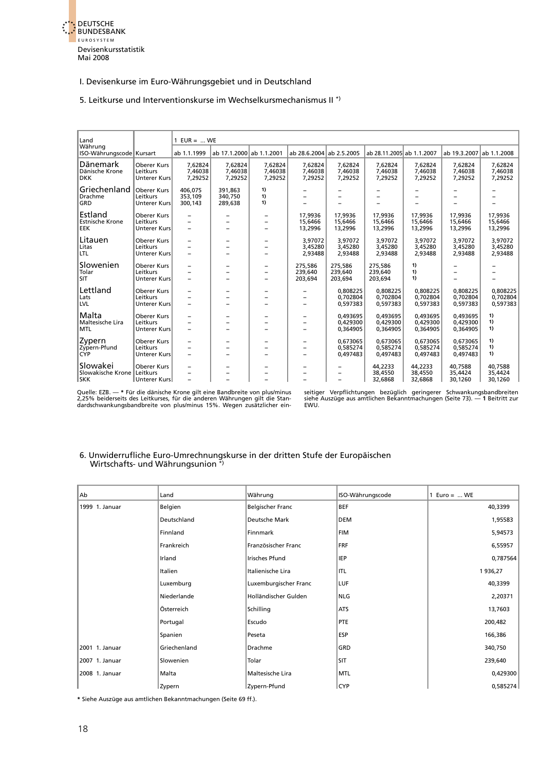

#### 5. Leitkurse und Interventionskurse im Wechselkursmechanismus II \*)

| Land                                                    |                                                       | 1 $EUR =  WE$                                                                    |                               |                               |                               |                                  |                                  |                                  |                                  |                                  |
|---------------------------------------------------------|-------------------------------------------------------|----------------------------------------------------------------------------------|-------------------------------|-------------------------------|-------------------------------|----------------------------------|----------------------------------|----------------------------------|----------------------------------|----------------------------------|
| Währung<br>ISO-Währungscode Kursart                     |                                                       | ab 1.1.1999                                                                      | ab 17.1.2000 ab 1.1.2001      |                               | ab 28.6.2004 ab 2.5.2005      |                                  | ab 28.11.2005 ab 1.1.2007        |                                  | ab 19.3.2007 ab 1.1.2008         |                                  |
| Dänemark<br>Dänische Krone<br><b>DKK</b>                | <b>Oberer Kurs</b><br>Leitkurs<br><b>Unterer Kurs</b> | 7.62824<br>7.46038<br>7.29252                                                    | 7,62824<br>7,46038<br>7,29252 | 7.62824<br>7,46038<br>7,29252 | 7.62824<br>7,46038<br>7,29252 | 7,62824<br>7,46038<br>7,29252    | 7,62824<br>7,46038<br>7,29252    | 7,62824<br>7,46038<br>7,29252    | 7.62824<br>7,46038<br>7,29252    | 7.62824<br>7,46038<br>7,29252    |
| lGriechenland<br>Drachme<br>GRD                         | <b>Oberer Kurs</b><br>Leitkurs<br><b>Unterer Kurs</b> | 406,075<br>353,109<br>300,143                                                    | 391,863<br>340,750<br>289,638 | 1)<br>1)<br>1)                |                               |                                  | $\overline{\phantom{0}}$         |                                  |                                  |                                  |
| Estland<br><b>Estnische Krone</b><br><b>EEK</b>         | <b>Oberer Kurs</b><br>Leitkurs<br><b>Unterer Kurs</b> | $\overline{\phantom{0}}$<br>$\overline{\phantom{0}}$                             | $\overline{\phantom{0}}$      |                               | 17,9936<br>15,6466<br>13,2996 | 17,9936<br>15,6466<br>13,2996    | 17,9936<br>15,6466<br>13,2996    | 17,9936<br>15,6466<br>13,2996    | 17,9936<br>15,6466<br>13,2996    | 17,9936<br>15,6466<br>13,2996    |
| Litauen<br>Litas<br>LTL                                 | <b>Oberer Kurs</b><br>Leitkurs<br><b>Unterer Kurs</b> | $\overline{\phantom{0}}$<br>$\overline{\phantom{0}}$<br>$\overline{a}$           | $\overline{\phantom{m}}$      |                               | 3.97072<br>3,45280<br>2,93488 | 3.97072<br>3,45280<br>2,93488    | 3.97072<br>3,45280<br>2,93488    | 3.97072<br>3,45280<br>2,93488    | 3.97072<br>3,45280<br>2,93488    | 3,97072<br>3,45280<br>2,93488    |
| Slowenien<br>Tolar<br><b>SIT</b>                        | <b>Oberer Kurs</b><br>Leitkurs<br><b>Unterer Kurs</b> | $\overline{\phantom{0}}$<br>$\overline{\phantom{0}}$<br>$\equiv$                 | $\overline{\phantom{a}}$      |                               | 275,586<br>239,640<br>203.694 | 275,586<br>239,640<br>203.694    | 275,586<br>239,640<br>203,694    | 1)<br>1)<br>1)                   |                                  |                                  |
| ∣Lettland<br>Lats<br><b>LVL</b>                         | <b>Oberer Kurs</b><br>Leitkurs<br><b>Unterer Kurs</b> | $\overline{\phantom{0}}$<br>$\overline{\phantom{0}}$<br>$\overline{\phantom{0}}$ | $\overline{\phantom{m}}$      |                               |                               | 0,808225<br>0.702804<br>0,597383 | 0,808225<br>0.702804<br>0,597383 | 0,808225<br>0.702804<br>0,597383 | 0,808225<br>0.702804<br>0,597383 | 0,808225<br>0.702804<br>0,597383 |
| Malta<br>Maltesische Lira<br>MTL                        | <b>Oberer Kurs</b><br>Leitkurs<br><b>Unterer Kurs</b> | $\overline{\phantom{a}}$<br>$\overline{\phantom{0}}$<br>$\overline{\phantom{0}}$ | $\overline{\phantom{m}}$      |                               |                               | 0,493695<br>0.429300<br>0,364905 | 0,493695<br>0.429300<br>0,364905 | 0,493695<br>0.429300<br>0,364905 | 0,493695<br>0.429300<br>0,364905 | 1)<br>1)<br>1)                   |
| Zypern<br>Zypern-Pfund<br><b>CYP</b>                    | <b>Oberer Kurs</b><br>Leitkurs<br><b>Unterer Kurs</b> | $\overline{\phantom{0}}$<br>$\overline{\phantom{0}}$                             | $\overline{\phantom{m}}$      |                               | -                             | 0.673065<br>0,585274<br>0.497483 | 0.673065<br>0,585274<br>0.497483 | 0.673065<br>0.585274<br>0.497483 | 0.673065<br>0.585274<br>0.497483 | 1)<br>1)<br>1)                   |
| lSlowakei<br>Slowakische Krone   Leitkurs<br><b>SKK</b> | <b>Oberer Kurs</b><br>Unterer Kurs                    | $\overline{\phantom{0}}$<br>$\overline{\phantom{0}}$<br>$\overline{\phantom{0}}$ | $\overline{\phantom{0}}$      |                               |                               |                                  | 44,2233<br>38,4550<br>32,6868    | 44,2233<br>38,4550<br>32,6868    | 40,7588<br>35,4424<br>30,1260    | 40,7588<br>35,4424<br>30,1260    |

Quelle: EZB. — \* Für die dänische Krone gilt eine Bandbreite von plus/minus seitiger Verpflichtungen bezüglich geringerer Schwankungsbandbreiten<br>2,25% beiderseits des Leitkurses, für die anderen Währungen gilt die Stan-sie

#### 6. Unwiderrufliche Euro-Umrechnungskurse in der dritten Stufe der Europäischen Wirtschafts- und Währungsunion \*)

| Ab             | Land         | Währung                 | ISO-Währungscode | 1 Euro = $\dots$ WE |
|----------------|--------------|-------------------------|------------------|---------------------|
| 1999 1. Januar | Belgien      | <b>Belgischer Franc</b> | <b>BEF</b>       | 40,3399             |
|                | Deutschland  | Deutsche Mark           | DEM              | 1,95583             |
|                | Finnland     | Finnmark                | <b>FIM</b>       | 5,94573             |
|                | Frankreich   | Französischer Franc     | FRF              | 6,55957             |
|                | Irland       | Irisches Pfund          | <b>IEP</b>       | 0,787564            |
|                | Italien      | Italienische Lira       | litl             | 1936,27             |
|                | Luxemburg    | Luxemburgischer Franc   | LUF              | 40,3399             |
|                | Niederlande  | Holländischer Gulden    | NLG              | 2,20371             |
|                | Österreich   | Schilling               | <b>ATS</b>       | 13,7603             |
|                | Portugal     | Escudo                  | PTE              | 200,482             |
|                | Spanien      | Peseta                  | <b>ESP</b>       | 166,386             |
| 2001 1. Januar | Griechenland | Drachme                 | GRD              | 340,750             |
| 2007 1. Januar | Slowenien    | Tolar                   | <b>SIT</b>       | 239,640             |
| 2008 1. Januar | Malta        | Maltesische Lira        | MTL              | 0,429300            |
|                | Zypern       | Zypern-Pfund            | CYP              | 0,585274            |

**\*** Siehe Auszüge aus amtlichen Bekanntmachungen (Seite 69 ff.).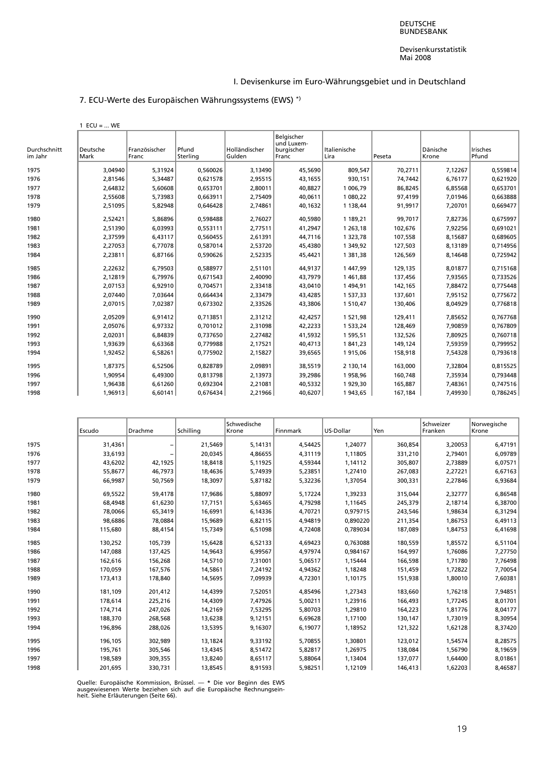#### DEUTSCHE BUNDESBANK

Devisenkursstatistik Mai 2008

### I. Devisenkurse im Euro-Währungsgebiet und in Deutschland

## 7. ECU-Werte des Europäischen Währungssystems (EWS) \*)

1  $ECU = ...$  WE

| Durchschnitt<br>im Jahr | Deutsche<br>Mark | Französischer<br>Franc | Pfund<br>Sterling | Holländischer<br>Gulden | Belgischer<br>und Luxem-<br>burgischer<br>Franc | Italienische<br>Lira | Peseta  | Dänische<br>Krone | <b>Irisches</b><br>Pfund |
|-------------------------|------------------|------------------------|-------------------|-------------------------|-------------------------------------------------|----------------------|---------|-------------------|--------------------------|
| 1975                    | 3.04940          | 5.31924                | 0.560026          | 3,13490                 | 45,5690                                         | 809.547              | 70,2711 | 7,12267           | 0,559814                 |
| 1976                    | 2,81546          | 5,34487                | 0,621578          | 2,95515                 | 43,1655                                         | 930,151              | 74,7442 | 6,76177           | 0,621920                 |
| 1977                    | 2,64832          | 5,60608                | 0,653701          | 2,80011                 | 40,8827                                         | 1 006,79             | 86,8245 | 6,85568           | 0,653701                 |
| 1978                    | 2,55608          | 5,73983                | 0.663911          | 2.75409                 | 40,0611                                         | 1 080,22             | 97,4199 | 7,01946           | 0,663888                 |
| 1979                    | 2,51095          | 5,82948                | 0,646428          | 2.74861                 | 40,1632                                         | 1 138,44             | 91,9917 | 7,20701           | 0,669477                 |
| 1980                    | 2,52421          | 5,86896                | 0.598488          | 2.76027                 | 40,5980                                         | 1 189,21             | 99,7017 | 7,82736           | 0,675997                 |
| 1981                    | 2,51390          | 6,03993                | 0,553111          | 2,77511                 | 41,2947                                         | 1 263,18             | 102,676 | 7,92256           | 0,691021                 |
| 1982                    | 2.37599          | 6,43117                | 0.560455          | 2.61391                 | 44,7116                                         | 1 323,78             | 107,558 | 8.15687           | 0,689605                 |
| 1983                    | 2,27053          | 6,77078                | 0,587014          | 2,53720                 | 45,4380                                         | 1 349,92             | 127,503 | 8,13189           | 0,714956                 |
| 1984                    | 2,23811          | 6,87166                | 0,590626          | 2,52335                 | 45,4421                                         | 1 381,38             | 126,569 | 8,14648           | 0,725942                 |
| 1985                    | 2,22632          | 6,79503                | 0.588977          | 2,51101                 | 44,9137                                         | 1447,99              | 129,135 | 8.01877           | 0,715168                 |
| 1986                    | 2,12819          | 6,79976                | 0,671543          | 2,40090                 | 43,7979                                         | 1461,88              | 137,456 | 7,93565           | 0,733526                 |
| 1987                    | 2.07153          | 6,92910                | 0,704571          | 2,33418                 | 43,0410                                         | 1494,91              | 142,165 | 7,88472           | 0,775448                 |
| 1988                    | 2.07440          | 7,03644                | 0.664434          | 2,33479                 | 43,4285                                         | 1 537,33             | 137,601 | 7,95152           | 0,775672                 |
| 1989                    | 2,07015          | 7,02387                | 0,673302          | 2,33526                 | 43,3806                                         | 1510,47              | 130,406 | 8,04929           | 0,776818                 |
| 1990                    | 2,05209          | 6,91412                | 0,713851          | 2,31212                 | 42,4257                                         | 1521,98              | 129,411 | 7,85652           | 0,767768                 |
| 1991                    | 2,05076          | 6,97332                | 0.701012          | 2,31098                 | 42,2233                                         | 1 533,24             | 128,469 | 7,90859           | 0,767809                 |
| 1992                    | 2,02031          | 6,84839                | 0,737650          | 2,27482                 | 41,5932                                         | 1 595,51             | 132,526 | 7,80925           | 0,760718                 |
| 1993                    | 1.93639          | 6.63368                | 0.779988          | 2.17521                 | 40,4713                                         | 1841,23              | 149,124 | 7.59359           | 0,799952                 |
| 1994                    | 1,92452          | 6,58261                | 0,775902          | 2,15827                 | 39,6565                                         | 1915,06              | 158,918 | 7,54328           | 0,793618                 |
| 1995                    | 1,87375          | 6,52506                | 0.828789          | 2,09891                 | 38,5519                                         | 2 130,14             | 163,000 | 7,32804           | 0,815525                 |
| 1996                    | 1,90954          | 6,49300                | 0,813798          | 2,13973                 | 39,2986                                         | 1958,96              | 160,748 | 7,35934           | 0,793448                 |
| 1997                    | 1,96438          | 6,61260                | 0,692304          | 2,21081                 | 40,5332                                         | 1929,30              | 165,887 | 7,48361           | 0,747516                 |
| 1998                    | 1,96913          | 6.60141                | 0.676434          | 2,21966                 | 40,6207                                         | 1943,65              | 167,184 | 7.49930           | 0,786245                 |

|      | Escudo  | Drachme | Schilling | Schwedische<br>Krone | Finnmark | US-Dollar | Yen     | Schweizer<br>Franken | Norwegische<br>Krone |
|------|---------|---------|-----------|----------------------|----------|-----------|---------|----------------------|----------------------|
| 1975 | 31,4361 |         | 21,5469   | 5,14131              | 4,54425  | 1,24077   | 360,854 | 3,20053              | 6,47191              |
| 1976 | 33,6193 |         | 20,0345   | 4,86655              | 4,31119  | 1,11805   | 331,210 | 2,79401              | 6,09789              |
| 1977 | 43,6202 | 42,1925 | 18,8418   | 5,11925              | 4,59344  | 1,14112   | 305,807 | 2,73889              | 6,07571              |
| 1978 | 55,8677 | 46,7973 | 18,4636   | 5,74939              | 5,23851  | 1,27410   | 267,083 | 2,27221              | 6,67163              |
| 1979 | 66,9987 | 50,7569 | 18,3097   | 5,87182              | 5,32236  | 1,37054   | 300,331 | 2,27846              | 6,93684              |
|      |         |         |           |                      |          |           |         |                      |                      |
| 1980 | 69,5522 | 59,4178 | 17,9686   | 5,88097              | 5,17224  | 1,39233   | 315,044 | 2,32777              | 6,86548              |
| 1981 | 68,4948 | 61,6230 | 17,7151   | 5,63465              | 4,79298  | 1.11645   | 245,379 | 2,18714              | 6,38700              |
| 1982 | 78,0066 | 65,3419 | 16.6991   | 6,14336              | 4,70721  | 0.979715  | 243,546 | 1,98634              | 6,31294              |
| 1983 | 98,6886 | 78,0884 | 15,9689   | 6,82115              | 4,94819  | 0,890220  | 211,354 | 1,86753              | 6,49113              |
| 1984 | 115,680 | 88,4154 | 15,7349   | 6,51098              | 4,72408  | 0,789034  | 187,089 | 1,84753              | 6,41698              |
| 1985 | 130,252 | 105,739 | 15,6428   | 6,52133              | 4,69423  | 0,763088  | 180,559 | 1,85572              | 6,51104              |
| 1986 | 147,088 | 137,425 | 14,9643   | 6,99567              | 4,97974  | 0,984167  | 164,997 | 1,76086              | 7,27750              |
| 1987 | 162,616 | 156,268 | 14,5710   | 7,31001              | 5,06517  | 1,15444   | 166,598 | 1,71780              | 7,76498              |
| 1988 | 170,059 | 167,576 | 14,5861   | 7,24192              | 4,94362  | 1,18248   | 151,459 | 1,72822              | 7,70054              |
| 1989 | 173,413 | 178,840 | 14,5695   | 7,09939              | 4,72301  | 1,10175   | 151,938 | 1,80010              | 7,60381              |
| 1990 | 181,109 | 201,412 | 14,4399   | 7,52051              | 4,85496  | 1,27343   | 183,660 | 1,76218              | 7,94851              |
| 1991 | 178,614 | 225,216 | 14,4309   | 7,47926              | 5,00211  | 1,23916   | 166,493 | 1,77245              | 8,01701              |
| 1992 | 174,714 | 247,026 | 14,2169   | 7,53295              | 5,80703  | 1,29810   | 164,223 | 1,81776              | 8,04177              |
| 1993 | 188,370 | 268,568 | 13,6238   | 9,12151              | 6,69628  | 1,17100   | 130,147 | 1,73019              | 8,30954              |
| 1994 | 196,896 | 288,026 | 13,5395   | 9,16307              | 6,19077  | 1,18952   | 121,322 | 1,62128              | 8,37420              |
|      |         |         |           |                      |          |           |         |                      |                      |
| 1995 | 196,105 | 302,989 | 13,1824   | 9,33192              | 5,70855  | 1,30801   | 123,012 | 1,54574              | 8,28575              |
| 1996 | 195,761 | 305,546 | 13,4345   | 8,51472              | 5,82817  | 1,26975   | 138,084 | 1,56790              | 8,19659              |
| 1997 | 198,589 | 309,355 | 13,8240   | 8,65117              | 5,88064  | 1,13404   | 137,077 | 1,64400              | 8,01861              |
| 1998 | 201.695 | 330,731 | 13,8545   | 8,91593              | 5,98251  | 1,12109   | 146,413 | 1,62203              | 8,46587              |

Quelle: Europäische Kommission, Brüssel. — \* Die vor Beginn des EWS<br>ausgewiesenen Werte beziehen sich auf die Europäische Rechnungsein-<br>heit. Siehe Erläuterungen (Seite 66).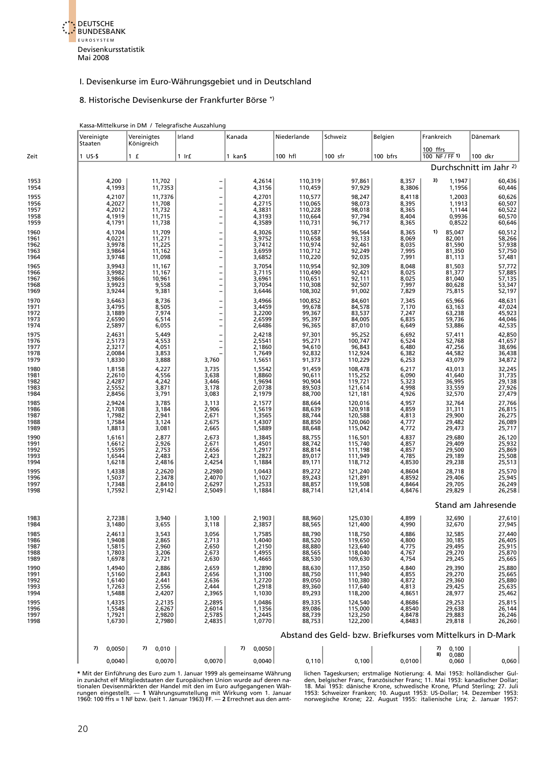

#### 8. Historische Devisenkurse der Frankfurter Börse \*)

|                      |                                      |                            | Kassa-Mittelkurse in DM  /  Telegrafische Auszahlung |                                                |                            |                                                             |                            |                              |                                                |
|----------------------|--------------------------------------|----------------------------|------------------------------------------------------|------------------------------------------------|----------------------------|-------------------------------------------------------------|----------------------------|------------------------------|------------------------------------------------|
|                      | Vereinigte<br>Staaten                | Vereinigtes<br>Königreich  | Irland                                               | Kanada                                         | Niederlande                | Schweiz                                                     | Belgien                    | Frankreich                   | Dänemark                                       |
| Zeit                 | $1$ US-\$                            | 1 f                        | $1$ Ir $f$                                           | 1 kan\$                                        | 100 hfl                    | 100 sfr                                                     | 100 bfrs                   | 100 ffrs<br>$100$ NF / FF 1) | 100 dkr                                        |
|                      |                                      |                            |                                                      |                                                |                            |                                                             |                            |                              | Durchschnitt im Jahr <sup>2)</sup>             |
| 1953<br>1954         | 4,200<br>4,1993                      | 11,702<br>11,7353          |                                                      | 4,2614<br>4,3156                               | 110,319<br>110,459         | 97,861<br>97,929                                            | 8,357<br>8,3806            | 3)<br>1,1947<br>1,1956       | 60,436<br>60,446                               |
| 1955<br>1956         | 4,2107<br>4,2027                     | 11,7376<br>11,708          |                                                      | 4,2701<br>4,2715                               | 110,577<br>110,065         | 98,247<br>98,073                                            | 8,4118<br>8,395            | 1,2003<br>1,1913             | 60,626<br>60,507<br>60,522                     |
| 1957<br>1958         | 4,2012<br>4,1919                     | 11,732<br>11,715           |                                                      | 4,3831                                         | 110,228<br>110,664         | 98,018<br>97,794                                            | 8,365<br>8,404             | 1,1144<br>0,9936             |                                                |
| 1959<br>1960         | 4,1791<br>4,1704                     | 11,738<br>11,709           |                                                      | 4,3193<br>4,3589<br>4,3026                     | 110,731<br>110,587         | 96,717<br>96,564                                            | 8,365<br>8,365             | 0,8522<br>1)<br>85,047       | 60,570<br>60,646                               |
| 1961<br>1962         | 4,0221<br>3,9978                     | 11,271<br>11,225           |                                                      | 3,9752<br>3,7412                               | 110,658<br>110,974         | 93,133<br>92,461                                            | 8,069<br>8,035             | 82,001<br>81,590             | 60,512<br>58,266<br>57,938                     |
| 1963<br>1964         | 3,9864<br>3,9748                     | 11,162<br>11,098           |                                                      | 3,6959<br>3,6852                               | 110,712<br>110,220         | 92,249<br>92,035                                            | 7,995<br>7,991             | 81,350<br>81,113             | 57,750<br>57,481                               |
| 1965<br>1966         | 3,9943<br>3,9982<br>3,9866           | 11,167<br>11,167           |                                                      | 3,7054                                         | 110,954<br>110,490         | 92,309<br>92,421                                            | 8,048<br>8,025<br>8,025    | 81,503<br>81,377             | 57,772<br>57,885<br>57,135<br>53,347<br>52,197 |
| 1967<br>1968         | 3,9923                               | 10,961<br>9,558            |                                                      | 3,7115<br>3,6961<br>3,7054<br>3,6446           | 110,651<br>110,308         | 92,111<br>92,507                                            | 7,997<br>7,829             | 81,040<br>80,628<br>75,815   |                                                |
| 1969<br>1970         | 3,9244<br>3,6463<br>3,4795           | 9,381<br>8,736             |                                                      |                                                | 108,302<br>100,852         | 91,002<br>84,601                                            | 7,345<br>7,170             | 65,966                       |                                                |
| 1971<br>1972<br>1973 | 3,1889<br>2,6590                     | 8,505<br>7,974<br>6,514    |                                                      | 3,4966<br>3,4459<br>3,2200<br>2,6599           | 99,678<br>99,367<br>95,397 | 84,578<br>83,537<br>84,005                                  | $7,247$<br>6,835           | 63,163<br>63,238<br>59,736   | 48,631<br>47,024<br>45,923<br>44,046<br>42,535 |
| 1974                 | 2,5897                               | 6,055                      |                                                      | 2,6486                                         | 96,365                     | 87,010                                                      | 6,649                      | 53,886                       |                                                |
| 1975<br>1976<br>1977 | 2,4631<br>2,5173<br>2,3217           | 5,449<br>4,553<br>4,051    | $\overline{a}$<br>$\overline{a}$                     | 2,4218<br>2,5541<br>2,1860                     | 97,301<br>95,271<br>94,610 | 95,252<br>100,747<br>96,843                                 | 6,692<br>6,524<br>6,480    | 57,411<br>52,768<br>47,256   |                                                |
| 1978<br>1979         | 2,0084<br>1,8330                     | 3,853<br>3,888             | 3,760                                                | 1,7649<br>1,5651                               | 92,832<br>91,373           | 112,924<br>110,229                                          | 6,382<br>6,253             | 44,582<br>43,079             | 42,850<br>41,657<br>38,696<br>36,438<br>34,872 |
| 1980<br>1981         | 1,8158<br>2,2610                     | 4,227<br>4,556             | 3,735<br>3,638                                       | 1,5542<br>1,8860                               | 91,459<br>90,611           | 108,478<br>115,252                                          | 6,217<br>6,090             | 43,013<br>41,640             |                                                |
| 1982<br>1983         | 2,4287<br>2,5552                     | 4,242<br>3,871             | 3,446<br>3,178                                       | 1,9694<br>2,0738                               | 90,904<br>89,503           | 119,721<br>121,614                                          | 5,323<br>4,998             | 36,995<br>33,559             | 32,245<br>31,735<br>29,138<br>27,926<br>27,479 |
| 1984<br>1985         | 2,8456                               | 3,791<br>3,785             | 3,083<br>3,113                                       | 2,1979<br>2,1577                               | 88,700<br>88,664           | 121,181                                                     | 4,926                      | 32,570                       |                                                |
| 1986<br>1987         | 2,9424<br>2,1708<br>1,7982<br>1,7584 | 3,184<br>2,941             | 2,906<br>2,671                                       | 7,5619<br>1,3565<br>1,4307                     | 88,639<br>88,744<br>88,850 | 120,016<br>120,918<br>120,588                               | 4,957<br>4,859<br>4,813    | 32,764<br>31,311<br>29,900   | 27,766<br>26,815<br>26,275<br>26,089<br>25,717 |
| 1988<br>1989         | 1,8813                               | 3,124<br>3,081             | 2,675<br>2,665                                       | 1,5889                                         | 88,648                     | 120,060<br>115,042                                          | 4,777<br>4,772             | 29,482<br>29,473             |                                                |
| 1990<br>1991         | 1,6161<br>1,6612                     | 2,877<br>2,926             | 2,673<br>2,671                                       | 1,3845                                         | 88,755<br>88,742           | 116,501<br>115,740                                          | 4,837<br>4,857<br>4,857    | 29,680<br>29,409             | 26,120<br>25,932<br>25,869<br>25,508<br>25,513 |
| 1992<br>1993<br>1994 | 1,5595<br>1,6544<br>1,6218           | 2,753<br>2,483<br>2,4816   | 2,656<br>2,423<br>2,4254                             | 1,4501<br>1,4501<br>1,2917<br>1,2823<br>1,1884 | 88,814<br>89,017<br>89,171 | 111,198<br>111,949<br>118,712                               | 4,785<br>4,8530            | 29,500<br>29,189<br>29,238   |                                                |
| 1995                 | 1,4338                               | 2,2620                     | 2,2980                                               | 1,0443                                         | 89,272                     | 121,240                                                     | 4,8604                     | 28,718                       | 25,570<br>25,945                               |
| 1996<br>1997<br>1998 | 1,5037<br>1,7348<br>1,7592           | 2,3478<br>2,8410<br>2,9142 | 2,4070<br>2,6297<br>2,5049                           | 1,1027<br>1,2533<br>1,1884                     | 89,243<br>88,857<br>88,714 | 121,891<br>119,508<br>121,414                               | 4,8592<br>4,8464<br>4,8476 | 29,406<br>29,705<br>29,829   | 26,249<br>26,258                               |
|                      |                                      |                            |                                                      |                                                |                            |                                                             |                            |                              | Stand am Jahresende                            |
| 1983                 | 2,7238                               | 3,940                      | 3,100                                                | 2,1903                                         | 88,960                     | 125,030                                                     | 4,899                      | 32,690                       | 27,610                                         |
| 1984<br>1985         | 3,1480<br>2.4613                     | 3,655<br>3,543             | 3,118<br>3,056                                       | 2,3857<br>1.7585                               | 88,565<br>88,790           | 121,400<br>118,750                                          | 4,990<br>4,886             | 32,670<br>32.585             | 27,945<br>27.440                               |
| 1986<br>1987         | 1,9408<br>1,5815                     | 2,865<br>2,960             | 2,713<br>2,650                                       | 1,4040<br>1,2150                               | 88,520<br>88,880           | 119,650<br>123,640                                          | 4,800<br>4,775             | 30,185<br>29,495             | 26,405<br>25,915                               |
| 1988<br>1989         | 1,7803<br>1,6978                     | 3,206<br>2,721             | 2,673<br>2,630                                       | 1,4955<br>1,4665                               | 88,565<br>88,530           | 118,040<br>109,630                                          | 4,767<br>4,754             | 29,270<br>29,245             | 25,870<br>25,665                               |
| 1990<br>1991         | 1,4940<br>1,5160                     | 2,886<br>2,843             | 2,659<br>2,656                                       | 1,2890<br>1,3100                               | 88,630<br>88,750           | 117,350<br>111,940                                          | 4,840<br>4,855             | 29,390<br>29,270             | 25,880<br>25,665                               |
| 1992<br>1993<br>1994 | 1,6140<br>1,7263                     | 2,441<br>2,556<br>2,4207   | 2,636<br>2,444<br>2,3965                             | 1,2720<br>1,2918<br>1,1030                     | 89,050<br>89,360<br>89,293 | 110,380<br>117,640<br>118,200                               | 4,872<br>4,813<br>4,8651   | 29,360<br>29,425<br>28,977   | 25,880<br>25,635<br>25,462                     |
| 1995                 | 1,5488<br>1,4335                     | 2,2135                     | 2,2895                                               | 1,0486                                         | 89,335                     | 124,540                                                     | 4,8686                     | 29,253                       | 25,815                                         |
| 1996<br>1997<br>1998 | 1,5548<br>1,7921<br>1,6730           | 2,6267<br>2,9820<br>2,7980 | 2,6014<br>2,5785<br>2,4835                           | 1,1356<br>1,2445<br>1,0770                     | 89,086<br>88,739<br>88,753 | 115,000<br>123,250<br>122,200                               | 4,8540<br>4,8478<br>4,8483 | 29,638<br>29,883<br>29,818   | 26,144<br>26,246<br>26,260                     |
|                      |                                      |                            |                                                      |                                                |                            | Abstand des Geld- bzw. Briefkurses vom Mittelkurs in D-Mark |                            |                              |                                                |
|                      | 7)<br>0,0050                         | 7)<br>0,010                |                                                      | 7)<br>0,0050                                   |                            |                                                             |                            | 7) 0,100                     |                                                |
|                      | 0,0040                               | 0,0070                     | 0,0070                                               | 0,0040                                         | 0,110                      | 0,100                                                       | 0,0100                     | 8)<br>0,080<br>0,060         | 0,060                                          |

0,0040 0,0070 0,0070 0,0040 0,110 0,100 0,0100 0,060 0,060

Kassa-Mittelkurse in DM / Telegrafische Auszahlung

**\*** Mit der Einführung des Euro zum 1. Januar 1999 als gemeinsame Währung lichen Tageskursen; erstmalige Notierung: 4. Mai 1953: holländischer Gulin zunächst elf Mitgliedstaaten der Europäischen Union wurde auf deren na-chen, belgischer Franc, französischer Franc; 11. Mai 1953: kanadischer Dollar;<br>tionalen Devisenmärkten der Handel mit den im Euro aufgegangenen Wäh-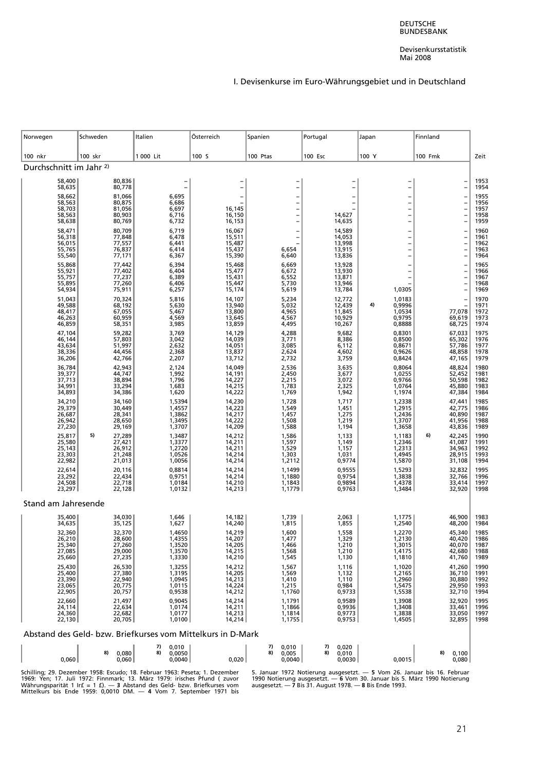| Norwegen                                       | Schweden                   | Italien                                                     | Österreich                           | Spanien                       | Portugal                   | Japan                      | Finnland                                     |                      |
|------------------------------------------------|----------------------------|-------------------------------------------------------------|--------------------------------------|-------------------------------|----------------------------|----------------------------|----------------------------------------------|----------------------|
| 100 nkr                                        | 100 skr                    | 1 000 Lit                                                   | 100 S                                | 100 Ptas                      | 100 Esc                    | 100 Y                      | 100 Fmk                                      | Zeit                 |
| Durchschnitt im Jahr <sup>2)</sup>             |                            |                                                             |                                      |                               |                            |                            |                                              |                      |
| 58,400                                         | 80,836                     |                                                             |                                      |                               |                            |                            |                                              | 1953                 |
| 58,635                                         | 80,778                     | 6,695                                                       |                                      |                               |                            |                            |                                              | 1954<br>1955         |
| 58,662<br>58,563                               | 81,066<br>80,875           | 6,686                                                       |                                      | $\qquad \qquad -$             | $\overline{\phantom{a}}$   | $\overline{\phantom{0}}$   | $\overline{\phantom{0}}$                     | 1956                 |
| 58,703<br>58,563                               | 81,056<br>80,903           | 6,697<br>6,716                                              | 16, 145<br>16, 150                   | -                             | 14,627<br>14,635           |                            |                                              | 1957<br>1958         |
| 58,638                                         | 80,769                     | 6,732                                                       | 16,153                               |                               |                            |                            |                                              | 1959                 |
| 58,471<br>56,318                               | 80,709<br>77,848           | 6,719<br>6,478                                              | 16,067<br>15,511                     | <sup>-</sup>                  | 14,589<br>14,053           |                            |                                              | 1960<br>1961         |
| 56,015<br>55,765<br>55,540                     | 77,557<br>76,837           | $6,441$<br>$6,414$                                          | 15,487<br>15,437                     | 6,654                         | 13,998<br>13,915           |                            |                                              | 1962<br>1963         |
|                                                | 77,171                     | 6,367                                                       | 15,390                               | 6,640                         | 13,836                     |                            |                                              | 1964                 |
| 55,868<br>55,921<br>55,757<br>55,895           | 77,442                     | 6,394                                                       | 15,468                               | 6,669                         | 13,928                     |                            |                                              | 1965                 |
|                                                | 77,402<br>77,237<br>77,260 | $6,404$<br>$6,389$<br>$6,406$                               | $15,477$<br>$15,431$<br>$15,447$     | $6,672$<br>$6,552$<br>$5,730$ | 13,930<br>13,871<br>13,946 |                            |                                              | 1966<br>1967         |
| 54,934                                         | 75,911                     | 6,257                                                       | 15,174                               | 5,619                         | 13,784                     | 1,0305                     |                                              | 1968<br>1969         |
| 51,043                                         | 70,324                     |                                                             | 14,107                               | 5,234                         | 12,772                     | 1,0183                     |                                              | 1970                 |
| 49,588<br>48,417                               | 68,192<br>67,055           | 5,816<br>5,630<br>5,467<br>4,569                            | 13,940<br>13,800                     | $5,032$<br>4,965              | 12,439                     | 0,9996<br>4)<br>1,0534     |                                              | 1971                 |
| 46,263                                         | 60,959                     |                                                             | 13,645                               | 4,567                         | 11,845<br>10,929<br>10,267 | 0,9795                     | 77,078<br>69,619                             | 1972<br>1973<br>1974 |
| 46,859                                         | 58,351                     | 3,985                                                       | 13,859                               | 4,495                         |                            | 0,8888                     | 68,725                                       |                      |
| 47,104<br>46,144<br>43,634                     | 59,282<br>57,803           | 3,769<br>$3,042$<br>$2,632$                                 | 14,129<br>14,039<br>14,051           | 4,288<br>3,771<br>3,085       | 9,682<br>8,386<br>6,112    | 0,8301<br>0,8500<br>0,8671 | 67,033<br>65,302<br>57,786                   | 1975<br>1976<br>1977 |
| 38,336                                         | 51,997<br>44,456           | 2,368                                                       | 13,837                               | 2,624                         | 4,602                      | 0,9626                     |                                              |                      |
| 36,206                                         | 42,766                     | 2,207                                                       | 13,712                               | 2,732                         | 3,759                      | 0,8424                     | 48,858<br>47,165                             | 1978<br>1979         |
| 36,784<br>39,377<br>37,713                     | 42,943<br>44,747           | 2,124<br>1,992<br>1,796                                     | 14,049<br>14,191                     | 2,536<br>2,450                | 3,635                      | 0,8064<br>1,0255<br>0,9766 | 48,824<br>52,452<br>50,598                   | 1980<br>1981         |
|                                                | 38,894                     |                                                             | 14,227                               | 2,215                         | 3,677<br>3,072             |                            |                                              |                      |
| 34,991<br>34,893                               | 33,294<br>34,386           | 1,683<br>1,620                                              | 14,215<br>14,222                     | 1,783<br>1,769                | 2,325<br>1,942             | 1,0764<br>1,1974           | 45,880<br>47,384                             | 1982<br>1983<br>1984 |
|                                                | 34,160                     |                                                             | 14,230                               | 1,728                         | 1,717                      | 1,2338                     | 47,441                                       |                      |
| 34,210<br>29,379<br>26,687<br>26,942<br>27,230 | 30,449<br>28,341           | 1,5394<br>1,4557<br>1,3862                                  | 14,223<br>14,217<br>14,222<br>14,209 | $1,549$<br>$1,457$            | $1,451$<br>$1,275$         | 1,2915<br>1,2436           | $42,775$<br>$40,890$<br>$41,956$<br>$43,836$ | 1985<br>1986<br>1987 |
|                                                | 28,650                     | 1,3495                                                      |                                      | 1,508<br>1,588                | $1,219$<br>$1,194$         | 1,3707<br>1,3658           |                                              | 1988<br>1989         |
|                                                | 29,169<br>5)<br>27,289     | 1,3707                                                      |                                      |                               |                            |                            | 6)                                           |                      |
| 25,817<br>25,580<br>25,143                     | 27,421                     | 1,3487<br>1,3377<br>1,2720<br>1,0526<br>1,0056              | 14,212<br>14,211<br>14,211           | 1,586<br>1,597<br>1,529       | 1,133<br>1,149             | 1,1183<br>1,2346           | 42,245<br>41,087<br>34,963                   | 1990<br>1991         |
|                                                | 26,912<br>21,248           |                                                             | 14,214                               | 1,303                         | 1,157<br>1,031             | 1,2313<br>1,4945           | 28,915                                       | 1992                 |
| 23,303<br>22,982                               | 21,013                     |                                                             | 14,214                               | 1,2112                        | 0,9774                     | 1,5870                     | 31,108                                       | 1993<br>1994         |
| 22,614<br>23,292                               | 20,116<br>22,434           | 0,8814<br>0,9751                                            | 14,214<br>14,214                     | 1,1499<br>1,1880              | 0,9555<br>0,9754           | 1,5293<br>1,3838           | 32,832<br>32,766                             | 1995<br>1996         |
| 24,508                                         | 22,718                     | 1,0184                                                      | 14,210                               | 1,1843                        | 0,9894                     | 1,4378                     | 33,414                                       | 1997                 |
| 23,297                                         | 22,128                     | 1,0132                                                      | 14,213                               | 1,1779                        | 0,9763                     | 1,3484                     | 32,920                                       | 1998                 |
| Stand am Jahresende                            |                            |                                                             |                                      |                               |                            |                            |                                              |                      |
| 35,400                                         | 34,030                     | 1,646                                                       | 14,182                               | 1,739                         | 2,063                      | 1,1775<br>1,2540           | 46,900                                       | 1983<br>1984         |
| 34,635<br>32,360                               | 35,125<br>32,370           | 1,627<br>1,4650                                             | 14,240<br>14,219                     | 1,815<br>1,600                | 1,855<br>1,558             | 1,2270                     | 48,200<br>45,340                             | 1985                 |
| 26,210                                         | 28,600                     | 1,4355                                                      | 14,207                               | 1,477                         | 1,329                      | 1,2130                     | 40,420                                       | 1986<br>1987         |
| 25,340<br>27,085                               | 27,260<br>29,000           | 1,3520<br>1,3570                                            | 14,205<br>14,215                     | 1,466<br>1,568                | 1,210<br>1,210             | 1,3015<br>1,4175           | 40,070                                       | 1988                 |
| 25,660                                         | 27,235                     | 1,3330                                                      | 14,210                               | 1,545                         | 1,130                      | 1,1810                     | 42,680<br>41,760                             | 1989                 |
| 25,430<br>25,400                               | 26,530<br>27,380           | 1,3255<br>1,3195                                            | 14,212<br>14,205                     | 1,567<br>1,569                | 1,116<br>1,132             | 1,1020<br>1,2165           | 41,260<br>36,710                             | 1990<br>1991         |
| 23,390                                         | 22,940                     | 1,0945                                                      | 14,213<br>14,224                     | 1,410                         | 1,110                      | 1,2960                     |                                              | 1992                 |
| 23,065<br>22,905                               | 20,775<br>20,757           | 1,0115<br>0,9538                                            | 14,212                               | 1,215<br>1,1760               | 0,984<br>0,9733            | 1,5475<br>1,5538           | 30,880<br>29,950<br>32,710                   | 1993<br>1994         |
| 22,660                                         | 21,497                     | 0,9045                                                      | 14,214                               | 1,1791                        | 0,9589                     | 1,3908                     | 32,920                                       | 1995                 |
| 24,114<br>24,360                               | 22,634<br>22,682           | 1,0174<br>1,0177                                            | 14,211<br>14,213                     | 1,1866<br>1,1814              | 0,9936<br>0,9773           | 1,3408<br>1,3838           | 33,461<br>33,050                             | 1996<br>1997         |
| 22,130                                         | 20,705                     | 1,0100                                                      | 14,214                               | 1,1755                        | 0,9753                     | 1,4505                     | 32,895                                       | 1998                 |
|                                                |                            | Abstand des Geld- bzw. Briefkurses vom Mittelkurs in D-Mark |                                      |                               |                            |                            |                                              |                      |
|                                                |                            | 7)<br>0,010                                                 |                                      | 7)<br>0,010<br>8)             | 0,020<br>7)<br>8)          |                            |                                              |                      |
| 0,060                                          | 8)<br>0,080<br>0,060       | 0,0050<br>8)<br>0,0040                                      | 0,020                                | 0,005<br>0,0040               | 0,010<br>0,0030            | 0,0015                     | 8)<br>0,100<br>0,080                         |                      |

Währungsparität 1 Ir£ = 1 £). — **3** Abstand des Geld- bzw. Briefkurses vom ausgesetzt. — **7** Bis 31. August 1978. — **8** Bis Ende 1993. Mittelkurs bis Ende 1959: 0,0010 DM. — **4** Vom 7. September 1971 bis

Schilling; 29. Dezember 1958: Escudo; 18. Februar 1963: Peseta; 1. Dezember — 5. Januar 1972 Notierung ausgesetzt. — 5 Vom 26. Januar bis 16. Februar<br>1969: Yen; 17. Juli 1972: Finnmark; 13. März 1979: irisches Pfund ( zuvo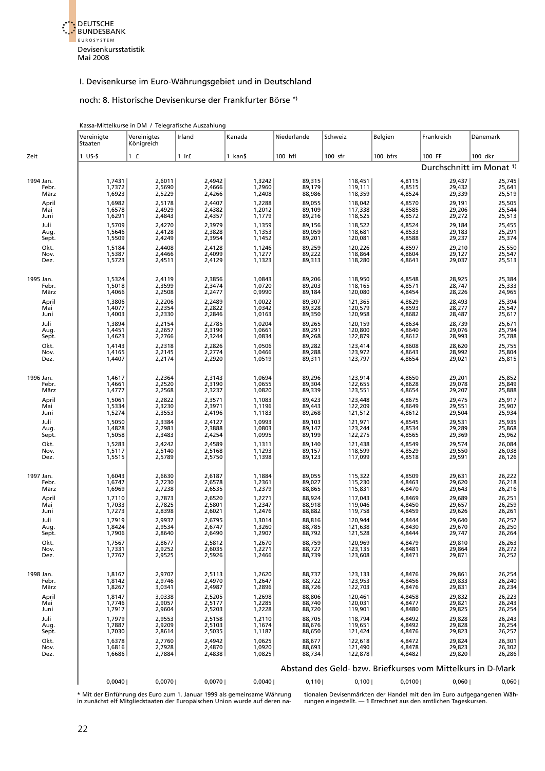

#### noch: 8. Historische Devisenkurse der Frankfurter Börse \*)

|                            |                            |                            | Kassa-Mittelkurse in DM / Telegrafische Auszahlung |                            |                            |                               |                            |                                                             |                            |
|----------------------------|----------------------------|----------------------------|----------------------------------------------------|----------------------------|----------------------------|-------------------------------|----------------------------|-------------------------------------------------------------|----------------------------|
|                            | Vereinigte<br>Staaten      | Vereinigtes<br>Königreich  | Irland                                             | Kanada                     | Niederlande                | Schweiz                       | Belgien                    | Frankreich                                                  | Dänemark                   |
| Zeit                       | $1$ US-\$                  | 1 f                        | $1$ Ir $f$                                         | 1 kan\$                    | 100 hfl                    | 100 sfr                       | 100 bfrs                   | 100 FF                                                      | 100 dkr                    |
|                            |                            |                            |                                                    |                            |                            |                               |                            | Durchschnitt im Monat <sup>1)</sup>                         |                            |
| 1994 Jan.<br>Febr.<br>März | 1,7431<br>1,7372<br>1,6923 | 2,6011<br>2,5690<br>2,5229 | 2,4942<br>2,4666<br>2,4266                         | 1,3242<br>1,2960<br>1,2408 | 89,315<br>89,179<br>88,986 | 118,451<br>119,111<br>118,359 | 4,8115<br>4,8515<br>4,8524 | 29,437<br>29,432<br>29,339                                  | 25,745<br>25,641<br>25,519 |
| April                      | 1,6982                     | 2,5178                     | 2,4407                                             | 1,2288                     | 89,055                     | 118,042                       | 4,8570                     | 29,191                                                      | 25,505                     |
| Mai                        | 1,6578                     | 2,4929                     | 2,4382                                             | 1,2012                     | 89,109                     | 117,338                       | 4,8585                     | 29,206                                                      | 25,544                     |
| Juni                       | 1,6291                     | 2,4843                     | 2,4357                                             | 1,1779                     | 89,216                     | 118,525                       | 4,8572                     | 29,272                                                      | 25,513                     |
| Juli                       | 1,5709                     | 2,4270                     | 2,3979                                             | 1,1359                     | 89,156                     | 118,522                       | 4,8524                     | 29,184                                                      | 25,455                     |
| Aug.                       | 1,5646                     | 2,4128                     | 2,3828                                             | 1,1353                     | 89,059                     | 118,681                       | 4,8533                     | 29,183                                                      | 25,291                     |
| Sept.                      | 1,5509                     | 2,4249                     | 2,3954                                             | 1,1452                     | 89,201                     | 120,081                       | 4,8588                     | 29,237                                                      | 25,374                     |
| Okt.                       | 1,5184                     | 2,4408                     | 2,4128                                             | 1,1246                     | 89,259                     | 120.226                       | 4,8597                     | 29,210                                                      | 25,550                     |
| Nov.                       | 1,5387                     | 2,4466                     | 2,4099                                             | 1,1277                     | 89,222                     | 118,864                       | 4,8604                     | 29,127                                                      | 25,547                     |
| Dez.                       | 1,5723                     | 2,4511                     | 2,4129                                             | 1,1323                     | 89,313                     | 118,280                       | 4,8641                     | 29,037                                                      | 25,513                     |
| 1995 Jan.                  | 1,5324                     | 2,4119                     | 2,3856                                             | 1,0843                     | 89,206                     | 118,950                       | 4,8548                     | 28,925                                                      | 25,384                     |
| Febr.                      | 1,5018                     | 2,3599                     | 2,3474                                             | 1,0720                     | 89,203                     | 118,165                       | 4,8571                     | 28,747                                                      | 25,333                     |
| März                       | 1,4066                     | 2,2508                     | 2,2477                                             | 0,9990                     | 89,184                     | 120,080                       | 4,8454                     | 28,226                                                      | 24,965                     |
| April                      | 1,3806                     | 2,2206                     | 2,2489                                             | 1,0022                     | 89,307                     | 121,365                       | 4,8629                     | 28,493                                                      | 25,394                     |
| Mai                        | 1,4077                     | 2,2354                     | 2,2822                                             | 1,0342                     | 89,328                     | 120,579                       | 4,8593                     | 28,277                                                      | 25,547                     |
| Juni                       | 1,4003                     | 2,2330                     | 2,2846                                             | 1,0163                     | 89,350                     | 120,958                       | 4,8682                     | 28,487                                                      | 25,617                     |
| Juli                       | 1,3894                     | 2,2154                     | 2,2785                                             | 1,0204                     | 89,265                     | 120,159                       | 4,8634                     | 28,739                                                      | 25,671                     |
| Aug.                       | 1,4451                     | 2,2657                     | 2,3190                                             | 1,0661                     | 89,291                     | 120,800                       | 4,8640                     | 29,076                                                      | 25,794                     |
| Sept.                      | 1,4623                     | 2,2766                     | 2,3244                                             | 1,0834                     | 89,268                     | 122,879                       | 4,8612                     | 28,993                                                      | 25,788                     |
| Okt.<br>Nov.<br>Dez.       | 1,4143<br>1,4165<br>1,4407 | 2,2318<br>2,2145<br>2,2174 | 2,2826<br>2,2774<br>2,2920                         | 1,0506<br>1,0466<br>1,0519 | 89,282<br>89,288<br>89,311 | 123,414<br>123,972<br>123,797 | 4,8608<br>4,8643<br>4,8654 | 28,620<br>28,992<br>29,021                                  | 25,755<br>25,804<br>25,815 |
| 1996 Jan.<br>Febr.<br>März | 1,4617<br>1,4661<br>1,4777 | 2,2364<br>2,2520<br>2,2568 | 2,3143<br>2,3190<br>2,3237                         | 1,0694<br>1,0655<br>1,0820 | 89,296<br>89,304<br>89,339 | 123,914<br>122,655<br>123,551 | 4,8650<br>4,8628<br>4,8654 | 29,201<br>29,078<br>29,207                                  | 25,852<br>25,849<br>25,888 |
| April<br>Mai<br>Juni       | 1,5061<br>1,5334<br>1,5274 | 2,2822<br>2,3230<br>2,3553 | 2,3571<br>2,3971<br>2,4196                         | 1,1083<br>1,1196<br>1,1183 | 89,423<br>89,443<br>89,268 | 123,448<br>122,209<br>121,512 | 4,8675<br>4,8649<br>4,8612 | 29,475<br>29,551<br>29,504                                  | 25,917<br>25,907<br>25,934 |
| Juli                       | 1,5050                     | 2,3384                     | 2,4127                                             | 1,0993                     | 89,103                     | 121,971                       | 4,8545                     | 29,531                                                      | 25,935                     |
| Aug.                       | 1,4828                     | 2,2981                     | 2,3888                                             | 1,0803                     | 89,147                     | 123,244                       | 4,8534                     | 29,289                                                      | 25,868                     |
| Sept.                      | 1,5058                     | 2,3483                     | 2,4254                                             | 1,0995                     | 89,199                     | 122,275                       | 4,8565                     | 29,369                                                      | 25,962                     |
| Okt.                       | 1,5283                     | 2,4242                     | 2,4589                                             | 1,1311                     | 89,140                     | 121,438                       | 4,8549                     | 29,574                                                      | 26,084                     |
| Nov.                       | 1,5117                     | 2,5140                     | 2,5168                                             | 1,1293                     | 89,157                     | 118,599                       | 4,8529                     | 29,550                                                      | 26,038                     |
| Dez.                       | 1,5515                     | 2,5789                     | 2,5750                                             | 1,1398                     | 89,123                     | 117,099                       | 4,8518                     | 29,591                                                      | 26,126                     |
| 1997 Jan.<br>Febr.<br>März | 1,6043<br>1,6747<br>1,6969 | 2,6630<br>2,7230<br>2,7238 | 2,6187<br>2,6578<br>2,6535                         | 1,1884<br>1,2361<br>1,2379 | 89,055<br>89,027<br>88,865 | 115,322<br>115,230<br>115,831 | 4,8509<br>4,8463<br>4,8470 | 29,631<br>29,620<br>29,643                                  | 26,222<br>26,218<br>26,216 |
| April                      | 1,7110                     | 2,7873                     | 2,6520                                             | 1,2271                     | 88,924                     | 117,043                       | 4,8469                     | 29,689                                                      | 26,251                     |
| Mai                        | 1,7033                     | 2,7825                     | 2,5801                                             | 1,2347                     | 88,918                     | 119,046                       | 4,8450                     | 29,657                                                      | 26,259                     |
| Juni                       | 1,7273                     | 2,8398                     | 2,6021                                             | 1,2476                     | 88,882                     | 119,758                       | 4,8459                     | 29,626                                                      | 26,261                     |
| Juli                       | 1,7919                     | 2,9937                     | 2,6795                                             | 1,3014                     | 88,816                     | 120,944                       | 4,8444                     | 29,640                                                      | 26,257                     |
| Aug.                       | 1,8424                     | 2,9534                     | 2,6747                                             | 1,3260                     | 88,785                     | 121,638                       | 4,8430                     | 29,670                                                      | 26,250                     |
| Sept.                      | 1,7906                     | 2,8640                     | 2,6490                                             | 1,2907                     | 88,792                     | 121,528                       | 4,8444                     | 29,747                                                      | 26,264                     |
| Okt.                       | 1,7567                     | 2,8677                     | 2,5812                                             | 1,2670                     | 88,759                     | 120,969                       | 4,8479                     | 29,810                                                      | 26,263                     |
| Nov.                       | 1,7331                     | 2,9252                     | 2,6035                                             | 1,2271                     | 88,727                     | 123,135                       | 4,8481                     | 29,864                                                      | 26,272                     |
| Dez.                       | 1,7767                     | 2,9525                     | 2,5926                                             | 1,2466                     | 88,739                     | 123,608                       | 4,8471                     | 29,871                                                      | 26,252                     |
| 1998 Jan.                  | 1,8167                     | 2,9707                     | 2,5113                                             | 1,2620                     | 88,737                     | 123,133                       | 4,8476                     | 29,861                                                      | 26,254                     |
| Febr.                      | 1,8142                     | 2,9746                     | 2,4970                                             | 1,2647                     | 88,722                     | 123,953                       | 4,8456                     | 29,833                                                      | 26,240                     |
| März                       | 1,8267                     | 3,0341                     | 2,4987                                             | 1,2896                     | 88,726                     | 122,703                       | 4,8476                     | 29,831                                                      | 26,234                     |
| April<br>Mai<br>Juni       | 1,8147<br>1,7746<br>1,7917 | 3,0338<br>2,9057<br>2,9604 | 2,5205<br>2,5177<br>2,5203                         | 1,2698<br>1,2285<br>1,2228 | 88,806<br>88,740<br>88,720 | 120,461<br>120,031<br>119,901 | 4,8458<br>4,8477<br>4,8480 | 29,832<br>29,821<br>29,825                                  | 26,223<br>26,243<br>26,254 |
| Juli<br>Aug.<br>Sept.      | 1,7979<br>1,7887<br>1,7030 | 2,9553<br>2,9209<br>2,8614 | 2,5158<br>2,5103<br>2,5035                         | 1,2110<br>1,1674<br>1,1187 | 88,705<br>88,676<br>88,650 | 118,794<br>119,651<br>121,424 | 4,8492<br>4,8492<br>4,8476 | 29,828<br>29,828<br>29,823                                  | 26,243<br>26,254<br>26,257 |
| Okt.                       | 1,6378                     | 2,7760                     | 2,4942                                             | 1,0625                     | 88,677                     | 122,618                       | 4,8472                     | 29,824                                                      | 26,301                     |
| Nov.                       | 1,6816                     | 2,7928                     | 2,4870                                             | 1,0920                     | 88,693                     | 121,490                       | 4,8478                     | 29,823                                                      | 26,302                     |
| Dez.                       | 1,6686                     | 2,7884                     | 2,4838                                             | 1,0825                     | 88,734                     | 122,878                       | 4,8482                     | 29,820                                                      | 26,286                     |
|                            |                            |                            |                                                    |                            |                            |                               |                            | Abstand des Geld- bzw. Briefkurses vom Mittelkurs in D-Mark |                            |
|                            | 0,0040                     | 0,0070                     | 0,0070                                             | 0,0040                     | 0,110                      | 0,100                         | 0,0100                     | 0,060                                                       | 0,060                      |

\* Mit der Einführung des Euro zum 1. Januar 1999 als gemeinsame Währung btionalen Devisenmärkten der Handel mit den im Euro aufgegangenen Wäh-<br>in zunächst elf Mitgliedstaaten der Europäischen Union wurde auf deren na-bunge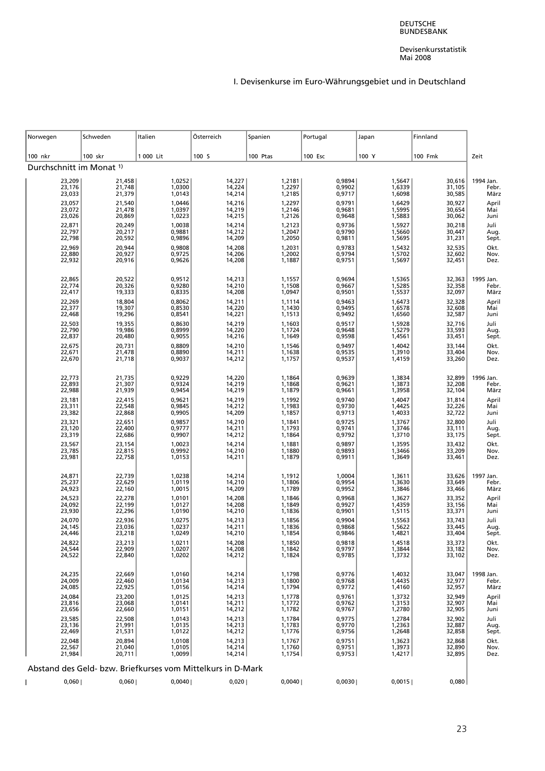| Norwegen                            | Schweden                   | Italien                                                               | Österreich                 | Spanien                    | Portugal                   | Japan                      | Finnland                   |                              |
|-------------------------------------|----------------------------|-----------------------------------------------------------------------|----------------------------|----------------------------|----------------------------|----------------------------|----------------------------|------------------------------|
| 100 nkr                             | 100 skr                    | 1 000 Lit                                                             | 100 S                      | 100 Ptas                   | 100 Esc                    | 100 Y                      | 100 Fmk                    | Zeit                         |
| Durchschnitt im Monat <sup>1)</sup> |                            |                                                                       |                            |                            |                            |                            |                            |                              |
| 23,209<br>23,176<br>23,033          | 21,458<br>21,748<br>21,379 | 1,0252<br>1,0300<br>1,0143                                            | 14,227<br>14,224<br>14,214 | 1,2181<br>1,2297<br>1,2185 | 0,9894<br>0,9902<br>0,9717 | 1,5647<br>1,6339<br>1,6098 | 30,616<br>31,105<br>30,585 | 1994 Jan.<br>Febr.<br>März   |
| 23,057<br>23,072                    | 21,540<br>21,478           | 1,0446<br>1,0397                                                      | 14,216<br>14,219           | 1,2297<br>1,2146           | 0,9791<br>0,9681           | 1,6429<br>1,5995           | 30,927<br>30,654           | April<br>Mai                 |
| 23,026<br>22,871<br>22,797          | 20,869<br>20,249<br>20,217 | 1,0223<br>1,0038<br>0,9881                                            | 14,215<br>14,214<br>14,212 | 1,2126<br>1,2123<br>1,2047 | 0,9648<br>0,9736<br>0,9790 | 1,5883<br>1,5927<br>1,5660 | 30,062<br>30,218<br>30,447 | Juni<br>Juli                 |
| 22,798<br>22,969<br>22,880          | 20,592<br>20,944<br>20,927 | 0,9896<br>0,9808<br>0,9725                                            | 14,209<br>14,208<br>14,206 | 1,2050<br>1,2031<br>1,2002 | 0,9811<br>0,9783<br>0,9794 | 1,5695<br>1,5432<br>1,5702 | 31,231<br>32,535<br>32,602 | Aug.<br>Sept<br>Okt.<br>Nov. |
| 22,932                              | 20,916                     | 0,9626                                                                | 14,208                     | 1,1887                     | 0,9751                     | 1,5697                     | 32,451                     | Dez.                         |
| 22,865<br>22,774<br>22,417          | 20,522<br>20,326<br>19,333 | 0,9512<br>0,9280<br>0,8335                                            | 14,213<br>14,210<br>14,208 | 1,1557<br>1,1508<br>1,0947 | 0,9694<br>0,9667<br>0,9501 | 1,5365<br>1,5285<br>1,5537 | 32,363<br>32,358<br>32,097 | 1995 Jan.<br>Febr.<br>März   |
| 22,269<br>22,377<br>22,468          | 18,804<br>19,307<br>19,296 | 0,8062<br>0,8530<br>0,8541                                            | 14,211<br>14,220<br>14,221 | 1,1114<br>1,1430<br>1,1513 | 0,9463<br>0,9495<br>0,9492 | 1,6473<br>1,6578<br>1,6560 | 32,328<br>32,608<br>32,587 | April<br>Mai<br>Juni         |
| 22,503<br>22,790                    | 19,355<br>19,986           | 0,8630<br>0,8999                                                      | 14,219<br>14,220           | 1,1603<br>1,1724           | 0,9517<br>0,9648           | 1,5928<br>1,5279           | 32,716<br>33,593           | Juli<br>Aug.                 |
| 22,837<br>22,675<br>22,671          | 20,480<br>20,731<br>21,478 | 0,9055<br>0,8809<br>0,8890                                            | 14,216<br>14,210<br>14,211 | 1,1649<br>1,1546<br>1,1638 | 0,9598<br>0,9497<br>0,9535 | 1,4561<br>1,4042<br>1,3910 | 33,451<br>33,144<br>33,404 | Sept.<br>Okt.<br>Nov.        |
| 22,670                              | 21,718                     | 0,9037                                                                | 14,212                     | 1,1757                     | 0,9537                     | 1,4159                     | 33,260                     | Dez.                         |
| 22,773<br>22,893<br>22,988          | 21,735<br>21,307<br>21,939 | 0,9229<br>0,9324<br>0,9454                                            | 14,220<br>14,219<br>14,219 | 1,1864<br>1,1868<br>1,1879 | 0,9639<br>0,9621<br>0,9661 | 1,3834<br>1,3873<br>1,3958 | 32,899<br>32,208<br>32,104 | 1996 Jan.<br>Febr.<br>März   |
| 23,181<br>23,311<br>23,382          | 22,415<br>22,548<br>22,868 | 0,9621<br>0,9845<br>0,9905                                            | 14,219<br>14,212<br>14,209 | 1,1992<br>1,1983<br>1,1857 | 0,9740<br>0,9730<br>0,9713 | 1,4047<br>1,4425<br>1,4033 | 31,814<br>32,226<br>32,722 | April<br>Mai<br>Juni         |
| 23,321<br>23,120                    | 22,651<br>22,400           | 0,9857<br>0,9777                                                      | 14,210<br>14,211           | 1,1841<br>1,1793           | 0,9725<br>0,9741           | 1,3767<br>1,3746           | 32,800<br>33,111           | Juli<br>Aug.<br>Sept         |
| 23,319<br>23,567<br>23,785          | 22,686<br>23,154<br>22,815 | 0,9907<br>1,0023<br>0,9992                                            | 14,212<br>14,214<br>14,210 | 1,1864<br>1,1881<br>1,1880 | 0,9792<br>0,9897<br>0,9893 | 1,3710<br>1,3595<br>1,3466 | 33,175<br>33,432<br>33,209 | Okt.<br>Nov.                 |
| 23,981                              | 22,758                     | 1,0153                                                                | 14,211                     | 1,1879                     | 0,9911                     | 1,3649                     | 33,461                     | Dez.                         |
| 24,871<br>25,237<br>24,923          | 22,739<br>22,629<br>22,160 | 1,0238<br>1,0119<br>1,0015                                            | 14,214<br>14,210<br>14,209 | 1,1912<br>1,1806<br>1,1789 | 1,0004<br>0,9954<br>0,9952 | 1,3611<br>1,3630<br>1,3846 | 33,626<br>33,649<br>33,466 | 1997 Jan.<br>Febr.<br>März   |
| 24,523<br>24,092<br>23,930          | 22,278<br>22,199<br>22,296 | 1,0101<br>1,0127<br>1,0190                                            | 14,208<br>14,208<br>14,210 | 1,1846<br>1,1849<br>1,1836 | 0,9968<br>0,9927<br>0,9901 | 1,3627<br>1,4359<br>1,5115 | 33,352<br>33,156<br>33,371 | April<br>Mai<br>Juni         |
| 24,070<br>24,145<br>24,446          | 22,936<br>23,036<br>23,218 | 1,0275<br>1,0237<br>1,0249                                            | 14,213<br>14,211<br>14,210 | 1,1856<br>1,1836<br>1,1854 | 0,9904<br>0,9868<br>0,9846 | 1,5563<br>1,5622<br>1,4821 | 33,743<br>33,445<br>33,404 | Juli<br>Aug.<br>Sept.        |
| 24,822<br>24,544                    | 23,213<br>22,909           | 1,0211<br>1,0207                                                      | 14,208<br>14,208           | 1,1850<br>1,1842           | 0,9818<br>0,9797           | 1,4518<br>1,3844           | 33,373<br>33,182           | Okt.<br>Nov.                 |
| 24,522                              | 22,840                     | 1,0202                                                                | 14,212                     | 1,1824                     | 0,9785                     | 1,3732                     | 33,102                     | Dez.                         |
| 24,235<br>24,009<br>24,085          | 22,669<br>22,460<br>22,925 | 1,0160<br>1,0134<br>1,0156                                            | 14,214<br>14,213<br>14,214 | 1,1798<br>1,1800<br>1,1794 | 0,9776<br>0,9768<br>0,9772 | 1,4032<br>1,4435<br>1,4160 | 33,047<br>32,977<br>32,957 | 1998 Jan.<br>Febr.<br>März   |
| 24,084<br>23,816<br>23,656          | 23,200<br>23,068<br>22,660 | 1,0125<br>1,0141<br>1,0151                                            | 14,213<br>14,211<br>14,212 | 1,1778<br>1,1772<br>1,1782 | 0,9761<br>0,9762<br>0,9767 | 1,3732<br>1,3153<br>1,2780 | 32,949<br>32,907<br>32,905 | April<br>Mai<br>Juni         |
| 23,585<br>23,136<br>22,469          | 22,508<br>21,991<br>21,531 | 1,0143<br>1,0135<br>1,0122                                            | 14,213<br>14,213<br>14,212 | 1,1784<br>1,1783<br>1,1776 | 0,9775<br>0,9770<br>0,9756 | 1,2784<br>1,2363<br>1,2648 | 32,902<br>32,887<br>32,858 | Juli<br>Aug.<br>Sept.        |
| 22,048<br>22,567                    | 20,894<br>21,040           | 1,0108<br>1,0105                                                      | 14,213<br>14,214           | 1,1767<br>1,1760           | 0,9751<br>0,9751           | 1,3623<br>1,3973           | 32,868<br>32,890           | Okt.<br>Nov.                 |
| 21,984                              | 20,711                     | 1,0099<br>Abstand des Geld- bzw. Briefkurses vom Mittelkurs in D-Mark | 14,214                     | 1,1754                     | 0,9753                     | 1,4217                     | 32,895                     | Dez.                         |
| 0,060                               | 0,060                      | 0,0040                                                                | 0,020                      | 0,0040                     | 0,0030                     | 0,0015                     | 0,080                      |                              |
|                                     |                            |                                                                       |                            |                            |                            |                            |                            |                              |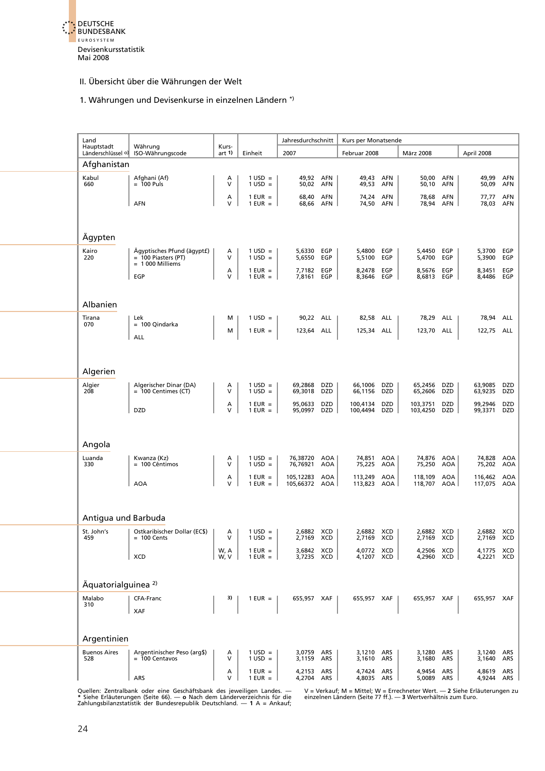

### 1. Währungen und Devisenkurse in einzelnen Ländern \*)

| Land                             |                                                                          |                    |                                | Jahresdurchschnitt             |            | Kurs per Monatsende          |              |                          |            |                        |                   |
|----------------------------------|--------------------------------------------------------------------------|--------------------|--------------------------------|--------------------------------|------------|------------------------------|--------------|--------------------------|------------|------------------------|-------------------|
| Hauptstadt<br>Länderschlüssel o) | Währung<br>ISO-Währungscode                                              | Kurs-<br>art $1$ ) | Einheit                        | 2007                           |            | Februar 2008                 |              | März 2008                |            | April 2008             |                   |
| Afghanistan                      |                                                                          |                    |                                |                                |            |                              |              |                          |            |                        |                   |
| Kabul<br>660                     | Afghani (Af)<br>$= 100$ Puls                                             | Α<br>$\vee$        | $1$ USD =<br>$1$ USD =         | 49,92<br>50,02                 | AFN<br>AFN | 49,43<br>49,53               | AFN<br>AFN   | 50,00<br>50,10           | AFN<br>AFN | 49,99<br>50,09         | AFN<br>AFN        |
|                                  | <b>AFN</b>                                                               | А<br>$\vee$        | $1$ EUR $=$<br>$1$ EUR =       | 68,40 AFN<br>68,66             | AFN        | 74,24 AFN<br>74,50           | AFN          | 78,68<br>78,94 AFN       | <b>AFN</b> | 77,77<br>78,03         | AFN<br>AFN        |
|                                  |                                                                          |                    |                                |                                |            |                              |              |                          |            |                        |                   |
| Ägypten                          |                                                                          |                    |                                |                                |            |                              |              |                          |            |                        |                   |
| Kairo<br>220                     | Ägyptisches Pfund (ägypt£)<br>$= 100$ Piasters (PT)<br>$= 1000$ Milliems | Α<br>$\vee$        | $1 \text{ USD} =$<br>$1$ USD = | 5,6330 EGP<br>5,6550           | EGP        | 5,4800 EGP<br>5,5100         | EGP          | 5,4450<br>5,4700         | EGP<br>EGP | 5,3700<br>5,3900       | EGP<br>EGP        |
|                                  | EGP                                                                      | Α<br>V             | $1$ EUR =<br>$1$ EUR $=$       | 7,7182<br>7,8161 EGP           | EGP        | 8,2478<br>8,3646             | EGP<br>$EGP$ | 8,5676<br>8,6813         | EGP<br>EGP | 8,3451<br>8,4486       | EGP<br>EGP        |
| Albanien                         |                                                                          |                    |                                |                                |            |                              |              |                          |            |                        |                   |
| Tirana                           | Lek                                                                      | м                  | $1 \text{ USD} =$              | 90,22 ALL                      |            | 82,58                        | ALL          | 78,29                    | ALL        | 78,94                  | ALL               |
| 070                              | = 100 Qindarka<br>ALL                                                    | м                  | $1$ EUR $=$                    | 123,64 ALL                     |            | 125,34 ALL                   |              | 123,70                   | ALL        | 122,75 ALL             |                   |
|                                  |                                                                          |                    |                                |                                |            |                              |              |                          |            |                        |                   |
| Algerien                         |                                                                          |                    |                                |                                |            |                              |              |                          |            |                        |                   |
| Algier<br>208                    | Algerischer Dinar (DA)<br>$= 100$ Centimes (CT)                          | Α<br>$\vee$        | $1$ USD =<br>$1 \text{ USD} =$ | 69,2868 DZD<br>69,3018         | DZD        | 66,1006 DZD<br>66,1156       | DZD          | 65,2456<br>65,2606       | DZD<br>DZD | 63,9085<br>63,9235     | DZD<br><b>DZD</b> |
|                                  | <b>DZD</b>                                                               | Α<br>$\vee$        | $1$ EUR $=$<br>$1$ EUR $=$     | 95,0633 DZD<br>95,0997 DZD     |            | 100,4134 DZD<br>100,4494 DZD |              | 103,3751<br>103,4250 DZD | DZD        | 99,2946<br>99,3371     | DZD<br>DZD        |
|                                  |                                                                          |                    |                                |                                |            |                              |              |                          |            |                        |                   |
| Angola                           |                                                                          |                    |                                |                                |            |                              |              |                          |            |                        |                   |
| Luanda<br>330                    | Kwanza (Kz)<br>= 100 Cêntimos                                            | A<br>V             | $1 \text{ USD} =$<br>$1$ USD = | 76,38720 AOA<br>76,76921       | AOA        | 74,851 AOA<br>75,225         | AOA          | 74,876 AOA<br>75,250     | AOA        | 74,828<br>75,202       | AOA<br>AOA        |
|                                  | <b>AOA</b>                                                               | А<br>$\vee$        | $1$ EUR $=$<br>$1$ EUR =       | 105,12283 AOA<br>105,66372 AOA |            | 113,249<br>113,823 AOA       | AOA          | 118,109<br>118,707 AOA   | <b>AOA</b> | 116,462<br>117,075 AOA | AOA               |
|                                  |                                                                          |                    |                                |                                |            |                              |              |                          |            |                        |                   |
| Antigua und Barbuda              |                                                                          |                    |                                |                                |            |                              |              |                          |            |                        |                   |
| St. John's<br>459                | Ostkaribischer Dollar (EC\$)<br>$= 100$ Cents                            | A<br>v             | $1$ USD =<br>$1 \text{ USD} =$ | 2,6882 XCD<br>2,7169           | XCD        | 2,6882 XCD<br>2,7169         | XCD          | 2,6882 XCD<br>2,7169     | XCD        | 2,6882 XCD<br>2,7169   | XCD               |
|                                  | <b>XCD</b>                                                               | W, A<br>W, V       | $1$ EUR =<br>$1$ EUR $=$       | 3,6842 XCD<br>3,7235 XCD       |            | 4,0772 XCD<br>4,1207 XCD     |              | 4,2506 XCD<br>4,2960     | XCD        | 4,1775 XCD<br>4,2221   | XCD               |
| Äquatorialguinea <sup>2)</sup>   |                                                                          |                    |                                |                                |            |                              |              |                          |            |                        |                   |
| Malabo                           | CFA-Franc                                                                | 3)                 | $1$ EUR $=$                    | 655,957 XAF                    |            | 655,957 XAF                  |              | 655,957 XAF              |            | 655,957 XAF            |                   |
| 310                              | <b>XAF</b>                                                               |                    |                                |                                |            |                              |              |                          |            |                        |                   |
| Argentinien                      |                                                                          |                    |                                |                                |            |                              |              |                          |            |                        |                   |
| <b>Buenos Aires</b><br>528       | Argentinischer Peso (arg\$)<br>$= 100$ Centavos                          | Α<br>v             | $1 \text{ USD} =$<br>$1$ USD = | 3,0759 ARS<br>3,1159 ARS       |            | 3,1210 ARS<br>3,1610 ARS     |              | 3,1280 ARS<br>3,1680     | ARS        | 3,1240 ARS<br>3,1640   | ARS               |
|                                  | ARS                                                                      | Α<br>v             | $1$ EUR $=$<br>$1$ EUR $=$     | 4,2153 ARS<br>4,2704 ARS       |            | 4,7424 ARS<br>4,8035 ARS     |              | 4,9454<br>5,0089         | ARS<br>ARS | 4,8619<br>4,9244 ARS   | ARS               |

Quellen: Zentralbank oder eine Geschäftsbank des jeweiligen Landes. — V = Verkauf; M = Mittel; W = Errechneter Wert. — 2 Siehe Erläuterungen zu<br>\* Siehe Erläuterungen (Seite 66). — o Nach dem Länderverzeichnis für die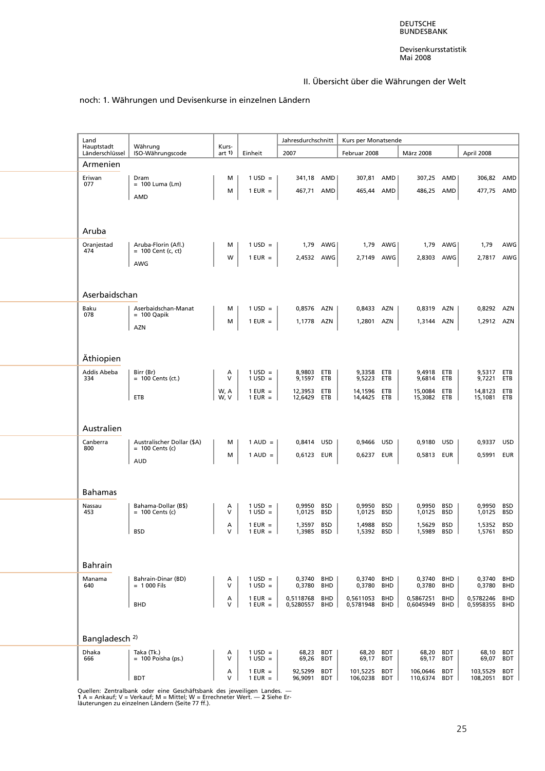### noch: 1. Währungen und Devisenkurse in einzelnen Ländern

| Land<br>Hauptstadt        | Währung                                         | Kurs-        |                                | Jahresdurchschnitt |                          | Kurs per Monatsende    |                          |                        |                          |                    |                          |
|---------------------------|-------------------------------------------------|--------------|--------------------------------|--------------------|--------------------------|------------------------|--------------------------|------------------------|--------------------------|--------------------|--------------------------|
| Länderschlüssel           | ISO-Währungscode                                | art 1)       | Einheit                        | 2007               |                          | Februar 2008           |                          | März 2008              |                          | April 2008         |                          |
| Armenien                  |                                                 |              |                                |                    |                          |                        |                          |                        |                          |                    |                          |
| Eriwan<br>077             | Dram<br>$= 100$ Luma (Lm)                       | м            | $1$ USD =                      | 341.18 AMD         |                          | 307,81 AMD             |                          | 307,25 AMD             |                          | 306,82 AMD         |                          |
|                           | <b>AMD</b>                                      | M            | $1$ EUR $=$                    | 467,71             | AMD                      | 465,44 AMD             |                          | 486,25                 | AMD                      | 477,75             | AMD                      |
|                           |                                                 |              |                                |                    |                          |                        |                          |                        |                          |                    |                          |
|                           |                                                 |              |                                |                    |                          |                        |                          |                        |                          |                    |                          |
| Aruba                     |                                                 |              |                                |                    |                          |                        |                          |                        |                          |                    |                          |
| Oranjestad                | Aruba-Florin (Afl.)                             | м            | $1 \text{ USD} =$              | 1,79               | AWG                      |                        | 1,79 AWG                 |                        | 1,79 AWG                 | 1,79               | AWG                      |
| 474                       | $= 100$ Cent (c, ct)                            | W            | $1$ EUR $=$                    | 2,4532 AWG         |                          | 2,7149 AWG             |                          | 2.8303 AWG             |                          | 2,7817             | AWG                      |
|                           | AWG                                             |              |                                |                    |                          |                        |                          |                        |                          |                    |                          |
|                           |                                                 |              |                                |                    |                          |                        |                          |                        |                          |                    |                          |
| Aserbaidschan             |                                                 |              |                                |                    |                          |                        |                          |                        |                          |                    |                          |
| Baku                      | Aserbaidschan-Manat                             | м            | $1$ USD =                      | 0,8576             | AZN                      | 0,8433 AZN             |                          | 0,8319                 | AZN                      | 0,8292 AZN         |                          |
| 078                       | $= 100$ Qapik                                   | M            | $1$ EUR $=$                    | 1,1778             | AZN                      | 1,2801                 | AZN                      | 1,3144                 | AZN                      | 1,2912 AZN         |                          |
|                           | <b>AZN</b>                                      |              |                                |                    |                          |                        |                          |                        |                          |                    |                          |
|                           |                                                 |              |                                |                    |                          |                        |                          |                        |                          |                    |                          |
| Äthiopien                 |                                                 |              |                                |                    |                          |                        |                          |                        |                          |                    |                          |
| Addis Abeba               | Birr (Br)                                       | Α            | $1$ USD =                      | 8,9803             | ETB                      | 9,3358 ETB             |                          | 9,4918 ETB             |                          | 9,5317             | ETB                      |
| 334                       | $= 100$ Cents (ct.)                             | $\mathsf{V}$ | $1$ USD =                      | 9,1597             | ETB                      | 9,5223 ETB             |                          | 9,6814                 | ETB                      | 9,7221             | ETB                      |
|                           | ETB                                             | W, A<br>W, V | $1$ EUR =<br>$1$ EUR $=$       | 12,3953<br>12,6429 | ETB<br>ETB               | 14,1596 ETB<br>14,4425 | ETB                      | 15,0084<br>15,3082 ETB | ETB                      | 14,8123<br>15,1081 | ETB<br>ETB               |
|                           |                                                 |              |                                |                    |                          |                        |                          |                        |                          |                    |                          |
|                           |                                                 |              |                                |                    |                          |                        |                          |                        |                          |                    |                          |
| Australien                |                                                 |              |                                |                    |                          |                        |                          |                        |                          |                    |                          |
| Canberra<br>800           | Australischer Dollar (\$A)<br>$= 100$ Cents (c) | м            | $1 \text{ AUD} =$              | 0,8414             | USD                      | 0,9466                 | USD                      | 0,9180                 | <b>USD</b>               | 0,9337             | <b>USD</b>               |
|                           | <b>AUD</b>                                      | м            | $1 \text{ AUD} =$              | 0,6123 EUR         |                          | 0,6237 EUR             |                          | 0,5813 EUR             |                          | 0,5991             | EUR                      |
|                           |                                                 |              |                                |                    |                          |                        |                          |                        |                          |                    |                          |
|                           |                                                 |              |                                |                    |                          |                        |                          |                        |                          |                    |                          |
| <b>Bahamas</b>            |                                                 |              |                                |                    |                          |                        |                          |                        |                          |                    |                          |
| Nassau<br>453             | Bahama-Dollar (B\$)<br>$= 100$ Cents (c)        | Α<br>$\vee$  | $1$ USD =<br>$1$ USD =         | 0,9950<br>1,0125   | <b>BSD</b><br><b>BSD</b> | 0.9950<br>1,0125       | <b>BSD</b><br><b>BSD</b> | 0,9950<br>1,0125       | <b>BSD</b><br><b>BSD</b> | 0.9950<br>1,0125   | <b>BSD</b><br>BSD        |
|                           |                                                 |              |                                |                    |                          |                        |                          |                        |                          |                    |                          |
|                           | <b>BSD</b>                                      | Α<br>V       | $1$ EUR =<br>$1$ EUR $=$       | 1,3597<br>1,3985   | <b>BSD</b><br><b>BSD</b> | 1,4988<br>1,5392       | <b>BSD</b><br><b>BSD</b> | 1,5629<br>1,5989       | <b>BSD</b><br><b>BSD</b> | 1,5352<br>1,5761   | <b>BSD</b><br><b>BSD</b> |
|                           |                                                 |              |                                |                    |                          |                        |                          |                        |                          |                    |                          |
|                           |                                                 |              |                                |                    |                          |                        |                          |                        |                          |                    |                          |
| Bahrain                   |                                                 |              |                                |                    |                          |                        |                          |                        |                          |                    |                          |
| Manama<br>640             | Bahrain-Dinar (BD)<br>$= 1000$ Fils             | Α<br>V       | $1 \text{ USD} =$<br>$1$ USD = | 0,3740<br>0,3780   | BHD<br><b>BHD</b>        | 0,3740<br>0,3780       | BHD<br><b>BHD</b>        | 0,3740<br>0,3780       | BHD<br><b>BHD</b>        | 0,3740<br>0,3780   | <b>BHD</b><br><b>BHD</b> |
|                           |                                                 | Α            | $1$ EUR =                      | 0,5118768          | <b>BHD</b>               | 0,5611053              | <b>BHD</b>               | 0,5867251              | <b>BHD</b>               | 0,5782246          | <b>BHD</b>               |
|                           | <b>BHD</b>                                      | $\vee$       | $1$ EUR $=$                    | 0,5280557          | BHD                      | 0,5781948              | BHD                      | 0,6045949              | <b>BHD</b>               | 0,5958355          | <b>BHD</b>               |
|                           |                                                 |              |                                |                    |                          |                        |                          |                        |                          |                    |                          |
|                           |                                                 |              |                                |                    |                          |                        |                          |                        |                          |                    |                          |
| Bangladesch <sup>2)</sup> |                                                 |              |                                |                    |                          |                        |                          |                        |                          |                    |                          |
| Dhaka<br>666              | Taka (Tk.)<br>$= 100$ Poisha (ps.)              | Α<br>$\vee$  | $1 \text{ USD} =$<br>$1$ USD = | 68,23<br>69,26     | <b>BDT</b><br><b>BDT</b> | 68,20<br>69,17         | <b>BDT</b><br><b>BDT</b> | 68,20<br>69,17         | <b>BDT</b><br><b>BDT</b> | 68,10<br>69,07     | BDT<br><b>BDT</b>        |
|                           |                                                 | Α            | $1$ EUR $=$                    | 92,5299            | <b>BDT</b>               | 101,5225               | BDT                      | 106,0646               | <b>BDT</b>               | 103,5529           | <b>BDT</b>               |
|                           | <b>BDT</b>                                      | $\vee$       | $1$ EUR $=$                    | 96,9091            | BDT                      | 106,0238               | BDT                      | 110,6374               | <b>BDT</b>               | 108,2051           | <b>BDT</b>               |

Quellen: Zentralbank oder eine Geschäftsbank des jeweiligen Landes. —<br>1 A = Ankauf; V = Verkauf; M = Mittel; W = Errechneter Wert. — 2 Siehe Er-<br>läuterungen zu einzelnen Ländern (Seite 77 ff.).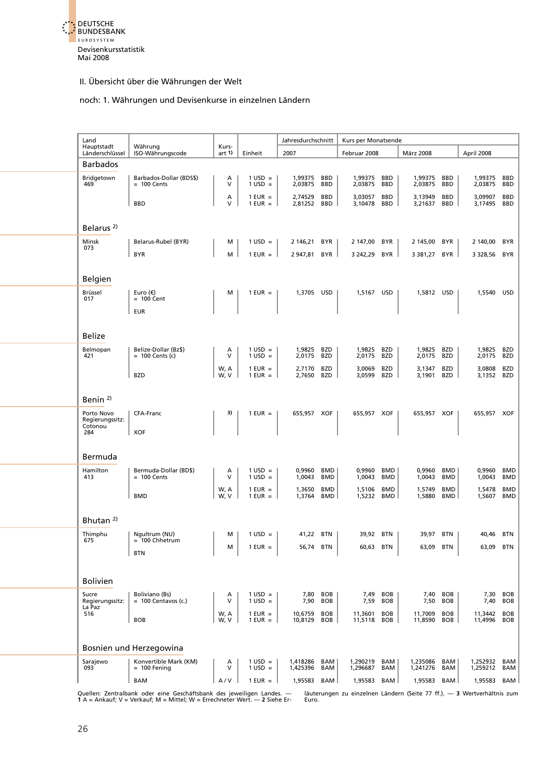

### noch: 1. Währungen und Devisenkurse in einzelnen Ländern

| Land                          |                                           |                 |                                  | Jahresdurchschnitt       |                          | Kurs per Monatsende  |                          |                      |                          |                        |                          |
|-------------------------------|-------------------------------------------|-----------------|----------------------------------|--------------------------|--------------------------|----------------------|--------------------------|----------------------|--------------------------|------------------------|--------------------------|
| Hauptstadt<br>Länderschlüssel | Währung<br>ISO-Währungscode               | Kurs-<br>art 1) | Einheit                          | 2007                     |                          | Februar 2008         |                          | März 2008            |                          | April 2008             |                          |
| <b>Barbados</b>               |                                           |                 |                                  |                          |                          |                      |                          |                      |                          |                        |                          |
| Bridgetown<br>469             | Barbados-Dollar (BDS\$)<br>$= 100$ Cents  | А<br>$\vee$     | $1 \text{ USD} =$<br>$1$ USD =   | 1,99375<br>2,03875       | BBD<br><b>BBD</b>        | 1,99375<br>2,03875   | <b>BBD</b><br><b>BBD</b> | 1,99375<br>2,03875   | <b>BBD</b><br><b>BBD</b> | 1,99375<br>2,03875     | BBD<br><b>BBD</b>        |
|                               | <b>BBD</b>                                | А<br>$\vee$     | $1$ EUR $=$<br>$1$ EUR $=$       | 2,74529<br>2,81252 BBD   | BBD                      | 3,03057<br>3,10478   | <b>BBD</b><br><b>BBD</b> | 3,13949<br>3,21637   | <b>BBD</b><br><b>BBD</b> | 3,09907<br>3,17495     | <b>BBD</b><br><b>BBD</b> |
|                               |                                           |                 |                                  |                          |                          |                      |                          |                      |                          |                        |                          |
| Belarus <sup>2)</sup>         |                                           |                 |                                  |                          |                          |                      |                          |                      |                          |                        |                          |
| Minsk<br>073                  | Belarus-Rubel (BYR)<br><b>BYR</b>         | M<br>M          | $1 \text{ USD} =$<br>$1$ EUR $=$ | 2 146,21                 | BYR<br>BYR               | 2 147,00             | BYR<br>BYR               | 2 145,00<br>3 381,27 | BYR<br>$BYR$             | 2 140,00<br>3 3 28, 56 | BYR<br>BYR               |
|                               |                                           |                 |                                  | 2 947,81                 |                          | 3 242,29             |                          |                      |                          |                        |                          |
| Belgien                       |                                           |                 |                                  |                          |                          |                      |                          |                      |                          |                        |                          |
| Brüssel                       | Euro $(\epsilon)$                         | м               | $1$ EUR $=$                      | 1,3705 USD               |                          | 1,5167 USD           |                          | 1,5812 USD           |                          | 1,5540 USD             |                          |
| 017                           | $= 100$ Cent<br><b>EUR</b>                |                 |                                  |                          |                          |                      |                          |                      |                          |                        |                          |
|                               |                                           |                 |                                  |                          |                          |                      |                          |                      |                          |                        |                          |
| <b>Belize</b>                 |                                           |                 |                                  |                          |                          |                      |                          |                      |                          |                        |                          |
| Belmopan<br>421               | Belize-Dollar (Bz\$)<br>$= 100$ Cents (c) | А<br>$\vee$     | $1 \text{ USD} =$<br>$1$ USD =   | 1,9825 BZD<br>2,0175     | <b>BZD</b>               | 1,9825<br>2,0175     | BZD<br><b>BZD</b>        | 1,9825<br>2,0175     | BZD<br><b>BZD</b>        | 1,9825<br>2,0175       | BZD<br><b>BZD</b>        |
|                               |                                           | W, A            | $1$ EUR =                        | 2,7170                   | BZD                      | 3,0069               | <b>BZD</b>               | 3,1347               | <b>BZD</b>               | 3,0808                 | BZD                      |
|                               | <b>BZD</b>                                | W, V            | $1$ EUR $=$                      | 2,7650                   | <b>BZD</b>               | 3,0599               | <b>BZD</b>               | 3,1901               | <b>BZD</b>               | 3,1352                 | <b>BZD</b>               |
| Benin <sup>2)</sup>           |                                           |                 |                                  |                          |                          |                      |                          |                      |                          |                        |                          |
| Porto Novo<br>Regierungssitz: | CFA-Franc                                 | 3)              | $1$ EUR $=$                      | 655,957 XOF              |                          | 655,957 XOF          |                          | 655,957 XOF          |                          | 655,957 XOF            |                          |
| Cotonou<br>284                | <b>XOF</b>                                |                 |                                  |                          |                          |                      |                          |                      |                          |                        |                          |
|                               |                                           |                 |                                  |                          |                          |                      |                          |                      |                          |                        |                          |
| Bermuda                       |                                           |                 |                                  |                          |                          |                      |                          |                      |                          |                        |                          |
| Hamilton<br>413               | Bermuda-Dollar (BD\$)<br>$= 100$ Cents    | Α<br>$\vee$     | $1 \text{ USD} =$<br>$1$ USD =   | 0,9960 BMD<br>1,0043     | BMD                      | 0,9960<br>1,0043     | BMD<br>BMD               | 0,9960<br>1,0043     | BMD<br><b>BMD</b>        | 0,9960<br>1,0043       | <b>BMD</b><br><b>BMD</b> |
|                               | <b>BMD</b>                                | W, A<br>W, V    | $1$ EUR =<br>$1$ EUR $=$         | 1,3650<br>1,3764         | BMD<br>BMD               | 1,5106<br>1,5232     | BMD<br>BMD               | 1,5749<br>1,5880     | <b>BMD</b><br>BMD        | 1,5478<br>1,5607       | <b>BMD</b><br><b>BMD</b> |
|                               |                                           |                 |                                  |                          |                          |                      |                          |                      |                          |                        |                          |
| Bhutan <sup>2)</sup>          |                                           |                 |                                  |                          |                          |                      |                          |                      |                          |                        |                          |
| Thimphu<br>675                | Ngultrum (NU)<br>$= 100$ Chhetrum         | М               | $1 \text{ USD} =$                | 41,22 BTN                |                          | 39,92 BTN            |                          | 39,97                | <b>BTN</b>               | 40,46                  | <b>BTN</b>               |
|                               | <b>BTN</b>                                | м               | $1$ EUR =                        | 56,74 BTN                |                          | 60,63 BTN            |                          | 63,09                | BTN                      | 63,09                  | <b>BTN</b>               |
|                               |                                           |                 |                                  |                          |                          |                      |                          |                      |                          |                        |                          |
| <b>Bolivien</b>               |                                           |                 |                                  |                          |                          |                      |                          |                      |                          |                        |                          |
| Sucre<br>Regierungssitz:      | Boliviano (Bs)<br>$= 100$ Centavos (c.)   | Α<br>$\vee$     | $1 \text{ USD} =$<br>$1$ USD =   | 7,80<br>7,90             | <b>BOB</b><br><b>BOB</b> | 7,49<br>7,59         | BOB<br><b>BOB</b>        | 7,40<br>7,50         | BOB<br><b>BOB</b>        | 7,30<br>7,40           | <b>BOB</b><br>BOB        |
| La Paz<br>516                 |                                           | W, A            | $1$ EUR $=$                      | 10,6759                  | <b>BOB</b>               | 11,3601              | <b>BOB</b>               | 11,7009              | <b>BOB</b>               | 11,3442                | <b>BOB</b>               |
|                               | <b>BOB</b>                                | W, V            | $1$ EUR =                        | 10,8129                  | BOB                      | 11,5118 BOB          |                          | 11,8590              | BOB                      | 11,4996                | BOB                      |
|                               | Bosnien und Herzegowina                   |                 |                                  |                          |                          |                      |                          |                      |                          |                        |                          |
| Sarajewo<br>093               | Konvertible Mark (KM)<br>$= 100$ Fening   | Α<br>$\vee$     | $1 \text{ USD} =$<br>$1$ USD =   | 1,418286 BAM<br>1,425396 | BAM                      | 1,290219<br>1,296687 | BAM<br>BAM               | 1,235086<br>1,241276 | BAM<br>BAM               | 1,252932<br>1,259212   | BAM<br>BAM               |
|                               | <b>BAM</b>                                | A/V             | $1$ EUR =                        | 1,95583                  | BAM                      | 1,95583              | BAM                      | 1,95583              | BAM                      | 1,95583                | BAM                      |
| $0 \cdot \text{m}$            |                                           |                 |                                  |                          |                          |                      |                          |                      |                          |                        |                          |

Quellen: Zentralbank oder eine Geschäftsbank des jeweiligen Landes. — läuterungen zu einzelnen Ländern (Seite 77 ff.). — 3 Wertverhältnis zum<br>1 A = Ankauf; V = Verkauf; M = Mittel; W = Errechneter Wert. — 2 Siehe Er-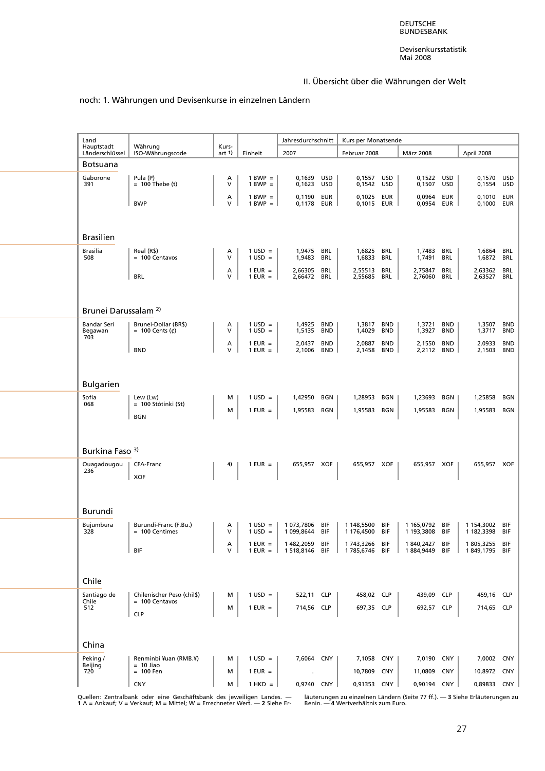#### noch: 1. Währungen und Devisenkurse in einzelnen Ländern

| Land<br>Hauptstadt              | Währung                                             | Kurs-       |                                        | Jahresdurchschnitt           |                          | Kurs per Monatsende          |                          |                              |                          |                              |                          |
|---------------------------------|-----------------------------------------------------|-------------|----------------------------------------|------------------------------|--------------------------|------------------------------|--------------------------|------------------------------|--------------------------|------------------------------|--------------------------|
| Länderschlüssel                 | ISO-Währungscode                                    | art 1)      | Einheit                                | 2007                         |                          | Februar 2008                 |                          | <b>März 2008</b>             |                          | April 2008                   |                          |
| <b>Botsuana</b>                 |                                                     |             |                                        |                              |                          |                              |                          |                              |                          |                              |                          |
| Gaborone<br>391                 | Pula (P)<br>$= 100$ Thebe (t)                       | Α<br>V      | $1 BWP =$<br>$1 BWP =$                 | 0,1639<br>0,1623             | <b>USD</b><br><b>USD</b> | 0,1557<br>0,1542             | USD<br>USD               | 0,1522<br>0,1507             | <b>USD</b><br><b>USD</b> | 0,1570 USD<br>0,1554         | <b>USD</b>               |
|                                 | <b>BWP</b>                                          | А<br>$\vee$ | $1 BWP =$<br>$1 BWP =$                 | 0,1190<br>0,1178             | EUR<br>EUR               | 0,1025<br>0,1015 EUR         | EUR                      | 0,0964<br>0,0954             | <b>EUR</b><br>EUR        | 0,1010<br>0,1000             | EUR<br>EUR               |
| <b>Brasilien</b>                |                                                     |             |                                        |                              |                          |                              |                          |                              |                          |                              |                          |
| <b>Brasilia</b><br>508          | Real (R\$)<br>$= 100$ Centavos                      | Α<br>$\vee$ | $1 \text{ USD} =$<br>$1 \text{ USD} =$ | 1,9475<br>1,9483             | BRL<br>BRL               | 1,6825<br>1,6833             | BRL<br>BRL               | 1,7483<br>1,7491             | BRL<br>BRL               | 1,6864<br>1,6872 BRL         | BRL                      |
|                                 | <b>BRL</b>                                          | А<br>V      | $1$ EUR $=$<br>$1$ EUR $=$             | 2,66305<br>2,66472           | BRL<br>BRL               | 2,55513<br>2,55685           | BRL<br>BRL               | 2,75847<br>2,76060           | BRL<br>BRL               | 2,63362<br>2,63527           | BRL<br><b>BRL</b>        |
| Brunei Darussalam <sup>2)</sup> |                                                     |             |                                        |                              |                          |                              |                          |                              |                          |                              |                          |
| Bandar Seri<br>Begawan<br>703   | Brunei-Dollar (BR\$)<br>$= 100$ Cents (¢)           | А<br>V      | $1 \text{ USD} =$<br>$1 \text{ USD} =$ | 1,4925<br>1,5135             | <b>BND</b><br><b>BND</b> | 1,3817<br>1,4029             | <b>BND</b><br><b>BND</b> | 1,3721<br>1,3927             | <b>BND</b><br><b>BND</b> | 1,3507<br>1,3717             | BND<br><b>BND</b>        |
|                                 | <b>BND</b>                                          | А<br>V      | $1$ EUR $=$<br>$1$ EUR $=$             | 2,0437<br>2,1006             | <b>BND</b><br>BND        | 2,0887<br>2,1458             | <b>BND</b><br>BND        | 2,1550<br>2,2112 BND         | <b>BND</b>               | 2,0933<br>2,1503             | <b>BND</b><br><b>BND</b> |
| <b>Bulgarien</b>                |                                                     |             |                                        |                              |                          |                              |                          |                              |                          |                              |                          |
| Sofia<br>068                    | Lew (Lw)<br>= 100 Stótinki (St)                     | м<br>М      | $1 \text{ USD} =$<br>$1$ EUR $=$       | 1,42950<br>1,95583           | BGN<br>BGN               | 1,28953<br>1,95583           | BGN<br>BGN               | 1,23693<br>1,95583           | BGN<br><b>BGN</b>        | 1,25858<br>1,95583 BGN       | BGN                      |
|                                 | <b>BGN</b>                                          |             |                                        |                              |                          |                              |                          |                              |                          |                              |                          |
| Burkina Faso 3)                 |                                                     |             |                                        |                              |                          |                              |                          |                              |                          |                              |                          |
| Ouagadougou<br>236              | CFA-Franc<br><b>XOF</b>                             | 4)          | $1$ EUR $=$                            | 655,957 XOF                  |                          | 655,957 XOF                  |                          | 655,957 XOF                  |                          | 655,957 XOF                  |                          |
| Burundi                         |                                                     |             |                                        |                              |                          |                              |                          |                              |                          |                              |                          |
| Bujumbura<br>328                | Burundi-Franc (F.Bu.)<br>= 100 Centimes             | A<br>V      | $1 \text{ USD} =$<br>$1 \text{ USD} =$ | 1 073,7806 BIF<br>1 099,8644 | BIF                      | 1 148,5500 BIF<br>1 176,4500 | BIF                      | 1 165,0792 BIF<br>1 193,3808 | BIF                      | 1 154,3002 BIF<br>1 182,3398 | BIF                      |
|                                 | BIF                                                 | А<br>V      | $1$ EUR =<br>$1$ EUR $=$               | 1482,2059<br>1 518,8146      | BIF<br>BIF               | 1743,3266<br>1785,6746       | BIF<br>BIF               | 1840,2427 BIF<br>1884,9449   | BIF                      | 1805,3255 BIF<br>1 849,1795  | BIF                      |
| Chile                           |                                                     |             |                                        |                              |                          |                              |                          |                              |                          |                              |                          |
| Santiago de<br>Chile<br>512     | Chilenischer Peso (chil\$)<br>$= 100$ Centavos      | м<br>М      | $1 \text{ USD} =$<br>$1$ EUR $=$       | 522,11 CLP<br>714,56 CLP     |                          | 458,02 CLP<br>697,35 CLP     |                          | 439,09 CLP<br>692,57 CLP     |                          | 459,16 CLP<br>714,65 CLP     |                          |
|                                 | <b>CLP</b>                                          |             |                                        |                              |                          |                              |                          |                              |                          |                              |                          |
| China                           |                                                     |             |                                        |                              |                          |                              |                          |                              |                          |                              |                          |
| Peking /<br>Beijing<br>720      | Renminbi ¥uan (RMB.¥)<br>$= 10$ Jiao<br>$= 100$ Fen | м<br>М      | $1$ USD =<br>$1$ EUR $=$               | 7,6064 CNY                   |                          | 7,1058 CNY<br>10,7809        | <b>CNY</b>               | 7,0190 CNY<br>11,0809        | <b>CNY</b>               | 7,0002 CNY<br>10,8972 CNY    |                          |
|                                 | <b>CNY</b>                                          | м           | $1$ HKD $=$                            | 0,9740 CNY                   |                          | 0,91353 CNY                  |                          | 0,90194 CNY                  |                          | 0,89833 CNY                  |                          |

Quellen: Zentralbank oder eine Geschäftsbank des jeweiligen Landes. — läuterungen zu einzelnen Ländern (Seite 77 ff.). — 3 Siehe Erläuterungen zu<br>1 A = Ankauf; V = Verkauf; M = Mittel; W = Errechneter Wert. — 2 Siehe Er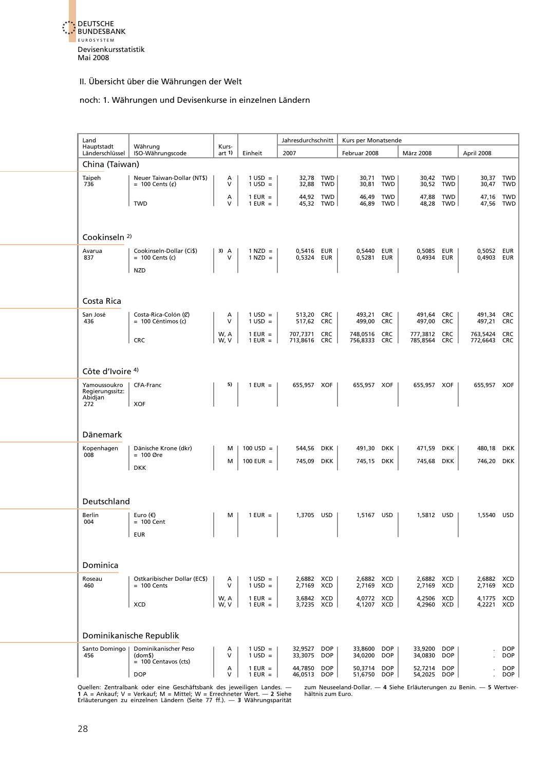

### noch: 1. Währungen und Devisenkurse in einzelnen Ländern

| Land<br>Hauptstadt              | Währung                                         | Kurs-          |                                | Jahresdurchschnitt         |                          | Kurs per Monatsende      |                          |                            |                          |                      |                          |
|---------------------------------|-------------------------------------------------|----------------|--------------------------------|----------------------------|--------------------------|--------------------------|--------------------------|----------------------------|--------------------------|----------------------|--------------------------|
| Länderschlüssel                 | ISO-Währungscode                                | art $1$        | Einheit                        | 2007                       |                          | Februar 2008             |                          | <b>März 2008</b>           |                          | April 2008           |                          |
| China (Taiwan)                  |                                                 |                |                                |                            |                          |                          |                          |                            |                          |                      |                          |
| Taipeh<br>736                   | Neuer Taiwan-Dollar (NT\$)<br>$= 100$ Cents (¢) | Α<br>$\vee$    | $1$ USD =<br>$1$ USD =         | 32,78<br>32,88             | TWD<br>TWD               | 30,71<br>30,81           | TWD<br><b>TWD</b>        | 30,42 TWD<br>30,52         | <b>TWD</b>               | 30,37<br>30,47       | TWD<br>TWD               |
|                                 | <b>TWD</b>                                      | А<br>$\vee$    | $1$ EUR =<br>$1$ EUR $=$       |                            | 44,92 TWD<br>45,32 TWD   | 46,49 TWD<br>46,89 TWD   |                          | 47,88<br>48,28 TWD         | <b>TWD</b>               | 47,16 TWD            | 47,56 TWD                |
|                                 |                                                 |                |                                |                            |                          |                          |                          |                            |                          |                      |                          |
|                                 |                                                 |                |                                |                            |                          |                          |                          |                            |                          |                      |                          |
| Cookinseln <sup>2)</sup>        |                                                 |                |                                |                            |                          |                          |                          |                            |                          |                      |                          |
| Avarua<br>837                   | Cookinseln-Dollar (Ci\$)<br>$= 100$ Cents (c)   | $3)$ A<br>V    | $1$ NZD $=$<br>$1$ NZD $=$     | 0,5416 EUR<br>0,5324 EUR   |                          | 0,5440 EUR<br>0,5281 EUR |                          | 0,5085 EUR<br>0,4934 EUR   |                          | 0,5052<br>0,4903 EUR | EUR                      |
|                                 | <b>NZD</b>                                      |                |                                |                            |                          |                          |                          |                            |                          |                      |                          |
|                                 |                                                 |                |                                |                            |                          |                          |                          |                            |                          |                      |                          |
| Costa Rica                      |                                                 |                |                                |                            |                          |                          |                          |                            |                          |                      |                          |
| San José                        | Costa-Rica-Colón (Ø)                            | A              | $1$ USD =                      | 513,20 CRC                 |                          | 493,21 CRC               |                          | 491,64 CRC                 |                          | 491,34               | <b>CRC</b>               |
| 436                             | $= 100$ Céntimos (c)                            | $\vee$<br>W, A | $1 \text{ USD} =$<br>$1$ EUR = | 517,62 CRC<br>707,7371 CRC |                          | 499,00<br>748,0516       | <b>CRC</b><br><b>CRC</b> | 497,00 CRC<br>777,3812 CRC |                          | 497,21<br>763,5424   | <b>CRC</b><br><b>CRC</b> |
|                                 | <b>CRC</b>                                      | W, V           | $1$ EUR $=$                    | 713,8616 CRC               |                          | 756,8333 CRC             |                          | 785,8564 CRC               |                          | 772,6643 CRC         |                          |
|                                 |                                                 |                |                                |                            |                          |                          |                          |                            |                          |                      |                          |
| Côte d'Ivoire <sup>4)</sup>     |                                                 |                |                                |                            |                          |                          |                          |                            |                          |                      |                          |
| Yamoussoukro<br>Regierungssitz: | <b>CFA-Franc</b>                                | 5)             | $1$ EUR $=$                    | 655.957 XOF                |                          | 655,957 XOF              |                          | 655.957 XOF                |                          | 655,957 XOF          |                          |
| Abidjan<br>272                  | <b>XOF</b>                                      |                |                                |                            |                          |                          |                          |                            |                          |                      |                          |
|                                 |                                                 |                |                                |                            |                          |                          |                          |                            |                          |                      |                          |
| Dänemark                        |                                                 |                |                                |                            |                          |                          |                          |                            |                          |                      |                          |
| Kopenhagen                      | Dänische Krone (dkr)                            | м              | $100$ USD =                    | 544,56 DKK                 |                          | 491,30 DKK               |                          | 471,59                     | DKK                      | 480,18               | DKK                      |
| 008                             | $= 100$ Øre                                     | M              | 100 EUR $=$                    | 745,09                     | <b>DKK</b>               | 745,15 DKK               |                          | 745,68                     | <b>DKK</b>               | 746,20 DKK           |                          |
|                                 | <b>DKK</b>                                      |                |                                |                            |                          |                          |                          |                            |                          |                      |                          |
|                                 |                                                 |                |                                |                            |                          |                          |                          |                            |                          |                      |                          |
| Deutschland                     |                                                 |                |                                |                            |                          |                          |                          |                            |                          |                      |                          |
| Berlin<br>004                   | Euro (€)<br>$= 100$ Cent                        | м              | $1$ EUR $=$                    | 1,3705 USD                 |                          | 1,5167 USD               |                          | 1,5812 USD                 |                          | 1,5540               | USD                      |
|                                 | <b>EUR</b>                                      |                |                                |                            |                          |                          |                          |                            |                          |                      |                          |
|                                 |                                                 |                |                                |                            |                          |                          |                          |                            |                          |                      |                          |
| Dominica                        |                                                 |                |                                |                            |                          |                          |                          |                            |                          |                      |                          |
| Roseau                          | Ostkaribischer Dollar (EC\$)                    | Α              | $1$ USD =                      | 2,6882 XCD                 |                          | 2,6882                   | XCD                      | 2,6882                     | XCD                      | 2,6882               | XCD                      |
| 460                             | $= 100$ Cents                                   | $\vee$         | $1$ USD =                      | 2,7169 XCD                 |                          | 2,7169 XCD               |                          | 2,7169 XCD                 |                          | 2,7169               | XCD                      |
|                                 | <b>XCD</b>                                      | W, A<br>W, V   | $1$ EUR =<br>$1$ EUR $=$       | 3,6842 XCD<br>3,7235 XCD   |                          | 4,0772 XCD<br>4,1207 XCD |                          | 4,2506<br>4,2960           | XCD<br>XCD               | 4,1775<br>4,2221     | XCD<br>XCD               |
|                                 |                                                 |                |                                |                            |                          |                          |                          |                            |                          |                      |                          |
|                                 | Dominikanische Republik                         |                |                                |                            |                          |                          |                          |                            |                          |                      |                          |
| Santo Domingo<br>456            | Dominikanischer Peso<br>dom <sup>2</sup>        | А<br>$\vee$    | $1 \text{ USD} =$<br>$1$ USD = | 32,9527<br>33,3075         | <b>DOP</b><br><b>DOP</b> | 33,8600<br>34,0200       | <b>DOP</b><br><b>DOP</b> | 33,9200<br>34,0830         | <b>DOP</b><br><b>DOP</b> |                      | <b>DOP</b><br><b>DOP</b> |
|                                 | $= 100$ Centavos (cts)                          | А              | $1$ EUR $=$                    | 44,7850                    | <b>DOP</b>               | 50,3714                  | <b>DOP</b>               | 52,7214                    | <b>DOP</b>               |                      | <b>DOP</b>               |
|                                 | <b>DOP</b>                                      | $\vee$         | $1$ EUR =                      | 46,0513                    | <b>DOP</b>               | 51,6750                  | <b>DOP</b>               | 54,2025                    | <b>DOP</b>               |                      | <b>DOP</b>               |

Quellen: Zentralbank oder eine Geschäftsbank des jeweiligen Landes. — zum Neuseeland-Dollar. — 4 Siehe Erläuterungen zu Benin. — 5 Wertver-<br>1 A = Ankauf; V = Verkauf; M = Mittel; W = Errechneter Wert. — 2 Siehe kältnis zum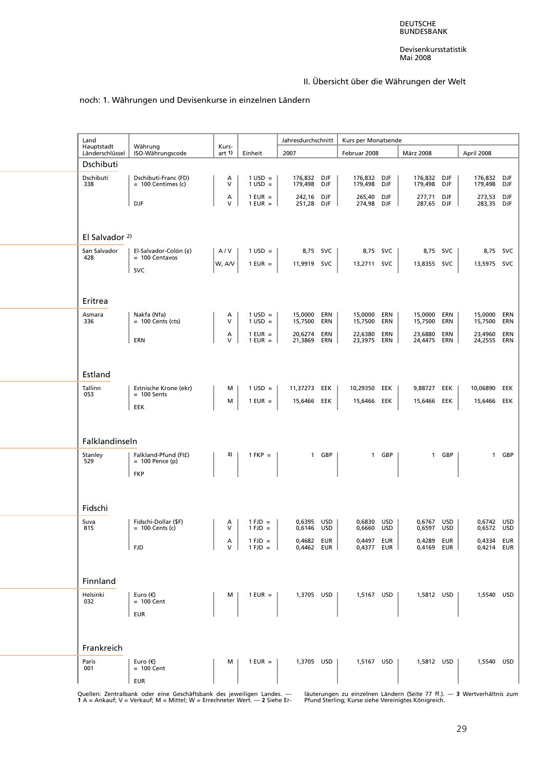#### noch: 1. Währungen und Devisenkurse in einzelnen Ländern

| Land<br>Hauptstadt        | Währung                                      | Kurs-         |                                | Jahresdurchschnitt         |                   | Kurs per Monatsende        |                   |                            |                          |                            |            |
|---------------------------|----------------------------------------------|---------------|--------------------------------|----------------------------|-------------------|----------------------------|-------------------|----------------------------|--------------------------|----------------------------|------------|
| Länderschlüssel           | ISO-Währungscode                             | art $1$       | Einheit                        | 2007                       |                   | Februar 2008               |                   | März 2008                  |                          | April 2008                 |            |
| Dschibuti                 |                                              |               |                                |                            |                   |                            |                   |                            |                          |                            |            |
| Dschibuti<br>338          | Dschibuti-Franc (FD)<br>$= 100$ Centimes (c) | Α<br>$\vee$   | $1$ USD =<br>$1$ USD =         | 176,832 DJF<br>179,498 DJF |                   | 176,832 DJF<br>179,498 DJF |                   | 176,832 DJF<br>179,498 DJF |                          | 176,832 DJF<br>179,498 DJF |            |
|                           | DJF                                          | А<br>$\vee$   | $1$ EUR =<br>$1$ EUR $=$       | 242,16 DJF<br>251,28 DJF   |                   | 265,40<br>274,98 DJF       | DJF               | 277,71<br>287,65           | DJF<br>DJF               | 273,53 DJF<br>283,35 DJF   |            |
|                           |                                              |               |                                |                            |                   |                            |                   |                            |                          |                            |            |
| El Salvador <sup>2)</sup> |                                              |               |                                |                            |                   |                            |                   |                            |                          |                            |            |
| San Salvador<br>428       | El-Salvador-Colón (¢)<br>$= 100$ Centavos    | A/V<br>W, A/V | $1 \text{ USD} =$<br>$1$ EUR = | 8,75 SVC<br>11,9919 SVC    |                   | 8,75 SVC<br>13,2711 SVC    |                   | 8,75 SVC<br>13,8355 SVC    |                          | 13,5975 SVC                | 8,75 SVC   |
|                           | <b>SVC</b>                                   |               |                                |                            |                   |                            |                   |                            |                          |                            |            |
| Eritrea                   |                                              |               |                                |                            |                   |                            |                   |                            |                          |                            |            |
| Asmara<br>336             | Nakfa (Nfa)<br>$= 100$ Cents (cts)           | А<br>$\vee$   | $1$ USD =<br>$1$ USD =         | 15,0000<br>15,7500         | ERN<br>ERN        | 15,0000<br>15,7500         | ERN<br>ERN        | 15,0000<br>15,7500         | ERN<br>ERN               | 15,0000<br>15,7500         | ERN<br>ERN |
|                           | ERN                                          | А<br>$\vee$   | $1$ EUR =<br>$1$ EUR $=$       | 20,6274<br>21,3869         | ERN<br>ERN        | 22,6380<br>23,3975         | ERN<br>ERN        | 23,6880<br>24,4475         | ERN<br>ERN               | 23,4960<br>24,2555         | ERN<br>ERN |
|                           |                                              |               |                                |                            |                   |                            |                   |                            |                          |                            |            |
| Estland                   |                                              |               |                                |                            |                   |                            |                   |                            |                          |                            |            |
| Tallinn<br>053            | Estnische Krone (ekr)<br>$= 100$ Sents       | м<br>M        | $1 \text{ USD} =$<br>$1$ EUR = | 11,37273<br>15,6466        | EEK<br>EEK        | 10,29350<br>15,6466        | EEK<br>EEK        | 9,88727<br>15,6466         | EEK<br>EEK               | 10,06890<br>15,6466 EEK    | EEK        |
|                           | EEK                                          |               |                                |                            |                   |                            |                   |                            |                          |                            |            |
| Falklandinseln            |                                              |               |                                |                            |                   |                            |                   |                            |                          |                            |            |
| Stanley<br>529            | Falkland-Pfund (FI£)                         | 3)            | $1$ FKP $=$                    |                            | 1 GBP             |                            | 1 GBP             |                            | 1 GBP                    |                            | 1 GBP      |
|                           | $= 100$ Pence (p)<br><b>FKP</b>              |               |                                |                            |                   |                            |                   |                            |                          |                            |            |
|                           |                                              |               |                                |                            |                   |                            |                   |                            |                          |                            |            |
| Fidschi                   |                                              |               |                                |                            |                   |                            |                   |                            |                          |                            |            |
| Suva<br>815               | Fidschi-Dollar (\$F)<br>$= 100$ Cents (c)    | Α<br>v        | $1 FJD =$<br>$1 FJD =$         | 0,6395<br>0,6146 USD       | USD               | 0,6830<br>0,6660 USD       | USD               | 0,6767 USD<br>0,6597 USD   |                          | 0.6742 USD<br>0,6572 USD   |            |
|                           | <b>FJD</b>                                   | Α<br>v        | $1$ FJD $=$<br>$1$ FJD $=$     | 0,4682<br>0,4462           | <b>EUR</b><br>EUR | 0,4497<br>0,4377           | <b>EUR</b><br>EUR | 0,4289<br>0,4169           | <b>EUR</b><br><b>EUR</b> | 0,4334 EUR<br>0,4214       | <b>EUR</b> |
|                           |                                              |               |                                |                            |                   |                            |                   |                            |                          |                            |            |
| Finnland                  |                                              |               |                                |                            |                   |                            |                   |                            |                          |                            |            |
| Helsinki<br>032           | Euro $(\epsilon)$<br>$= 100$ Cent            | м             | $1$ EUR $=$                    | 1,3705 USD                 |                   | 1,5167 USD                 |                   | 1,5812 USD                 |                          | 1,5540 USD                 |            |
|                           | <b>EUR</b>                                   |               |                                |                            |                   |                            |                   |                            |                          |                            |            |
|                           |                                              |               |                                |                            |                   |                            |                   |                            |                          |                            |            |
| Frankreich                |                                              |               |                                |                            |                   |                            |                   |                            |                          |                            |            |
| Paris<br>001              | Euro $(\epsilon)$<br>$= 100$ Cent            | м             | $1$ EUR $=$                    | 1,3705 USD                 |                   | 1,5167 USD                 |                   | 1,5812 USD                 |                          | 1,5540 USD                 |            |
|                           | <b>EUR</b>                                   |               |                                |                            |                   |                            |                   |                            |                          |                            |            |

Quellen: Zentralbank oder eine Geschäftsbank des jeweiligen Landes. — läuterungen zu einzelnen Ländern (Seite 77 ff.). — 3 Wertverhältnis zum<br>1 A = Ankauf; V = Verkauf; M = Mittel; W = Errechneter Wert. — 2 Siehe Er-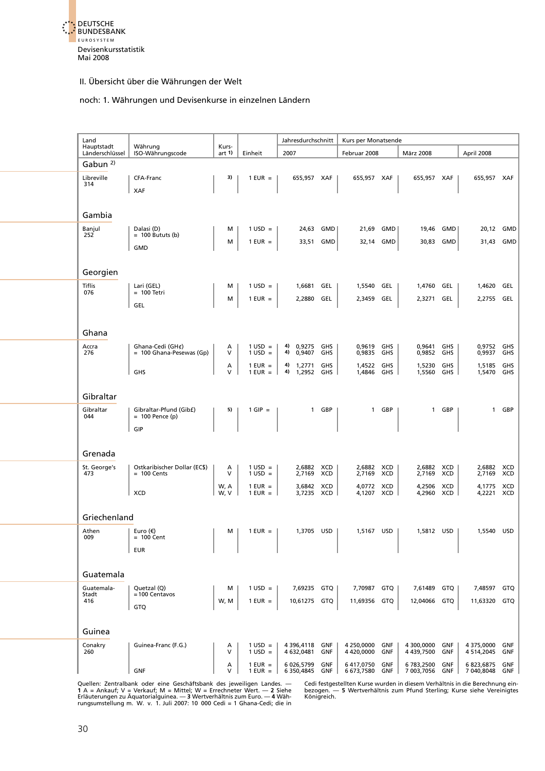

### noch: 1. Währungen und Devisenkurse in einzelnen Ländern

| Land                          |                                                |                    |                                        | Jahresdurchschnitt        |            | Kurs per Monatsende      |            |                          |            |                          |            |
|-------------------------------|------------------------------------------------|--------------------|----------------------------------------|---------------------------|------------|--------------------------|------------|--------------------------|------------|--------------------------|------------|
| Hauptstadt<br>Länderschlüssel | Währung<br>ISO-Währungscode                    | Kurs-<br>art $1$ ) | Einheit                                | 2007                      |            | Februar 2008             |            | März 2008                |            | April 2008               |            |
| Gabun <sup>2</sup>            |                                                |                    |                                        |                           |            |                          |            |                          |            |                          |            |
| Libreville                    | CFA-Franc                                      | 3)                 | $1$ EUR $=$                            | 655,957 XAF               |            | 655,957 XAF              |            | 655,957 XAF              |            | 655,957 XAF              |            |
| 314                           | <b>XAF</b>                                     |                    |                                        |                           |            |                          |            |                          |            |                          |            |
|                               |                                                |                    |                                        |                           |            |                          |            |                          |            |                          |            |
| Gambia                        |                                                |                    |                                        |                           |            |                          |            |                          |            |                          |            |
|                               |                                                |                    |                                        |                           |            |                          |            |                          |            |                          |            |
| Banjul<br>252                 | Dalasi (D)<br>$= 100$ Bututs (b)               | м                  | $1 \text{ USD} =$                      |                           | 24,63 GMD  | 21,69                    | GMD        | 19,46                    | GMD        |                          | 20,12 GMD  |
|                               | <b>GMD</b>                                     | м                  | $1$ EUR =                              | 33,51                     | GMD        | 32,14                    | GMD        | 30,83                    | GMD        |                          | 31,43 GMD  |
|                               |                                                |                    |                                        |                           |            |                          |            |                          |            |                          |            |
| Georgien                      |                                                |                    |                                        |                           |            |                          |            |                          |            |                          |            |
| Tiflis                        | Lari (GEL)                                     | м                  | $1 \text{ USD} =$                      | 1,6681                    | GEL        | 1,5540                   | GEL        | 1,4760                   | GEL        | 1,4620                   | GEL        |
| 076                           | $= 100$ Tetri                                  |                    |                                        |                           |            |                          |            |                          |            |                          |            |
|                               | GEL                                            | м                  | $1$ EUR $=$                            | 2,2880                    | GEL        | 2,3459                   | GEL        | 2,3271 GEL               |            | 2,2755 GEL               |            |
|                               |                                                |                    |                                        |                           |            |                          |            |                          |            |                          |            |
| Ghana                         |                                                |                    |                                        |                           |            |                          |            |                          |            |                          |            |
|                               |                                                |                    |                                        |                           |            |                          |            |                          |            |                          |            |
| Accra<br>276                  | Ghana-Cedi (GH¢)<br>$= 100$ Ghana-Pesewas (Gp) | A<br>V             | $1$ USD =<br>$1 \text{ USD} =$         | 4) 0,9275<br>0,9407<br>4) | GHS<br>GHS | 0,9619<br>0,9835         | GHS<br>GHS | 0,9641 GHS<br>0,9852 GHS |            | 0,9752 GHS<br>0,9937     | GHS        |
|                               |                                                | Α                  | $1$ EUR =                              | 4) 1,2771                 | <b>GHS</b> | 1,4522                   | GHS        | 1,5230                   | GHS        | 1,5185 GHS               |            |
|                               | GHS                                            | $\vee$             | $1$ EUR $=$                            | 4) 1,2952                 | GHS        | 1,4846                   | GHS        | 1,5560 GHS               |            | 1,5470 GHS               |            |
|                               |                                                |                    |                                        |                           |            |                          |            |                          |            |                          |            |
| Gibraltar                     |                                                |                    |                                        |                           |            |                          |            |                          |            |                          |            |
| Gibraltar                     | Gibraltar-Pfund (Gib£)                         | 5)                 | $1$ GIP =                              |                           | 1 GBP      |                          | 1 GBP      |                          | 1 GBP      |                          | 1 GBP      |
| 044                           | $= 100$ Pence (p)                              |                    |                                        |                           |            |                          |            |                          |            |                          |            |
|                               | GIP                                            |                    |                                        |                           |            |                          |            |                          |            |                          |            |
|                               |                                                |                    |                                        |                           |            |                          |            |                          |            |                          |            |
| Grenada                       |                                                |                    |                                        |                           |            |                          |            |                          |            |                          |            |
| St. George's<br>473           | Ostkaribischer Dollar (EC\$)<br>$= 100$ Cents  | A<br>V             | $1 \text{ USD} =$<br>$1 \text{ USD} =$ | 2,6882 XCD<br>2,7169 XCD  |            | 2,6882 XCD<br>2,7169     | XCD        | 2,6882 XCD<br>2,7169     | XCD        | 2,6882 XCD<br>2,7169     | XCD        |
|                               |                                                |                    |                                        |                           |            |                          |            |                          |            |                          |            |
|                               | <b>XCD</b>                                     | W, A<br>W, V       | $1$ EUR $=$<br>$1$ EUR =               | 3,6842 XCD<br>3,7235 XCD  |            | 4,0772 XCD<br>4,1207 XCD |            | 4,2506 XCD<br>4,2960 XCD |            | 4,1775 XCD<br>4,2221 XCD |            |
|                               |                                                |                    |                                        |                           |            |                          |            |                          |            |                          |            |
| Griechenland                  |                                                |                    |                                        |                           |            |                          |            |                          |            |                          |            |
| Athen                         | Euro $(\epsilon)$                              | м                  | $1$ EUR $=$                            | 1,3705 USD                |            | 1,5167 USD               |            | 1,5812 USD               |            | 1,5540 USD               |            |
| 009                           | $= 100$ Cent                                   |                    |                                        |                           |            |                          |            |                          |            |                          |            |
|                               | <b>EUR</b>                                     |                    |                                        |                           |            |                          |            |                          |            |                          |            |
|                               |                                                |                    |                                        |                           |            |                          |            |                          |            |                          |            |
| Guatemala                     |                                                |                    |                                        |                           |            |                          |            |                          |            |                          |            |
| Guatemala-                    | Quetzal (Q)                                    | м                  | $1 \text{ USD} =$                      | 7,69235 GTQ               |            | 7,70987                  | GTQ        | 7,61489                  | <b>GTQ</b> | 7,48597                  | GTQ        |
| Stadt<br>416                  | $= 100$ Centavos                               | W, M               | $1$ EUR $=$                            | 10,61275                  | GTQ        | 11,69356                 | GTQ        | 12,04066                 | GTQ        | 11,63320                 | GTQ        |
|                               | GTQ                                            |                    |                                        |                           |            |                          |            |                          |            |                          |            |
|                               |                                                |                    |                                        |                           |            |                          |            |                          |            |                          |            |
| Guinea                        |                                                |                    |                                        |                           |            |                          |            |                          |            |                          |            |
| Conakry                       | Guinea-Franc (F.G.)                            | Α                  | $1 \text{ USD} =$                      | 4 396,4118                | <b>GNF</b> | 4 250,0000               | <b>GNF</b> | 4 300,0000               | <b>GNF</b> | 4 375,0000               | <b>GNF</b> |
| 260                           |                                                | V                  | $1$ USD =                              | 4 632,0481                | GNF        | 4 420,0000               | <b>GNF</b> | 4 439,7500               | GNF        | 4 5 14, 2045             | GNF        |
|                               | GNF                                            | Α<br>V             | $1$ EUR =<br>$1$ EUR $=$               | 6 026,5799<br>6 350,4845  | GNF<br>GNF | 6417,0750<br>6 673,7580  | GNF<br>GNF | 6 783,2500<br>7 003,7056 | GNF<br>GNF | 6823,6875<br>7 040,8048  | GNF<br>GNF |
|                               |                                                |                    |                                        |                           |            |                          |            |                          |            |                          |            |

Quellen: Zentralbank oder eine Geschäftsbank des jeweiligen Landes. — Cedi festgestellten Kurse wurden in diesem Verhältnis in die Berechnung ein-<br>1 A = Ankauf; V = Verkauf; M = Mittel; W = Errechneter Wert. — 2 Siehe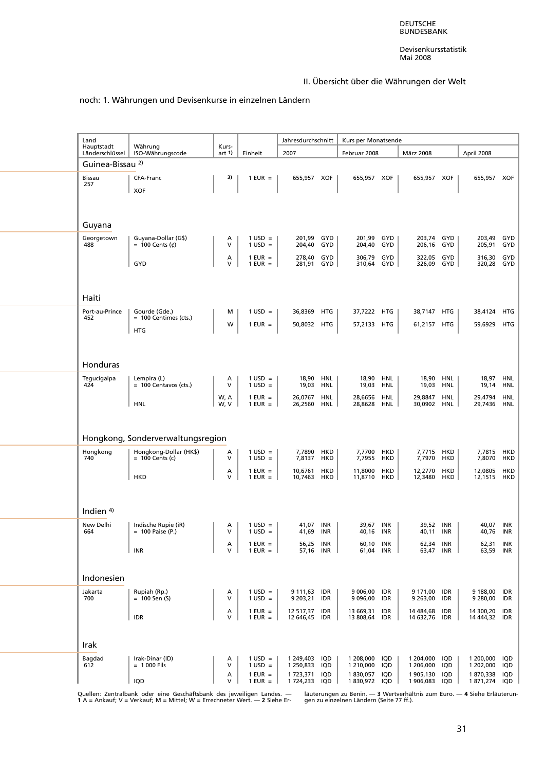#### noch: 1. Währungen und Devisenkurse in einzelnen Ländern

| Land<br>Hauptstadt          | Währung                                     | Kurs-       |                                        | Jahresdurchschnitt   |                   | Kurs per Monatsende     |                   |                       |                   |                       |                          |
|-----------------------------|---------------------------------------------|-------------|----------------------------------------|----------------------|-------------------|-------------------------|-------------------|-----------------------|-------------------|-----------------------|--------------------------|
| Länderschlüssel             | ISO-Währungscode                            | art $1$     | Einheit                                | 2007                 |                   | Februar 2008            |                   | März 2008             |                   | April 2008            |                          |
| Guinea-Bissau <sup>2)</sup> |                                             |             |                                        |                      |                   |                         |                   |                       |                   |                       |                          |
| Bissau<br>257               | CFA-Franc                                   | 3)          | $1$ EUR =                              | 655,957 XOF          |                   | 655,957 XOF             |                   | 655,957 XOF           |                   | 655,957 XOF           |                          |
|                             | <b>XOF</b>                                  |             |                                        |                      |                   |                         |                   |                       |                   |                       |                          |
|                             |                                             |             |                                        |                      |                   |                         |                   |                       |                   |                       |                          |
|                             |                                             |             |                                        |                      |                   |                         |                   |                       |                   |                       |                          |
| Guyana                      |                                             |             |                                        |                      |                   |                         |                   |                       |                   |                       |                          |
| Georgetown<br>488           | Guyana-Dollar (G\$)<br>$= 100$ Cents (¢)    | А<br>V      | $1 \text{ USD} =$<br>$1$ USD =         | 201,99<br>204,40     | GYD<br>GYD        | 201,99<br>204,40        | GYD<br>GYD        | 203,74 GYD<br>206,16  | GYD               | 203,49<br>205,91      | GYD<br>GYD               |
|                             |                                             | А           | $1$ EUR $=$                            | 278,40               | GYD               | 306,79 GYD              |                   | 322,05 GYD            |                   | 316,30                | GYD                      |
|                             | GYD                                         | V           | $1$ EUR $=$                            | 281,91               | GYD               | 310,64 GYD              |                   | 326,09 GYD            |                   | 320,28                | GYD                      |
|                             |                                             |             |                                        |                      |                   |                         |                   |                       |                   |                       |                          |
| Haiti                       |                                             |             |                                        |                      |                   |                         |                   |                       |                   |                       |                          |
|                             |                                             |             |                                        |                      |                   |                         |                   |                       |                   |                       |                          |
| Port-au-Prince<br>452       | Gourde (Gde.)<br>$= 100$ Centimes (cts.)    | М           | $1 \text{ USD} =$                      | 36,8369              | HTG               | 37,7222                 | HTG               | 38,7147 HTG           |                   | 38,4124               | HTG                      |
|                             | <b>HTG</b>                                  | W           | $1$ EUR $=$                            | 50.8032              | HTG               | 57,2133 HTG             |                   | 61,2157 HTG           |                   | 59,6929               | <b>HTG</b>               |
|                             |                                             |             |                                        |                      |                   |                         |                   |                       |                   |                       |                          |
|                             |                                             |             |                                        |                      |                   |                         |                   |                       |                   |                       |                          |
| Honduras                    |                                             |             |                                        |                      |                   |                         |                   |                       |                   |                       |                          |
| Tegucigalpa<br>424          | Lempira (L)<br>$= 100$ Centavos (cts.)      | А<br>$\vee$ | $1 \text{ USD} =$<br>$1 \text{ USD} =$ | 18,90<br>19,03       | HNL<br>HNL        | 18,90<br>19,03          | HNL<br>HNL        | 18,90 HNL<br>19,03    | HNL               | 18,97<br>19,14        | HNL<br><b>HNL</b>        |
|                             |                                             | W, A        | $1$ EUR =                              | 26,0767              | <b>HNL</b>        | 28,6656                 | HNL               | 29,8847               | <b>HNL</b>        | 29,4794               | <b>HNL</b>               |
|                             | <b>HNL</b>                                  | W, V        | $1$ EUR $=$                            | 26,2560              | HNL               | 28,8628                 | HNL               | 30,0902 HNL           |                   | 29,7436               | <b>HNL</b>               |
|                             |                                             |             |                                        |                      |                   |                         |                   |                       |                   |                       |                          |
|                             |                                             |             |                                        |                      |                   |                         |                   |                       |                   |                       |                          |
|                             | Hongkong, Sonderverwaltungsregion           |             |                                        |                      |                   |                         |                   |                       |                   |                       |                          |
| Hongkong<br>740             | Hongkong-Dollar (HK\$)<br>$= 100$ Cents (c) | Α<br>v      | $1 \text{ USD} =$<br>$1$ USD =         | 7,7890<br>7,8137     | HKD<br><b>HKD</b> | 7,7700<br>7,7955        | HKD<br><b>HKD</b> | 7,7715 HKD<br>7,7970  | HKD               | 7,7815<br>7,8070      | <b>HKD</b><br><b>HKD</b> |
|                             |                                             | А           | $1$ EUR $=$                            | 10,6761              | <b>HKD</b>        | 11,8000                 | <b>HKD</b>        | 12,2770               | <b>HKD</b>        | 12,0805               | <b>HKD</b>               |
|                             | <b>HKD</b>                                  | $\vee$      | $1$ EUR $=$                            | 10,7463              | HKD               | 11,8710 HKD             |                   | 12,3480               | HKD               | 12,1515 HKD           |                          |
|                             |                                             |             |                                        |                      |                   |                         |                   |                       |                   |                       |                          |
| Indien <sup>4)</sup>        |                                             |             |                                        |                      |                   |                         |                   |                       |                   |                       |                          |
|                             |                                             |             |                                        |                      |                   |                         |                   |                       |                   |                       |                          |
| New Delhi<br>664            | Indische Rupie (iR)<br>$= 100$ Paise (P.)   | A<br>V      | $1 \text{ USD} =$<br>$1 \text{ USD} =$ | 41,07<br>41,69       | INR<br>INR        | 39,67<br>40,16 INR      | INR               | 39,52<br>40,11        | INR<br>INR        | 40,07<br>40,76        | INR<br>INR               |
|                             |                                             | A<br>V      | $1$ EUR =                              | 56,25                | INR               | 60,10                   | INR               | 62,34                 | INR               | 62,31                 | INR                      |
|                             | <b>INR</b>                                  |             | $1$ EUR $=$                            | 57,16                | INR               | 61,04                   | INR               | 63,47                 | INR               | 63,59                 | INR                      |
|                             |                                             |             |                                        |                      |                   |                         |                   |                       |                   |                       |                          |
| Indonesien                  |                                             |             |                                        |                      |                   |                         |                   |                       |                   |                       |                          |
| Jakarta<br>700              | Rupiah (Rp.)<br>$= 100$ Sen (S)             | А<br>$\vee$ | $1 \text{ USD} =$<br>$1$ USD =         | 9 111,63<br>9 203,21 | IDR<br>IDR        | 9 006,00<br>9 0 9 6 ,00 | IDR<br>IDR        | 9 171,00<br>9 263,00  | IDR<br>IDR        | 9 188,00<br>9 280,00  | IDR<br><b>IDR</b>        |
|                             |                                             | А           | $1$ EUR $=$                            | 12 517,37            | <b>IDR</b>        | 13 669,31               | IDR               | 14 484,68             | IDR               | 14 300,20             | IDR                      |
|                             | <b>IDR</b>                                  | V           | $1$ EUR = $\vert$                      | 12 646,45            | IDR               | 13 808,64               | IDR               | 14 632,76             | IDR               | 14 444,32             | IDR                      |
|                             |                                             |             |                                        |                      |                   |                         |                   |                       |                   |                       |                          |
| Irak                        |                                             |             |                                        |                      |                   |                         |                   |                       |                   |                       |                          |
| Bagdad                      | Irak-Dinar (ID)                             | Α           | $1 \text{ USD} =$                      | 1 249,403            | IQD               | 1 208,000               | IQD               | 1 204,000 IQD         |                   | 1 200,000             | IQD                      |
| 612                         | $= 1000$ Fils                               | $\vee$      | $1$ USD =<br>$1$ EUR =                 | 1 250,833            | IQD               | 1 210,000               | IQD               | 1 206,000             | IQD               | 1 202,000             | <b>IQD</b>               |
|                             | IQD                                         | А<br>$\vee$ | $1$ EUR $=$                            | 1723,371<br>1724,233 | IQD<br>IQD        | 1830,057<br>1 830,972   | IQD<br>IQD        | 1 905,130<br>1906,083 | IQD<br><b>IQD</b> | 1870,338<br>1 871,274 | <b>IQD</b><br>IQD        |

Quellen: Zentralbank oder eine Geschäftsbank des jeweiligen Landes. — läuterungen zu Benin. — 3 Wertverhältnis zum Euro. — 4 Siehe Erläuterun-<br>1 A = Ankauf; V = Verkauf; M = Mittel; W = Errechneter Wert. — 2 Siehe Er-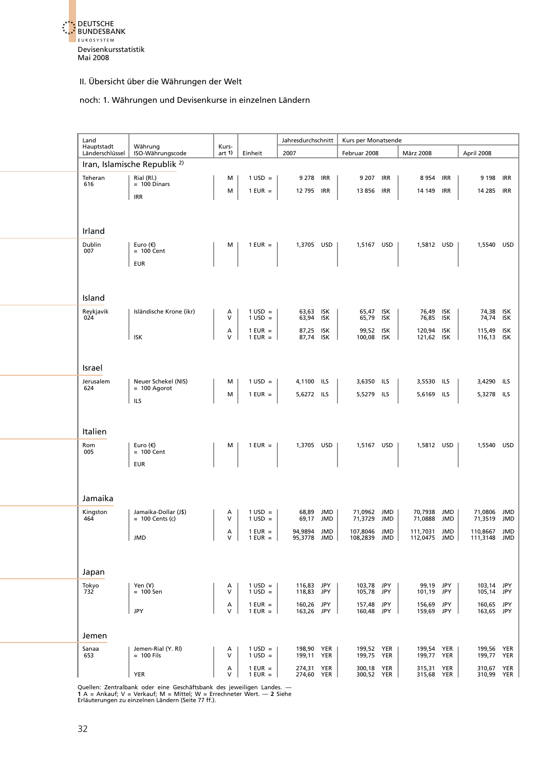

### noch: 1. Währungen und Devisenkurse in einzelnen Ländern

| Land<br>Hauptstadt | Währung                                 | Kurs-       |                                | Jahresdurchschnitt         |            | Kurs per Monatsende      |                   |                              |            |                              |     |
|--------------------|-----------------------------------------|-------------|--------------------------------|----------------------------|------------|--------------------------|-------------------|------------------------------|------------|------------------------------|-----|
| Länderschlüssel    | ISO-Währungscode                        | art $1$     | Einheit                        | 2007                       |            | Februar 2008             |                   | März 2008                    |            | April 2008                   |     |
|                    | Iran, Islamische Republik <sup>2)</sup> |             |                                |                            |            |                          |                   |                              |            |                              |     |
| Teheran<br>616     | Rial (Rl.)<br>$= 100$ Dinars            | м           | $1 \text{ USD} =$              | 9 2 7 8                    | IRR        | 9 2 0 7                  | IRR               | 8954                         | <b>IRR</b> | 9 198 IRR                    |     |
|                    |                                         | М           | $1$ EUR =                      | 12 795 IRR                 |            | 13 856 IRR               |                   | 14 14 9                      | <b>IRR</b> | 14 285 IRR                   |     |
|                    | <b>IRR</b>                              |             |                                |                            |            |                          |                   |                              |            |                              |     |
|                    |                                         |             |                                |                            |            |                          |                   |                              |            |                              |     |
| Irland             |                                         |             |                                |                            |            |                          |                   |                              |            |                              |     |
| Dublin             | Euro (€)                                | м           | $1$ EUR $=$                    | 1,3705 USD                 |            | 1,5167 USD               |                   | 1,5812 USD                   |            | 1,5540 USD                   |     |
| 007                | $= 100$ Cent                            |             |                                |                            |            |                          |                   |                              |            |                              |     |
|                    | <b>EUR</b>                              |             |                                |                            |            |                          |                   |                              |            |                              |     |
|                    |                                         |             |                                |                            |            |                          |                   |                              |            |                              |     |
|                    |                                         |             |                                |                            |            |                          |                   |                              |            |                              |     |
| Island             |                                         |             |                                |                            |            |                          |                   |                              |            |                              |     |
| Reykjavik<br>024   | Isländische Krone (ikr)                 | A<br>$\vee$ | $1 \text{ USD} =$<br>$1$ USD = | 63,63 ISK<br>63,94 ISK     |            | 65,47<br>65,79           | ISK<br><b>ISK</b> | 76,49<br>76,85               | ISK<br>ISK | 74,38 ISK<br>74,74 ISK       |     |
|                    |                                         | Α           | $1$ EUR $=$                    | 87,25                      | <b>ISK</b> | 99,52                    | ISK               | 120,94                       | <b>ISK</b> | 115,49 ISK                   |     |
|                    | <b>ISK</b>                              | $\vee$      | $1$ EUR =                      | 87,74                      | ISK        | 100,08                   | <b>ISK</b>        | 121,62 ISK                   |            | 116,13 ISK                   |     |
|                    |                                         |             |                                |                            |            |                          |                   |                              |            |                              |     |
| Israel             |                                         |             |                                |                            |            |                          |                   |                              |            |                              |     |
| Jerusalem          | Neuer Schekel (NIS)                     |             | $1 \text{ USD} =$              | 4,1100 ILS                 |            | 3,6350                   | ILS               | 3,5530 ILS                   |            | 3,4290 ILS                   |     |
| 624                | $= 100$ Agorot                          | м           |                                |                            |            |                          |                   |                              |            |                              |     |
|                    | ILS                                     | м           | $1$ EUR =                      | 5,6272 ILS                 |            | 5,5279 ILS               |                   | 5,6169 ILS                   |            | 5,3278 ILS                   |     |
|                    |                                         |             |                                |                            |            |                          |                   |                              |            |                              |     |
|                    |                                         |             |                                |                            |            |                          |                   |                              |            |                              |     |
| Italien            |                                         |             |                                |                            |            |                          |                   |                              |            |                              |     |
| Rom<br>005         | Euro (€)<br>$= 100$ Cent                | м           | $1$ EUR $=$                    | 1,3705 USD                 |            | 1,5167 USD               |                   | 1,5812 USD                   |            | 1,5540 USD                   |     |
|                    | <b>EUR</b>                              |             |                                |                            |            |                          |                   |                              |            |                              |     |
|                    |                                         |             |                                |                            |            |                          |                   |                              |            |                              |     |
|                    |                                         |             |                                |                            |            |                          |                   |                              |            |                              |     |
| Jamaika            |                                         |             |                                |                            |            |                          |                   |                              |            |                              |     |
| Kingston           | Jamaika-Dollar (J\$)                    | A<br>$\vee$ | $1 \text{ USD} =$              | 68,89 JMD<br>69,17 JMD     |            | 71,0962 JMD              |                   | 70,7938 JMD                  |            | 71,0806                      | JMD |
| 464                | $= 100$ Cents (c)                       |             | $1 \text{ USD} =$              |                            |            | 71,3729                  | JMD               | 71,0888                      | JMD        | 71,3519                      | JMD |
|                    | JMD                                     | Α<br>$\vee$ | $1$ EUR =<br>$1$ EUR $=$       | 94,9894 JMD<br>95.3778 JMD |            | 107,8046 JMD<br>108,2839 | JMD               | 111,7031 JMD<br>112.0475 JMD |            | 110,8667 JMD<br>111.3148 JMD |     |
|                    |                                         |             |                                |                            |            |                          |                   |                              |            |                              |     |
|                    |                                         |             |                                |                            |            |                          |                   |                              |            |                              |     |
| Japan              |                                         |             |                                |                            |            |                          |                   |                              |            |                              |     |
| Tokyo<br>732       | Yen (Y)<br>$= 100$ Sen                  | A<br>V      | $1 \text{ USD} =$<br>$1$ USD = | 116,83 JPY<br>118,83 JPY   |            | 103,78 JPY<br>105,78 JPY |                   | 99,19 JPY<br>101,19 JPY      |            | 103,14 JPY<br>105,14 JPY     |     |
|                    |                                         |             |                                |                            |            |                          |                   |                              |            |                              |     |
|                    | <b>JPY</b>                              | Α<br>$\vee$ | $1$ EUR =<br>$1$ EUR =         | 160,26 JPY<br>163,26 JPY   |            | 157,48 JPY<br>160,48 JPY |                   | 156,69 JPY<br>159,69 JPY     |            | 160,65 JPY<br>163,65 JPY     |     |
|                    |                                         |             |                                |                            |            |                          |                   |                              |            |                              |     |
| Jemen              |                                         |             |                                |                            |            |                          |                   |                              |            |                              |     |
| Sanaa              | Jemen-Rial (Y. RI)                      | A           | $1 \text{ USD} =$              | 198,90 YER                 |            | 199,52 YER               |                   | 199,54 YER                   |            | 199,56 YER                   |     |
| 653                | $= 100$ Fils                            | $\vee$      | $1$ USD =                      | 199,11 YER                 |            | 199,75 YER               |                   | 199,77 YER                   |            | 199,77 YER                   |     |
|                    | YER                                     | Α<br>$\vee$ | $1$ EUR =<br>$1$ EUR =         | 274,31 YER<br>274,60 YER   |            | 300,18 YER<br>300,52 YER |                   | 315,31 YER<br>315,68 YER     |            | 310,67 YER<br>310,99 YER     |     |

Quellen: Zentralbank oder eine Geschäftsbank des jeweiligen Landes. —<br>**1 A = Ankauf; V = Verkauf; M = Mittel; W = Err**echneter Wert. — **2** Siehe<br>Erläuterungen zu einzelnen Ländern (Seite 77 ff.).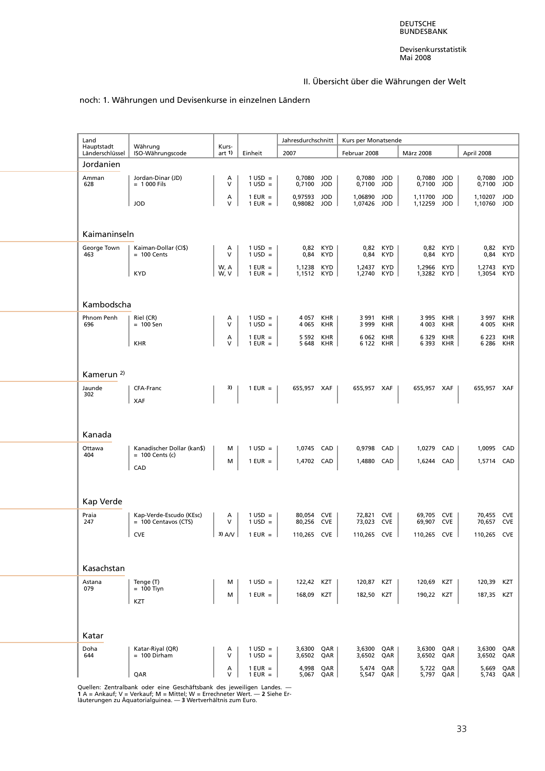### noch: 1. Währungen und Devisenkurse in einzelnen Ländern

| Land<br>Hauptstadt    | Währung                                           | Kurs-        |                                        | Jahresdurchschnitt       |                        | Kurs per Monatsende      |                        |                          |                        |                          |                          |
|-----------------------|---------------------------------------------------|--------------|----------------------------------------|--------------------------|------------------------|--------------------------|------------------------|--------------------------|------------------------|--------------------------|--------------------------|
| Länderschlüssel       | ISO-Währungscode                                  | art $1$      | Einheit                                | 2007                     |                        | Februar 2008             |                        | März 2008                |                        | April 2008               |                          |
| Jordanien             |                                                   |              |                                        |                          |                        |                          |                        |                          |                        |                          |                          |
| Amman<br>628          | Jordan-Dinar (JD)<br>$= 1000$ Fils                | Α<br>$\vee$  | $1 \text{ USD} =$<br>$1$ USD =         | 0,7080 JOD<br>0,7100 JOD |                        | 0.7080 JOD<br>0,7100 JOD |                        | 0,7080 JOD<br>0,7100 JOD |                        | 0,7080 JOD<br>0,7100 JOD |                          |
|                       | <b>JOD</b>                                        | А<br>$\vee$  | $1$ EUR =<br>$1$ EUR =                 | 0,97593<br>0,98082 JOD   | JOD                    | 1,06890<br>1,07426 JOD   | JOD                    | 1,11700<br>1,12259 JOD   | <b>JOD</b>             | 1,10207<br>1,10760 JOD   | JOD                      |
| Kaimaninseln          |                                                   |              |                                        |                          |                        |                          |                        |                          |                        |                          |                          |
| George Town<br>463    | Kaiman-Dollar (CI\$)<br>$= 100$ Cents             | Α<br>V       | $1$ USD =<br>$1$ USD =                 | 0,84                     | 0,82 KYD<br><b>KYD</b> | 0,84                     | 0,82 KYD<br><b>KYD</b> | 0,84                     | 0,82 KYD<br><b>KYD</b> | 0,82<br>0,84             | KYD<br>KYD               |
|                       | <b>KYD</b>                                        | W, A<br>W, V | $1$ EUR =<br>$1$ EUR $=$               | 1,1238 KYD<br>1,1512 KYD |                        | 1,2437<br>1,2740 KYD     | KYD                    | 1,2966<br>1,3282 KYD     | <b>KYD</b>             | 1,2743<br>1,3054         | <b>KYD</b><br><b>KYD</b> |
|                       |                                                   |              |                                        |                          |                        |                          |                        |                          |                        |                          |                          |
| Kambodscha            |                                                   |              |                                        |                          |                        |                          |                        |                          |                        |                          |                          |
| Phnom Penh<br>696     | Riel (CR)<br>$= 100$ Sen                          | A<br>V       | $1 \text{ USD} =$<br>$1$ USD =         | 4 0 5 7<br>4 0 6 5       | KHR<br>KHR             | 3 991<br>3 9 9 9         | KHR<br>KHR             | 3 9 9 5<br>4 0 0 3       | KHR<br>KHR             | 3 9 9 7<br>4 0 0 5       | KHR<br>KHR               |
|                       | <b>KHR</b>                                        | А<br>v       | $1$ EUR =<br>$1$ EUR =                 | 5 5 9 2<br>5 6 4 8       | <b>KHR</b><br>KHR      | 6 0 6 2<br>6 122 KHR     | KHR                    | 6 3 2 9<br>6 3 9 3       | KHR<br>KHR             | 6 2 2 3<br>6 2 8 6       | KHR<br>KHR               |
| Kamerun <sup>2)</sup> |                                                   |              |                                        |                          |                        |                          |                        |                          |                        |                          |                          |
| Jaunde                | CFA-Franc                                         | 3)           | $1$ EUR =                              | 655,957 XAF              |                        | 655,957 XAF              |                        | 655,957 XAF              |                        | 655,957 XAF              |                          |
| 302                   | <b>XAF</b>                                        |              |                                        |                          |                        |                          |                        |                          |                        |                          |                          |
|                       |                                                   |              |                                        |                          |                        |                          |                        |                          |                        |                          |                          |
| Kanada                |                                                   |              |                                        |                          |                        |                          |                        |                          |                        |                          |                          |
| Ottawa<br>404         | Kanadischer Dollar (kan\$)<br>$= 100$ Cents (c)   | м            | $1$ USD =                              | 1,0745 CAD               |                        | 0,9798                   | CAD                    | 1,0279 CAD               |                        | 1,0095 CAD               |                          |
|                       | CAD                                               | м            | $1$ EUR $=$                            | 1,4702 CAD               |                        | 1,4880                   | CAD                    | 1,6244                   | CAD                    | 1,5714 CAD               |                          |
|                       |                                                   |              |                                        |                          |                        |                          |                        |                          |                        |                          |                          |
| Kap Verde             |                                                   |              |                                        |                          |                        |                          |                        |                          |                        |                          |                          |
| Praia<br>247          | Kap-Verde-Escudo (KEsc)<br>$= 100$ Centavos (CTS) | A<br>$\vee$  | $1 \text{ USD} =$<br>$1$ USD =         | 80,054 CVE<br>80,256 CVE |                        | 72,821 CVE<br>73,023 CVE |                        | 69,705 CVE<br>69,907 CVE |                        | 70,455 CVE<br>70,657 CVE |                          |
|                       | $\vert$ CVE                                       | 3) A/V $ $   | 1 EUR = $\vert$                        | 110,265 CVE              |                        | 110,265 CVE              |                        | 110,265 CVE              |                        | 110,265 CVE              |                          |
| Kasachstan            |                                                   |              |                                        |                          |                        |                          |                        |                          |                        |                          |                          |
| Astana                | Tenge (T)                                         | м            | $1 \text{ USD} =$                      | 122,42 KZT               |                        | 120,87 KZT               |                        | 120,69 KZT               |                        | 120,39                   | KZT                      |
| 079                   | $= 100$ Tiyn                                      | м            | $1$ EUR =                              | 168,09                   | KZT                    | 182,50                   | KZT                    | 190,22 KZT               |                        | 187,35 KZT               |                          |
|                       | KZT                                               |              |                                        |                          |                        |                          |                        |                          |                        |                          |                          |
| Katar                 |                                                   |              |                                        |                          |                        |                          |                        |                          |                        |                          |                          |
| Doha<br>644           | Katar-Riyal (QR)<br>$= 100$ Dirham                | Α<br>v       | $1 \text{ USD} =$<br>$1 \text{ USD} =$ | 3,6300<br>3,6502         | QAR<br>QAR             | 3,6300<br>3,6502         | QAR<br>QAR             | 3,6300<br>3,6502         | QAR<br>QAR             | 3,6300<br>3,6502         | QAR<br>QAR               |
|                       | QAR                                               | А<br>V       | $1$ EUR =<br>$1$ EUR =                 | 4,998<br>5,067           | QAR<br>QAR             | 5,474<br>5,547           | QAR<br>QAR             | 5,722<br>5,797           | QAR<br>QAR             | 5,669<br>5,743           | QAR<br>QAR               |

Quellen: Zentralbank oder eine Geschäftsbank des jeweiligen Landes. —<br>1 A = Ankauf; V = Verkauf; M = Mittel; W = Errechneter Wert. — 2 Siehe Er-<br>läuterungen zu Äquatorialguinea. — 3 Wertverhältnis zum Euro.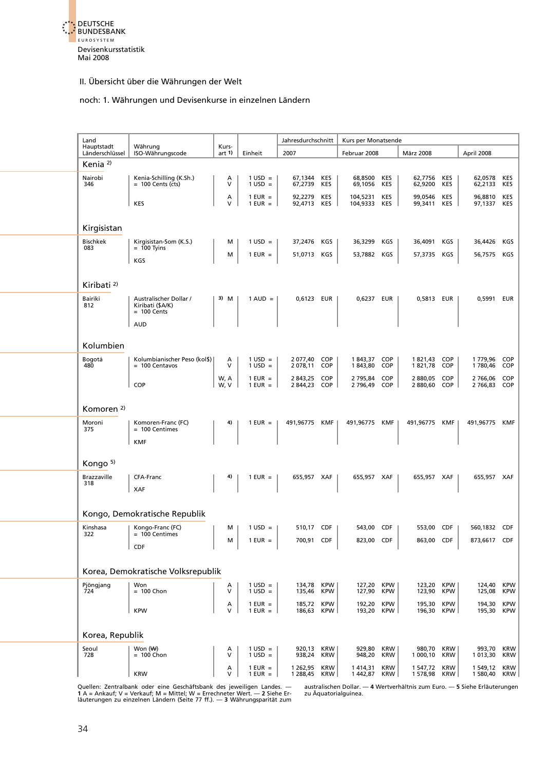

### noch: 1. Währungen und Devisenkurse in einzelnen Ländern

| Land                          |                                                             |                  |                                        | Jahresdurchschnitt         |                          | Kurs per Monatsende          |                          |                            |                          |                            |                          |
|-------------------------------|-------------------------------------------------------------|------------------|----------------------------------------|----------------------------|--------------------------|------------------------------|--------------------------|----------------------------|--------------------------|----------------------------|--------------------------|
| Hauptstadt<br>Länderschlüssel | Währung<br>ISO-Währungscode                                 | Kurs-<br>art $1$ | Einheit                                | 2007                       |                          | Februar 2008                 |                          | März 2008                  |                          | April 2008                 |                          |
| Kenia <sup>2)</sup>           |                                                             |                  |                                        |                            |                          |                              |                          |                            |                          |                            |                          |
| Nairobi<br>346                | Kenia-Schilling (K.Sh.)<br>$= 100$ Cents (cts)              | А<br>V           | $1 \text{ USD} =$<br>$1 \text{ USD} =$ | 67,1344<br>67,2739         | KES<br>KES               | 68,8500<br>69,1056           | KES<br>KES               | 62,7756 KES<br>62,9200     | KES                      | 62,0578 KES<br>62,2133 KES |                          |
|                               | KES                                                         | Α<br>V           | $1$ EUR $=$<br>$1$ EUR $=$             | 92,2279 KES<br>92,4713 KES |                          | 104,5231 KES<br>104,9333 KES |                          | 99,0546 KES<br>99,3411 KES |                          | 96,8810<br>97,1337 KES     | KES                      |
|                               |                                                             |                  |                                        |                            |                          |                              |                          |                            |                          |                            |                          |
| Kirgisistan                   |                                                             |                  |                                        |                            |                          |                              |                          |                            |                          |                            |                          |
| <b>Bischkek</b><br>083        | Kirgisistan-Som (K.S.)<br>$= 100$ Tyins                     | м                | $1 \text{ USD} =$                      | 37,2476 KGS                |                          | 36,3299                      | KGS                      | 36,4091                    | KGS                      | 36,4426                    | KGS                      |
|                               | KGS                                                         | м                | $1$ EUR $=$                            | 51,0713 KGS                |                          | 53,7882 KGS                  |                          | 57,3735 KGS                |                          | 56,7575 KGS                |                          |
|                               |                                                             |                  |                                        |                            |                          |                              |                          |                            |                          |                            |                          |
| Kiribati <sup>2)</sup>        |                                                             |                  |                                        |                            |                          |                              |                          |                            |                          |                            |                          |
| Bairiki<br>812                | Australischer Dollar /<br>Kiribati (\$A/K)<br>$= 100$ Cents | 3) M             | $1 \text{ AUD} =$                      | 0,6123 EUR                 |                          | 0,6237 EUR                   |                          | 0,5813 EUR                 |                          | 0,5991 EUR                 |                          |
|                               | <b>AUD</b>                                                  |                  |                                        |                            |                          |                              |                          |                            |                          |                            |                          |
|                               |                                                             |                  |                                        |                            |                          |                              |                          |                            |                          |                            |                          |
| Kolumbien                     |                                                             |                  |                                        |                            |                          |                              |                          |                            |                          |                            |                          |
| Bogotá<br>480                 | Kolumbianischer Peso (kol\$)<br>$= 100$ Centavos            | Α<br>$\vee$      | $1 \text{ USD} =$<br>$1 \text{ USD} =$ | 2 077,40 COP<br>2 078,11   | COP                      | 1843,37 COP<br>1843,80 COP   |                          | 1821,43 COP<br>1821,78 COP |                          | 1779,96 COP<br>1780,46     | COP                      |
|                               |                                                             | W, A             | $1$ EUR $=$                            | 2843,25 COP                |                          | 2 795,84 COP                 |                          | 2 880,05 COP               |                          | 2766,06                    | <b>COP</b>               |
|                               | COP                                                         | W, V             | $1$ EUR = $\vert$                      | 2844,23 COP                |                          | 2 796,49 COP                 |                          | 2 880.60 COP               |                          | 2766,83 COP                |                          |
|                               |                                                             |                  |                                        |                            |                          |                              |                          |                            |                          |                            |                          |
| Komoren <sup>2)</sup>         |                                                             |                  |                                        |                            |                          |                              |                          |                            |                          |                            |                          |
| Moroni<br>375                 | Komoren-Franc (FC)<br>$= 100$ Centimes                      | 4)               | $1$ EUR $=$                            | 491,96775 KMF              |                          | 491,96775 KMF                |                          | 491,96775 KMF              |                          | 491,96775 KMF              |                          |
|                               | <b>KMF</b>                                                  |                  |                                        |                            |                          |                              |                          |                            |                          |                            |                          |
| Kongo <sup>5)</sup>           |                                                             |                  |                                        |                            |                          |                              |                          |                            |                          |                            |                          |
| <b>Brazzaville</b>            | CFA-Franc                                                   | 4)               | $1$ EUR $=$                            | 655,957 XAF                |                          | 655,957 XAF                  |                          | 655,957 XAF                |                          | 655,957 XAF                |                          |
| 318                           | XAF                                                         |                  |                                        |                            |                          |                              |                          |                            |                          |                            |                          |
|                               |                                                             |                  |                                        |                            |                          |                              |                          |                            |                          |                            |                          |
|                               | Kongo, Demokratische Republik                               |                  |                                        |                            |                          |                              |                          |                            |                          |                            |                          |
| Kinshasa<br>322               | Kongo-Franc (FC)<br>$= 100$ Centimes                        | м                | $1 \text{ USD} =$                      | 510,17 CDF                 |                          | 543.00 CDF                   |                          | 553,00 CDF                 |                          | 560,1832 CDF               |                          |
|                               | CDF                                                         | М                | $1$ EUR $=$                            | 700,91 CDF                 |                          | 823,00 CDF                   |                          | 863,00 CDF                 |                          | 873,6617 CDF               |                          |
|                               |                                                             |                  |                                        |                            |                          |                              |                          |                            |                          |                            |                          |
|                               | Korea, Demokratische Volksrepublik                          |                  |                                        |                            |                          |                              |                          |                            |                          |                            |                          |
| Pjöngjang                     | Won                                                         | Α                | $1 \text{ USD} =$                      | 134,78 KPW                 |                          | 127,20                       | <b>KPW</b>               | 123,20                     | <b>KPW</b>               | 124,40                     | <b>KPW</b>               |
| 724                           | $= 100$ Chon                                                | $\vee$           | $1$ USD =                              | 135,46                     | <b>KPW</b>               | 127,90                       | <b>KPW</b>               | 123,90                     | <b>KPW</b>               | 125,08                     | <b>KPW</b>               |
|                               | <b>KPW</b>                                                  | Α<br>V           | $1$ EUR $=$<br>$1$ EUR =               | 185,72<br>186,63           | <b>KPW</b><br>KPW        | 192,20<br>193,20             | <b>KPW</b><br>KPW        | 195,30<br>196,30           | <b>KPW</b><br><b>KPW</b> | 194,30<br>195,30           | <b>KPW</b><br><b>KPW</b> |
| Korea, Republik               |                                                             |                  |                                        |                            |                          |                              |                          |                            |                          |                            |                          |
| Seoul                         | Won $(\forall \theta)$                                      | Α<br>V           | $1 \text{ USD} =$                      | 920,13                     | <b>KRW</b>               | 929,80                       | <b>KRW</b>               | 980,70                     | KRW                      | 993,70                     | <b>KRW</b>               |
| 728                           | $= 100$ Chon                                                | Α                | $1$ USD =<br>$1$ EUR $=$               | 938,24<br>1 262,95         | <b>KRW</b><br><b>KRW</b> | 948,20<br>1414,31            | <b>KRW</b><br><b>KRW</b> | 1 000,10<br>1 547,72       | <b>KRW</b><br><b>KRW</b> | 1 013,30<br>1 549,12       | <b>KRW</b><br><b>KRW</b> |
|                               | <b>KRW</b>                                                  | $\vee$           | $1$ EUR $=$                            | 1 288,45                   | KRW                      | 1442,87                      | KRW                      | 1 578,98                   | KRW                      | 1 580,40                   | KRW                      |

Quellen: Zentralbank oder eine Geschäftsbank des jeweiligen Landes. — australischen Dollar. — 4 Wertverhältnis zum Euro. — 5 Siehe Erläuterungen<br>1 A = Ankauf; V = Verkauf; M = Mittel; W = Errechneter Wert. — 2 Siehe Er- zu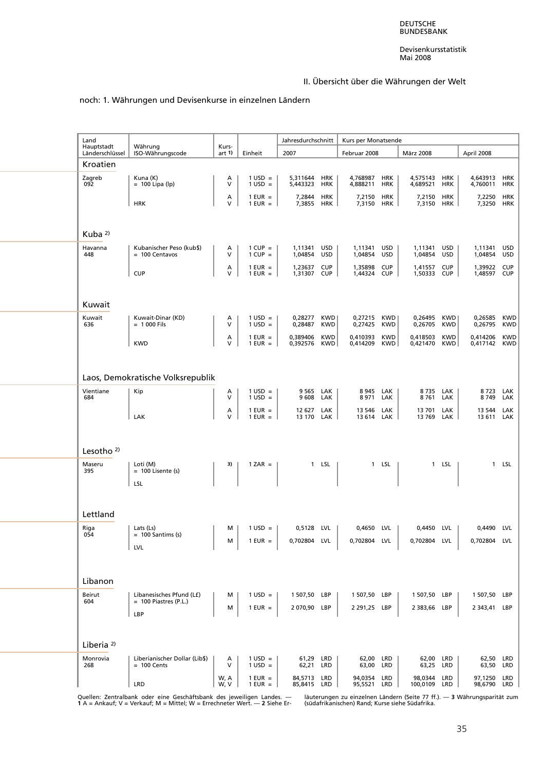#### noch: 1. Währungen und Devisenkurse in einzelnen Ländern

| Land<br>Hauptstadt    | Währung                                             | Kurs-        |                                         | Jahresdurchschnitt               |                   | Kurs per Monatsende                  |                          |                                   |                          |                                 |                          |
|-----------------------|-----------------------------------------------------|--------------|-----------------------------------------|----------------------------------|-------------------|--------------------------------------|--------------------------|-----------------------------------|--------------------------|---------------------------------|--------------------------|
| Länderschlüssel       | ISO-Währungscode                                    | art 1)       | Einheit                                 | 2007                             |                   | Februar 2008                         |                          | <b>März 2008</b>                  |                          | April 2008                      |                          |
| Kroatien              |                                                     |              |                                         |                                  |                   |                                      |                          |                                   |                          |                                 |                          |
| Zagreb<br>092         | Kuna (K)<br>= 100 Lipa (lp)                         | A<br>v       | $1 \text{ USD} =$<br>$1$ USD =          | 5,311644 HRK<br>5,443323         | <b>HRK</b>        | 4,768987<br>4,888211                 | HRK<br><b>HRK</b>        | 4,575143 HRK<br>4,689521          | <b>HRK</b>               | 4,643913 HRK<br>4,760011        | <b>HRK</b>               |
|                       | <b>HRK</b>                                          | А<br>v       | $1$ EUR $=$<br>$1$ EUR $=$              | 7,2844<br>7,3855                 | <b>HRK</b><br>HRK | 7,2150 HRK<br>7,3150 HRK             |                          | 7,2150<br>7,3150                  | HRK<br>HRK               | 7,2250<br>7,3250                | HRK<br>HRK               |
| Kuba <sup>2)</sup>    |                                                     |              |                                         |                                  |                   |                                      |                          |                                   |                          |                                 |                          |
| Havanna<br>448        | Kubanischer Peso (kub\$)<br>$= 100$ Centavos        | Α<br>V       | $1$ CUP $=$<br>$1$ CUP =                | 1,11341<br>1,04854               | USD<br>USD        | 1,11341<br>1,04854                   | USD<br>USD               | 1,11341<br>1,04854                | USD<br>USD               | 1,11341<br>1,04854              | USD<br><b>USD</b>        |
|                       | <b>CUP</b>                                          | А<br>v       | $1$ EUR =<br>$1$ EUR = $\vert$          | 1,23637 CUP<br>1,31307 CUP       |                   | 1,35898 CUP<br>1,44324 CUP           |                          | 1,41557 CUP<br>1,50333 CUP        |                          | 1,39922<br>1,48597 CUP          | CUP                      |
| Kuwait                |                                                     |              |                                         |                                  |                   |                                      |                          |                                   |                          |                                 |                          |
| Kuwait<br>636         | Kuwait-Dinar (KD)<br>$= 1000$ Fils                  | А<br>v       | $1 \text{ USD} =$<br>$1 \text{ USD} =$  | 0,28277<br>0,28487               | KWD<br><b>KWD</b> | 0,27215<br>0,27425                   | KWD<br>KWD               | 0,26495<br>0,26705                | <b>KWD</b><br>KWD        | 0,26585<br>0,26795              | <b>KWD</b><br><b>KWD</b> |
|                       | <b>KWD</b>                                          | А<br>V       | $1$ EUR =<br>$1$ EUR $=$                | 0,389406<br>0,392576             | <b>KWD</b><br>KWD | 0,410393<br>0,414209                 | <b>KWD</b><br><b>KWD</b> | 0,418503<br>0,421470              | <b>KWD</b><br><b>KWD</b> | 0,414206<br>0,417142            | <b>KWD</b><br><b>KWD</b> |
|                       | Laos, Demokratische Volksrepublik                   |              |                                         |                                  |                   |                                      |                          |                                   |                          |                                 |                          |
| Vientiane             | Kip                                                 | Α            | $1 \text{ USD} =$                       | 9 565 LAK                        |                   | 8945 LAK                             |                          | 8735 LAK                          |                          | 8723 LAK                        |                          |
| 684                   | LAK                                                 | V<br>А<br>V  | $1$ USD =<br>$1$ EUR $=$<br>$1$ EUR $=$ | 9608<br>12 627 LAK<br>13 170 LAK | LAK               | 8971 LAK<br>13 546 LAK<br>13 614 LAK |                          | 8 761<br>13 701 LAK<br>13 769 LAK | LAK                      | 8 7 4 9<br>13 544<br>13 611 LAK | LAK<br>LAK               |
|                       |                                                     |              |                                         |                                  |                   |                                      |                          |                                   |                          |                                 |                          |
| Lesotho $2$ )         |                                                     |              |                                         |                                  |                   |                                      |                          |                                   |                          |                                 |                          |
| Maseru<br>395         | Loti (M)<br>$= 100$ Lisente (s)                     | 3)           | $1 ZAR =$                               |                                  | 1 LSL             |                                      | 1 LSL                    |                                   | 1 LSL                    |                                 | 1 LSL                    |
|                       | LSL                                                 |              |                                         |                                  |                   |                                      |                          |                                   |                          |                                 |                          |
| Lettland              |                                                     |              |                                         |                                  |                   |                                      |                          |                                   |                          |                                 |                          |
| Riga<br>054           | Lats (Ls)<br>$= 100$ Santims (s)                    | м<br>м       | $1 \text{ USD} =$<br>$1$ EUR =          | 0,5128 LVL<br>0,702804 LVL       |                   | 0,4650 LVL<br>0,702804 LVL           |                          | 0,4450 LVL<br>0,702804 LVL        |                          | 0,4490 LVL<br>0,702804 LVL      |                          |
|                       | LVL                                                 |              |                                         |                                  |                   |                                      |                          |                                   |                          |                                 |                          |
| Libanon               |                                                     |              |                                         |                                  |                   |                                      |                          |                                   |                          |                                 |                          |
| Beirut<br>604         | Libanesisches Pfund (L£)<br>$= 100$ Piastres (P.L.) | м            | $1 \text{ USD} =$                       | 1 507,50 LBP                     |                   | 1 507,50 LBP                         |                          | 1 507,50 LBP                      |                          | 1507,50 LBP                     |                          |
|                       | LBP                                                 | м            | $1$ EUR =                               | 2070,90 LBP                      |                   | 2 291,25 LBP                         |                          | 2 383,66 LBP                      |                          | 2 343,41 LBP                    |                          |
| Liberia <sup>2)</sup> |                                                     |              |                                         |                                  |                   |                                      |                          |                                   |                          |                                 |                          |
| Monrovia<br>268       | Liberianischer Dollar (Lib\$)<br>$= 100$ Cents      | A<br>$\vee$  | $1 \text{ USD} =$<br>$1$ USD =          | 61,29 LRD<br>62,21 LRD           |                   | 62,00 LRD<br>63,00 LRD               |                          | 62,00 LRD<br>63,25                | LRD                      | 62,50 LRD<br>63,50 LRD          |                          |
|                       | LRD                                                 | W, A<br>W, V | $1$ EUR =<br>$1$ EUR = $\vert$          | 84,5713 LRD<br>85,8415 LRD       |                   | 94,0354 LRD<br>95,5521               | LRD                      | 98,0344 LRD<br>100,0109 LRD       |                          | 97,1250 LRD<br>98,6790 LRD      |                          |

Quellen: Zentralbank oder eine Geschäftsbank des jeweiligen Landes. — läuterungen zu einzelnen Ländern (Seite 77 ff.). — 3 Währungsparität zum<br>1 A = Ankauf; V = Verkauf; M = Mittel; W = Errechneter Wert. — 2 Siehe Er-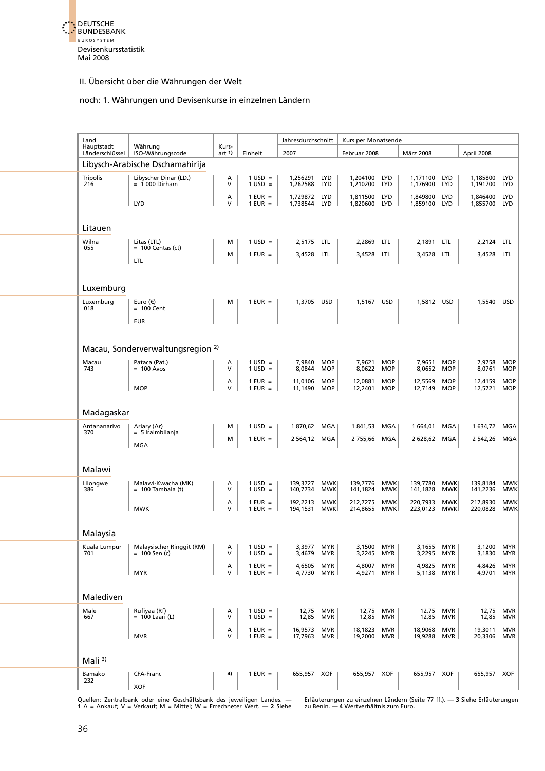

### noch: 1. Währungen und Devisenkurse in einzelnen Ländern

| Land<br>Hauptstadt     | Währung                                      | Kurs-       |                                        | Jahresdurchschnitt   |                          | Kurs per Monatsende    |                          |                      |                          |                          |                          |
|------------------------|----------------------------------------------|-------------|----------------------------------------|----------------------|--------------------------|------------------------|--------------------------|----------------------|--------------------------|--------------------------|--------------------------|
| Länderschlüssel        | ISO-Währungscode                             | art 1)      | Einheit                                | 2007                 |                          | Februar 2008           |                          | <b>März 2008</b>     |                          | April 2008               |                          |
|                        | Libysch-Arabische Dschamahirija              |             |                                        |                      |                          |                        |                          |                      |                          |                          |                          |
| <b>Tripolis</b><br>216 | Libyscher Dinar (LD.)<br>$= 1000$ Dirham     | A<br>V      | $1 \text{ USD} =$<br>$1 \text{ USD} =$ | 1,256291<br>1,262588 | <b>LYD</b><br><b>LYD</b> | 1,204100<br>1,210200   | LYD<br><b>LYD</b>        | 1,171100<br>1,176900 | <b>LYD</b><br><b>LYD</b> | 1,185800<br>1,191700     | LYD<br><b>LYD</b>        |
|                        | <b>LYD</b>                                   | Α<br>$\vee$ | $1$ EUR $=$<br>$1$ EUR $=$             | 1,729872<br>1,738544 | <b>LYD</b><br><b>LYD</b> | 1,811500<br>1,820600   | <b>LYD</b><br>LYD        | 1,849800<br>1,859100 | <b>LYD</b><br><b>LYD</b> | 1,846400<br>1,855700 LYD | <b>LYD</b>               |
|                        |                                              |             |                                        |                      |                          |                        |                          |                      |                          |                          |                          |
| Litauen                |                                              |             |                                        |                      |                          |                        |                          |                      |                          |                          |                          |
| Wilna<br>055           | Litas (LTL)<br>$= 100$ Centas (ct)           | м           | $1 \text{ USD} =$                      | 2,5175               | <b>LTL</b>               | 2,2869                 | <b>LTL</b>               | 2,1891               | LTL                      | 2,2124 LTL               |                          |
|                        | <b>LTL</b>                                   | м           | $1$ EUR $=$                            | 3,4528               | LTL                      | 3,4528                 | <b>LTL</b>               | 3,4528               | LTL                      | 3,4528 LTL               |                          |
| Luxemburg              |                                              |             |                                        |                      |                          |                        |                          |                      |                          |                          |                          |
| Luxemburg              | Euro $(\epsilon)$                            | м           | $1$ EUR =                              | 1,3705 USD           |                          | 1,5167 USD             |                          | 1,5812 USD           |                          | 1,5540 USD               |                          |
| 018                    | $= 100$ Cent                                 |             |                                        |                      |                          |                        |                          |                      |                          |                          |                          |
|                        | <b>EUR</b>                                   |             |                                        |                      |                          |                        |                          |                      |                          |                          |                          |
|                        | Macau, Sonderverwaltungsregion <sup>2)</sup> |             |                                        |                      |                          |                        |                          |                      |                          |                          |                          |
| Macau<br>743           | Pataca (Pat.)<br>$= 100$ Avos                | Α<br>V      | $1$ USD =<br>$1$ USD =                 | 7,9840<br>8,0844     | <b>MOP</b><br><b>MOP</b> | 7,9621<br>8,0622       | <b>MOP</b><br><b>MOP</b> | 7,9651<br>8,0652     | <b>MOP</b><br><b>MOP</b> | 7,9758<br>8,0761         | <b>MOP</b><br><b>MOP</b> |
|                        |                                              | Α           | $1$ EUR $=$                            | 11,0106              | <b>MOP</b>               | 12,0881                | <b>MOP</b>               | 12,5569              | <b>MOP</b>               | 12,4159                  | <b>MOP</b>               |
|                        | <b>MOP</b>                                   | V           | $1$ EUR =                              | 11,1490              | <b>MOP</b>               | 12,2401                | <b>MOP</b>               | 12,7149              | <b>MOP</b>               | 12,5721                  | <b>MOP</b>               |
| Madagaskar             |                                              |             |                                        |                      |                          |                        |                          |                      |                          |                          |                          |
| Antananarivo<br>370    | Ariary (Ar)<br>$= 5$ Iraimbilanja            | м           | $1 \text{ USD} =$                      | 1870,62              | MGA                      | 1841,53                | MGA                      | 1 664,01             | MGA                      | 1 634,72                 | MGA                      |
|                        | <b>MGA</b>                                   | м           | $1$ EUR $=$                            | 2 564,12 MGA         |                          | 2 755,66               | MGA                      | 2 628,62             | MGA                      | 2 542,26                 | MGA                      |
| Malawi                 |                                              |             |                                        |                      |                          |                        |                          |                      |                          |                          |                          |
| Lilongwe               | Malawi-Kwacha (MK)                           | A           | $1 \text{ USD} =$                      | 139,3727             | MWK                      | 139,7776               | MWK                      | 139,7780             | MWK                      | 139,8184                 | <b>MWK</b>               |
| 386                    | $= 100$ Tambala (t)                          | V           | $1$ USD =                              | 140,7734             | <b>MWK</b>               | 141,1824               | MWK                      | 141,1828             | <b>MWK</b>               | 141,2236                 | <b>MWK</b>               |
|                        | <b>MWK</b>                                   | Α<br>V      | $1$ EUR =<br>$1$ EUR $=$               | 192,2213<br>194,1531 | <b>MWK</b><br>MWK        | 212,7275<br>214,8655   | MWK<br>MWK               | 220,7933<br>223,0123 | MWK<br>MWK               | 217,8930<br>220,0828     | <b>MWK</b><br><b>MWK</b> |
| Malaysia               |                                              |             |                                        |                      |                          |                        |                          |                      |                          |                          |                          |
| Kuala Lumpur<br>701    | Malaysischer Ringgit (RM)<br>$= 100$ Sen (c) | Α<br>$\vee$ | $1 \text{ USD} =$<br>$1$ USD =         | 3,3977<br>3,4679     | <b>MYR</b><br>MYR        | 3,1500<br>3,2245       | <b>MYR</b><br><b>MYR</b> | 3,1655<br>3,2295     | <b>MYR</b><br>MYR        | 3,1200<br>3,1830         | MYR<br>MYR               |
|                        |                                              | Α           | $1$ EUR $=$                            | 4,6505               | <b>MYR</b>               | 4,8007                 | <b>MYR</b>               | 4,9825               | <b>MYR</b>               | 4,8426                   | MYR                      |
|                        | <b>MYR</b>                                   | V           | $1$ EUR $=$                            | 4,7730               | MYR                      | 4,9271                 | MYR                      | 5,1138               | MYR                      | 4,9701                   | MYR                      |
| Malediven              |                                              |             |                                        |                      |                          |                        |                          |                      |                          |                          |                          |
| Male<br>667            | Rufiyaa (Rf)<br>= 100 Laari (L)              | Α<br>V      | $1 \text{ USD} =$<br>$1$ USD =         | 12,75<br>12,85       | <b>MVR</b><br><b>MVR</b> | 12,75<br>12,85         | <b>MVR</b><br><b>MVR</b> | 12,75<br>12,85       | <b>MVR</b><br><b>MVR</b> | 12,75<br>12,85           | <b>MVR</b><br><b>MVR</b> |
|                        | <b>MVR</b>                                   | Α<br>$\vee$ | $1$ EUR $=$<br>$1$ EUR =               | 16,9573<br>17,7963   | <b>MVR</b><br>MVR        | 18,1823<br>19,2000 MVR | <b>MVR</b>               | 18,9068<br>19,9288   | <b>MVR</b><br>MVR        | 19,3011<br>20,3306 MVR   | <b>MVR</b>               |
| Mali $3$               |                                              |             |                                        |                      |                          |                        |                          |                      |                          |                          |                          |
| Bamako                 | CFA-Franc                                    | 4)          | $1$ EUR =                              | 655,957 XOF          |                          | 655,957 XOF            |                          | 655,957 XOF          |                          | 655,957 XOF              |                          |
| 232                    | XOF                                          |             |                                        |                      |                          |                        |                          |                      |                          |                          |                          |

Quellen: Zentralbank oder eine Geschäftsbank des jeweiligen Landes. — Erläuterungen zu einzelnen Ländern (Seite 77 ff.). — 3 Siehe Erläuterungen<br>1 A = Ankauf; V = Verkauf; M = Mittel; W = Errechneter Wert. — 2 Siehe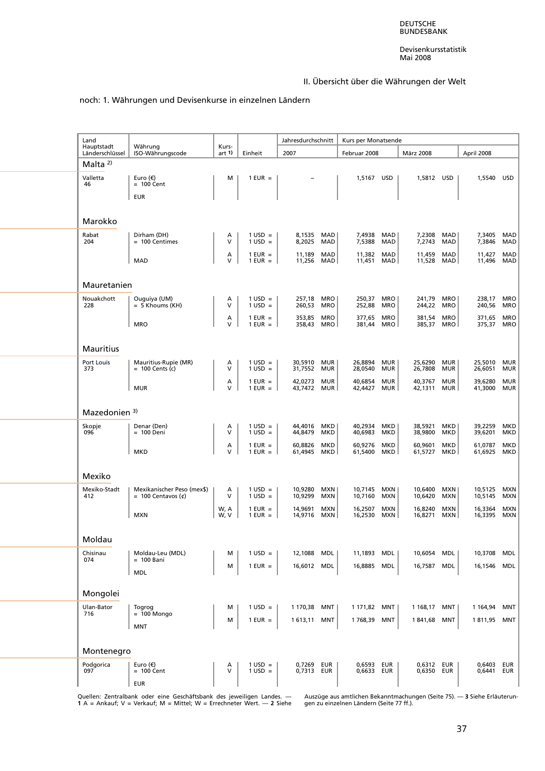#### noch: 1. Währungen und Devisenkurse in einzelnen Ländern

| Land                          |                                                    |                  |                                        | Jahresdurchschnitt   |                          | Kurs per Monatsende |                          |                      |                          |                         |                          |
|-------------------------------|----------------------------------------------------|------------------|----------------------------------------|----------------------|--------------------------|---------------------|--------------------------|----------------------|--------------------------|-------------------------|--------------------------|
| Hauptstadt<br>Länderschlüssel | Währung<br>ISO-Währungscode                        | Kurs-<br>art $1$ | Einheit                                | 2007                 |                          | Februar 2008        |                          | März 2008            |                          | April 2008              |                          |
| Malta <sup>2)</sup>           |                                                    |                  |                                        |                      |                          |                     |                          |                      |                          |                         |                          |
| Valletta<br>46                | Euro $(\epsilon)$<br>$= 100$ Cent                  | м                | $1$ EUR =                              |                      |                          | 1,5167 USD          |                          | 1.5812 USD           |                          | 1.5540 USD              |                          |
|                               | <b>EUR</b>                                         |                  |                                        |                      |                          |                     |                          |                      |                          |                         |                          |
| Marokko                       |                                                    |                  |                                        |                      |                          |                     |                          |                      |                          |                         |                          |
| Rabat<br>204                  | Dirham (DH)<br>= 100 Centimes                      | Α<br>$\vee$      | $1 \text{ USD} =$<br>$1$ USD =         | 8,1535<br>8,2025     | MAD<br>MAD               | 7,4938<br>7,5388    | MAD<br>MAD               | 7.2308<br>7,2743     | MAD<br>MAD               | 7,3405<br>7,3846        | MAD<br>MAD               |
|                               | MAD                                                | А<br>$\vee$      | $1$ EUR =<br>$1$ EUR $=$               | 11,189<br>11,256     | <b>MAD</b><br>MAD        | 11,382<br>11,451    | MAD<br>MAD               | 11,459<br>11,528     | <b>MAD</b><br>MAD        | 11,427<br>11,496 MAD    | MAD                      |
| Mauretanien                   |                                                    |                  |                                        |                      |                          |                     |                          |                      |                          |                         |                          |
| Nouakchott<br>228             | Ouguiya (UM)<br>$= 5$ Khoums (KH)                  | Α<br>$\vee$      | $1 \text{ USD} =$<br>$1 \text{ USD} =$ | 257,18<br>260,53     | MRO<br><b>MRO</b>        | 250,37<br>252,88    | <b>MRO</b><br><b>MRO</b> | 241,79<br>244,22     | <b>MRO</b><br><b>MRO</b> | 238,17<br>240,56        | <b>MRO</b><br><b>MRO</b> |
|                               | <b>MRO</b>                                         | А<br>$\vee$      | $1$ EUR =<br>$1$ EUR $=$               | 353,85<br>358,43     | <b>MRO</b><br>MRO        | 377,65<br>381,44    | <b>MRO</b><br>MRO        | 381,54<br>385,37     | <b>MRO</b><br>MRO        | 371.65<br>375,37        | <b>MRO</b><br><b>MRO</b> |
| Mauritius                     |                                                    |                  |                                        |                      |                          |                     |                          |                      |                          |                         |                          |
| Port Louis<br>373             | Mauritius-Rupie (MR)<br>$= 100$ Cents (c)          | А<br>V           | $1 \text{ USD} =$<br>$1$ USD =         | 30,5910<br>31,7552   | <b>MUR</b><br>MUR        | 26.8894<br>28,0540  | <b>MUR</b><br><b>MUR</b> | 25,6290<br>26,7808   | <b>MUR</b><br><b>MUR</b> | 25,5010<br>26,6051      | <b>MUR</b><br><b>MUR</b> |
|                               | <b>MUR</b>                                         | Α<br>v           | $1$ EUR =<br>$1$ EUR $=$               | 42,0273<br>43,7472   | <b>MUR</b><br><b>MUR</b> | 40,6854<br>42,4427  | <b>MUR</b><br>MUR        | 40,3767<br>42,1311   | <b>MUR</b><br><b>MUR</b> | 39,6280<br>41,3000      | <b>MUR</b><br><b>MUR</b> |
| Mazedonien <sup>3)</sup>      |                                                    |                  |                                        |                      |                          |                     |                          |                      |                          |                         |                          |
| Skopje<br>096                 | Denar (Den)<br>$= 100$ Deni                        | Α<br>$\vee$      | $1 \text{ USD} =$<br>$1$ USD =         | 44,4016<br>44,8479   | MKD<br><b>MKD</b>        | 40,2934<br>40,6983  | MKD<br>MKD               | 38,5921<br>38,9800   | MKD<br><b>MKD</b>        | 39,2259<br>39,6201      | MKD<br>MKD               |
|                               | <b>MKD</b>                                         | А<br>$\vee$      | $1$ EUR $=$<br>$1$ EUR $=$             | 60,8826<br>61,4945   | <b>MKD</b><br>MKD        | 60,9276<br>61,5400  | MKD<br>MKD               | 60,9601<br>61,5727   | MKD<br>MKD               | 61,0787<br>61,6925      | <b>MKD</b><br><b>MKD</b> |
| Mexiko                        |                                                    |                  |                                        |                      |                          |                     |                          |                      |                          |                         |                          |
| Mexiko-Stadt<br>412           | Mexikanischer Peso (mex\$)<br>$= 100$ Centavos (¢) | Α<br>v           | $1 \text{ USD} =$<br>$1$ USD =         | 10,9280<br>10,9299   | <b>MXN</b><br><b>MXN</b> | 10,7145<br>10,7160  | MXN<br>MXN               | 10,6400<br>10,6420   | MXN<br><b>MXN</b>        | 10,5125<br>10,5145      | <b>MXN</b><br><b>MXN</b> |
|                               | <b>MXN</b>                                         | W, A<br>W, V     | $1$ EUR $=$<br>$1$ EUR $=$             | 14,9691<br>14,9716   | MXN<br>MXN               | 16,2507<br>16,2530  | MXN<br>MXN               | 16,8240<br>16,8271   | MXN<br>MXN               | 16,3364<br>16,3395      | <b>MXN</b><br><b>MXN</b> |
| Moldau                        |                                                    |                  |                                        |                      |                          |                     |                          |                      |                          |                         |                          |
| Chisinau<br>074               | Moldau-Leu (MDL)<br>$= 100$ Bani                   | м                | $1 \text{ USD} =$                      | 12,1088              | <b>MDL</b>               | 11,1893             | <b>MDL</b>               | 10,6054              | MDL                      | 10,3708                 | <b>MDL</b>               |
|                               | <b>MDL</b>                                         | м                | $1$ EUR $=$                            | 16,6012 MDL          |                          | 16,8885             | <b>MDL</b>               | 16,7587              | <b>MDL</b>               | 16,1546 MDL             |                          |
| Mongolei                      |                                                    |                  |                                        |                      |                          |                     |                          |                      |                          |                         |                          |
| Ulan-Bator<br>716             | Togrog<br>$= 100$ Mongo                            | м<br>M           | $1 \text{ USD} =$<br>$1$ EUR =         | 1 170,38<br>1 613,11 | MNT<br>MNT               | 1 171,82<br>1768,39 | MNT<br>MNT               | 1 168,17<br>1841,68  | MNT<br>MNT               | 1 164,94<br>1811,95 MNT | MNT                      |
|                               | <b>MNT</b>                                         |                  |                                        |                      |                          |                     |                          |                      |                          |                         |                          |
| Montenegro                    |                                                    |                  |                                        |                      |                          |                     |                          |                      |                          |                         |                          |
| Podgorica<br>097              | Euro $(\epsilon)$<br>$= 100$ Cent                  | Α<br>$\vee$      | $1 \text{ USD} =$<br>$1$ USD =         | 0,7269<br>0,7313 EUR | EUR                      | 0,6593<br>0,6633    | EUR<br>EUR               | 0,6312 EUR<br>0,6350 | <b>EUR</b>               | 0,6403 EUR<br>0,6441    | EUR                      |
|                               | <b>EUR</b>                                         |                  |                                        |                      |                          |                     |                          |                      |                          |                         |                          |

Quellen: Zentralbank oder eine Geschäftsbank des jeweiligen Landes. — Auszüge aus amtlichen Bekanntmachungen (Seite 75). — 3 Siehe Erläuterun-<br>1 A = Ankauf; V = Verkauf; M = Mittel; W = Errechneter Wert. — 2 Siehe ge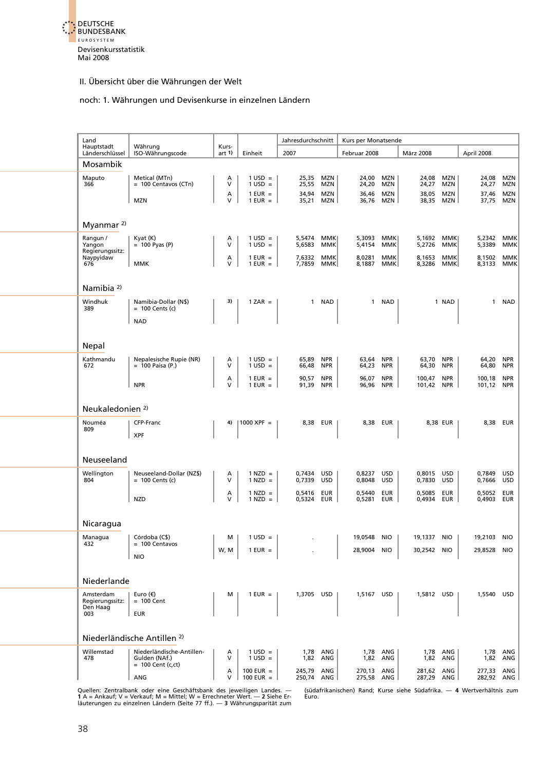

### noch: 1. Währungen und Devisenkurse in einzelnen Ländern

| Land                          |                                               |                 |                                        | Jahresdurchschnitt |                          | Kurs per Monatsende |                   |                    |                   |                    |                          |
|-------------------------------|-----------------------------------------------|-----------------|----------------------------------------|--------------------|--------------------------|---------------------|-------------------|--------------------|-------------------|--------------------|--------------------------|
| Hauptstadt<br>Länderschlüssel | Währung<br>ISO-Währungscode                   | Kurs-<br>art 1) | Einheit                                | 2007               |                          | Februar 2008        |                   | <b>März 2008</b>   |                   | April 2008         |                          |
| Mosambik                      |                                               |                 |                                        |                    |                          |                     |                   |                    |                   |                    |                          |
| Maputo<br>366                 | Metical (MTn)<br>$= 100$ Centavos (CTn)       | A<br>V          | $1 \text{ USD} =$<br>$1 \text{ USD} =$ | 25,35<br>25,55     | <b>MZN</b><br><b>MZN</b> | 24,00<br>24,20      | MZN<br>MZN        | 24,08<br>24,27     | MZN<br><b>MZN</b> | 24,08<br>24,27     | MZN<br>MZN               |
|                               |                                               | А               | $1$ EUR =                              | 34,94              | <b>MZN</b>               | 36,46               | MZN               | 38,05              | <b>MZN</b>        | 37,46              | <b>MZN</b>               |
|                               | <b>MZN</b>                                    | V               | $1$ EUR $=$                            | 35,21              | MZN                      | 36,76               | MZN               |                    | 38,35 MZN         | 37,75              | <b>MZN</b>               |
| Myanmar <sup>2)</sup>         |                                               |                 |                                        |                    |                          |                     |                   |                    |                   |                    |                          |
| Rangun /                      | Kyat (K)                                      | А               | $1 \text{ USD} =$                      | 5,5474             | MMK                      | 5,3093              | MMK               | 5,1692 MMK         |                   | 5,2342             | <b>MMK</b>               |
| Yangon<br>Regierungssitz:     | $= 100$ Pyas (P)                              | $\vee$          | $1$ USD =                              | 5,6583             | MMK                      | 5,4154              | <b>MMK</b>        | 5,2726             | MMK               | 5,3389             | MMK                      |
| Naypyidaw<br>676              | <b>MMK</b>                                    | A<br>V          | $1$ EUR =<br>$1$ EUR =                 | 7,6332<br>7,7859   | <b>MMK</b><br>MMK        | 8,0281<br>8,1887    | <b>MMK</b><br>MMK | 8,1653<br>8,3286   | <b>MMK</b><br>MMK | 8,1502<br>8,3133   | <b>MMK</b><br><b>MMK</b> |
|                               |                                               |                 |                                        |                    |                          |                     |                   |                    |                   |                    |                          |
| Namibia <sup>2)</sup>         |                                               |                 |                                        |                    |                          |                     |                   |                    |                   |                    |                          |
| Windhuk<br>389                | Namibia-Dollar (N\$)<br>$= 100$ Cents (c)     | 3)              | $1 ZAR =$                              |                    | 1 NAD                    |                     | 1 NAD             |                    | 1 NAD             | $\mathbf{1}$       | <b>NAD</b>               |
|                               | <b>NAD</b>                                    |                 |                                        |                    |                          |                     |                   |                    |                   |                    |                          |
|                               |                                               |                 |                                        |                    |                          |                     |                   |                    |                   |                    |                          |
| <b>Nepal</b>                  |                                               |                 |                                        |                    |                          |                     |                   |                    |                   |                    |                          |
| Kathmandu<br>672              | Nepalesische Rupie (NR)<br>$= 100$ Paisa (P.) | Α<br>v          | $1 \text{ USD} =$<br>$1$ USD =         | 65,89<br>66,48     | <b>NPR</b><br><b>NPR</b> | 63,64 NPR<br>64,23  | <b>NPR</b>        | 63,70 NPR<br>64,30 | <b>NPR</b>        | 64,20 NPR<br>64,80 | <b>NPR</b>               |
|                               |                                               | А               | $1$ EUR $=$                            | 90,57              | <b>NPR</b>               | 96,07               | <b>NPR</b>        | 100,47 NPR         |                   | 100,18             | <b>NPR</b>               |
|                               | <b>NPR</b>                                    | $\vee$          | $1$ EUR =                              | 91,39              | <b>NPR</b>               | 96,96               | <b>NPR</b>        | 101,42 NPR         |                   | 101,12 NPR         |                          |
|                               |                                               |                 |                                        |                    |                          |                     |                   |                    |                   |                    |                          |
| Neukaledonien <sup>2)</sup>   |                                               |                 |                                        |                    |                          |                     |                   |                    |                   |                    |                          |
| Nouméa<br>809                 | CFP-Franc                                     | 4)              | $1000$ XPF =                           |                    | 8,38 EUR                 |                     | 8,38 EUR          |                    | 8,38 EUR          |                    | 8,38 EUR                 |
|                               | <b>XPF</b>                                    |                 |                                        |                    |                          |                     |                   |                    |                   |                    |                          |
| Neuseeland                    |                                               |                 |                                        |                    |                          |                     |                   |                    |                   |                    |                          |
| Wellington                    | Neuseeland-Dollar (NZ\$)                      | А               | $1$ NZD $=$                            | 0,7434             | <b>USD</b>               | 0,8237              | <b>USD</b>        | 0,8015             | USD               | 0,7849             | USD                      |
| 804                           | $= 100$ Cents (c)                             | v               | $1$ NZD $=$                            | 0,7339             | <b>USD</b>               | 0,8048              | <b>USD</b>        | 0,7830             | <b>USD</b>        | 0,7666             | <b>USD</b>               |
|                               | <b>NZD</b>                                    | А<br>$\vee$     | $1$ NZD $=$<br>$1$ NZD $=$             | 0,5416<br>0,5324   | EUR<br>EUR               | 0,5440<br>0,5281    | EUR<br>EUR        | 0,5085<br>0,4934   | <b>EUR</b><br>EUR | 0,5052<br>0,4903   | EUR<br>EUR               |
|                               |                                               |                 |                                        |                    |                          |                     |                   |                    |                   |                    |                          |
| Nicaragua                     |                                               |                 |                                        |                    |                          |                     |                   |                    |                   |                    |                          |
| Managua<br>432                | Córdoba (C\$)<br>$= 100$ Centavos             | M               | $1 \text{ USD} =$                      | <b>Contractor</b>  |                          | 19,0548 NIO         |                   | 19,1337 NIO        |                   | 19,2103            | NIO                      |
|                               | <b>NIO</b>                                    | W, M            | $1$ EUR $=$                            |                    |                          | 28,9004 NIO         |                   | 30,2542 NIO        |                   | 29,8528 NIO        |                          |
|                               |                                               |                 |                                        |                    |                          |                     |                   |                    |                   |                    |                          |
| Niederlande                   |                                               |                 |                                        |                    |                          |                     |                   |                    |                   |                    |                          |
| Amsterdam<br>Regierungssitz:  | Euro (€)<br>$= 100$ Cent                      | м               | $1$ EUR $=$                            | 1,3705 USD         |                          | 1,5167 USD          |                   | 1,5812 USD         |                   | 1,5540 USD         |                          |
| Den Haag<br>003               | EUR                                           |                 |                                        |                    |                          |                     |                   |                    |                   |                    |                          |
|                               |                                               |                 |                                        |                    |                          |                     |                   |                    |                   |                    |                          |
|                               | Niederländische Antillen <sup>2)</sup>        |                 |                                        |                    |                          |                     |                   |                    |                   |                    |                          |
| Willemstad                    | Niederländische-Antillen-<br>Gulden (NAf.)    | Α<br>v          | $1 \text{ USD} =$<br>$1$ USD =         | 1,78               | ANG                      |                     | 1,78 ANG          |                    | 1,78 ANG          |                    | 1,78 ANG                 |
| 478                           | $= 100$ Cent (c,ct)                           | Α               | 100 EUR $=$                            | 1,82<br>245,79     | ANG<br>ANG               | 270,13 ANG          | 1,82 ANG          | 281,62 ANG         | 1,82 ANG          | 1,82<br>277,33     | ANG<br>ANG               |
|                               | ANG                                           | V               | 100 EUR $=$                            | 250,74 ANG         |                          | 275,58              | ANG               | 287,29 ANG         |                   | 282,92 ANG         |                          |
|                               |                                               |                 |                                        |                    |                          |                     |                   |                    |                   |                    |                          |

Quellen: Zentralbank oder eine Geschäftsbank des jeweiligen Landes. — (südafrikanischen) Rand; Kurse siehe Südafrika. — 4 Wertverhältnis zum<br>1 A = Ankauf; V = Verkauf; M = Mittel; W = Errechneter Wert. — 2 Siehe Er-

(südafrikanischen) Rand; Kurse siehe Südafrika. — 4 Wertverhältnis zum<br>Euro.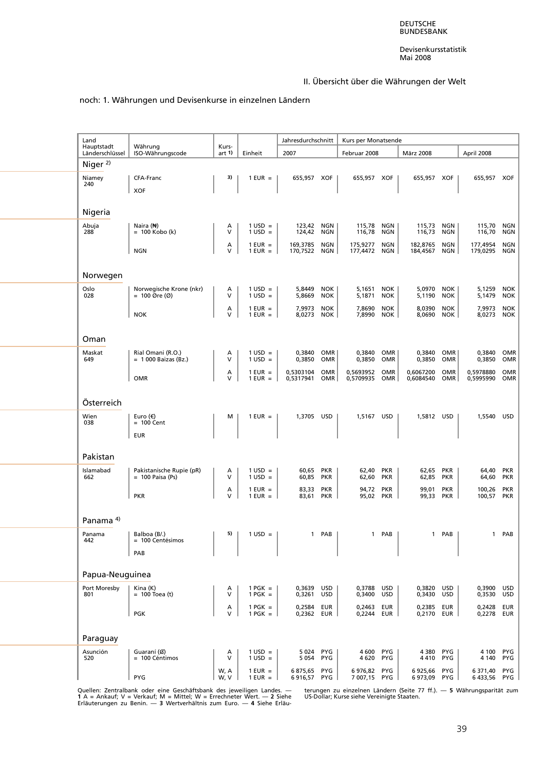#### noch: 1. Währungen und Devisenkurse in einzelnen Ländern

| Land<br>Hauptstadt                     | Währung                                        | Kurs-        |                                | Jahresdurchschnitt           |                          | Kurs per Monatsende      |                          |                        |                          |                        |                          |
|----------------------------------------|------------------------------------------------|--------------|--------------------------------|------------------------------|--------------------------|--------------------------|--------------------------|------------------------|--------------------------|------------------------|--------------------------|
| Länderschlüssel<br>Niger <sup>2)</sup> | ISO-Währungscode                               | art $1$      | Einheit                        | 2007                         |                          | Februar 2008             |                          | März 2008              |                          | April 2008             |                          |
| Niamey<br>240                          | CFA-Franc                                      | 3)           | $1$ EUR $=$                    | 655,957 XOF                  |                          | 655,957 XOF              |                          | 655.957 XOF            |                          | 655,957 XOF            |                          |
|                                        | <b>XOF</b>                                     |              |                                |                              |                          |                          |                          |                        |                          |                        |                          |
| Nigeria                                |                                                |              |                                |                              |                          |                          |                          |                        |                          |                        |                          |
| Abuja<br>288                           | Naira (N)<br>$= 100$ Kobo (k)                  | Α<br>$\vee$  | $1 \text{ USD} =$<br>$1$ USD = | 123,42 NGN<br>124,42         | NGN                      | 115,78 NGN<br>116,78     | <b>NGN</b>               | 115,73 NGN<br>116,73   | NGN                      | 115,70<br>116,70       | NGN<br>NGN               |
|                                        | <b>NGN</b>                                     | А<br>v       | $1$ EUR =<br>$1$ EUR =         | 169,3785 NGN<br>170,7522 NGN |                          | 175,9277<br>177,4472 NGN | NGN                      | 182,8765<br>184,4567   | NGN<br>NGN               | 177,4954<br>179,0295   | NGN<br><b>NGN</b>        |
| Norwegen                               |                                                |              |                                |                              |                          |                          |                          |                        |                          |                        |                          |
| Oslo<br>028                            | Norwegische Krone (nkr)<br>$= 100$ Øre (Ø)     | A<br>v       | $1 \text{ USD} =$<br>$1$ USD = | 5,8449<br>5,8669             | <b>NOK</b><br><b>NOK</b> | 5,1651<br>5,1871         | NOK<br><b>NOK</b>        | 5,0970<br>5,1190       | <b>NOK</b><br><b>NOK</b> | 5,1259<br>5,1479       | <b>NOK</b><br><b>NOK</b> |
|                                        | <b>NOK</b>                                     | А<br>$\vee$  | $1$ EUR =<br>$1$ EUR =         | 7,9973<br>8,0273 NOK         | <b>NOK</b>               | 7,8690<br>7,8990 NOK     | <b>NOK</b>               | 8,0390<br>8,0690       | <b>NOK</b><br>NOK        | 7,9973<br>8,0273 NOK   | <b>NOK</b>               |
| Oman                                   |                                                |              |                                |                              |                          |                          |                          |                        |                          |                        |                          |
| Maskat<br>649                          | Rial Omani (R.O.)<br>$= 1000$ Baizas (Bz.)     | A<br>v       | $1 \text{ USD} =$<br>$1$ USD = | 0,3840<br>0,3850             | OMR<br>OMR               | 0,3840<br>0,3850         | OMR<br>OMR               | 0,3840<br>0,3850       | OMR<br>OMR               | 0,3840<br>0,3850       | <b>OMR</b><br><b>OMR</b> |
|                                        | <b>OMR</b>                                     | А<br>$\vee$  | $1$ EUR =<br>$1$ EUR =         | 0,5303104<br>0,5317941       | <b>OMR</b><br>OMR        | 0.5693952<br>0,5709935   | <b>OMR</b><br>OMR        | 0,6067200<br>0,6084540 | <b>OMR</b><br>OMR        | 0,5978880<br>0,5995990 | <b>OMR</b><br><b>OMR</b> |
| Österreich                             |                                                |              |                                |                              |                          |                          |                          |                        |                          |                        |                          |
| Wien<br>038                            | Euro $(\epsilon)$<br>$= 100$ Cent              | м            | $1$ EUR =                      | 1,3705 USD                   |                          | 1,5167 USD               |                          | 1,5812 USD             |                          | 1,5540                 | <b>USD</b>               |
|                                        | <b>EUR</b>                                     |              |                                |                              |                          |                          |                          |                        |                          |                        |                          |
| Pakistan                               |                                                |              |                                |                              |                          |                          |                          |                        |                          |                        |                          |
| Islamabad<br>662                       | Pakistanische Rupie (pR)<br>$= 100$ Paisa (Ps) | A<br>v       | $1$ USD =<br>$1$ USD =         | 60,65<br>60,85               | <b>PKR</b><br><b>PKR</b> | 62,40<br>62,60           | <b>PKR</b><br><b>PKR</b> | 62,65<br>62,85         | <b>PKR</b><br><b>PKR</b> | 64,40<br>64,60         | PKR<br><b>PKR</b>        |
|                                        | <b>PKR</b>                                     | А<br>v       | $1$ EUR $=$<br>$1$ EUR =       | 83,33<br>83,61               | <b>PKR</b><br><b>PKR</b> | 94,72<br>95,02           | <b>PKR</b><br><b>PKR</b> | 99,01<br>99,33         | <b>PKR</b><br><b>PKR</b> | 100,26<br>100,57       | PKR<br><b>PKR</b>        |
| Panama <sup>4)</sup>                   |                                                |              |                                |                              |                          |                          |                          |                        |                          |                        |                          |
| Panama<br>442                          | Balboa (B/.)<br>= 100 Centésimos               |              | $1 \text{ USD} =  $            | $\mathbf{1}$                 | PAB                      | $\mathbf{1}$             | PAB                      | $\mathbf{1}$           | PAB                      | $\mathbf{1}$           | PAB                      |
|                                        | PAB                                            |              |                                |                              |                          |                          |                          |                        |                          |                        |                          |
| Papua-Neuguinea                        |                                                |              |                                |                              |                          |                          |                          |                        |                          |                        |                          |
| Port Moresby<br>801                    | Kina (K)<br>$= 100$ Toea (t)                   | A<br>V       | $1$ PGK $=$<br>$1$ PGK =       | 0,3639<br>0,3261             | USD<br>USD               | 0,3788<br>0,3400         | USD<br><b>USD</b>        | 0,3820<br>0,3430       | USD<br><b>USD</b>        | 0,3900<br>0,3530       | <b>USD</b><br>USD        |
|                                        | PGK                                            | А<br>$\vee$  | $1$ PGK $=$<br>$1$ PGK =       | 0,2584<br>0,2362             | EUR<br>EUR               | 0,2463<br>0,2244         | EUR<br><b>EUR</b>        | 0,2385<br>0,2170       | EUR<br>EUR               | 0,2428<br>0,2278       | EUR<br><b>EUR</b>        |
| Paraguay                               |                                                |              |                                |                              |                          |                          |                          |                        |                          |                        |                          |
| Asunción<br>520                        | Guaraní (G)<br>= 100 Céntimos                  | А<br>v       | $1 \text{ USD} =$<br>$1$ USD = | 5024<br>5054                 | <b>PYG</b><br><b>PYG</b> | 4 600<br>4 6 20          | PYG<br><b>PYG</b>        | 4 3 8 0<br>4410        | PYG<br>PYG               | 4 100<br>4 140         | PYG<br>PYG               |
|                                        | <b>PYG</b>                                     | W, A<br>W, V | $1$ EUR =<br>$1$ EUR =         | 6 875,65<br>6916,57 PYG      | <b>PYG</b>               | 6976,82<br>7 007,15 PYG  | <b>PYG</b>               | 6925,66<br>6 973,09    | <b>PYG</b><br>PYG        | 6 371,40<br>6433,56    | PYG<br>PYG               |

Quellen: Zentralbank oder eine Geschäftsbank des jeweiligen Landes. — terungen zu einzelnen Ländern (Seite 77 ff.). — 5 Währungsparität zum<br>1 A = Ankauf; V = Verkauf; M = Mittel; W = Errechneter Wert. — 2 Siehe US-Dol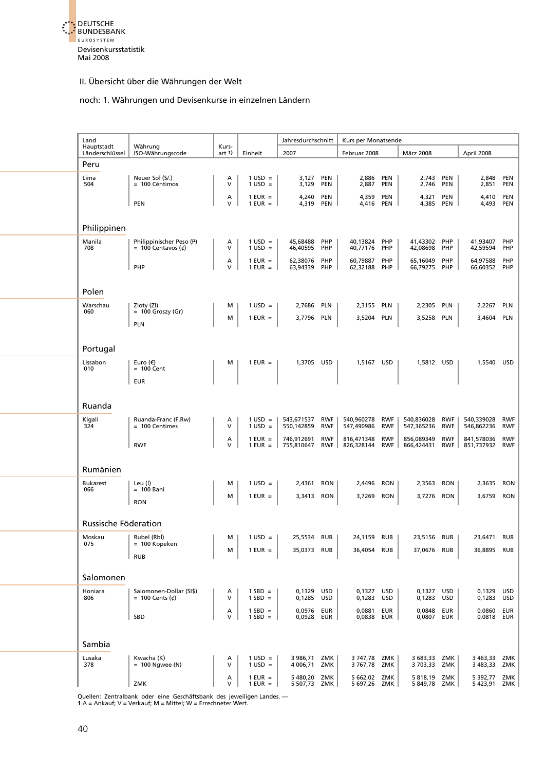

### noch: 1. Währungen und Devisenkurse in einzelnen Ländern

| Land<br>Hauptstadt     | Währung                                         | Kurs-       |                                    | Jahresdurchschnitt       |                          | Kurs per Monatsende      |                          |                          |                          |                          |                          |
|------------------------|-------------------------------------------------|-------------|------------------------------------|--------------------------|--------------------------|--------------------------|--------------------------|--------------------------|--------------------------|--------------------------|--------------------------|
| Länderschlüssel        | ISO-Währungscode                                | art $1$     | Einheit                            | 2007                     |                          | Februar 2008             |                          | <b>März 2008</b>         |                          | April 2008               |                          |
| Peru                   |                                                 |             |                                    |                          |                          |                          |                          |                          |                          |                          |                          |
| Lima<br>504            | Neuer Sol (S/.)<br>= 100 Céntimos               | А<br>V      | $1$ USD =<br>$1 \text{ USD} =$     | 3,127<br>3,129           | <b>PEN</b><br><b>PEN</b> | 2,886<br>2,887           | PEN<br><b>PEN</b>        | 2,743<br>2,746           | <b>PEN</b><br>PEN        | 2,848<br>2,851           | <b>PEN</b><br>PEN        |
|                        | <b>PEN</b>                                      | Α<br>V      | $1$ EUR =<br>$1$ EUR =             | 4,240<br>4,319 PEN       | <b>PEN</b>               | 4,359<br>4,416           | PEN<br>PEN               | 4,321<br>4,385           | PEN<br>PEN               | 4,410<br>4,493 PEN       | <b>PEN</b>               |
| Philippinen            |                                                 |             |                                    |                          |                          |                          |                          |                          |                          |                          |                          |
| Manila                 | Philippinischer Peso (P)                        | А           | $1$ USD =                          | 45,68488                 | PHP                      | 40,13824                 | PHP                      | 41,43302 PHP             |                          | 41,93407                 | PHP                      |
| 708                    | $= 100$ Centavos (¢)                            | $\vee$<br>Α | $1$ USD =<br>$1$ EUR $=$           | 46,40595<br>62,38076     | PHP<br>PHP               | 40,77176<br>60,79887     | PHP<br>PHP               | 42,08698<br>65,16049     | PHP<br>PHP               | 42,59594<br>64,97588     | PHP<br>PHP               |
|                        | PHP                                             | V           | $1$ EUR $=$                        | 63,94339                 | PHP                      | 62,32188                 | PHP                      | 66,79275                 | PHP                      | 66,60352 PHP             |                          |
| Polen                  |                                                 |             |                                    |                          |                          |                          |                          |                          |                          |                          |                          |
| Warschau<br>060        | Zloty (Zl)<br>$= 100$ Groszy (Gr)               | м           | $1 \text{ USD} =$                  | 2,7686                   | <b>PLN</b>               | 2,3155 PLN               |                          | 2,2305                   | PLN                      | 2,2267 PLN               |                          |
|                        | <b>PLN</b>                                      | М           | $1$ EUR =                          | 3,7796                   | PLN                      | 3,5204 PLN               |                          | 3,5258                   | <b>PLN</b>               | 3,4604                   | <b>PLN</b>               |
|                        |                                                 |             |                                    |                          |                          |                          |                          |                          |                          |                          |                          |
| Portugal               |                                                 |             |                                    |                          |                          |                          |                          |                          |                          |                          |                          |
| Lissabon<br>010        | Euro (€)<br>$= 100$ Cent                        | М           | $1$ EUR =                          | 1,3705 USD               |                          | 1,5167 USD               |                          | 1,5812 USD               |                          | 1,5540 USD               |                          |
|                        | <b>EUR</b>                                      |             |                                    |                          |                          |                          |                          |                          |                          |                          |                          |
| Ruanda                 |                                                 |             |                                    |                          |                          |                          |                          |                          |                          |                          |                          |
| Kigali<br>324          | Ruanda-Franc (F.Rw)<br>= 100 Centimes           | A<br>$\vee$ | $1 \text{ USD} =$<br>$1$ USD =     | 543,671537<br>550,142859 | <b>RWF</b><br><b>RWF</b> | 540,960278<br>547,490986 | <b>RWF</b><br><b>RWF</b> | 540,836028<br>547,365236 | <b>RWF</b><br><b>RWF</b> | 540,339028<br>546,862236 | <b>RWF</b><br><b>RWF</b> |
|                        | <b>RWF</b>                                      | Α<br>V      | $1$ EUR =<br>$1$ EUR = $\parallel$ | 746,912691<br>755,810647 | <b>RWF</b><br>RWF        | 816,471348<br>826,328144 | <b>RWF</b><br><b>RWF</b> | 856,089349<br>866,424431 | <b>RWF</b><br><b>RWF</b> | 841,578036<br>851,737932 | <b>RWF</b><br><b>RWF</b> |
|                        |                                                 |             |                                    |                          |                          |                          |                          |                          |                          |                          |                          |
| Rumänien               |                                                 |             |                                    |                          |                          |                          |                          |                          |                          |                          |                          |
| <b>Bukarest</b><br>066 | Leu (l)<br>$= 100$ Bani                         | м           | $1 \text{ USD} =$                  | 2,4361                   | <b>RON</b>               | 2,4496                   | <b>RON</b>               | 2,3563                   | <b>RON</b>               | 2,3635                   | <b>RON</b>               |
|                        | <b>RON</b>                                      | М           | $1$ EUR $=$                        | 3,3413                   | <b>RON</b>               | 3,7269                   | <b>RON</b>               | 3,7276                   | <b>RON</b>               | 3,6759                   | <b>RON</b>               |
| Russische Föderation   |                                                 |             |                                    |                          |                          |                          |                          |                          |                          |                          |                          |
| Moskau<br>075          | Rubel (Rbl)<br>= 100 Kopeken                    | м           | $1 \text{ USD} =$                  | 25,5534                  | RUB                      | 24,1159                  | RUB                      | 23,5156                  | <b>RUB</b>               | 23,6471                  | <b>RUB</b>               |
|                        | <b>RUB</b>                                      | М           | $1$ EUR =                          | 35.0373 RUB              |                          | 36.4054 RUB              |                          | 37,0676 RUB              |                          | 36,8895 RUB              |                          |
| Salomonen              |                                                 |             |                                    |                          |                          |                          |                          |                          |                          |                          |                          |
| Honiara<br>806         | Salomonen-Dollar (SI\$)<br>= 100 Cents $(\phi)$ | А<br>V      | $1$ SBD =<br>$1$ SBD =             | 0,1329<br>0,1285         | <b>USD</b><br><b>USD</b> | 0,1327<br>0,1283         | USD<br>USD               | 0,1327<br>0,1283         | USD<br><b>USD</b>        | 0,1329<br>0,1283         | <b>USD</b><br><b>USD</b> |
|                        |                                                 | Α           | $1$ SBD =                          | 0,0976                   | <b>EUR</b>               | 0,0881                   | <b>EUR</b>               | 0,0848                   | <b>EUR</b>               | 0,0860                   | EUR                      |
|                        | SBD                                             | V           | $1$ SBD =                          | 0,0928                   | EUR                      | 0,0838                   | EUR                      | 0,0807                   | EUR                      | 0,0818                   | <b>EUR</b>               |
| Sambia                 |                                                 |             |                                    |                          |                          |                          |                          |                          |                          |                          |                          |
| Lusaka<br>378          | Kwacha (K)<br>= 100 Ngwee (N)                   | Α<br>$\vee$ | $1 \text{ USD} =$<br>$1$ USD =     | 3 986,71<br>4 006,71     | ZMK<br>ZMK               | 3 747,78<br>3767,78 ZMK  | ZMK                      | 3 683,33<br>3 703,33 ZMK | ZMK                      | 3 463,33<br>3 483,33     | ZMK<br>ZMK               |
|                        | ZMK                                             | Α<br>v      | $1$ EUR $=$<br>$1$ EUR $=$         | 5 480,20<br>5 507,73     | ZMK<br>ZMK               | 5 662,02<br>5 697,26 ZMK | ZMK                      | 5 818,19<br>5 849,78 ZMK | ZMK                      | 5 392,77<br>5 423,91     | ZMK<br>ZMK               |
|                        |                                                 |             |                                    |                          |                          |                          |                          |                          |                          |                          |                          |

Quellen: Zentralbank oder eine Geschäftsbank des jeweiligen Landes. — **1** A = Ankauf; V = Verkauf; M = Mittel; W = Errechneter Wert.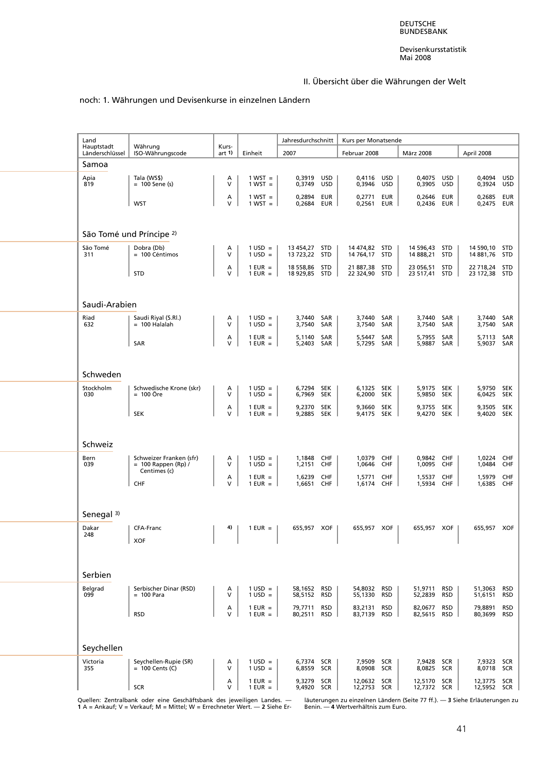#### noch: 1. Währungen und Devisenkurse in einzelnen Ländern

| Land<br>Hauptstadt                  | Währung                                          | Kurs-       |                                | Jahresdurchschnitt             |                          | Kurs per Monatsende            |                          |                                |                          |                                |                          |
|-------------------------------------|--------------------------------------------------|-------------|--------------------------------|--------------------------------|--------------------------|--------------------------------|--------------------------|--------------------------------|--------------------------|--------------------------------|--------------------------|
| Länderschlüssel                     | ISO-Währungscode                                 | art 1)      | Einheit                        | 2007                           |                          | Februar 2008                   |                          | März 2008                      |                          | April 2008                     |                          |
| Samoa<br>Apia                       | Tala (WS\$)                                      | Α<br>V      | $1 WST =$                      | 0,3919                         | USD                      | 0,4116                         | USD                      | 0,4075                         | USD                      | 0,4094                         | USD                      |
| 819                                 | $= 100$ Sene (s)                                 |             | $1 WST =$                      | 0,3749                         | USD                      | 0,3946                         | <b>USD</b>               | 0,3905                         | <b>USD</b>               | 0,3924                         | <b>USD</b>               |
|                                     | <b>WST</b>                                       | Α<br>V      | $1 WST =$<br>$1 WST =$         | 0,2894<br>0,2684               | <b>EUR</b><br>EUR        | 0,2771<br>0,2561               | EUR<br>EUR               | 0,2646<br>0,2436               | EUR<br><b>EUR</b>        | 0,2685<br>0,2475               | EUR<br><b>EUR</b>        |
| São Tomé und Príncipe <sup>2)</sup> |                                                  |             |                                |                                |                          |                                |                          |                                |                          |                                |                          |
| São Tomé<br>311                     | Dobra (Db)<br>= 100 Céntimos                     | A<br>V      | $1 \text{ USD} =$<br>$1$ USD = | 13 454,27 STD<br>13 723,22 STD |                          | 14 474,82 STD<br>14 764,17 STD |                          | 14 596,43 STD<br>14 888,21 STD |                          | 14 590,10 STD<br>14 881,76 STD |                          |
|                                     | <b>STD</b>                                       | Α<br>$\vee$ | $1$ EUR $=$<br>$1$ EUR $=$     | 18 558,86 STD<br>18 929,85 STD |                          | 21 887,38 STD<br>22 324,90 STD |                          | 23 056,51 STD<br>23 517,41 STD |                          | 22 718,24 STD<br>23 172,38 STD |                          |
|                                     |                                                  |             |                                |                                |                          |                                |                          |                                |                          |                                |                          |
| Saudi-Arabien                       |                                                  |             |                                |                                |                          |                                |                          |                                |                          |                                |                          |
| Riad<br>632                         | Saudi Riyal (S.Rl.)<br>$= 100$ Halalah           | A<br>V      | $1$ USD =<br>$1$ USD =         | 3,7440 SAR<br>3,7540           | SAR                      | 3,7440 SAR<br>3,7540 SAR       |                          | 3,7440 SAR<br>3,7540 SAR       |                          | 3,7440 SAR<br>3,7540           | SAR                      |
|                                     | SAR                                              | Α<br>v      | $1$ EUR $=$<br>$1$ EUR $=$     | 5,1140 SAR<br>5,2403           | SAR                      | 5,5447 SAR<br>5,7295 SAR       |                          | 5,7955 SAR<br>5,9887           | SAR                      | 5,7113 SAR<br>5,9037           | SAR                      |
| Schweden                            |                                                  |             |                                |                                |                          |                                |                          |                                |                          |                                |                          |
| Stockholm                           | Schwedische Krone (skr)                          | A           | $1 \text{ USD} =$              | 6,7294 SEK                     |                          | 6,1325 SEK                     |                          | 5,9175 SEK                     |                          | 5,9750 SEK                     |                          |
| 030                                 | $= 100$ Öre                                      | V<br>Α      | $1$ USD =<br>$1$ EUR $=$       | 6,7969 SEK<br>9,2370 SEK       |                          | 6,2000<br>9,3660 SEK           | SEK                      | 5,9850 SEK<br>9,3755 SEK       |                          | 6,0425<br>9,3505 SEK           | SEK                      |
|                                     | <b>SEK</b>                                       | $\vee$      | $1$ EUR $=$                    | 9,2885 SEK                     |                          | 9,4175 SEK                     |                          | 9,4270 SEK                     |                          | 9,4020 SEK                     |                          |
| Schweiz                             |                                                  |             |                                |                                |                          |                                |                          |                                |                          |                                |                          |
| Bern<br>039                         | Schweizer Franken (sfr)<br>$= 100$ Rappen (Rp) / | A<br>V      | $1 \text{ USD} =$<br>$1$ USD = | 1,1848<br>1,2151               | CHF<br>CHF               | 1,0379 CHF<br>1,0646           | CHF                      | 0,9842 CHF<br>1,0095           | CHF                      | 1,0224<br>1,0484               | CHF<br><b>CHF</b>        |
|                                     | Centimes (c)<br><b>CHF</b>                       | Α<br>$\vee$ | $1$ EUR $=$<br>$1$ EUR $=$     | 1,6239 CHF<br>1,6651 CHF       |                          | 1,5771 CHF<br>1,6174 CHF       |                          | 1,5537 CHF<br>1,5934 CHF       |                          | 1,5979<br>1,6385               | CHF<br>CHF               |
|                                     |                                                  |             |                                |                                |                          |                                |                          |                                |                          |                                |                          |
| Senegal <sup>3)</sup>               |                                                  |             |                                |                                |                          |                                |                          |                                |                          |                                |                          |
| Dakar<br>248                        | CFA-Franc<br>XOF                                 | 4)          | $1$ EUR $=$                    | 655,957 XOF                    |                          | 655,957 XOF                    |                          | 655,957 XOF                    |                          | 655,957 XOF                    |                          |
|                                     |                                                  |             |                                |                                |                          |                                |                          |                                |                          |                                |                          |
| Serbien                             |                                                  |             |                                |                                |                          |                                |                          |                                |                          |                                |                          |
| Belgrad<br>099                      | Serbischer Dinar (RSD)<br>$= 100$ Para           | A<br>V      | $1 \text{ USD} =$<br>$1$ USD = | 58,1652<br>58,5152             | <b>RSD</b><br><b>RSD</b> | 54,8032<br>55,1330             | <b>RSD</b><br><b>RSD</b> | 51,9711<br>52,2839             | <b>RSD</b><br><b>RSD</b> | 51,3063<br>51,6151             | RSD<br><b>RSD</b>        |
|                                     | <b>RSD</b>                                       | А<br>$\vee$ | $1$ EUR $=$<br>$1$ EUR $=$     | 79,7711<br>80,2511             | <b>RSD</b><br><b>RSD</b> | 83,2131<br>83,7139             | RSD<br><b>RSD</b>        | 82,0677<br>82,5615             | <b>RSD</b><br><b>RSD</b> | 79,8891<br>80,3699             | <b>RSD</b><br><b>RSD</b> |
|                                     |                                                  |             |                                |                                |                          |                                |                          |                                |                          |                                |                          |
| Seychellen                          |                                                  |             |                                |                                |                          |                                |                          |                                |                          |                                |                          |
| Victoria<br>355                     | Seychellen-Rupie (SR)<br>$= 100$ Cents (C)       | Α<br>V      | $1$ USD =<br>$1$ USD =         | 6,7374 SCR<br>6,8559           | <b>SCR</b>               | 7,9509<br>8,0908               | SCR<br>SCR               | 7,9428 SCR<br>8,0825           | SCR                      | 7,9323 SCR<br>8,0718           | <b>SCR</b>               |
|                                     | <b>SCR</b>                                       | Α<br>$\vee$ | $1$ EUR $=$<br>$1$ EUR =       | 9,3279 SCR<br>9,4920 SCR       |                          | 12,0632 SCR<br>12,2753 SCR     |                          | 12,5170 SCR<br>12,7372 SCR     |                          | 12,3775 SCR<br>12,5952 SCR     |                          |

Quellen: Zentralbank oder eine Geschäftsbank des jeweiligen Landes. — läuterungen zu einzelnen Ländern (Seite 77 ff.). — 3 Siehe Erläuterungen zu<br>1 A = Ankauf; V = Verkauf; M = Mittel; W = Errechneter Wert. — 2 Siehe Er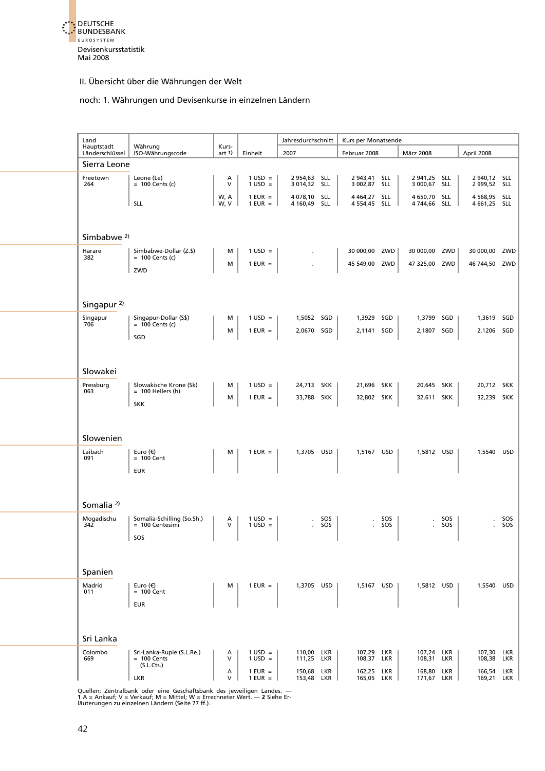

### noch: 1. Währungen und Devisenkurse in einzelnen Ländern

| Land<br>Hauptstadt     | Währung                                       | Kurs-        |                                        | Jahresdurchschnitt           |            | Kurs per Monatsende          |            |                              |            |                              |            |
|------------------------|-----------------------------------------------|--------------|----------------------------------------|------------------------------|------------|------------------------------|------------|------------------------------|------------|------------------------------|------------|
| Länderschlüssel        | ISO-Währungscode                              | art $1$      | Einheit                                | 2007                         |            | Februar 2008                 |            | <b>März 2008</b>             |            | April 2008                   |            |
| Sierra Leone           |                                               |              |                                        |                              |            |                              |            |                              |            |                              |            |
| Freetown<br>264        | Leone (Le)<br>$= 100$ Cents (c)               | Α<br>$\vee$  | $1 \text{ USD} =$<br>$1 \text{ USD} =$ | 2 954,63 SLL<br>3 014,32 SLL |            | 2 943,41 SLL<br>3 002,87 SLL |            | 2 941,25 SLL<br>3 000,67 SLL |            | 2 940,12 SLL<br>2 999,52 SLL |            |
|                        | <b>SLL</b>                                    | W, A<br>W, V | $1$ EUR =<br>$1$ EUR = $\vert$         | 4 078,10 SLL<br>4 160,49 SLL |            | 4 464,27 SLL<br>4 554,45 SLL |            | 4 650,70 SLL<br>4 744,66 SLL |            | 4 568,95 SLL<br>4 661,25 SLL |            |
|                        |                                               |              |                                        |                              |            |                              |            |                              |            |                              |            |
| Simbabwe <sup>2)</sup> |                                               |              |                                        |                              |            |                              |            |                              |            |                              |            |
| Harare<br>382          | Simbabwe-Dollar (Z.\$)<br>$= 100$ Cents (c)   | м            | $1$ USD =                              |                              |            | 30 000,00 ZWD                |            | 30 000,00 ZWD                |            | 30 000,00 ZWD                |            |
|                        | ZWD                                           | М            | $1$ EUR =                              |                              |            | 45 549,00 ZWD                |            | 47 325,00 ZWD                |            | 46 744,50 ZWD                |            |
|                        |                                               |              |                                        |                              |            |                              |            |                              |            |                              |            |
| Singapur <sup>2)</sup> |                                               |              |                                        |                              |            |                              |            |                              |            |                              |            |
| Singapur<br>706        | Singapur-Dollar (S\$)<br>$= 100$ Cents (c)    | м            | $1 \text{ USD} =$                      | 1,5052 SGD                   |            | 1,3929 SGD                   |            | 1,3799 SGD                   |            | 1,3619 SGD                   |            |
|                        | SGD                                           | M            | $1$ EUR $=$                            | 2,0670 SGD                   |            | 2,1141                       | SGD        | 2.1807 SGD                   |            | 2,1206 SGD                   |            |
|                        |                                               |              |                                        |                              |            |                              |            |                              |            |                              |            |
| Slowakei               |                                               |              |                                        |                              |            |                              |            |                              |            |                              |            |
| Pressburg<br>063       | Slowakische Krone (Sk)<br>$= 100$ Hellers (h) | м            | $1 \text{ USD} =$                      | 24,713 SKK                   |            | 21,696 SKK                   |            | 20,645 SKK                   |            | 20,712 SKK                   |            |
|                        | <b>SKK</b>                                    | м            | $1$ EUR $=$                            | 33,788 SKK                   |            | 32,802 SKK                   |            | 32,611 SKK                   |            | 32,239 SKK                   |            |
|                        |                                               |              |                                        |                              |            |                              |            |                              |            |                              |            |
| Slowenien              |                                               |              |                                        |                              |            |                              |            |                              |            |                              |            |
| Laibach<br>091         | Euro $(\epsilon)$<br>$= 100$ Cent             | м            | $1$ EUR $=$                            | 1,3705 USD                   |            | 1,5167 USD                   |            | 1,5812 USD                   |            | 1,5540 USD                   |            |
|                        | <b>EUR</b>                                    |              |                                        |                              |            |                              |            |                              |            |                              |            |
|                        |                                               |              |                                        |                              |            |                              |            |                              |            |                              |            |
| Somalia <sup>2)</sup>  |                                               |              |                                        |                              |            |                              |            |                              |            |                              |            |
| Mogadischu<br>342      | Somalia-Schilling (So.Sh.)<br>= 100 Centesimi | Α<br>$\vee$  | $1$ USD =<br>$1$ USD =                 |                              | SOS<br>SOS |                              | SOS<br>SOS |                              | SOS<br>SOS |                              | SOS<br>SOS |
|                        | SOS                                           |              |                                        |                              |            |                              |            |                              |            |                              |            |
|                        |                                               |              |                                        |                              |            |                              |            |                              |            |                              |            |
| Spanien                |                                               |              |                                        |                              |            |                              |            |                              |            |                              |            |
| Madrid<br>011          | Euro $(\epsilon)$<br>$= 100$ Cent             | м            | $1$ EUR $=$                            | 1,3705 USD                   |            | 1,5167 USD                   |            | 1,5812 USD                   |            | 1,5540 USD                   |            |
|                        | <b>EUR</b>                                    |              |                                        |                              |            |                              |            |                              |            |                              |            |
|                        |                                               |              |                                        |                              |            |                              |            |                              |            |                              |            |
| Sri Lanka              |                                               |              |                                        |                              |            |                              |            |                              |            |                              |            |
| Colombo<br>669         | Sri-Lanka-Rupie (S.L.Re.)<br>$= 100$ Cents    | A<br>$\vee$  | $1 \text{ USD} =$<br>$1 \text{ USD} =$ | 110,00 LKR<br>111,25 LKR     |            | 107,29 LKR<br>108,37 LKR     |            | 107,24 LKR<br>108,31 LKR     |            | 107,30 LKR<br>108,38 LKR     |            |
|                        | (S.L.Cts.)<br>LKR                             | А<br>v       | $1$ EUR $=$<br>$1$ EUR $=$             | 150,68 LKR<br>153,48 LKR     |            | 162,25 LKR<br>165,05 LKR     |            | 168,80<br>171,67 LKR         | LKR        | 166,54 LKR<br>169,21 LKR     |            |
|                        |                                               |              |                                        |                              |            |                              |            |                              |            |                              |            |

Quellen: Zentralbank oder eine Geschäftsbank des jeweiligen Landes. —<br>1 A = Ankauf; V = Verkauf; M = Mittel; W = Errechneter Wert. — 2 Siehe Er-<br>läuterungen zu einzelnen Ländern (Seite 77 ff.).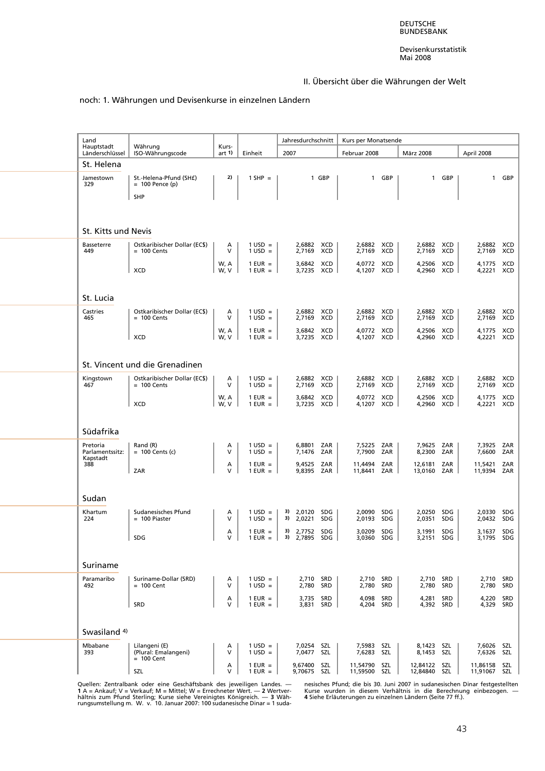#### noch: 1. Währungen und Devisenkurse in einzelnen Ländern

| Land<br>Jahresdurchschnitt<br>Kurs per Monatsende<br>Hauptstadt<br>Währung<br>Kurs-<br>2007<br>Februar 2008<br>Länderschlüssel<br>ISO-Währungscode<br>art $1$ )<br>Einheit<br>März 2008<br>April 2008<br>St. Helena<br>2)<br>Jamestown<br>St.-Helena-Pfund (SH£)<br>$1$ SHP $=$<br>1 GBP<br>1 GBP<br>1 GBP<br>1 GBP<br>329<br>$= 100$ Pence (p)<br><b>SHP</b><br>St. Kitts und Nevis<br>Ostkaribischer Dollar (EC\$)<br>$1 \text{ USD} =$<br>2,6882 XCD<br>2,6882 XCD<br>2,6882 XCD<br>2,6882<br><b>Basseterre</b><br>XCD<br>A<br>449<br>$= 100$ Cents<br>V<br>$1$ USD =<br>2,7169<br>XCD<br>2,7169 XCD<br>2,7169 XCD<br>2,7169<br>XCD<br>$1$ EUR =<br>W, A<br>3,6842 XCD<br>4,0772 XCD<br>4,2506<br>XCD<br>4,1775<br>XCD<br><b>XCD</b><br>W, V<br>$1$ EUR =<br>3,7235 XCD<br>4,1207 XCD<br>4,2960 XCD<br>4,2221<br>XCD<br>St. Lucia<br>$1$ USD =<br>Castries<br>Ostkaribischer Dollar (EC\$)<br>2,6882 XCD<br>2,6882 XCD<br>2,6882 XCD<br>2,6882<br>XCD<br>A<br>465<br>$= 100$ Cents<br>$1$ USD =<br>XCD<br>2,7169 XCD<br>2,7169 XCD<br>XCD<br>V<br>2,7169<br>2,7169<br>$1$ EUR =<br>W, A<br>3,6842<br>XCD<br>4,0772 XCD<br>4,2506 XCD<br>4,1775<br>XCD<br><b>XCD</b><br>4,1207 XCD<br>4,2960 XCD<br>4,2221 XCD<br>W, V<br>$1$ EUR $=$<br>3,7235 XCD<br>St. Vincent und die Grenadinen<br>Ostkaribischer Dollar (EC\$)<br>Kingstown<br>$1 \text{ USD} =$<br>2,6882 XCD<br>2,6882 XCD<br>2,6882 XCD<br>2,6882 XCD<br>A<br>467<br>V<br>$1$ USD =<br>XCD<br>$= 100$ Cents<br>2,7169<br>XCD<br>2,7169<br>XCD<br>2,7169<br><b>XCD</b><br>2,7169<br>W, A<br>$1$ EUR =<br>3,6842<br>XCD<br>4,0772 XCD<br>4,2506 XCD<br>4,1775<br>XCD<br>XCD<br>XCD<br>W, V<br>$1$ EUR $=$<br>3,7235 XCD<br>4,1207 XCD<br>4,2960 XCD<br>4,2221<br>Südafrika<br>Pretoria<br>Rand (R)<br>$1 \text{ USD} =$<br>6,8801 ZAR<br>7,5225 ZAR<br>7,9625 ZAR<br>7,3925<br>ZAR<br>Α<br>V<br>$= 100$ Cents (c)<br>$1$ USD =<br>7,7900<br>8,2300<br>ZAR<br>Parlamentssitz:<br>ZAR<br>ZAR<br>ZAR<br>7,6600<br>7,1476<br>Kapstadt<br>388<br>А<br>$1$ EUR =<br>9,4525<br>ZAR<br>11,4494<br>ZAR<br>12,6181<br>ZAR<br>11,5421<br>ZAR<br>V<br>ZAR<br>11,8441<br>11,9394<br>$1$ EUR $=$<br>9,8395<br>ZAR<br>ZAR<br>13,0160<br>ZAR<br>ZAR<br>Sudan<br>Khartum<br>Sudanesisches Pfund<br>$1$ USD =<br>$3)$ 2,0120<br>SDG<br>2,0090<br>SDG<br>2,0250<br>SDG<br>2.0330<br>SDG<br>A<br>224<br>$= 100$ Piaster<br>V<br>$1 \text{ USD} =$<br>3) 2,0221<br>SDG<br>2,0193 SDG<br>2,0351<br>SDG<br>2,0432<br>SDG<br>$1$ EUR =<br>3) 2,7752 SDG<br>3.0209 SDG<br>3,1991<br>SDG<br>3,1637 SDG<br>Α<br>  SDG<br>$V$  <br>$1 \text{ EUR} =   30 \text{ } 2,7895 \text{ } SDG  $<br>3,0360 SDG  <br>3,2151 SDG  <br>3,1795 SDG |          |  |  |  |  |  |  |
|----------------------------------------------------------------------------------------------------------------------------------------------------------------------------------------------------------------------------------------------------------------------------------------------------------------------------------------------------------------------------------------------------------------------------------------------------------------------------------------------------------------------------------------------------------------------------------------------------------------------------------------------------------------------------------------------------------------------------------------------------------------------------------------------------------------------------------------------------------------------------------------------------------------------------------------------------------------------------------------------------------------------------------------------------------------------------------------------------------------------------------------------------------------------------------------------------------------------------------------------------------------------------------------------------------------------------------------------------------------------------------------------------------------------------------------------------------------------------------------------------------------------------------------------------------------------------------------------------------------------------------------------------------------------------------------------------------------------------------------------------------------------------------------------------------------------------------------------------------------------------------------------------------------------------------------------------------------------------------------------------------------------------------------------------------------------------------------------------------------------------------------------------------------------------------------------------------------------------------------------------------------------------------------------------------------------------------------------------------------------------------------------------------------------------------------------------------------------------------------------------------------------------------------------------------------------------------------------------------------------------------------------------------------------|----------|--|--|--|--|--|--|
|                                                                                                                                                                                                                                                                                                                                                                                                                                                                                                                                                                                                                                                                                                                                                                                                                                                                                                                                                                                                                                                                                                                                                                                                                                                                                                                                                                                                                                                                                                                                                                                                                                                                                                                                                                                                                                                                                                                                                                                                                                                                                                                                                                                                                                                                                                                                                                                                                                                                                                                                                                                                                                                                      |          |  |  |  |  |  |  |
|                                                                                                                                                                                                                                                                                                                                                                                                                                                                                                                                                                                                                                                                                                                                                                                                                                                                                                                                                                                                                                                                                                                                                                                                                                                                                                                                                                                                                                                                                                                                                                                                                                                                                                                                                                                                                                                                                                                                                                                                                                                                                                                                                                                                                                                                                                                                                                                                                                                                                                                                                                                                                                                                      |          |  |  |  |  |  |  |
|                                                                                                                                                                                                                                                                                                                                                                                                                                                                                                                                                                                                                                                                                                                                                                                                                                                                                                                                                                                                                                                                                                                                                                                                                                                                                                                                                                                                                                                                                                                                                                                                                                                                                                                                                                                                                                                                                                                                                                                                                                                                                                                                                                                                                                                                                                                                                                                                                                                                                                                                                                                                                                                                      |          |  |  |  |  |  |  |
|                                                                                                                                                                                                                                                                                                                                                                                                                                                                                                                                                                                                                                                                                                                                                                                                                                                                                                                                                                                                                                                                                                                                                                                                                                                                                                                                                                                                                                                                                                                                                                                                                                                                                                                                                                                                                                                                                                                                                                                                                                                                                                                                                                                                                                                                                                                                                                                                                                                                                                                                                                                                                                                                      |          |  |  |  |  |  |  |
|                                                                                                                                                                                                                                                                                                                                                                                                                                                                                                                                                                                                                                                                                                                                                                                                                                                                                                                                                                                                                                                                                                                                                                                                                                                                                                                                                                                                                                                                                                                                                                                                                                                                                                                                                                                                                                                                                                                                                                                                                                                                                                                                                                                                                                                                                                                                                                                                                                                                                                                                                                                                                                                                      |          |  |  |  |  |  |  |
|                                                                                                                                                                                                                                                                                                                                                                                                                                                                                                                                                                                                                                                                                                                                                                                                                                                                                                                                                                                                                                                                                                                                                                                                                                                                                                                                                                                                                                                                                                                                                                                                                                                                                                                                                                                                                                                                                                                                                                                                                                                                                                                                                                                                                                                                                                                                                                                                                                                                                                                                                                                                                                                                      |          |  |  |  |  |  |  |
|                                                                                                                                                                                                                                                                                                                                                                                                                                                                                                                                                                                                                                                                                                                                                                                                                                                                                                                                                                                                                                                                                                                                                                                                                                                                                                                                                                                                                                                                                                                                                                                                                                                                                                                                                                                                                                                                                                                                                                                                                                                                                                                                                                                                                                                                                                                                                                                                                                                                                                                                                                                                                                                                      |          |  |  |  |  |  |  |
|                                                                                                                                                                                                                                                                                                                                                                                                                                                                                                                                                                                                                                                                                                                                                                                                                                                                                                                                                                                                                                                                                                                                                                                                                                                                                                                                                                                                                                                                                                                                                                                                                                                                                                                                                                                                                                                                                                                                                                                                                                                                                                                                                                                                                                                                                                                                                                                                                                                                                                                                                                                                                                                                      |          |  |  |  |  |  |  |
|                                                                                                                                                                                                                                                                                                                                                                                                                                                                                                                                                                                                                                                                                                                                                                                                                                                                                                                                                                                                                                                                                                                                                                                                                                                                                                                                                                                                                                                                                                                                                                                                                                                                                                                                                                                                                                                                                                                                                                                                                                                                                                                                                                                                                                                                                                                                                                                                                                                                                                                                                                                                                                                                      |          |  |  |  |  |  |  |
|                                                                                                                                                                                                                                                                                                                                                                                                                                                                                                                                                                                                                                                                                                                                                                                                                                                                                                                                                                                                                                                                                                                                                                                                                                                                                                                                                                                                                                                                                                                                                                                                                                                                                                                                                                                                                                                                                                                                                                                                                                                                                                                                                                                                                                                                                                                                                                                                                                                                                                                                                                                                                                                                      |          |  |  |  |  |  |  |
|                                                                                                                                                                                                                                                                                                                                                                                                                                                                                                                                                                                                                                                                                                                                                                                                                                                                                                                                                                                                                                                                                                                                                                                                                                                                                                                                                                                                                                                                                                                                                                                                                                                                                                                                                                                                                                                                                                                                                                                                                                                                                                                                                                                                                                                                                                                                                                                                                                                                                                                                                                                                                                                                      |          |  |  |  |  |  |  |
|                                                                                                                                                                                                                                                                                                                                                                                                                                                                                                                                                                                                                                                                                                                                                                                                                                                                                                                                                                                                                                                                                                                                                                                                                                                                                                                                                                                                                                                                                                                                                                                                                                                                                                                                                                                                                                                                                                                                                                                                                                                                                                                                                                                                                                                                                                                                                                                                                                                                                                                                                                                                                                                                      |          |  |  |  |  |  |  |
|                                                                                                                                                                                                                                                                                                                                                                                                                                                                                                                                                                                                                                                                                                                                                                                                                                                                                                                                                                                                                                                                                                                                                                                                                                                                                                                                                                                                                                                                                                                                                                                                                                                                                                                                                                                                                                                                                                                                                                                                                                                                                                                                                                                                                                                                                                                                                                                                                                                                                                                                                                                                                                                                      |          |  |  |  |  |  |  |
|                                                                                                                                                                                                                                                                                                                                                                                                                                                                                                                                                                                                                                                                                                                                                                                                                                                                                                                                                                                                                                                                                                                                                                                                                                                                                                                                                                                                                                                                                                                                                                                                                                                                                                                                                                                                                                                                                                                                                                                                                                                                                                                                                                                                                                                                                                                                                                                                                                                                                                                                                                                                                                                                      |          |  |  |  |  |  |  |
|                                                                                                                                                                                                                                                                                                                                                                                                                                                                                                                                                                                                                                                                                                                                                                                                                                                                                                                                                                                                                                                                                                                                                                                                                                                                                                                                                                                                                                                                                                                                                                                                                                                                                                                                                                                                                                                                                                                                                                                                                                                                                                                                                                                                                                                                                                                                                                                                                                                                                                                                                                                                                                                                      |          |  |  |  |  |  |  |
|                                                                                                                                                                                                                                                                                                                                                                                                                                                                                                                                                                                                                                                                                                                                                                                                                                                                                                                                                                                                                                                                                                                                                                                                                                                                                                                                                                                                                                                                                                                                                                                                                                                                                                                                                                                                                                                                                                                                                                                                                                                                                                                                                                                                                                                                                                                                                                                                                                                                                                                                                                                                                                                                      |          |  |  |  |  |  |  |
|                                                                                                                                                                                                                                                                                                                                                                                                                                                                                                                                                                                                                                                                                                                                                                                                                                                                                                                                                                                                                                                                                                                                                                                                                                                                                                                                                                                                                                                                                                                                                                                                                                                                                                                                                                                                                                                                                                                                                                                                                                                                                                                                                                                                                                                                                                                                                                                                                                                                                                                                                                                                                                                                      |          |  |  |  |  |  |  |
|                                                                                                                                                                                                                                                                                                                                                                                                                                                                                                                                                                                                                                                                                                                                                                                                                                                                                                                                                                                                                                                                                                                                                                                                                                                                                                                                                                                                                                                                                                                                                                                                                                                                                                                                                                                                                                                                                                                                                                                                                                                                                                                                                                                                                                                                                                                                                                                                                                                                                                                                                                                                                                                                      |          |  |  |  |  |  |  |
|                                                                                                                                                                                                                                                                                                                                                                                                                                                                                                                                                                                                                                                                                                                                                                                                                                                                                                                                                                                                                                                                                                                                                                                                                                                                                                                                                                                                                                                                                                                                                                                                                                                                                                                                                                                                                                                                                                                                                                                                                                                                                                                                                                                                                                                                                                                                                                                                                                                                                                                                                                                                                                                                      |          |  |  |  |  |  |  |
|                                                                                                                                                                                                                                                                                                                                                                                                                                                                                                                                                                                                                                                                                                                                                                                                                                                                                                                                                                                                                                                                                                                                                                                                                                                                                                                                                                                                                                                                                                                                                                                                                                                                                                                                                                                                                                                                                                                                                                                                                                                                                                                                                                                                                                                                                                                                                                                                                                                                                                                                                                                                                                                                      |          |  |  |  |  |  |  |
|                                                                                                                                                                                                                                                                                                                                                                                                                                                                                                                                                                                                                                                                                                                                                                                                                                                                                                                                                                                                                                                                                                                                                                                                                                                                                                                                                                                                                                                                                                                                                                                                                                                                                                                                                                                                                                                                                                                                                                                                                                                                                                                                                                                                                                                                                                                                                                                                                                                                                                                                                                                                                                                                      |          |  |  |  |  |  |  |
|                                                                                                                                                                                                                                                                                                                                                                                                                                                                                                                                                                                                                                                                                                                                                                                                                                                                                                                                                                                                                                                                                                                                                                                                                                                                                                                                                                                                                                                                                                                                                                                                                                                                                                                                                                                                                                                                                                                                                                                                                                                                                                                                                                                                                                                                                                                                                                                                                                                                                                                                                                                                                                                                      |          |  |  |  |  |  |  |
|                                                                                                                                                                                                                                                                                                                                                                                                                                                                                                                                                                                                                                                                                                                                                                                                                                                                                                                                                                                                                                                                                                                                                                                                                                                                                                                                                                                                                                                                                                                                                                                                                                                                                                                                                                                                                                                                                                                                                                                                                                                                                                                                                                                                                                                                                                                                                                                                                                                                                                                                                                                                                                                                      |          |  |  |  |  |  |  |
|                                                                                                                                                                                                                                                                                                                                                                                                                                                                                                                                                                                                                                                                                                                                                                                                                                                                                                                                                                                                                                                                                                                                                                                                                                                                                                                                                                                                                                                                                                                                                                                                                                                                                                                                                                                                                                                                                                                                                                                                                                                                                                                                                                                                                                                                                                                                                                                                                                                                                                                                                                                                                                                                      |          |  |  |  |  |  |  |
|                                                                                                                                                                                                                                                                                                                                                                                                                                                                                                                                                                                                                                                                                                                                                                                                                                                                                                                                                                                                                                                                                                                                                                                                                                                                                                                                                                                                                                                                                                                                                                                                                                                                                                                                                                                                                                                                                                                                                                                                                                                                                                                                                                                                                                                                                                                                                                                                                                                                                                                                                                                                                                                                      |          |  |  |  |  |  |  |
|                                                                                                                                                                                                                                                                                                                                                                                                                                                                                                                                                                                                                                                                                                                                                                                                                                                                                                                                                                                                                                                                                                                                                                                                                                                                                                                                                                                                                                                                                                                                                                                                                                                                                                                                                                                                                                                                                                                                                                                                                                                                                                                                                                                                                                                                                                                                                                                                                                                                                                                                                                                                                                                                      |          |  |  |  |  |  |  |
|                                                                                                                                                                                                                                                                                                                                                                                                                                                                                                                                                                                                                                                                                                                                                                                                                                                                                                                                                                                                                                                                                                                                                                                                                                                                                                                                                                                                                                                                                                                                                                                                                                                                                                                                                                                                                                                                                                                                                                                                                                                                                                                                                                                                                                                                                                                                                                                                                                                                                                                                                                                                                                                                      |          |  |  |  |  |  |  |
|                                                                                                                                                                                                                                                                                                                                                                                                                                                                                                                                                                                                                                                                                                                                                                                                                                                                                                                                                                                                                                                                                                                                                                                                                                                                                                                                                                                                                                                                                                                                                                                                                                                                                                                                                                                                                                                                                                                                                                                                                                                                                                                                                                                                                                                                                                                                                                                                                                                                                                                                                                                                                                                                      | Suriname |  |  |  |  |  |  |
| Suriname-Dollar (SRD)<br>Paramaribo<br>$1 \text{ USD} =$<br>2,710 SRD<br>2,710 SRD<br>2,710 SRD<br>2,710<br>SRD<br>Α                                                                                                                                                                                                                                                                                                                                                                                                                                                                                                                                                                                                                                                                                                                                                                                                                                                                                                                                                                                                                                                                                                                                                                                                                                                                                                                                                                                                                                                                                                                                                                                                                                                                                                                                                                                                                                                                                                                                                                                                                                                                                                                                                                                                                                                                                                                                                                                                                                                                                                                                                 |          |  |  |  |  |  |  |
| V<br>$1$ USD =<br>SRD<br>492<br>$= 100$ Cent<br>2,780<br>2,780<br>SRD<br>2,780<br>SRD<br>2,780<br>SRD<br>4,220<br>А<br>$1$ EUR $=$<br>3,735<br>SRD<br>4,098<br>SRD<br>4,281<br><b>SRD</b><br>SRD                                                                                                                                                                                                                                                                                                                                                                                                                                                                                                                                                                                                                                                                                                                                                                                                                                                                                                                                                                                                                                                                                                                                                                                                                                                                                                                                                                                                                                                                                                                                                                                                                                                                                                                                                                                                                                                                                                                                                                                                                                                                                                                                                                                                                                                                                                                                                                                                                                                                     |          |  |  |  |  |  |  |
| $\vee$<br>SRD<br>$1$ EUR =<br>SRD<br>3,831<br>4,204 SRD<br>4,392 SRD<br>4,329 SRD                                                                                                                                                                                                                                                                                                                                                                                                                                                                                                                                                                                                                                                                                                                                                                                                                                                                                                                                                                                                                                                                                                                                                                                                                                                                                                                                                                                                                                                                                                                                                                                                                                                                                                                                                                                                                                                                                                                                                                                                                                                                                                                                                                                                                                                                                                                                                                                                                                                                                                                                                                                    |          |  |  |  |  |  |  |
|                                                                                                                                                                                                                                                                                                                                                                                                                                                                                                                                                                                                                                                                                                                                                                                                                                                                                                                                                                                                                                                                                                                                                                                                                                                                                                                                                                                                                                                                                                                                                                                                                                                                                                                                                                                                                                                                                                                                                                                                                                                                                                                                                                                                                                                                                                                                                                                                                                                                                                                                                                                                                                                                      |          |  |  |  |  |  |  |
| Swasiland <sup>4)</sup>                                                                                                                                                                                                                                                                                                                                                                                                                                                                                                                                                                                                                                                                                                                                                                                                                                                                                                                                                                                                                                                                                                                                                                                                                                                                                                                                                                                                                                                                                                                                                                                                                                                                                                                                                                                                                                                                                                                                                                                                                                                                                                                                                                                                                                                                                                                                                                                                                                                                                                                                                                                                                                              |          |  |  |  |  |  |  |
| Mbabane<br>Lilangeni (E)<br>$1 \text{ USD} =$<br>7,0254<br>SZL<br>7,5983 SZL<br>8,1423 SZL<br>7,6026<br>SZL<br>Α<br>$\vee$<br>(Plural: Emalangeni)<br>$1$ USD =<br>7,0477<br>SZL<br>7,6283<br>SZL<br>8,1453 SZL<br>7,6326<br>SZL<br>393<br>$= 100$ Cent                                                                                                                                                                                                                                                                                                                                                                                                                                                                                                                                                                                                                                                                                                                                                                                                                                                                                                                                                                                                                                                                                                                                                                                                                                                                                                                                                                                                                                                                                                                                                                                                                                                                                                                                                                                                                                                                                                                                                                                                                                                                                                                                                                                                                                                                                                                                                                                                              |          |  |  |  |  |  |  |
| $1$ EUR $=$<br>9,67400<br>SZL<br>11,54790 SZL<br>12,84122 SZL<br>11,86158<br>SZL<br>Α<br>V<br>SZL<br>$1$ EUR $=$<br>9,70675 SZL<br>11,59500 SZL<br>12,84840 SZL<br>11,91067 SZL                                                                                                                                                                                                                                                                                                                                                                                                                                                                                                                                                                                                                                                                                                                                                                                                                                                                                                                                                                                                                                                                                                                                                                                                                                                                                                                                                                                                                                                                                                                                                                                                                                                                                                                                                                                                                                                                                                                                                                                                                                                                                                                                                                                                                                                                                                                                                                                                                                                                                      |          |  |  |  |  |  |  |

Quellen: Zentralbank oder eine Geschäftsbank des jeweiligen Landes. — nesisches Pfund; die bis 30. Juni 2007 in sudanesischen Dinar festgestellten<br>1 A = Ankauf; V = Verkauf; M = Mittel; W = Errechneter Wert. — 2 Wertver-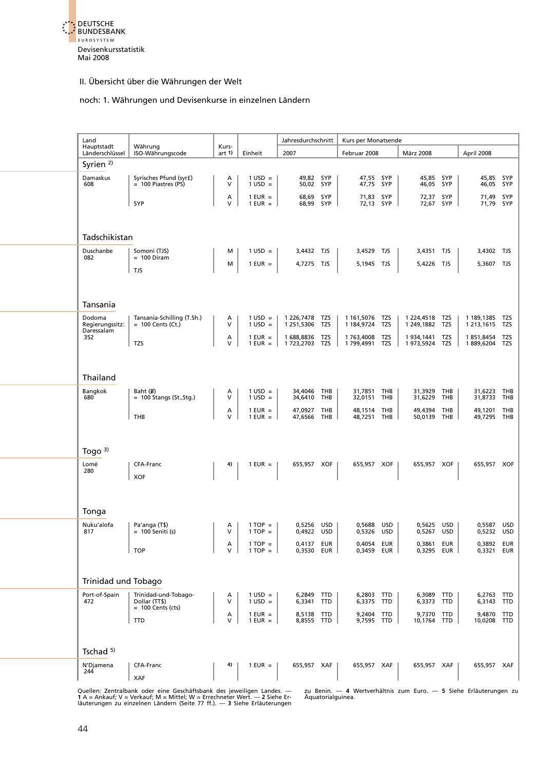

### noch: 1. Währungen und Devisenkurse in einzelnen Ländern

| Land                                    |                                                              |                 |                                | Jahresdurchschnitt          |                   | Kurs per Monatsende         |                          |                          |                   |                          |                          |
|-----------------------------------------|--------------------------------------------------------------|-----------------|--------------------------------|-----------------------------|-------------------|-----------------------------|--------------------------|--------------------------|-------------------|--------------------------|--------------------------|
| Hauptstadt<br>Länderschlüssel           | Währung<br>ISO-Währungscode                                  | Kurs-<br>art 1) | Einheit                        | 2007                        |                   | Februar 2008                |                          | <b>März 2008</b>         |                   | April 2008               |                          |
| Syrien <sup>2)</sup>                    |                                                              |                 |                                |                             |                   |                             |                          |                          |                   |                          |                          |
| Damaskus<br>608                         | Syrisches Pfund (syr£)<br>$= 100$ Piastres (PS)              | А<br>$\vee$     | $1$ USD =<br>$1$ USD =         | 49,82<br>50,02 SYP          | SYP               | 47,55<br>47,75              | SYP<br>SYP               | 45,85<br>46,05           | SYP<br>SYP        | 45,85 SYP<br>46,05       | SYP                      |
|                                         | SYP                                                          | Α<br>v          | $1$ EUR =<br>$1$ EUR $=$       | 68,69<br>68,99              | SYP<br>SYP        | 71,83<br>72,13 SYP          | SYP                      | 72,37<br>72,67 SYP       | SYP               | 71,49<br>71,79 SYP       | SYP                      |
| Tadschikistan                           |                                                              |                 |                                |                             |                   |                             |                          |                          |                   |                          |                          |
| Duschanbe                               | Somoni (TJS)                                                 | м               | $1 \text{ USD} =$              | 3,4432 TJS                  |                   | 3,4529 TJS                  |                          | 3,4351 TJS               |                   | 3,4302 TJS               |                          |
| 082                                     | $= 100$ Diram<br>TJS                                         | М               | $1$ EUR $=$                    | 4,7275 TJS                  |                   | 5,1945 TJS                  |                          | 5,4226                   | TJS               | 5,3607 TJS               |                          |
|                                         |                                                              |                 |                                |                             |                   |                             |                          |                          |                   |                          |                          |
| Tansania                                |                                                              |                 |                                |                             |                   |                             |                          |                          |                   |                          |                          |
| Dodoma<br>Regierungssitz:<br>Daressalam | Tansania-Schilling (T.Sh.)<br>$= 100$ Cents (Ct.)            | А<br>v          | $1$ USD =<br>$1 \text{ USD} =$ | 1 226,7478<br>1 251,5306    | TZS<br>TZS        | 1 161,5076<br>1 184,9724    | TZS<br>TZS               | 1 224,4518<br>1 249,1882 | TZS<br>TZS        | 1 189,1385<br>1 213,1615 | TZS<br>TZS               |
| 352                                     | TZS                                                          | Α<br>v          | $1$ EUR =<br>$1$ EUR = $\vert$ | 1688,8836<br>1 723,2703 TZS | TZS               | 1763,4008<br>1 799,4991 TZS | TZS                      | 1934,1441<br>1 973,5924  | TZS<br>TZS        | 1851,8454<br>1889,6204   | TZS<br>TZS               |
|                                         |                                                              |                 |                                |                             |                   |                             |                          |                          |                   |                          |                          |
| Thailand                                |                                                              |                 |                                |                             |                   |                             |                          |                          |                   |                          |                          |
| Bangkok<br>680                          | Baht (B)<br>$= 100$ Stangs (St., Stg.)                       | Α<br>V          | $1 \text{ USD} =$<br>$1$ USD = | 34,4046<br>34,6410          | THB<br>THB        | 31,7851 THB<br>32,0151      | THB                      | 31,3929<br>31,6229       | THB<br>THB        | 31,6223 THB<br>31,8733   | THB                      |
|                                         | THB                                                          | А<br>V          | $1$ EUR $=$<br>$1$ EUR =       | 47,0927<br>47,6566          | THB<br>THB        | 48,1514<br>48,7251          | THB<br>THB               | 49,4394<br>50,0139       | THB<br>THB        | 49,1201<br>49,7295       | THB<br>THB               |
|                                         |                                                              |                 |                                |                             |                   |                             |                          |                          |                   |                          |                          |
| Togo <sup>3)</sup>                      |                                                              |                 |                                |                             |                   |                             |                          |                          |                   |                          |                          |
| Lomé<br>280                             | CFA-Franc<br><b>XOF</b>                                      | 4)              | $1$ EUR $=$                    | 655,957 XOF                 |                   | 655,957 XOF                 |                          | 655,957 XOF              |                   | 655,957 XOF              |                          |
|                                         |                                                              |                 |                                |                             |                   |                             |                          |                          |                   |                          |                          |
| Tonga                                   |                                                              |                 |                                |                             |                   |                             |                          |                          |                   |                          |                          |
| Nuku'alofa<br>817                       | Pa'anga (T\$)<br>= 100 Seniti (s)                            | Α<br>$\vee$     | $1 TOP =$<br>$1 TOP =$         | 0,5256<br>0,4922            | USD<br>USD        | 0,5688<br>0,5326            | <b>USD</b><br><b>USD</b> | 0,5625<br>0,5267         | <b>USD</b><br>USD | 0,5587<br>0,5232         | <b>USD</b><br><b>USD</b> |
|                                         | <b>TOP</b>                                                   | Α<br>V          | $1 TOP =$<br>$1 TOP =$         | 0,4137<br>0,3530            | <b>EUR</b><br>EUR | 0,4054<br>0,3459            | EUR<br>EUR               | 0,3861<br>0,3295         | <b>EUR</b><br>EUR | 0,3892<br>0,3321         | EUR<br>EUR               |
|                                         |                                                              |                 |                                |                             |                   |                             |                          |                          |                   |                          |                          |
| Trinidad und Tobago                     |                                                              |                 |                                |                             |                   |                             |                          |                          |                   |                          |                          |
| Port-of-Spain<br>472                    | Trinidad-und-Tobago-<br>Dollar (TT\$)<br>$= 100$ Cents (cts) | Α<br>$\vee$     | $1 \text{ USD} =$<br>$1$ USD = | 6,2849 TTD<br>6,3341        | TTD               | 6,2803 TTD<br>6,3375        | TTD                      | 6,3089 TTD<br>6,3373     | TTD               | 6,2763 TTD<br>6,3143 TTD |                          |
|                                         | <b>TTD</b>                                                   | А<br>V          | $1$ EUR $=$<br>$1$ EUR $=$     | 8,5138<br>8,8555 TTD        | TTD               | 9,2404 TTD<br>9,7595 TTD    |                          | 9,7370<br>10,1764        | TTD<br>TTD        | 9,4870<br>10,0208 TTD    | TTD                      |
| Tschad <sup>5)</sup>                    |                                                              |                 |                                |                             |                   |                             |                          |                          |                   |                          |                          |
| N'Djamena<br>244                        | CFA-Franc                                                    | 4)              | $1$ EUR $=$                    | 655,957 XAF                 |                   | 655,957 XAF                 |                          | 655,957 XAF              |                   | 655,957 XAF              |                          |
|                                         | XAF                                                          |                 |                                |                             |                   |                             |                          |                          |                   |                          |                          |

Quellen: Zentralbank oder eine Geschäftsbank des jeweiligen Landes. — zu Benin. — 4 Wertverhältnis zum Euro. — 5 Siehe Erläuterungen zu<br>1 A = Ankauf; V = Verkauf; M = Mittel; W = Errechneter Wert. — 2 Siehe Er- Äquatorialg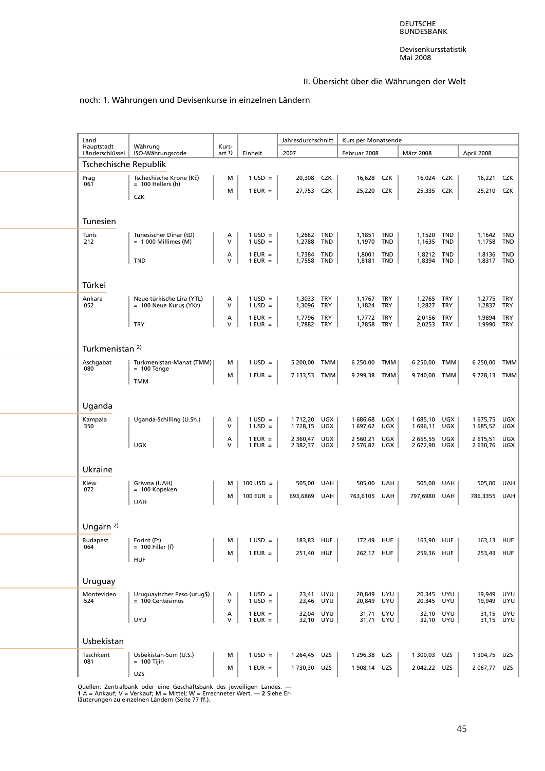### noch: 1. Währungen und Devisenkurse in einzelnen Ländern

| Land<br>Hauptstadt                       | Währung                                               | Kurs-       |                                | Jahresdurchschnitt       |                  | Kurs per Monatsende      |                  |                          |                   |                          |                   |
|------------------------------------------|-------------------------------------------------------|-------------|--------------------------------|--------------------------|------------------|--------------------------|------------------|--------------------------|-------------------|--------------------------|-------------------|
| Länderschlüssel<br>Tschechische Republik | ISO-Währungscode                                      | art $1$     | Einheit                        | 2007                     |                  | Februar 2008             |                  | März 2008                |                   | April 2008               |                   |
| Prag                                     | Tschechische Krone (Kč)                               | м           | $1$ USD =                      | 20,308 CZK               |                  | 16,628                   | CZK              | 16,024                   | CZK               | 16,221                   | CZK               |
| 061                                      | $= 100$ Hellers (h)                                   | м           | $1$ EUR =                      | 27,753                   | <b>CZK</b>       | 25,220                   | <b>CZK</b>       | 25,335                   | CZK               | 25,210                   | CZK               |
|                                          | <b>CZK</b>                                            |             |                                |                          |                  |                          |                  |                          |                   |                          |                   |
| Tunesien                                 |                                                       |             |                                |                          |                  |                          |                  |                          |                   |                          |                   |
| Tunis<br>212                             | Tunesischer Dinar (tD)<br>$= 1000$ Millimes (M)       | А<br>$\vee$ | $1 \text{ USD} =$<br>$1$ USD = | 1,2662 TND<br>1,2788     | <b>TND</b>       | 1,1851 TND<br>1,1970     | <b>TND</b>       | 1,1520 TND<br>1,1635 TND |                   | 1,1642 TND<br>1,1758 TND |                   |
|                                          |                                                       | А           | $1$ EUR $=$                    | 1,7384                   | TND              | 1,8001                   | TND              | 1,8212 TND               |                   | 1,8136                   | TND               |
|                                          | <b>TND</b>                                            | V           | $1$ EUR $=$                    | 1,7558 TND               |                  | 1,8181                   | TND              | 1,8394 TND               |                   | 1,8317 TND               |                   |
| Türkei                                   |                                                       |             |                                |                          |                  |                          |                  |                          |                   |                          |                   |
| Ankara<br>052                            | Neue türkische Lira (YTL)<br>$= 100$ Neue Kuruş (YKr) | A<br>V      | $1 \text{ USD} =$<br>$1$ USD = | 1,3033<br>1,3096         | TRY<br>TRY       | 1,1767 TRY<br>1,1824 TRY |                  | 1,2765<br>1,2827         | TRY<br><b>TRY</b> | 1,2775<br>1,2837         | TRY<br>TRY        |
|                                          | <b>TRY</b>                                            | А<br>$\vee$ | $1$ EUR =<br>$1$ EUR $=$       | 1,7796<br>1,7882 TRY     | TRY              | 1,7772<br>1,7858         | TRY<br>TRY       | 2,0156<br>2,0253         | <b>TRY</b><br>TRY | 1,9894<br>1,9990         | TRY<br><b>TRY</b> |
|                                          |                                                       |             |                                |                          |                  |                          |                  |                          |                   |                          |                   |
| Turkmenistan <sup>2)</sup>               |                                                       |             |                                |                          |                  |                          |                  |                          |                   |                          |                   |
| Aschgabat<br>080                         | Turkmenistan-Manat (TMM)<br>$= 100$ Tenge             | м           | $1 \text{ USD} =$              | 5 200,00 TMM             |                  | 6 250,00 TMM             |                  | 6 250,00                 | TMM               | 6 250,00                 | TMM               |
|                                          | <b>TMM</b>                                            | М           | $1$ EUR $=$                    | 7 133,53 TMM             |                  | 9 299,38 TMM             |                  | 9 740,00 TMM             |                   | 9728,13 TMM              |                   |
|                                          |                                                       |             |                                |                          |                  |                          |                  |                          |                   |                          |                   |
| Uganda                                   |                                                       |             |                                |                          |                  |                          |                  |                          |                   |                          |                   |
| Kampala<br>350                           | Uganda-Schilling (U.Sh.)                              | А<br>V      | $1 \text{ USD} =$<br>$1$ USD = | 1712,20 UGX<br>1728,15   | UGX              | 1 686,68<br>1 697,62 UGX | UGX              | 1 685,10<br>1 696,11     | UGX<br>UGX        | 1675,75<br>1685,52       | UGX<br>UGX        |
|                                          | <b>UGX</b>                                            | А<br>v      | $1$ EUR $=$<br>$1$ EUR $=$     | 2 360,47<br>2 382,37 UGX | UGX              | 2 560,21<br>2 576,82 UGX | UGX              | 2 655,55<br>2 672,90     | UGX<br>UGX        | 2 615,51<br>2 630,76     | UGX<br>UGX        |
|                                          |                                                       |             |                                |                          |                  |                          |                  |                          |                   |                          |                   |
| Ukraine                                  |                                                       |             |                                |                          |                  |                          |                  |                          |                   |                          |                   |
| Kiew<br>072                              | Griwna (UAH)<br>$= 100$ Kopeken                       | м           | $100 \text{ USD} =$            | 505,00 UAH               |                  | 505,00 UAH               |                  | 505,00                   | UAH               | 505,00                   | UAH               |
|                                          | <b>UAH</b>                                            | м           | 100 EUR $=$                    | 693,6869                 | <b>UAH</b>       | 763,6105                 | UAH              | 797,6980                 | UAH               | 786,3355                 | UAH               |
|                                          |                                                       |             |                                |                          |                  |                          |                  |                          |                   |                          |                   |
| Ungarn $2$                               |                                                       |             |                                |                          |                  |                          |                  |                          |                   |                          |                   |
| <b>Budapest</b><br>064                   | Forint (Ft)<br>$= 100$ Filler (f)                     | м           | $1 \text{ USD} =$              | 183,83 HUF               |                  | 172,49 HUF               |                  | 163,90 HUF               |                   | 163,13 HUF               |                   |
|                                          | <b>HUF</b>                                            | м           | $1$ EUR =                      | 251,40 HUF               |                  | 262,17 HUF               |                  | 259,36 HUF               |                   | 253,43 HUF               |                   |
|                                          |                                                       |             |                                |                          |                  |                          |                  |                          |                   |                          |                   |
| Uruguay                                  |                                                       |             |                                |                          |                  |                          |                  |                          |                   |                          |                   |
| Montevideo<br>524                        | Uruguayischer Peso (urug\$)<br>$= 100$ Centésimos     | А<br>V      | $1$ USD =<br>$1$ USD =         | 23,41 UYU<br>23,46       | UYU              | 20,849 UYU<br>20,849     | UYU              | 20,345 UYU<br>20,345 UYU |                   | 19,949 UYU<br>19,949     | UYU               |
|                                          | UYU                                                   | А<br>V      | $1$ EUR $=$<br>$1$ EUR $=$     | 32,04                    | UYU<br>32,10 UYU | 31,71                    | UYU<br>31,71 UYU | 32,10<br>32,10 UYU       | UYU               | 31,15                    | UYU<br>31,15 UYU  |
| Usbekistan                               |                                                       |             |                                |                          |                  |                          |                  |                          |                   |                          |                   |
| Taschkent                                | Usbekistan-Sum (U.S.)                                 | м           | $1$ USD =                      | 1 264,45 UZS             |                  | 1 296,38 UZS             |                  | 1 300,03 UZS             |                   | 1 304,75 UZS             |                   |
| 081                                      | $= 100$ Tijin                                         | М           | $1$ EUR $=$                    | 1730,30 UZS              |                  | 1 908,14 UZS             |                  | 2 042,22 UZS             |                   | 2 067,77 UZS             |                   |
|                                          | UZS                                                   |             |                                |                          |                  |                          |                  |                          |                   |                          |                   |

Quellen: Zentralbank oder eine Geschäftsbank des jeweiligen Landes. —<br>1 A = Ankauf; V = Verkauf; M = Mittel; W = Errechneter Wert. — **2** Siehe Er-<br>läuterungen zu einzelnen Ländern (Seite 77 ff.).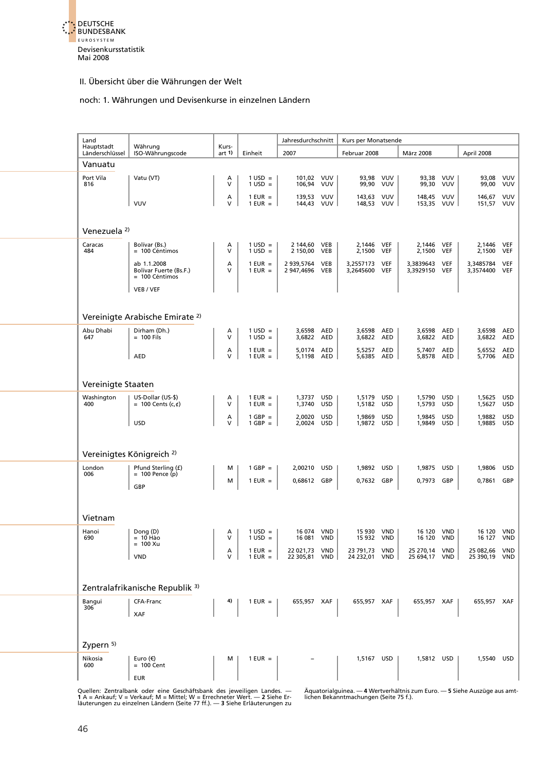

### II. Übersicht über die Währungen der Welt

### noch: 1. Währungen und Devisenkurse in einzelnen Ländern

| Land<br>Hauptstadt                   |                                                         |                  |                                        | Jahresdurchschnitt             |                   | Kurs per Monatsende            |                          |                                |                          |                                |                          |
|--------------------------------------|---------------------------------------------------------|------------------|----------------------------------------|--------------------------------|-------------------|--------------------------------|--------------------------|--------------------------------|--------------------------|--------------------------------|--------------------------|
| Länderschlüssel                      | Währung<br>ISO-Währungscode                             | Kurs-<br>art $1$ | Einheit                                | 2007                           |                   | Februar 2008                   |                          | März 2008                      |                          | April 2008                     |                          |
| Vanuatu                              |                                                         |                  |                                        |                                |                   |                                |                          |                                |                          |                                |                          |
| Port Vila<br>816                     | Vatu (VT)                                               | Α<br>$\vee$      | $1 \text{ USD} =$<br>$1$ USD =         | 101,02 VUV<br>106,94           | VUV               | 93,98 VUV<br>99,90             | <b>VUV</b>               | 93,38<br>99,30                 | VUV<br><b>VUV</b>        | 93,08 VUV<br>99,00 VUV         |                          |
|                                      | <b>VUV</b>                                              | Α<br>$\vee$      | $1$ EUR $=$<br>$1$ EUR $=$             | 139,53 VUV<br>144,43 VUV       |                   | 143,63 VUV<br>148,53 VUV       |                          | 148,45 VUV<br>153,35 VUV       |                          | 146,67 VUV<br>151,57 VUV       |                          |
|                                      |                                                         |                  |                                        |                                |                   |                                |                          |                                |                          |                                |                          |
| Venezuela <sup>2)</sup>              |                                                         |                  |                                        |                                |                   |                                |                          |                                |                          |                                |                          |
| Caracas<br>484                       | Bolívar (Bs.)<br>= 100 Céntimos                         | A<br>$\vee$      | $1 \text{ USD} =$<br>$1 \text{ USD} =$ | 2 144,60 VEB<br>2 150,00       | <b>VEB</b>        | 2,1446<br>2,1500               | <b>VEF</b><br><b>VEF</b> | 2,1446<br>2,1500               | <b>VEF</b><br><b>VEF</b> | 2,1446<br>2,1500               | VEF<br><b>VEF</b>        |
|                                      | ab 1.1.2008<br>Bolívar Fuerte (Bs.F.)<br>= 100 Céntimos | Α<br>$\vee$      | $1$ EUR $=$<br>$1$ EUR $=$             | 2 939,5764 VEB<br>2 947,4696   | VEB               | 3,2557173 VEF<br>3,2645600 VEF |                          | 3,3839643 VEF<br>3,3929150 VEF |                          | 3,3485784 VEF<br>3,3574400     | <b>VEF</b>               |
|                                      | VEB / VEF                                               |                  |                                        |                                |                   |                                |                          |                                |                          |                                |                          |
|                                      | Vereinigte Arabische Emirate <sup>2)</sup>              |                  |                                        |                                |                   |                                |                          |                                |                          |                                |                          |
| Abu Dhabi<br>647                     | Dirham (Dh.)<br>$= 100$ Fils                            | Α<br>V           | $1 \text{ USD} =$<br>$1 \text{ USD} =$ | 3,6598<br>3,6822               | AED<br>AED        | 3,6598<br>3,6822               | AED<br>AED               | 3,6598<br>3,6822               | AED<br>AED               | 3,6598<br>3,6822               | AED<br><b>AED</b>        |
|                                      | AED                                                     | Α<br>V           | $1$ EUR $=$<br>$1$ EUR $=$             | 5,0174 AED<br>5,1198 AED       |                   | 5,5257<br>5,6385 AED           | AED                      | 5,7407 AED<br>5,8578 AED       |                          | 5,6552<br>5,7706 AED           | AED                      |
| Vereinigte Staaten                   |                                                         |                  |                                        |                                |                   |                                |                          |                                |                          |                                |                          |
|                                      |                                                         |                  |                                        |                                |                   |                                |                          |                                |                          |                                |                          |
| Washington<br>400                    | US-Dollar (US-\$)<br>$= 100$ Cents (c,¢)                | Α<br>V           | $1$ EUR $=$<br>$1$ EUR =               | 1,3737<br>1,3740               | USD<br><b>USD</b> | 1,5179<br>1,5182               | USD<br>USD               | 1,5790<br>1,5793               | <b>USD</b><br><b>USD</b> | 1,5625<br>1,5627               | <b>USD</b><br><b>USD</b> |
|                                      | <b>USD</b>                                              | Α<br>v           | $1$ GBP $=$<br>$1$ GBP =               | 2,0020<br>2,0024               | <b>USD</b><br>USD | 1,9869<br>1,9872 USD           | <b>USD</b>               | 1,9845<br>1,9849               | <b>USD</b><br><b>USD</b> | 1,9882<br>1,9885               | <b>USD</b><br><b>USD</b> |
| Vereinigtes Königreich <sup>2)</sup> |                                                         |                  |                                        |                                |                   |                                |                          |                                |                          |                                |                          |
| London                               | Pfund Sterling (f)                                      | м                | $1$ GBP $=$                            | 2,00210 USD                    |                   | 1,9892 USD                     |                          | 1,9875 USD                     |                          | 1,9806                         | USD                      |
| 006                                  | $= 100$ Pence (p)<br>GBP                                | м                | $1$ EUR $=$                            | 0,68612 GBP                    |                   | 0,7632                         | GBP                      | 0,7973                         | GBP                      | 0,7861                         | GBP                      |
|                                      |                                                         |                  |                                        |                                |                   |                                |                          |                                |                          |                                |                          |
| Vietnam                              |                                                         |                  |                                        |                                |                   |                                |                          |                                |                          |                                |                          |
| Hanoi<br>690                         | Dong (D)<br>$= 10$ Hào                                  | A<br>V           | $1 \text{ USD} =$<br>$1 \text{ USD} =$ | 16 074 VND<br>16 081 VND       |                   | 15 930 VND<br>15 932 VND       |                          | 16 120 VND<br>16 120 VND       |                          | 16 120 VND<br>16 127           | <b>VND</b>               |
|                                      | $= 100$ Xu<br><b>VND</b>                                | Α<br>$\vee$      | $1$ EUR $=$<br>$1$ EUR $=$             | 22 021,73 VND<br>22 305,81 VND |                   | 23 791,73 VND<br>24 232,01     | VND                      | 25 270,14 VND<br>25 694,17 VND |                          | 25 082,66 VND<br>25 390,19 VND |                          |
|                                      |                                                         |                  |                                        |                                |                   |                                |                          |                                |                          |                                |                          |
|                                      | Zentralafrikanische Republik 3)                         |                  |                                        |                                |                   |                                |                          |                                |                          |                                |                          |
| Bangui<br>306                        | CFA-Franc<br>XAF                                        | 4)               | $1$ EUR $=$                            | 655,957 XAF                    |                   | 655,957 XAF                    |                          | 655,957 XAF                    |                          | 655,957 XAF                    |                          |
|                                      |                                                         |                  |                                        |                                |                   |                                |                          |                                |                          |                                |                          |
| Zypern <sup>5)</sup>                 |                                                         |                  |                                        |                                |                   |                                |                          |                                |                          |                                |                          |
| Nikosia<br>600                       | Euro (€)<br>$= 100$ Cent                                | м                | $1$ EUR $=$                            |                                |                   | 1,5167 USD                     |                          | 1,5812 USD                     |                          | 1,5540 USD                     |                          |
|                                      | <b>EUR</b>                                              |                  |                                        |                                |                   |                                |                          |                                |                          |                                |                          |

Quellen: Zentralbank oder eine Geschäftsbank des jeweiligen Landes. — Aquatorialguinea. — 4 Wertverhältniszum Euro. — 5 Siehe Auszüge aus amt-<br>1 A = Ankauf; V = Verkauf; M = Mittel; W = Errechneter Wert. — 2 Siehe Er- kich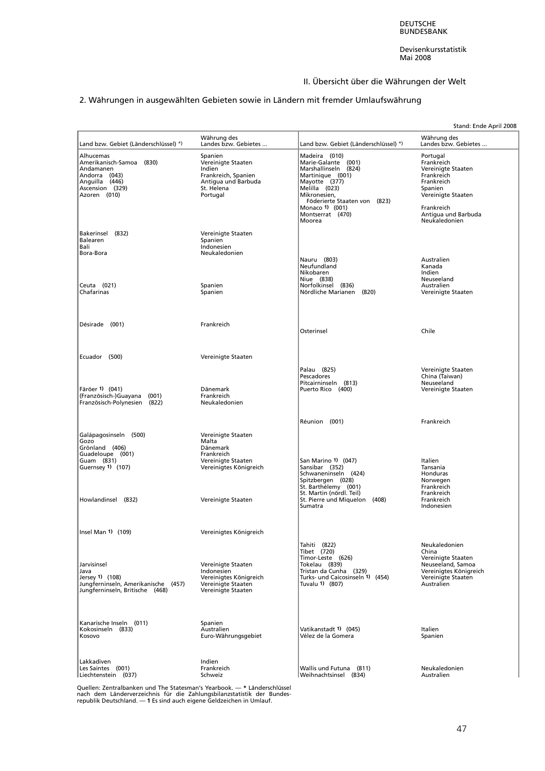#### DEUTSCHE BUNDESBANK

Devisenkursstatistik Mai 2008

# II. Übersicht über die Währungen der Welt

## 2. Währungen in ausgewählten Gebieten sowie in Ländern mit fremder Umlaufswährung

|                                                                                                                              |                                                                                                                             |                                                                                                                                                                                                                     | Stand: Ende April 2008                                                                                                                                          |
|------------------------------------------------------------------------------------------------------------------------------|-----------------------------------------------------------------------------------------------------------------------------|---------------------------------------------------------------------------------------------------------------------------------------------------------------------------------------------------------------------|-----------------------------------------------------------------------------------------------------------------------------------------------------------------|
| Land bzw. Gebiet (Länderschlüssel) *)                                                                                        | Währung des<br>Landes bzw. Gebietes                                                                                         | Land bzw. Gebiet (Länderschlüssel) *)                                                                                                                                                                               | Währung des<br>Landes bzw. Gebietes                                                                                                                             |
| Alhucemas<br>Amerikanisch-Samoa (830)<br>Andamanen<br>Andorra (043)<br>Anguilla (446)<br>Ascension (329)<br>Azoren (010)     | Spanien<br>Vereinigte Staaten<br>Indien<br>Frankreich, Spanien<br>Antiqua und Barbuda<br>St. Helena<br>Portugal             | Madeira (010)<br>Marie-Galante (001)<br>Marshallinseln (824)<br>Martinique (001)<br>Mayotte (377)<br>Melilla (023)<br>Mikronesien,<br>Föderierte Staaten von (823)<br>Monaco 1) (001)<br>Montserrat (470)<br>Moorea | Portugal<br>Frankreich<br>Vereinigte Staaten<br>Frankreich<br>Frankreich<br>Spanien<br>Vereinigte Staaten<br>Frankreich<br>Antigua und Barbuda<br>Neukaledonien |
| Bakerinsel (832)<br>Balearen<br>Bali<br>Bora-Bora                                                                            | Vereinigte Staaten<br>Spanien<br>Indonesien<br>Neukaledonien                                                                | Nauru (803)<br>Neufundland<br>Nikobaren                                                                                                                                                                             | Australien<br>Kanada<br>Indien                                                                                                                                  |
| Ceuta (021)<br>Chafarinas                                                                                                    | Spanien<br>Spanien                                                                                                          | Niue (838)<br>Norfolkinsel (836)<br>Nördliche Marianen (820)                                                                                                                                                        | Neuseeland<br>Australien<br>Vereinigte Staaten                                                                                                                  |
| Désirade (001)                                                                                                               | Frankreich                                                                                                                  | Osterinsel                                                                                                                                                                                                          | Chile                                                                                                                                                           |
| Ecuador (500)                                                                                                                | Vereinigte Staaten                                                                                                          |                                                                                                                                                                                                                     |                                                                                                                                                                 |
| Färöer $1)$ (041)<br>(Französisch-)Guayana (001)<br>Französisch-Polynesien (822)                                             | Dänemark<br>Frankreich<br>Neukaledonien                                                                                     | Palau (825)<br>Pescadores<br>Pitcairninseln (813)<br>Puerto Rico (400)                                                                                                                                              | Vereinigte Staaten<br>China (Taiwan)<br>Neuseeland<br>Vereinigte Staaten                                                                                        |
|                                                                                                                              |                                                                                                                             | Réunion (001)                                                                                                                                                                                                       | Frankreich                                                                                                                                                      |
| Galápagosinseln (500)<br>Gozo<br>Grönland (406)<br>Guadeloupe (001)<br>Guam (831)<br>Guernsey 1) (107)<br>Howlandinsel (832) | Vereinigte Staaten<br>Malta<br>Dänemark<br>Frankreich<br>Vereinigte Staaten<br>Vereinigtes Königreich<br>Vereinigte Staaten | San Marino 1) (047)<br>Sansibar (352)<br>Schwaneninseln (424)<br>Spitzbergen (028)<br>St. Barthélemy (001)<br>St. Martin (nördl. Teil)<br>St. Pierre und Miquelon (408)<br>Sumatra                                  | Italien<br>Tansania<br>Honduras<br>Norwegen<br>Frankreich<br>Frankreich<br>Frankreich<br>Indonesien                                                             |
| Insel Man 1) (109)                                                                                                           | Vereinigtes Königreich                                                                                                      |                                                                                                                                                                                                                     |                                                                                                                                                                 |
| Jarvisinsel<br>Java<br>Jersey 1) (108)<br>Jungferninseln, Amerikanische (457)<br>Jungferninseln, Britische (468)             | Vereinigte Staaten<br>Indonesien<br>Vereinigtes Königreich<br>Vereinigte Staaten<br>Vereinigte Staaten                      | Tahiti (822)<br>Tibet (720)<br>Timor-Leste (626)<br>Tokelau (839)<br>Tristan da Cunha (329)<br>Turks- und Caicosinseln 1) (454)<br>Tuvalu 1) (807)                                                                  | Neukaledonien<br>China<br>Vereinigte Staaten<br>Neuseeland, Samoa<br>Vereinigtes Königreich<br>Vereinigte Staaten<br>Australien                                 |
| Kanarische Inseln (011)<br>Kokosinseln (833)<br>Kosovo                                                                       | Spanien<br>Australien<br>Euro-Währungsgebiet                                                                                | Vatikanstadt 1) (045)<br>Vélez de la Gomera                                                                                                                                                                         | Italien<br>Spanien                                                                                                                                              |
| Lakkadiven<br>Les Saintes (001)<br>Liechtenstein (037)                                                                       | Indien<br>Frankreich<br>Schweiz                                                                                             | Wallis und Futuna (811)<br>Weihnachtsinsel (834)                                                                                                                                                                    | Neukaledonien<br>Australien                                                                                                                                     |

Quellen: Zentralbanken und The Statesman's Yearbook. — \* Länderschlüssel<br>nach dem Länderverzeichnis für die Zahlungsbilanzstatistik der Bundes-<br>republik Deutschland. — 1 Es sind auch eigene Geldzeichen in Umlauf.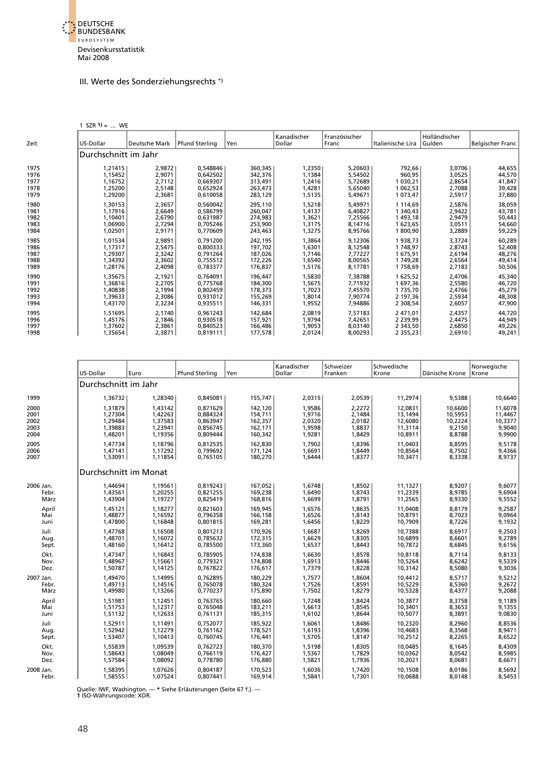

### III. Werte des Sonderziehungsrechts \*)

1 SZR  $1) = ...$  WE

| Zeit | US-Dollar            | Deutsche Mark | <b>Pfund Sterling</b> | Yen     | Kanadischer<br>Dollar | Französischer<br>Franc | Italienische Lira | Holländischer<br> Gulden | <b>Belaischer Franc</b> |
|------|----------------------|---------------|-----------------------|---------|-----------------------|------------------------|-------------------|--------------------------|-------------------------|
|      | Durchschnitt im Jahr |               |                       |         |                       |                        |                   |                          |                         |
| 1975 | 1,21415              | 2,9872        | 0,548846              | 360,345 | 1,2350                | 5,20603                | 792,66            | 3,0706                   | 44,655                  |
| 1976 | 1,15452              | 2,9071        | 0,642502              | 342,376 | 1,1384                | 5,54502                | 960,95            | 3,0525                   | 44,570                  |
| 1977 | 1,16752              | 2,7112        | 0.669307              | 313,491 | 1,2416                | 5.72689                | 1 030,21          | 2,8654                   | 41,847                  |
| 1978 | 1,25200              | 2,5148        | 0,652924              | 263,473 | 1,4281                | 5,65040                | 1 062,53          | 2,7088                   | 39,428                  |
| 1979 | 1,29200              | 2,3681        | 0,610058              | 283,129 | 1,5135                | 5,49671                | 1 073,47          | 2,5917                   | 37,880                  |
| 1980 | 1,30153              | 2,3657        | 0,560042              | 295,110 | 1,5218                | 5,49971                | 1 1 1 4,69        | 2,5876                   | 38,059                  |
| 1981 | 1,17916              | 2,6649        | 0,586799              | 260,047 | 1,4137                | 6,40827                | 340,43            | 2,9422                   | 43,781                  |
| 1982 | 1,10401              | 2,6790        | 0,631987              | 274,983 | 1,3621                | 7,25566                | 1493,18           | 2,9479                   | 50,443                  |
| 1983 | 1,06900              | 2,7294        | 0,705246              | 253,900 | 1,3175                | 8,14716                | 1 623,65          | 3,0511                   | 54,660                  |
| 1984 | 1,02501              | 2,9171        | 0,770609              | 243,463 | 1,3275                | 8,95766                | 1800,90           | 3,2889                   | 59,229                  |
| 1985 | 1,01534              | 2,9891        | 0,791200              | 242,195 | 1,3864                | 9,12306                | 1938,73           | 3,3724                   | 60,289                  |
| 1986 | 1,17317              | 2,5475        | 0,800333              | 197,702 | 1,6301                | 8,12548                | 1748,97           | 2,8743                   | 52,408                  |
| 1987 | 1,29307              | 2,3242        | 0.791264              | 187,026 | 1,7146                | 7.77227                | 1675,91           | 2,6194                   | 48,276                  |
| 1988 | 1,34392              | 2,3602        | 0.755512              | 172,226 | 1,6540                | 8,00565                | 1749.28           | 2,6564                   | 49,414                  |
| 1989 | 1,28176              | 2,4098        | 0,783377              | 176,837 | 1,5176                | 8,17781                | 1758,69           | 2,7183                   | 50,506                  |
| 1990 | 1.35675              | 2,1921        | 0.764091              | 196,447 | 1,5830                | 7,38788                | 1 625,52          | 2.4706                   | 45,340                  |
| 1991 | 1,36816              | 2,2705        | 0,775768              | 184,300 | 1,5675                | 7,71932                | 1697,36           | 2,5580                   | 46,720                  |
| 1992 | 1,40838              | 2,1994        | 0.802459              | 178,373 | 1,7023                | 7,45570                | 1735,70           | 2,4766                   | 45,279                  |
| 1993 | 1,39633              | 2,3086        | 0,931012              | 155,269 | 1,8014                | 7,90774                | 2 197,36          | 2,5934                   | 48,308                  |
| 1994 | 1,43170              | 2,3234        | 0,935511              | 146,331 | 1,9552                | 7,94886                | 2 308,54          | 2,6057                   | 47,900                  |
| 1995 | 1,51695              | 2,1740        | 0.961243              | 142,684 | 2,0819                | 7,57183                | 2 471,01          | 2,4357                   | 44,720                  |
| 1996 | 1,45176              | 2,1846        | 0,930518              | 157,921 | 1,9794                | 7,42651                | 2 2 3 9 , 9 9     | 2,4475                   | 44,949                  |
| 1997 | 1,37602              | 2,3861        | 0.840523              | 166,486 | 1,9053                | 8.03140                | 2 343,50          | 2,6850                   | 49,226                  |
| 1998 | 1,35654              | 2,3871        | 0.819111              | 177,578 | 2,0124                | 8,00293                | 2355,23           | 2,6910                   | 49,241                  |

|           | US-Dollar             | Euro    | <b>Pfund Sterling</b> | Yen     | Kanadischer<br>Dollar | Schweizer<br>Franken | Schwedische<br>Krone | Dänische Krone | Norwegische<br>Krone |
|-----------|-----------------------|---------|-----------------------|---------|-----------------------|----------------------|----------------------|----------------|----------------------|
|           | Durchschnitt im Jahr  |         |                       |         |                       |                      |                      |                |                      |
| 1999      | 1,36732               | 1,28340 | 0,845081              | 155,747 | 2,0315                | 2,0539               | 11,2974              | 9,5388         | 10,6640              |
| 2000      | 1,31879               | 1,43142 | 0,871629              | 142,120 | 1,9586                | 2,2272               | 12,0831              | 10,6600        | 11,6078              |
| 2001      | 1,27304               | 1,42263 | 0,884324              | 154,711 | 1,9716                | 2.1484               | 13,1494              | 10,5953        | 11,4467              |
| 2002      | 1,29484               | 1,37583 | 0,863947              | 162,357 | 2,0320                | 2,0182               | 12,6080              | 10,2224        | 10,3377              |
| 2003      | 1,39883               | 1,23941 | 0,856745              | 162,171 | 1,9598                | 1,8837               | 11,3114              | 9,2150         | 9,9040               |
| 2004      | 1,48201               | 1,19356 | 0,809444              | 160,342 | 1,9281                | 1,8429               | 10,8911              | 8,8788         | 9,9900               |
| 2005      | 1,47734               | 1,18796 | 0,812535              | 162,830 | 1,7902                | 1,8396               | 11,0403              | 8,8595         | 9,5178               |
| 2006      | 1,47141               | 1,17292 | 0,799692              | 171,124 | 1,6691                | 1,8449               | 10,8564              | 8,7502         | 9,4366               |
| 2007      | 1,53091               | 1,11854 | 0,765105              | 180,270 | 1,6444                | 1,8377               | 10,3471              | 8,3338         | 8,9737               |
|           | Durchschnitt im Monat |         |                       |         |                       |                      |                      |                |                      |
| 2006 Jan. | 1,44694               | 1,19561 | 0,819243              | 167,052 | 1,6748                | 1,8502               | 11,1327              | 8,9207         | 9,6077               |
| Febr.     | 1,43561               | 1,20255 | 0,821255              | 169,238 | 1,6490                | 1,8743               | 11,2339              | 8,9785         | 9,6904               |
| März      | 1,43904               | 1,19727 | 0,825419              | 168,816 | 1,6699                | 1,8791               | 11,2565              | 8,9330         | 9,5552               |
| April     | 1.45121               | 1,18277 | 0.821603              | 169,945 | 1,6576                | 1.8635               | 11.0408              | 8,8179         | 9,2587               |
| Mai       | 1,48877               | 1,16592 | 0,796358              | 166,158 | 1,6526                | 1,8143               | 10,8791              | 8,7023         | 9,0964               |
| Juni      | 1,47800               | 1,16848 | 0,801815              | 169,281 | 1,6456                | 1,8229               | 10,7909              | 8,7226         | 9,1932               |
| Juli      | 1.47768               | 1.16508 | 0.801213              | 170,926 | 1.6687                | 1.8269               | 10.7388              | 8.6917         | 9,2503               |
| Aug.      | 1,48701               | 1,16072 | 0,785632              | 172,315 | 1,6629                | 1,8305               | 10,6899              | 8,6601         | 9,2789               |
| Sept.     | 1,48160               | 1,16412 | 0,785500              | 173,360 | 1,6537                | 1,8443               | 10,7872              | 8,6845         | 9,6156               |
| Okt.      | 1,47347               | 1,16843 | 0,785905              | 174,838 | 1,6630                | 1,8578               | 10,8118              | 8,7114         | 9,8133               |
| Nov.      | 1,48967               | 1,15661 | 0,779321              | 174,808 | 1,6913                | 1,8446               | 10,5264              | 8,6242         | 9,5339               |
| Dez.      | 1,50787               | 1,14125 | 0,767822              | 176,617 | 1,7379                | 1,8228               | 10,3142              | 8,5080         | 9,3036               |
| 2007 Jan. | 1,49470               | 1,14995 | 0,762895              | 180,229 | 1,7577                | 1,8604               | 10,4412              | 8,5717         | 9,5212               |
| Febr.     | 1,49713               | 1,14516 | 0.765078              | 180,324 | 1,7526                | 1,8591               | 10,5229              | 8,5360         | 9,2672               |
| März      | 1,49980               | 1,13266 | 0,770237              | 175,890 | 1,7502                | 1,8279               | 10,5328              | 8,4377         | 9,2088               |
| April     | 1,51981               | 1,12451 | 0.763765              | 180,660 | 1,7248                | 1.8424               | 10,3877              | 8,3758         | 9,1189               |
| Mai       | 1,51753               | 1,12317 | 0,765048              | 183,211 | 1,6613                | 1,8545               | 10,3401              | 8,3653         | 9,1355               |
| Juni      | 1,51132               | 1,12633 | 0,761131              | 185,315 | 1,6102                | 1,8644               | 10,5077              | 8,3891         | 9,0830               |
| Juli      | 1,52911               | 1,11491 | 0.752077              | 185,922 | 1,6061                | 1,8486               | 10,2320              | 8,2960         | 8,8536               |
| Aug.      | 1,52942               | 1,12279 | 0,761162              | 178,521 | 1,6193                | 1,8396               | 10,4683              | 8,3568         | 8,9471               |
| Sept.     | 1,53407               | 1,10413 | 0,760745              | 176,441 | 1,5705                | 1,8147               | 10,2512              | 8,2265         | 8,6522               |
| Okt.      | 1,55839               | 1,09539 | 0,762723              | 180,370 | 1,5198                | 1,8305               | 10,0485              | 8,1645         | 8,4309               |
| Nov.      | 1,58643               | 1,08049 | 0,766119              | 176,427 | 1,5367                | 1,7829               | 10,0362              | 8,0542         | 8,5985               |
| Dez.      | 1,57584               | 1,08092 | 0,778780              | 176,880 | 1,5821                | 1,7936               | 10,2021              | 8,0681         | 8,6671               |
| 2008 Jan. | 1,58395               | 1,07626 | 0.804187              | 170,523 | 1,6036                | 1,7420               | 10,1508              | 8,0186         | 8,5692               |
| Febr.     | 1,58555               | 1,07524 | 0.807441              | 169,914 | 1,5841                | 1,7301               | 10,0688              | 8,0148         | 8,5453               |

Quelle: IWF, Washington. — **\*** Siehe Erläuterungen (Seite 67 f.). — **1** ISO-Währungscode: XDR.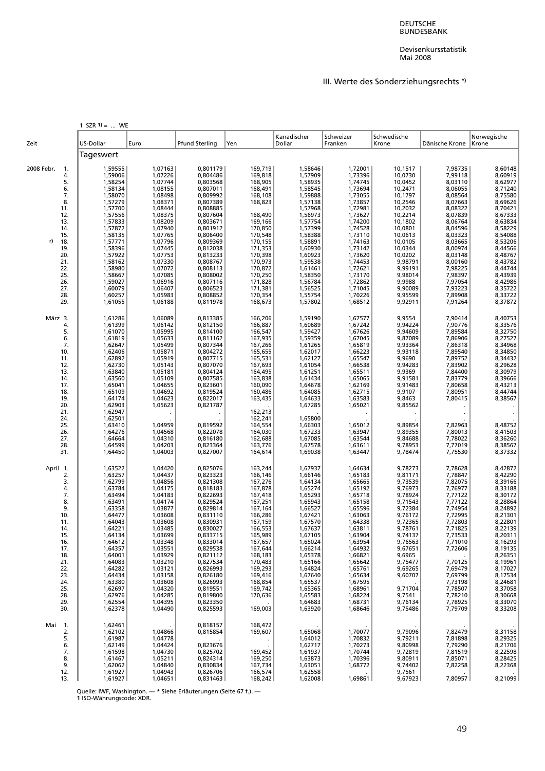# III. Werte des Sonderziehungsrechts \*)

|                          | 1 SZR $1) = $ WE |         |                       |         |                       |                      |                      |                |                      |
|--------------------------|------------------|---------|-----------------------|---------|-----------------------|----------------------|----------------------|----------------|----------------------|
| Zeit                     | US-Dollar        | Euro    | <b>Pfund Sterling</b> | Yen     | Kanadischer<br>Dollar | Schweizer<br>Franken | Schwedische<br>Krone | Dänische Krone | Norwegische<br>Krone |
|                          | Tageswert        |         |                       |         |                       |                      |                      |                |                      |
| 2008 Febr.<br>1.         | 1,59555          | 1,07163 | 0,801179              | 169,719 | 1,58646               | 1,72001              | 10,1517              | 7,98735        | 8,60148              |
| 4.                       | 1,59006          | 1,07226 | 0,804486              | 169,818 | 1,57909               | 1,73396              | 10,0730              | 7,99118        | 8,60919              |
| 5.                       | 1,58254          | 1,07744 | 0,803568              | 168,905 | 1,58935               | 1,74745              | 10,0452              | 8,03110        | 8,62977              |
| 6.                       | 1,58134          | 1,08155 | 0,807011              | 168,491 | 1,58545               | 1,73694              | 10,2471              | 8,06055        | 8,71240              |
|                          |                  |         |                       |         |                       |                      |                      |                |                      |
| 7.                       | 1,58070          | 1,08498 | 0,809992              | 168,108 | 1,59888               | 1,73055              | 10,1797              | 8,08564        | 8,75580              |
| 8.                       | 1,57279          | 1,08371 | 0,807389              | 168,823 | 1,57138               | 1,73857              | 10,2546              | 8,07663        | 8,69626              |
| 11.                      | 1,57700          | 1,08444 | 0,808885              |         | 1,57968               | 1,72981              | 10,2032              | 8,08322        | 8,70421              |
| 12.                      | 1,57556          | 1,08375 | 0,807604              | 168,490 | 1,56973               | 1,73627              | 10,2214              | 8,07839        | 8,67333              |
| 13.                      | 1,57833          | 1,08209 | 0,803671              | 169,166 | 1,57754               | 1,74200              | 10,1802              | 8,06764        | 8,63834              |
| 14.                      | 1,57872          | 1,07940 | 0,801912              | 170,850 | 1,57399               | 1,74528              | 10,0801              | 8,04596        | 8,58229              |
| 15.                      | 1,58135          | 1,07765 | 0,806400              | 170,548 | 1,58388               | 1,73110              | 10,0613              | 8,03323        | 8,54088              |
| r)<br>18.                | 1,57771          | 1,07796 | 0,809369              | 170,155 | 1,58891               | 1,74163              | 10,0105              | 8,03665        | 8,53206              |
| 19.                      | 1,58396          | 1,07445 | 0,812038              | 171,353 | 1,60930               | 1,73142              | 10,0344              | 8,00974        | 8,44566              |
| 20.                      | 1,57922          | 1,07753 | 0,813233              | 170,398 | 1,60923               | 1,73620              | 10,0202              | 8,03148        | 8,48767              |
| 21.                      | 1,58162          | 1,07330 | 0,808767              | 170,973 | 1,59538               | 1,74453              | 9,98791              | 8,00160        | 8,43782              |
| 22.                      | 1,58980          | 1,07072 | 0,808113              | 170,872 | 1,61461               | 1,72621              | 9,99191              | 7,98225        | 8,44744              |
| 25.                      | 1,58667          | 1,07085 | 0,808002              | 170,250 | 1,58350               | 1,73170              | 9,98014              | 7,98397        | 8,43939              |
| 26.                      | 1,59027          | 1,06916 | 0,807116              | 171,828 | 1,56784               | 1,72862              | 9,9988               | 7,97054        | 8,42986              |
| 27.                      | 1,60079          | 1,06407 | 0,806523              | 171,381 | 1,56525               | 1,71045              | 9,90089              | 7,93223        | 8,35722              |
| 28.                      | 1,60257          | 1,05983 | 0,808852              | 170,354 | 1,55754               | 1,70226              | 9,95599              | 7,89908        | 8,33722              |
| 29.                      |                  |         |                       |         | 1,57802               |                      |                      |                | 8,37872              |
|                          | 1,61055          | 1,06188 | 0,811978              | 168,673 |                       | 1,68512              | 9,92911              | 7,91264        |                      |
| März 3.                  | 1,61286          | 1,06089 | 0,813385              | 166,206 | 1,59190               | 1,67577              | 9,9554               | 7,90414        | 8,40753              |
| 4.                       | 1,61399          | 1,06142 | 0,812150              | 166,887 | 1,60689               | 1,67242              | 9,94224              | 7,90776        | 8,33576              |
| 5.                       | 1,61070          | 1,05995 | 0,814100              | 166,547 | 1,59427               | 1,67626              | 9,94609              | 7,89584        | 8,32750              |
|                          |                  |         |                       |         |                       |                      |                      |                |                      |
| 6.                       | 1,61819          | 1,05633 | 0,811162              | 167,935 | 1,59359               | 1,67045              | 9,87089              | 7,86906        | 8,27527              |
| 7.                       | 1,62647          | 1,05499 | 0,807344              | 167,266 | 1,61265               | 1,65819              | 9,93364              | 7,86318        | 8,34968              |
| 10.                      | 1,62406          | 1,05871 | 0,804272              | 165,655 | 1,62017               | 1,66223              | 9,93118              | 7,89540        | 8,34850              |
| 11.                      | 1,62892          | 1,05919 | 0,807715              | 165,531 | 1,62127               | 1,65547              | 9,9690               | 7,89752        | 8,34432              |
| 12.                      | 1,62730          | 1,05143 | 0,807070              | 167,693 | 1,61054               | 1,66538              | 9,94283              | 7,83902        | 8,29628              |
| 13.                      | 1,63840          | 1,05181 | 0,804124              | 164,495 | 1,61251               | 1,65511              | 9,9369               | 7,84400        | 8,30979              |
| 14.                      | 1,63560          | 1,05109 | 0,807585              | 163,838 | 1,61434               | 1,65065              | 9,91581              | 7,83779        | 8,39666              |
| 17.                      | 1,65041          | 1,04655 | 0,823601              | 160,090 | 1,64678               | 1,62169              | 9,91483              | 7,80658        | 8,43213              |
| 18.                      | 1,65109          | 1,04692 | 0,819524              | 160,486 | 1,64085               | 1,62715              | 9,9107               | 7,80951        | 8,44744              |
| 19.                      | 1,64174          | 1,04623 | 0,822017              | 163,435 | 1,64633               | 1,63583              | 9,8463               | 7,80415        | 8,38567              |
| 20.                      | 1,62903          | 1,05623 | 0,821787              |         | 1,67285               | 1,65021              | 9,85562              |                |                      |
| 21.                      | 1,62947          |         |                       | 162,213 |                       |                      |                      |                |                      |
| 24.                      | 1,62501          |         |                       | 162,241 | 1,65800               |                      |                      |                |                      |
| 25.                      | 1,63410          | 1,04959 | 0,819592              | 164,554 | 1,66303               | 1,65012              | 9,89854              | 7,82963        | 8,48752              |
| 26.                      | 1,64276          | 1,04568 | 0,822078              | 164,030 | 1,67233               | 1,63947              | 9,89355              | 7,80013        | 8,41503              |
| 27.                      | 1,64664          | 1,04310 | 0,816180              | 162,688 | 1,67085               | 1,63544              | 9,84688              | 7,78022        | 8,36260              |
| 28.                      | 1,64599          | 1,04203 | 0,823364              | 163,776 |                       |                      | 9,78953              | 7,77019        | 8,38567              |
|                          |                  |         |                       |         | 1,67578               | 1,63611              |                      |                |                      |
| 31.                      | 1,64450          | 1,04003 | 0,827007              | 164,614 | 1,69038               | 1,63447              | 9,78474              | 7,75530        | 8,37332              |
| April 1.                 | 1,63522          | 1,04420 | 0,825076              | 163,244 | 1,67937               | 1,64634              | 9,78273              | 7,78628        | 8,42872              |
| 2.                       | 1,63257          | 1,04437 | 0,823323              | 166,146 | 1,66146               | 1,65183              | 9,81171              | 7,78847        | 8,42290              |
| 3.                       | 1,62799          | 1,04856 | 0,821308              | 167,276 | 1,64134               | 1,65665              | 9,73539              | 7,82075        | 8,39166              |
|                          |                  |         |                       |         |                       |                      |                      |                |                      |
| 4.                       | 1,63784          | 1,04175 | 0,818183              | 167,878 | 1,65274               | 1,65192              | 9,76973              | 7,76977        | 8,33188              |
| 7.                       | 1,63494          | 1,04183 | 0,822693              | 167,418 | 1,65293               | 1,65718              | 9,78924              | 7,77122        | 8,30172              |
| 8.                       | 1,63491          | 1,04174 | 0,829524              | 167,251 | 1,65943               | 1,65158              | 9,71543              | 7,77122        | 8,28864              |
| 9.                       | 1,63358          | 1,03877 | 0,829814              | 167,164 | 1,66527               | 1,65596              | 9,72384              | 7,74954        | 8,24892              |
| 10.                      | 1,64477          | 1,03608 | 0,831110              | 166,286 | 1,67421               | 1,63063              | 9,76172              | 7,72995        | 8,21301              |
| 11.                      | 1,64043          | 1,03608 | 0,830931              | 167,159 | 1,67570               | 1,64338              | 9,72365              | 7,72803        | 8,22801              |
| 14.                      | 1,64221          | 1,03485 | 0,830027              | 166,553 | 1,67637               | 1,63811              | 9,78761              | 7,71825        | 8,22139              |
| 15.                      | 1,64134          | 1,03699 | 0,833715              | 165,989 | 1,67105               | 1,63904              | 9,74137              | 7,73533        | 8,20311              |
| 16.                      | 1,64612          | 1,03348 | 0,833014              | 167,657 | 1,65024               | 1,63954              | 9,76563              | 7,71010        | 8,16293              |
| 17.                      | 1,64357          | 1,03551 | 0,829538              | 167,644 | 1,66214               | 1,64932              | 9,67651              | 7,72606        | 8,19135              |
| 18.                      | 1,64001          | 1,03929 | 0,821112              | 168,183 | 1,65378               | 1,66821              | 9,6965               |                | 8,26351              |
| 21.                      | 1,64083          | 1,03210 | 0,827534              | 170,483 | 1,65166               | 1,65642              | 9,75477              | 7,70125        | 8,19961              |
| 22.                      | 1,64282          | 1,03121 | 0,826993              | 169,293 | 1,64824               | 1,65761              | 9,69265              | 7,69479        | 8,17027              |
| 23.                      | 1,64434          | 1,03158 | 0,826180              | 169,416 | 1,67640               | 1,65634              | 9,60707              | 7,69799        | 8,17534              |
| 24.                      | 1,63380          | 1,03608 | 0,826993              | 168,854 | 1,65537               | 1,67595              |                      | 7,73198        | 8,24681              |
| 25.                      | 1,62697          | 1,04320 | 0,819551              | 169,742 | 1,65365               | 1,68961              | 9,71704              | 7,78507        | 8,37058              |
|                          |                  |         |                       |         |                       |                      |                      |                |                      |
| 28.                      | 1,62976          | 1,04285 | 0,819800              | 170,636 | 1,65583               | 1,68224              | 9,7541               | 7,78210        | 8,30668              |
| 29.                      | 1,62554          | 1,04395 | 0,823350              |         | 1,64683               | 1,68731              | 9,76134              | 7,78925        | 8,33070              |
| 30.                      | 1,62378          | 1,04490 | 0,825593              | 169,003 | 1,63920               | 1,68646              | 9,75486              | 7,79709        | 8,33208              |
| Mai<br>$\blacksquare$ 1. | 1,62461          |         | 0,818157              | 168,472 |                       |                      |                      |                |                      |
|                          | 1,62102          | 1,04866 | 0,815854              | 169,607 | 1,65068               | 1,70077              | 9,79096              | 7,82479        | 8,31158              |
| 2.<br>5.                 | 1,61987          | 1,04778 |                       |         | 1,64012               | 1,70832              | 9,79211              | 7,81898        | 8,29325              |
|                          |                  |         |                       |         |                       |                      |                      |                |                      |
| 6.                       | 1,62149          | 1,04424 | 0,823676              |         | 1,62717               | 1,70273              | 9,80998              | 7,79290        | 8,21706              |
| 7.                       | 1,61598          | 1,04730 | 0,825702              | 169,452 | 1,61937               | 1,70744              | 9,72819              | 7,81519        | 8,22598              |
| 8.                       | 1,61467          | 1,05211 | 0,824314              | 169,250 | 1,63873               | 1,70396              | 9,80911              | 7,85071        | 8,28425              |
| 9.                       | 1,62062          | 1,04840 | 0,830834              | 167,734 | 1,63051               | 1,68772              | 9,74402              | 7,82258        | 8,22368              |
| 12.                      | 1,61927          | 1,04943 | 0,826706              | 166,574 | 1,62558               |                      | 9,7561               |                |                      |
| 13.                      | 1,61927          | 1,04651 | 0,831463              | 168,242 | 1,62008               | 1,69861              | 9,67923              | 7,80957        | 8,21099              |

Quelle: IWF, Washington. — **\*** Siehe Erläuterungen (Seite 67 f.). — **1** ISO-Währungscode: XDR.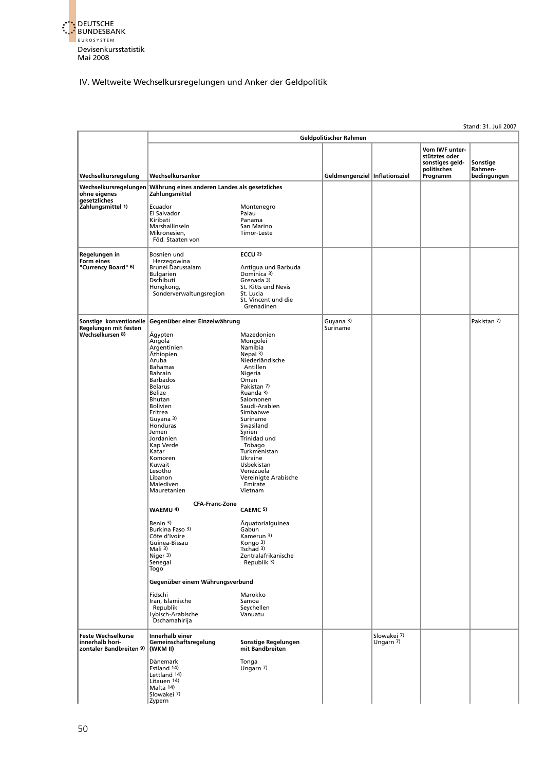

# IV. Weltweite Wechselkursregelungen und Anker der Geldpolitik

|                                                                                  | Stand: 31. Juli 2007                                                                                                                                                                                                                                                                                                                                                                                                                                                                                                                                                                                                                      |                                                                                                                                                                                                                                                                                                                                                                                                                                                                                                                          |                                 |                          |                                                                               |                                    |  |  |  |  |  |
|----------------------------------------------------------------------------------|-------------------------------------------------------------------------------------------------------------------------------------------------------------------------------------------------------------------------------------------------------------------------------------------------------------------------------------------------------------------------------------------------------------------------------------------------------------------------------------------------------------------------------------------------------------------------------------------------------------------------------------------|--------------------------------------------------------------------------------------------------------------------------------------------------------------------------------------------------------------------------------------------------------------------------------------------------------------------------------------------------------------------------------------------------------------------------------------------------------------------------------------------------------------------------|---------------------------------|--------------------------|-------------------------------------------------------------------------------|------------------------------------|--|--|--|--|--|
|                                                                                  |                                                                                                                                                                                                                                                                                                                                                                                                                                                                                                                                                                                                                                           |                                                                                                                                                                                                                                                                                                                                                                                                                                                                                                                          | Geldpolitischer Rahmen          |                          |                                                                               |                                    |  |  |  |  |  |
| Wechselkursregelung                                                              | Wechselkursanker                                                                                                                                                                                                                                                                                                                                                                                                                                                                                                                                                                                                                          |                                                                                                                                                                                                                                                                                                                                                                                                                                                                                                                          | Geldmengenziel   Inflationsziel |                          | Vom IWF unter-<br>stütztes oder<br>sonstiges geld-<br>politisches<br>Programm | Sonstige<br>Rahmen-<br>bedingungen |  |  |  |  |  |
| Wechselkursregelungen<br>ohne eigenes                                            | Währung eines anderen Landes als gesetzliches<br>Zahlungsmittel                                                                                                                                                                                                                                                                                                                                                                                                                                                                                                                                                                           |                                                                                                                                                                                                                                                                                                                                                                                                                                                                                                                          |                                 |                          |                                                                               |                                    |  |  |  |  |  |
| gesetzliches<br>Zahlungsmittel 1)                                                | Ecuador<br>El Salvador<br>Kiribati<br>Marshallinseln<br>Mikronesien,<br>Föd. Staaten von                                                                                                                                                                                                                                                                                                                                                                                                                                                                                                                                                  | Montenegro<br>Palau<br>Panama<br>San Marino<br>Timor-Leste                                                                                                                                                                                                                                                                                                                                                                                                                                                               |                                 |                          |                                                                               |                                    |  |  |  |  |  |
| Regelungen in<br>Form eines<br>"Currency Board" 6)                               | Bosnien und<br>Herzegowina<br>Brunei Darussalam<br>Bulgarien<br>Dschibuti<br>Hongkong,<br>Sonderverwaltungsregion                                                                                                                                                                                                                                                                                                                                                                                                                                                                                                                         | ECCU <sub>2</sub> )<br>Antigua und Barbuda<br>Dominica 3)<br>Grenada 3)<br>St. Kitts und Nevis<br>St. Lucia<br>St. Vincent und die<br>Grenadinen                                                                                                                                                                                                                                                                                                                                                                         |                                 |                          |                                                                               |                                    |  |  |  |  |  |
| Regelungen mit festen<br>Wechselkursen 8)                                        | Sonstige konventionelle Gegenüber einer Einzelwährung<br>Ägypten<br>Angola<br>Argentinien<br>Äthiopien<br>Aruba<br><b>Bahamas</b><br><b>Bahrain</b><br><b>Barbados</b><br><b>Belarus</b><br>Belize<br>Bhutan<br><b>Bolivien</b><br>Eritrea<br>Guyana 3)<br>Honduras<br>Jemen<br>Jordanien<br>Kap Verde<br>Katar<br>Komoren<br>Kuwait<br>Lesotho<br>Libanon<br>Malediven<br>Mauretanien<br><b>CFA-Franc-Zone</b><br>WAEMU 4)<br>Benin 3)<br>Burkina Faso 3)<br>Côte d'Ivoire<br>Guinea-Bissau<br>Mali 3)<br>Niger 3)<br>Senegal<br>Togo<br>Gegenüber einem Währungsverbund<br>Fidschi<br>Iran, Islamische<br>Republik<br>Lybisch-Arabische | Mazedonien<br>Mongolei<br>Namibia<br>Nepal $3$ )<br>Niederländische<br>Antillen<br>Nigeria<br>Oman<br>Pakistan 7)<br>Ruanda 3)<br>Salomonen<br>Saudi-Arabien<br>Simbabwe<br>Suriname<br>Swasiland<br>Syrien<br>Trinidad und<br>Tobago<br>Turkmenistan<br>Ukraine<br>Usbekistan<br>Venezuela<br>Vereinigte Arabische<br>Emirate<br>Vietnam<br>CAEMC <sub>5</sub> )<br>Äquatorialguinea<br>Gabun<br>Kamerun 3)<br>Kongo 3)<br>Tschad 3)<br>Zentralafrikanische<br>Republik 3)<br>Marokko<br>Samoa<br>Seychellen<br>Vanuatu | Guyana 3)<br>Suriname           |                          |                                                                               | Pakistan 7)                        |  |  |  |  |  |
| <b>Feste Wechselkurse</b><br>innerhalb hori-<br>zontaler Bandbreiten 9) (WKM II) | Dschamahirija<br>Innerhalb einer<br>Gemeinschaftsregelung<br>Dänemark<br>Estland 14)<br>Lettland 14)<br>Litauen 14)<br>Malta 14)<br>Slowakei 7)<br>Zypern                                                                                                                                                                                                                                                                                                                                                                                                                                                                                 | Sonstige Regelungen<br>mit Bandbreiten<br>Tonga<br>Ungarn 7)                                                                                                                                                                                                                                                                                                                                                                                                                                                             |                                 | Slowakei 7)<br>Ungarn 7) |                                                                               |                                    |  |  |  |  |  |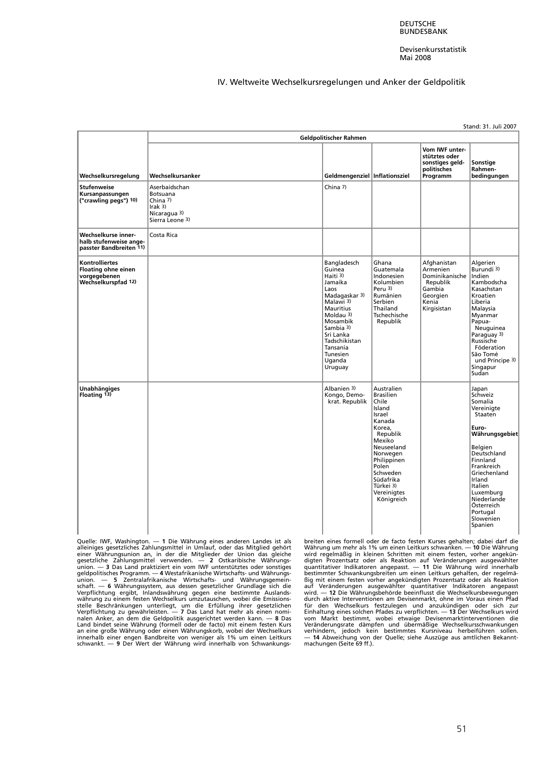Devisenkursstatistik Mai 2008

#### IV. Weltweite Wechselkursregelungen und Anker der Geldpolitik

Stand: 31. Juli 2007

|                                                                                            | Geldpolitischer Rahmen                                                                        |                                                                                                                                                                                                                         |                                                                                                                                                                                                                            |                                                                                                     |                                                                                                                                                                                                                                                                                         |  |  |  |  |  |  |  |  |
|--------------------------------------------------------------------------------------------|-----------------------------------------------------------------------------------------------|-------------------------------------------------------------------------------------------------------------------------------------------------------------------------------------------------------------------------|----------------------------------------------------------------------------------------------------------------------------------------------------------------------------------------------------------------------------|-----------------------------------------------------------------------------------------------------|-----------------------------------------------------------------------------------------------------------------------------------------------------------------------------------------------------------------------------------------------------------------------------------------|--|--|--|--|--|--|--|--|
| Wechselkursregelung                                                                        | Wechselkursanker                                                                              | Geldmengenziel Inflationsziel                                                                                                                                                                                           |                                                                                                                                                                                                                            | Vom IWF unter-<br>stütztes oder<br>sonstiges geld-<br>politisches<br>Programm                       | Sonstige<br>Rahmen-<br>bedingungen                                                                                                                                                                                                                                                      |  |  |  |  |  |  |  |  |
| <b>Stufenweise</b><br>Kursanpassungen<br>("crawling pegs") 10)                             | Aserbaidschan<br>Botsuana<br>China 7)<br>Irak <sub>3</sub><br>Nicaragua 3)<br>Sierra Leone 3) | China 7)                                                                                                                                                                                                                |                                                                                                                                                                                                                            |                                                                                                     |                                                                                                                                                                                                                                                                                         |  |  |  |  |  |  |  |  |
| Wechselkurse inner-<br>halb stufenweise ange-<br>passter Bandbreiten 11)                   | Costa Rica                                                                                    |                                                                                                                                                                                                                         |                                                                                                                                                                                                                            |                                                                                                     |                                                                                                                                                                                                                                                                                         |  |  |  |  |  |  |  |  |
| <b>Kontrolliertes</b><br><b>Floating ohne einen</b><br>vorgegebenen<br>Wechselkurspfad 12) |                                                                                               | Bangladesch<br>Guinea<br>Haiti 3)<br>Jamaika<br>Laos<br>Madagaskar 3)<br>Malawi 3)<br><b>Mauritius</b><br>Moldau 3)<br>Mosambik<br>Sambia 3)<br>Sri Lanka<br>Tadschikistan<br>Tansania<br>Tunesien<br>Uganda<br>Uruguay | Ghana<br>Guatemala<br>Indonesien<br>Kolumbien<br>Peru 3)<br>Rumänien<br>Serbien<br>Thailand<br>Tschechische<br>Republik                                                                                                    | Afghanistan<br>Armenien<br>Dominikanische<br>Republik<br>Gambia<br>Georgien<br>Kenia<br>Kirgisistan | Algerien<br>Burundi 3)<br>Indien<br>Kambodscha<br>Kasachstan<br>Kroatien<br>Liberia<br>Malaysia<br>Myanmar<br>Papua-<br>Neuguinea<br>Paraguay 3)<br>Russische<br>Föderation<br>São Tomé<br>und Príncipe 3)<br>Singapur<br>Sudan                                                         |  |  |  |  |  |  |  |  |
| Unabhängiges<br>Floating 13)<br>$\mathbf{u}$ $\mathbf{u}$                                  |                                                                                               | Albanien 3)<br>Kongo, Demo-<br>krat. Republik                                                                                                                                                                           | Australien<br><b>Brasilien</b><br>Chile<br>Island<br>Israel<br>Kanada<br>Korea,<br>Republik<br>Mexiko<br>Neuseeland<br>Norwegen<br>Philippinen<br>Polen<br>Schweden<br>Südafrika<br>Türkei 3)<br>Vereinigtes<br>Königreich |                                                                                                     | Japan<br>Schweiz<br>Somalia<br>Vereiniate<br>Staaten<br>Euro-<br>Währungsgebiet<br>Belgien<br>Deutschland<br>Finnland<br>Frankreich<br>Griechenland<br>Irland<br>Italien<br>Luxemburg<br>Niederlande<br>Österreich<br>Portugal<br>Slowenien<br>Spanien<br>$\mathbf{r}$ and $\mathbf{r}$ |  |  |  |  |  |  |  |  |

Quelle: IWF, Washington. — 1 Die Währung eines anderen Landes ist als breiten eines formell oder de facto festen Kurses gehalten; dabei darf die einer Währung eines anderen Landes ist als alleiniges gesetzliches Zahlungsmi union. — 5 Zentralafrikanische Wirtschafts- und Währungsgemein- Big mit einem festen vorher angekündigten Prozentsatz oder als Reaktion<br>schaft. — 6 Währungssystem, aus dessen gesetzlicher Grundlage sich die – auf Veränderu

stelle Beschränkungen unterliegt, um die Erfüllung ihrer gesetzlichen für den Wechselkurs festzulegen und anzukündigen oder sich zur den konflichtung zu gewährleisten. — 7 Das Land bindet Amker, an dem die Geldpolitik ausg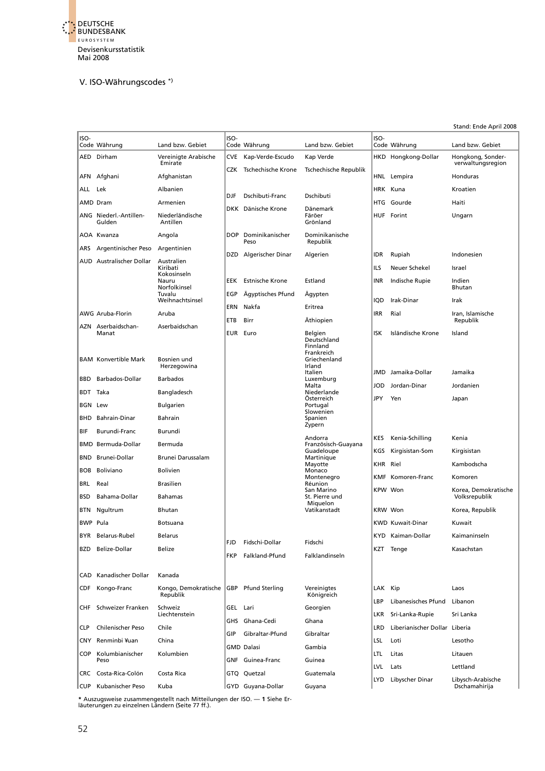

## V. ISO-Währungscodes \*)

|                 |                                      |                                  |            |                           |                                                                  |          |                               | Stand: Ende April 2008                 |
|-----------------|--------------------------------------|----------------------------------|------------|---------------------------|------------------------------------------------------------------|----------|-------------------------------|----------------------------------------|
| ISO-            | Code Währung                         | Land bzw. Gebiet                 | ISO-       | Code Währung              | Land bzw. Gebiet                                                 | ISO-     | Code Währung                  | Land bzw. Gebiet                       |
| AED             | Dirham                               | Vereinigte Arabische<br>Emirate  | CVE        | Kap-Verde-Escudo          | Kap Verde                                                        |          | HKD Hongkong-Dollar           | Hongkong, Sonder-<br>verwaltungsregion |
| AFN             | Afghani                              | Afghanistan                      | CZK        | <b>Tschechische Krone</b> | Tschechische Republik                                            |          | HNL Lempira                   | Honduras                               |
| ALL Lek         |                                      | Albanien                         |            |                           |                                                                  |          | HRK Kuna                      | Kroatien                               |
|                 | AMD Dram                             | Armenien                         | DJF        | Dschibuti-Franc           | Dschibuti                                                        | HTG      | Gourde                        | Haiti                                  |
|                 | ANG Niederl.-Antillen-<br>Gulden     | Niederländische<br>Antillen      |            | DKK Dänische Krone        | Dänemark<br>Färöer<br>Grönland                                   |          | HUF Forint                    | Ungarn                                 |
|                 | AOA Kwanza                           | Angola                           | <b>DOP</b> | Dominikanischer<br>Peso   | Dominikanische<br>Republik                                       |          |                               |                                        |
| ARS             | Argentinischer Peso                  | Argentinien                      |            | DZD Algerischer Dinar     | Algerien                                                         | idr      | Rupiah                        | Indonesien                             |
|                 | AUD Australischer Dollar             | Australien<br>Kiribati           |            |                           |                                                                  | ILS      | Neuer Schekel                 | Israel                                 |
|                 |                                      | Kokosinseln                      |            |                           |                                                                  |          |                               |                                        |
|                 |                                      | Nauru<br>Norfolkinsel            | EEK        | <b>Estnische Krone</b>    | Estland                                                          | INR      | Indische Rupie                | Indien<br><b>Bhutan</b>                |
|                 |                                      | Tuvalu<br>Weihnachtsinsel        | EGP        | Ägyptisches Pfund         | Ägypten                                                          | IQD      | Irak-Dinar                    | Irak                                   |
|                 | AWG Aruba-Florin                     | Aruba                            | ERN        | Nakfa                     | Eritrea                                                          | IRR      | Rial                          | Iran, Islamische                       |
|                 | AZN Aserbaidschan-                   | Aserbaidschan                    | ETB        | Birr                      | Äthiopien                                                        |          |                               | Republik                               |
|                 | Manat<br><b>BAM Konvertible Mark</b> | Bosnien und                      | EUR        | Euro                      | Belgien<br>Deutschland<br>Finnland<br>Frankreich<br>Griechenland | ISK      | Isländische Krone             | Island                                 |
|                 |                                      | Herzegowina                      |            |                           | Irland<br>Italien                                                | JMD      | Jamaika-Dollar                | Jamaika                                |
| BBD             | Barbados-Dollar                      | <b>Barbados</b>                  |            |                           | Luxemburg<br>Malta                                               | JOD      | Jordan-Dinar                  | Jordanien                              |
| BDT             | Taka                                 | Bangladesch                      |            |                           | Niederlande<br>Österreich                                        | JPY      | Yen                           | Japan                                  |
| BGN             | Lew                                  | <b>Bulgarien</b>                 |            |                           | Portugal<br>Slowenien                                            |          |                               |                                        |
| BHD             | Bahrain-Dinar                        | <b>Bahrain</b>                   |            |                           | Spanien<br>Zypern                                                |          |                               |                                        |
| BIF             | Burundi-Franc                        | Burundi                          |            |                           | Andorra                                                          | KES      | Kenia-Schilling               | Kenia                                  |
|                 | <b>BMD Bermuda-Dollar</b>            | Bermuda                          |            |                           | Französisch-Guayana<br>Guadeloupe                                | KGS      | Kirgisistan-Som               | Kirgisistan                            |
| BND             | Brunei-Dollar                        | Brunei Darussalam                |            |                           | Martinique<br>Mayotte                                            | KHR Riel |                               | Kambodscha                             |
| BOB             | <b>Boliviano</b>                     | <b>Bolivien</b>                  |            |                           | Monaco                                                           | KMF      | Komoren-Franc                 | Komoren                                |
| BRL             | Real                                 | <b>Brasilien</b>                 |            |                           | Montenegro<br>Réunion                                            |          |                               |                                        |
| BSD             | Bahama-Dollar                        | <b>Bahamas</b>                   |            |                           | San Marino<br>St. Pierre und                                     |          | KPW Won                       | Korea, Demokratische<br>Volksrepublik  |
| BTN             | Ngultrum                             | Bhutan                           |            |                           | Miquelon<br>Vatikanstadt                                         |          | <b>KRW Won</b>                | Korea, Republik                        |
| <b>BWP</b> Pula |                                      | <b>Botsuana</b>                  |            |                           |                                                                  |          | <b>KWD Kuwait-Dinar</b>       | Kuwait                                 |
| BYR             | Belarus-Rubel                        | <b>Belarus</b>                   |            |                           |                                                                  |          | KYD Kaiman-Dollar             | Kaimaninseln                           |
| BZD             | Belize-Dollar                        | Belize                           | FJD        | Fidschi-Dollar            | Fidschi                                                          |          | KZT Tenge                     | Kasachstan                             |
|                 |                                      |                                  | FKP        | Falkland-Pfund            | Falklandinseln                                                   |          |                               |                                        |
| CAD             | Kanadischer Dollar                   | Kanada                           |            |                           |                                                                  |          |                               |                                        |
| CDF             | Kongo-Franc                          | Kongo, Demokratische<br>Republik | GBP        | <b>Pfund Sterling</b>     | Vereinigtes<br>Königreich                                        | LAK Kip  |                               | Laos                                   |
| CHF             | Schweizer Franken                    | Schweiz                          | GEL        | Lari                      | Georgien                                                         | LBP      | Libanesisches Pfund           | Libanon                                |
|                 |                                      | Liechtenstein                    | GHS        | Ghana-Cedi                | Ghana                                                            | LKR      | Sri-Lanka-Rupie               | Sri Lanka                              |
| CLP             | Chilenischer Peso                    | Chile                            | GIP        | Gibraltar-Pfund           | Gibraltar                                                        | LRD      | Liberianischer Dollar Liberia |                                        |
| CNY             | Renminbi ¥uan                        | China                            |            | <b>GMD Dalasi</b>         | Gambia                                                           | LSL      | Loti                          | Lesotho                                |
| COP             | Kolumbianischer<br>Peso              | Kolumbien                        |            | GNF Guinea-Franc          | Guinea                                                           | LTL      | Litas                         | Litauen                                |
|                 | CRC Costa-Rica-Colón                 | Costa Rica                       |            | GTQ Quetzal               | Guatemala                                                        | LVL      | Lats                          | Lettland                               |
|                 | Kubanischer Peso                     | Kuba                             |            |                           |                                                                  | LYD      | Libyscher Dinar               | Libysch-Arabische                      |
| CUP             |                                      |                                  |            | GYD Guyana-Dollar         | Guyana                                                           |          |                               | Dschamahirija                          |

**\*** Auszugsweise zusammengestellt nach Mitteilungen der ISO. — **1** Siehe Er-läuterungen zu einzelnen Ländern (Seite 77 ff.).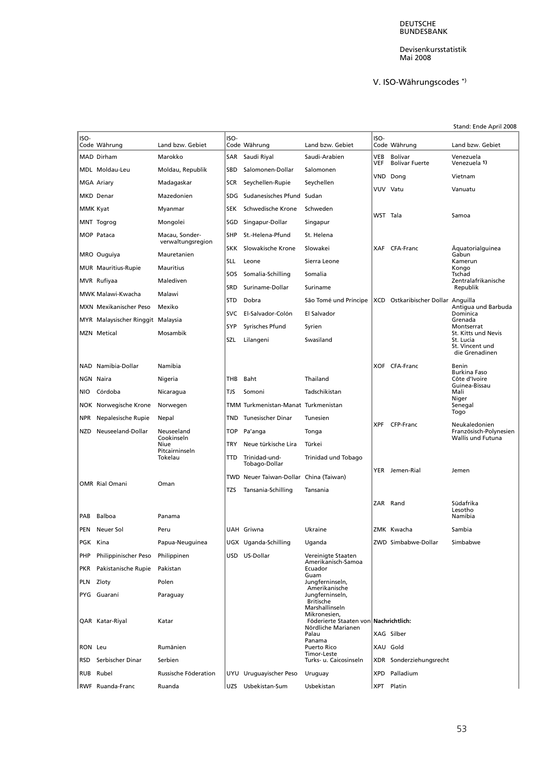#### DEUTSCHE BUNDESBANK

Devisenkursstatistik Mai 2008

# V. ISO-Währungscodes \*)

## Stand: Ende April 2008

|          |                                   |                                     |            |                                        |                                                                                                                                      |            |                         | $3.01101$ cando <i>i</i> spin 200                   |
|----------|-----------------------------------|-------------------------------------|------------|----------------------------------------|--------------------------------------------------------------------------------------------------------------------------------------|------------|-------------------------|-----------------------------------------------------|
| ISO-     | Code Währung                      | Land bzw. Gebiet                    | ISO-       | Code Währung                           | Land bzw. Gebiet                                                                                                                     | ISO-       | Code Währung            | Land bzw. Gebiet                                    |
|          | MAD Dirham                        | Marokko                             | SAR        | Saudi Riyal                            | Saudi-Arabien                                                                                                                        | VEB        | Bolívar                 | Venezuela                                           |
|          | MDL Moldau-Leu                    | Moldau, Republik                    | SBD        | Salomonen-Dollar                       | Salomonen                                                                                                                            | <b>VEF</b> | <b>Bolívar Fuerte</b>   | Venezuela 1)                                        |
|          | MGA Ariary                        | Madagaskar                          | <b>SCR</b> | Seychellen-Rupie                       | Seychellen                                                                                                                           | VND        | Dong                    | Vietnam                                             |
|          | MKD Denar                         | Mazedonien                          | SDG        | Sudanesisches Pfund Sudan              |                                                                                                                                      | VUV Vatu   |                         | Vanuatu                                             |
| MMK Kyat |                                   | Myanmar                             | <b>SEK</b> | Schwedische Krone                      | Schweden                                                                                                                             | WST Tala   |                         | Samoa                                               |
|          | MNT Togrog                        | Mongolei                            | SGD        | Singapur-Dollar                        | Singapur                                                                                                                             |            |                         |                                                     |
|          | MOP Pataca                        | Macau, Sonder-<br>verwaltungsregion | <b>SHP</b> | St.-Helena-Pfund                       | St. Helena                                                                                                                           |            |                         |                                                     |
|          | MRO Ouguiya                       | Mauretanien                         | <b>SKK</b> | Slowakische Krone                      | Slowakei                                                                                                                             |            | XAF CFA-Franc           | Äquatorialguinea<br>Gabun                           |
|          | <b>MUR</b> Mauritius-Rupie        | <b>Mauritius</b>                    | <b>SLL</b> | Leone                                  | Sierra Leone                                                                                                                         |            |                         | Kamerun<br>Kongo                                    |
|          | MVR Rufiyaa                       | Malediven                           | SOS        | Somalia-Schilling                      | Somalia                                                                                                                              |            |                         | Tschad<br>Zentralafrikanische                       |
|          | MWK Malawi-Kwacha                 | Malawi                              | <b>SRD</b> | Suriname-Dollar                        | Suriname                                                                                                                             |            |                         | Republik                                            |
|          | <b>MXN</b> Mexikanischer Peso     | Mexiko                              | <b>STD</b> | Dobra                                  | São Tomé und Príncipe   XCD Ostkaribischer Dollar Anguilla                                                                           |            |                         | Antigua und Barbuda                                 |
|          |                                   |                                     | <b>SVC</b> | El-Salvador-Colón                      | El Salvador                                                                                                                          |            |                         | Dominica                                            |
|          | MYR Malaysischer Ringgit Malaysia |                                     | SYP        | Syrisches Pfund                        | Syrien                                                                                                                               |            |                         | Grenada<br>Montserrat                               |
|          | MZN Metical                       | Mosambik                            | SZL        | Lilangeni                              | Swasiland                                                                                                                            |            |                         | St. Kitts und Nevis<br>St. Lucia<br>St. Vincent und |
|          |                                   |                                     |            |                                        |                                                                                                                                      |            |                         | die Grenadinen                                      |
|          | NAD Namibia-Dollar                | Namibia                             |            |                                        |                                                                                                                                      |            | XOF CFA-Franc           | Benin<br><b>Burkina Faso</b>                        |
|          | NGN Naira                         | Nigeria                             | THB        | Baht                                   | Thailand                                                                                                                             |            |                         | Côte d'Ivoire<br>Guinea-Bissau                      |
| NIO      | Córdoba                           | Nicaragua                           | TJS        | Somoni                                 | Tadschikistan                                                                                                                        |            |                         | Mali                                                |
|          | NOK Norwegische Krone             | Norwegen                            |            | TMM Turkmenistan-Manat Turkmenistan    |                                                                                                                                      |            |                         | Niger<br>Senegal                                    |
| NPR      | Nepalesische Rupie                | Nepal                               | TND        | Tunesischer Dinar                      | Tunesien                                                                                                                             | <b>XPF</b> | CFP-Franc               | Togo<br>Neukaledonien                               |
| NZD      | Neuseeland-Dollar                 | Neuseeland<br>Cookinseln            | TOP        | Pa'anga                                | Tonga                                                                                                                                |            |                         | Französisch-Polynesien<br><b>Wallis und Futuna</b>  |
|          |                                   | Niue                                | TRY        | Neue türkische Lira                    | Türkei                                                                                                                               |            |                         |                                                     |
|          |                                   | Pitcairninseln<br>Tokelau           | TTD        | Trinidad-und-<br>Tobago-Dollar         | Trinidad und Tobago                                                                                                                  |            |                         |                                                     |
|          |                                   |                                     |            | TWD Neuer Taiwan-Dollar China (Taiwan) |                                                                                                                                      |            | YER Jemen-Rial          | Jemen                                               |
|          | OMR Rial Omani                    | Oman                                | TZS        | Tansania-Schilling                     | Tansania                                                                                                                             |            |                         |                                                     |
| PAB      | Balboa                            | Panama                              |            |                                        |                                                                                                                                      | ZAR        | Rand                    | Südafrika<br>Lesotho<br>Namibia                     |
| PEN      | Neuer Sol                         | Peru                                |            | UAH Griwna                             | Ukraine                                                                                                                              |            | ZMK Kwacha              | Sambia                                              |
| PGK Kina |                                   | Papua-Neuguinea                     |            | UGX Uganda-Schilling                   | Uganda                                                                                                                               |            | ZWD Simbabwe-Dollar     | Simbabwe                                            |
| PHP      | Philippinischer Peso              | Philippinen                         |            | USD US-Dollar                          | Vereinigte Staaten                                                                                                                   |            |                         |                                                     |
| PKR      | Pakistanische Rupie               | Pakistan                            |            |                                        | Amerikanisch-Samoa<br>Ecuador                                                                                                        |            |                         |                                                     |
| PLN      | Zloty                             | Polen                               |            |                                        | Guam<br>Jungferninseln,                                                                                                              |            |                         |                                                     |
|          | PYG Guaraní                       | Paraguay                            |            |                                        | Amerikanische<br>Jungferninseln,                                                                                                     |            |                         |                                                     |
|          | QAR Katar-Riyal                   | Katar                               |            |                                        | <b>Britische</b><br>Marshallinseln<br>Mikronesien.<br>Föderierte Staaten von Nachrichtlich:<br>Nördliche Marianen<br>Palau<br>Panama |            | XAG Silber              |                                                     |
| RON Leu  |                                   | Rumänien                            |            |                                        | Puerto Rico<br>Timor-Leste                                                                                                           | XAU Gold   |                         |                                                     |
| RSD      | Serbischer Dinar                  | Serbien                             |            |                                        | Turks- u. Caicosinseln                                                                                                               |            | XDR Sonderziehungsrecht |                                                     |
|          | RUB Rubel                         | Russische Föderation                |            | UYU Uruguayischer Peso                 | Uruguay                                                                                                                              |            | XPD Palladium           |                                                     |
|          | RWF Ruanda-Franc                  | Ruanda                              | ∣∪zs       | Usbekistan-Sum                         | Usbekistan                                                                                                                           | XPT        | Platin                  |                                                     |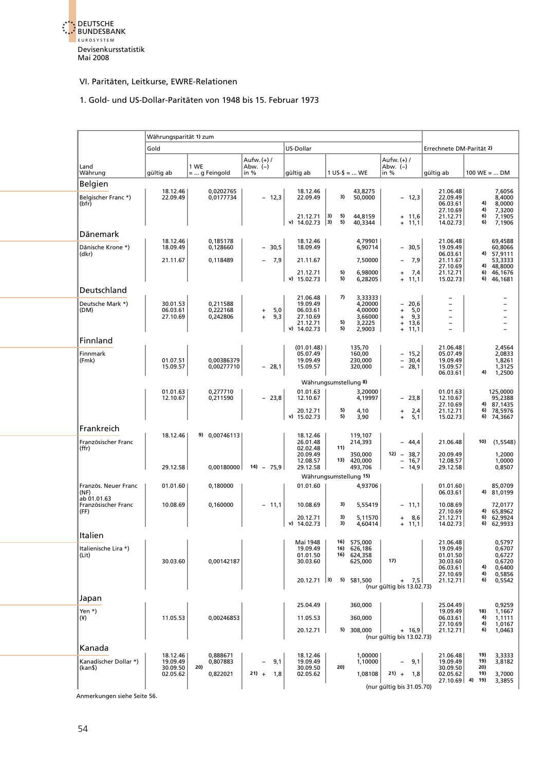

# 1. Gold- und US-Dollar-Paritäten von 1948 bis 15. Februar 1973

|                                    | Währungsparität 1) zum |                          |                                   |                                  |                                                   |                                             |                                                          |                                                                  |  |  |
|------------------------------------|------------------------|--------------------------|-----------------------------------|----------------------------------|---------------------------------------------------|---------------------------------------------|----------------------------------------------------------|------------------------------------------------------------------|--|--|
|                                    | Gold                   |                          |                                   | US-Dollar                        |                                                   |                                             | Errechnete DM-Parität 2)                                 |                                                                  |  |  |
| Land<br>Währung                    | gültig ab              | 1 WE<br>=  g Feingold    | Aufw. (+) /<br>Abw. $(-)$<br>in % | gültig ab                        | $1 \text{ US-}$ \$ =  WE                          | Aufw. (+) /<br>Abw. $(-)$<br>in %           | gültig ab                                                | $100$ WE =  DM                                                   |  |  |
| Belgien                            |                        |                          |                                   |                                  |                                                   |                                             |                                                          |                                                                  |  |  |
| Belgischer Franc *)<br>(bfr)       | 18.12.46<br>22.09.49   | 0.0202765<br>0,0177734   | $-12,3$                           | 18.12.46<br>22.09.49<br>21.12.71 | 43,8275<br>50,0000<br>3)<br>  3)<br>5)<br>44,8159 | $-12,3$<br>$+ 11,6$                         | 21.06.48<br>22.09.49<br>06.03.61<br>27.10.69<br>21.12.71 | 7,6056<br>8,4000<br>4)<br>8,0000<br>4)<br>7,3200<br>6)<br>7,1905 |  |  |
|                                    |                        |                          |                                   | v) $14.02.73$ 3)                 | 5)<br>40,3344                                     | $+ 11,1$                                    | 14.02.73                                                 | 6)<br>7,1906                                                     |  |  |
| Dänemark                           |                        |                          |                                   |                                  |                                                   |                                             |                                                          |                                                                  |  |  |
| Dänische Krone *)                  | 18.12.46<br>18.09.49   | 0,185178<br>0,128660     | $-30,5$                           | 18.12.46<br>18.09.49             | 4,79901<br>6,90714                                | $-30,5$                                     | 21.06.48<br>19.09.49                                     | 69,4588<br>60,8066                                               |  |  |
| (dkr)                              | 21.11.67               | 0,118489                 | 7,9<br>$\overline{\phantom{0}}$   | 21.11.67                         | 7,50000                                           | 7,9<br>$\qquad \qquad -$                    | 06.03.61<br>21.11.67                                     | 4) 57,9111<br>53,3333                                            |  |  |
|                                    |                        |                          |                                   | 21.12.71                         | 5)<br>6,98000                                     | 7,4<br>$\ddot{}$                            | 27.10.69<br>21.12.71                                     | 48,8000<br>4)<br>6)<br>46,1676                                   |  |  |
|                                    |                        |                          |                                   | $v)$ 15.02.73                    | 5)<br>6,28205                                     | $+ 11,1$                                    | 15.02.73                                                 | 46,1681<br>6)                                                    |  |  |
| Deutschland                        |                        |                          |                                   | 21.06.48                         | 7)<br>3,33333                                     |                                             |                                                          |                                                                  |  |  |
| Deutsche Mark *)<br>(DM)           | 30.01.53<br>06.03.61   | 0,211588<br>0,222168     | 5,0<br>$\ddot{}$                  | 19.09.49<br>06.03.61             | 4,20000<br>4,00000                                | $-20,6$<br>$\ddot{}$<br>5,0                 |                                                          | $\frac{1}{1}$                                                    |  |  |
|                                    | 27.10.69               | 0,242806                 | 9,3<br>$+$                        | 27.10.69                         | 3,66000                                           | 9,3<br>$\pmb{+}$                            | $\overline{\phantom{0}}$                                 | $\overline{a}$                                                   |  |  |
|                                    |                        |                          |                                   | 21.12.71<br>$v)$ 14.02.73        | 5)<br>3,2225<br>5)<br>2,9003                      | $+ 13,6$<br>$+ 11,1$                        |                                                          |                                                                  |  |  |
| Finnland                           |                        |                          |                                   |                                  |                                                   |                                             |                                                          |                                                                  |  |  |
| Finnmark                           |                        |                          |                                   | (01.01.48)<br>05.07.49           | 135,70<br>160,00                                  | $-15,2$                                     | 21.06.48<br>05.07.49                                     | 2,4564<br>2,0833                                                 |  |  |
| (Fmk)                              | 01.07.51<br>15.09.57   | 0,00386379<br>0,00277710 | $-28,1$                           | 19.09.49<br>15.09.57             | 230,000<br>320,000                                | $\overline{\phantom{a}}$<br>30,4<br>$-28,1$ | 19.09.49<br>15.09.57                                     | 1,8261<br>1,3125                                                 |  |  |
|                                    |                        |                          |                                   |                                  |                                                   |                                             | 06.03.61                                                 | 4)<br>1,2500                                                     |  |  |
|                                    |                        |                          |                                   |                                  | Währungsumstellung 8)<br>3,20000                  |                                             | 01.01.63                                                 |                                                                  |  |  |
|                                    | 01.01.63<br>12.10.67   | 0,277710<br>0,211590     | $-23,8$                           | 01.01.63<br>12.10.67             | 4,19997                                           | $-23,8$                                     | 12.10.67                                                 | 125,0000<br>95,2388                                              |  |  |
|                                    |                        |                          |                                   | 20.12.71                         | 5)<br>4,10                                        | 2,4<br>$\ddot{}$                            | 27.10.69<br>21.12.71                                     | 4) 87,1435<br>78,5976<br>6)                                      |  |  |
|                                    |                        |                          |                                   | $v)$ 15.02.73                    | 5)<br>3,90                                        | 5,1<br>$+$                                  | 15.02.73                                                 | 6) 74,3667                                                       |  |  |
| Frankreich                         | 18.12.46               | 9) 0,00746113            |                                   | 18.12.46                         | 119,107                                           |                                             |                                                          |                                                                  |  |  |
| Französischer Franc<br>(ffr)       |                        |                          |                                   | 26.01.48<br>02.02.48             | 214,393<br>11)                                    | $-44,4$                                     | 21.06.48                                                 | 10)<br>(1,5548)                                                  |  |  |
|                                    |                        |                          |                                   | 20.09.49<br>12.08.57             | 350,000<br>13)<br>420,000                         | $12) - 38,7$<br>$-16,7$                     | 20.09.49<br>12.08.57                                     | 1,2000<br>1,0000                                                 |  |  |
|                                    | 29.12.58               | 0,00180000               | $14) - 75,9$                      | 29.12.58                         | 493,706                                           | $-14,9$                                     | 29.12.58                                                 | 0,8507                                                           |  |  |
|                                    |                        |                          |                                   |                                  | Währungsumstellung 15)                            |                                             |                                                          |                                                                  |  |  |
| Französ. Neuer Franc<br>(NF)       | 01.01.60               | 0,180000                 |                                   | 01.01.60                         | 4,93706                                           |                                             | 01.01.60<br>06.03.61                                     | 85,0709<br>4) 81,0199                                            |  |  |
| ab 01.01.63<br>Französischer Franc | 10.08.69               | 0,160000                 | $-11,1$                           | 10.08.69                         | 3)<br>5,55419                                     | $-11,1$                                     | 10.08.69                                                 | 72,0177                                                          |  |  |
| (FF)                               |                        |                          |                                   | 20.12.71                         | 3)<br>5,11570                                     | 8,6<br>$\ddot{}$                            | 27.10.69<br>21.12.71                                     | 4) 65,8962<br>6) 62,9924                                         |  |  |
|                                    |                        |                          |                                   | $v)$ 14.02.73                    | 3)<br>4,60414                                     | $+ 11,1$                                    | 14.02.73                                                 | 6) 62,9933                                                       |  |  |
| Italien                            |                        |                          |                                   | Mai 1948                         | 16)<br>575,000                                    |                                             | 21.06.48                                                 | 0,5797                                                           |  |  |
| Italienische Lira *)<br>(Lit)      |                        |                          |                                   | 19.09.49<br>01.01.50             | 16)<br>626,186<br>16)<br>624,358                  |                                             | 19.09.49<br>01.01.50                                     | 0,6707<br>0,6727                                                 |  |  |
|                                    | 30.03.60               | 0,00142187               |                                   | 30.03.60                         | 625,000                                           | 17)                                         | 30.03.60                                                 | 0,6720                                                           |  |  |
|                                    |                        |                          |                                   |                                  |                                                   |                                             | 06.03.61<br>27.10.69                                     | 4)<br>0,6400<br>4)<br>0,5856                                     |  |  |
|                                    |                        |                          |                                   | $20.12.71$ 3)                    | 5) 581,500                                        | $+ 7,5$<br>(nur gültig bis 13.02.73)        | 21.12.71                                                 | 6)<br>0,5542                                                     |  |  |
| Japan                              |                        |                          |                                   |                                  |                                                   |                                             |                                                          |                                                                  |  |  |
| Yen $*$ )                          |                        |                          |                                   | 25.04.49                         | 360,000                                           |                                             | 25.04.49<br>19.09.49                                     | 0,9259<br>18)<br>1,1667                                          |  |  |
| $(\yen)$                           | 11.05.53               | 0,00246853               |                                   | 11.05.53                         | 360,000                                           |                                             | 06.03.61<br>27.10.69                                     | 4)<br>1,1111<br>4)<br>1,0167                                     |  |  |
|                                    |                        |                          |                                   | 20.12.71                         | 5) 308,000                                        | $+ 16,9$<br>(nur gültig bis 13.02.73)       | 21.12.71                                                 | 6)<br>1,0463                                                     |  |  |
| Kanada                             |                        |                          |                                   |                                  |                                                   |                                             |                                                          |                                                                  |  |  |
|                                    | 18.12.46               | 0,888671                 |                                   | 18.12.46                         | 1,00000                                           |                                             | 21.06.48                                                 | 19)<br>3,3333                                                    |  |  |
| Kanadischer Dollar *)<br>(kan\$)   | 19.09.49<br>30.09.50   | 0,807883<br>20)          | 9,1                               | 19.09.49<br>30.09.50             | 1,10000<br>20)                                    | 9,1<br>$\overline{\phantom{0}}$             | 19.09.49<br>30.09.50                                     | 19)<br>3,8182<br>20)                                             |  |  |
|                                    | 02.05.62               | 0,822021                 | $21) +$<br>1,8                    | 02.05.62                         | 1,08108                                           | $21) +$<br>1,8                              | 02.05.62<br>$27.10.69$ 4) 19)                            | 19)<br>3,7000<br>3,3855                                          |  |  |
|                                    |                        |                          |                                   |                                  |                                                   | (nur gültig bis 31.05.70)                   |                                                          |                                                                  |  |  |

Anmerkungen siehe Seite 56.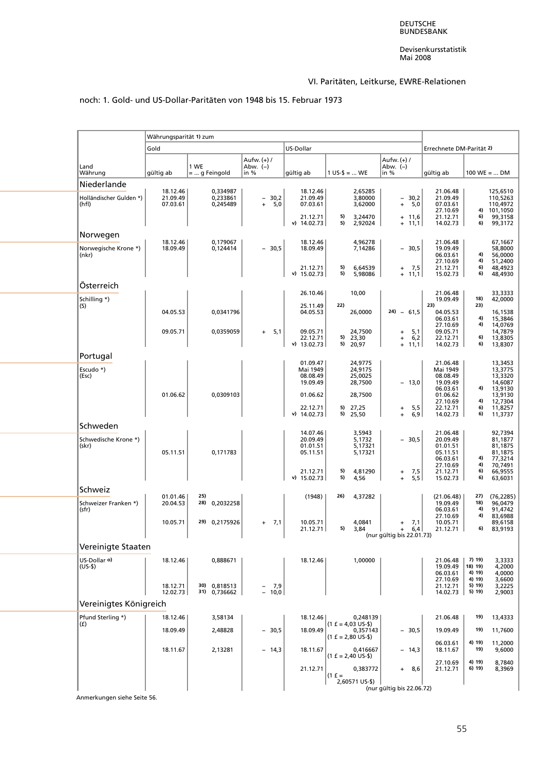# noch: 1. Gold- und US-Dollar-Paritäten von 1948 bis 15. Februar 1973

|                                  | Währungsparität 1) zum           |                                  |                                   |                |                                              |                          |                                          |                                       |                      |                                                |                             |                                                 |
|----------------------------------|----------------------------------|----------------------------------|-----------------------------------|----------------|----------------------------------------------|--------------------------|------------------------------------------|---------------------------------------|----------------------|------------------------------------------------|-----------------------------|-------------------------------------------------|
|                                  | Gold                             |                                  |                                   |                | US-Dollar                                    |                          |                                          |                                       |                      | Errechnete DM-Parität 2)                       |                             |                                                 |
| Land<br>Währung                  | gültig ab                        | 1 WE<br>=  g Feingold            | Aufw. (+) /<br>Abw. $(-)$<br>in % |                | gültig ab                                    | $1 \text{ US-}$ \$ =  WE |                                          | Aufw. (+) /<br>Abw. (–)<br>in %       |                      | gültig ab                                      |                             | $100 \text{ WE} =  \text{ DM}$                  |
| Niederlande                      |                                  |                                  |                                   |                |                                              |                          |                                          |                                       |                      |                                                |                             |                                                 |
| Holländischer Gulden *)<br>(hfl) | 18.12.46<br>21.09.49<br>07.03.61 | 0,334987<br>0,233861<br>0,245489 | $+$                               | $-30,2$<br>5,0 | 18.12.46<br>21.09.49<br>07.03.61             | 5)                       | 2,65285<br>3,80000<br>3,62000            | $\ddot{}$                             | $-30,2$<br>5,0       | 21.06.48<br>21.09.49<br>07.03.61<br>27.10.69   | 6)                          | 125,6510<br>110,5263<br>110,4972<br>4) 101,1050 |
|                                  |                                  |                                  |                                   |                | 21.12.71<br>v) $14.02.73$                    | 5)                       | 3,24470<br>2,92024                       |                                       | $+ 11,6$<br>$+ 11,1$ | 21.12.71<br>14.02.73                           | 6)                          | 99,3158<br>99,3172                              |
| Norwegen                         |                                  |                                  |                                   |                |                                              |                          |                                          |                                       |                      |                                                |                             |                                                 |
| Norwegische Krone *)<br>(nkr)    | 18.12.46<br>18.09.49             | 0,179067<br>0,124414             |                                   | - 30,5         | 18.12.46<br>18.09.49                         |                          | 4,96278<br>7,14286                       |                                       | $-30,5$              | 21.06.48<br>19.09.49<br>06.03.61<br>27.10.69   | 4)<br>4)                    | 67,1667<br>58,8000<br>56,0000<br>51,2400        |
|                                  |                                  |                                  |                                   |                | 21.12.71<br>v) $15.02.73$                    | 5)<br>5)                 | 6,64539<br>5,98086                       | $\ddot{}$                             | 7,5<br>$+ 11,1$      | 21.12.71<br>15.02.73                           | 6)<br>6)                    | 48,4923<br>48,4930                              |
| Österreich                       |                                  |                                  |                                   |                | 26.10.46                                     |                          | 10,00                                    |                                       |                      | 21.06.48                                       |                             | 33,3333                                         |
| Schilling *)<br>(S)              | 04.05.53                         | 0,0341796                        |                                   |                | 25.11.49<br>04.05.53                         | 22)                      | 26,0000                                  | $24) - 61,5$                          |                      | 19.09.49<br>23)<br>04.05.53                    | 18)<br>23)                  | 42,0000<br>16,1538                              |
|                                  | 09.05.71                         | 0,0359059                        | $+$                               | 5,1            | 09.05.71<br>22.12.71                         | 5)                       | 24,7500<br>23,30                         | $\ddot{}$                             | 5,1                  | 06.03.61<br>27.10.69<br>09.05.71               | 4)<br>4)<br>6)              | 15,3846<br>14,0769<br>14,7879                   |
|                                  |                                  |                                  |                                   |                | v) $13.02.73$                                |                          | 5) 20,97                                 | $\begin{array}{c} + \end{array}$      | 6, 2<br>$+ 11,1$     | 22.12.71<br>14.02.73                           | 6)                          | 13,8305<br>13,8307                              |
| Portugal                         |                                  |                                  |                                   |                |                                              |                          |                                          |                                       |                      |                                                |                             |                                                 |
| Escudo *)<br>(Esc)               |                                  |                                  |                                   |                | 01.09.47<br>Mai 1949<br>08.08.49<br>19.09.49 |                          | 24,9775<br>24,9175<br>25,0025<br>28,7500 |                                       | $-13,0$              | 21.06.48<br>Mai 1949<br>08.08.49<br>19.09.49   |                             | 13,3453<br>13,3775<br>13,3320<br>14,6087        |
|                                  | 01.06.62                         | 0,0309103                        |                                   |                | 01.06.62                                     |                          | 28,7500                                  |                                       |                      | 06.03.61<br>01.06.62                           | 4)                          | 13,9130<br>13,9130                              |
|                                  |                                  |                                  |                                   |                | 22.12.71                                     |                          | 5) 27,25                                 | $\ddot{}$                             | 5,5                  | 27.10.69<br>22.12.71                           | 4)<br>6)                    | 12,7304<br>11,8257                              |
| Schweden                         |                                  |                                  |                                   |                | v) 14.02.73                                  |                          | 5) 25,50                                 | $+$                                   | 6,9                  | 14.02.73                                       | 6)                          | 11,3737                                         |
|                                  |                                  |                                  |                                   |                | 14.07.46                                     |                          | 3,5943                                   |                                       |                      | 21.06.48<br>20.09.49                           |                             | 92,7394                                         |
| Schwedische Krone *)<br>(skr)    | 05.11.51                         | 0,171783                         |                                   |                | 20.09.49<br>01.01.51<br>05.11.51             |                          | 5,1732<br>5,17321<br>5,17321             | $\overline{\phantom{0}}$              | 30,5                 | 01.01.51<br>05.11.51<br>06.03.61               | 4)                          | 81,1877<br>81,1875<br>81,1875<br>77,3214        |
|                                  |                                  |                                  |                                   |                | 21.12.71<br>$v)$ 15.02.73                    | 5)<br>5)                 | 4,81290<br>4,56                          | $\ddot{}$<br>$+$                      | 7,5<br>5,5           | 27.10.69<br>21.12.71<br>15.02.73               | 4)<br>6)<br>6)              | 70,7491<br>66,9555<br>63,6031                   |
| Schweiz                          |                                  |                                  |                                   |                |                                              |                          |                                          |                                       |                      |                                                |                             |                                                 |
| Schweizer Franken *)<br>(sfr)    | 01.01.46<br>20.04.53             | 25)<br>28) 0,2032258             |                                   |                | (1948)                                       | 26)                      | 4,37282                                  |                                       |                      | (21.06.48)<br>19.09.49<br>06.03.61<br>27.10.69 | 27)<br>18)<br>4)<br>4)      | (76, 2285)<br>96,0479<br>91,4742<br>83,6988     |
|                                  | 10.05.71                         | 29) 0,2175926                    | $+ 7,1$                           |                | 10.05.71<br>21.12.71                         | 5)                       | 4,0841<br>3,84                           | +<br>$+$<br>(nur gültig bis 22.01.73) | 7,1<br>6, 4          | 10.05.71<br>21.12.71                           | 6)                          | 89,6158<br>83,9193                              |
| Vereinigte Staaten               |                                  |                                  |                                   |                |                                              |                          |                                          |                                       |                      |                                                |                             |                                                 |
| US-Dollar o)<br>$(US-$)$         | 18.12.46                         | 0,888671                         |                                   |                | 18.12.46                                     |                          | 1,00000                                  |                                       |                      | 21.06.48<br>19.09.49<br>06.03.61               | 7) 19)<br>18) 19)<br>4) 19) | 3,3333<br>4,2000<br>4,0000                      |
|                                  | 18.12.71<br>12.02.73             | 30) 0,818513<br>31) 0,736662     |                                   | 7,9<br>$-10,0$ |                                              |                          |                                          |                                       |                      | 27.10.69<br>21.12.71<br>14.02.73               | 4) 19)<br>5) 19)<br>5) 19)  | 3,6600<br>3,2225<br>2,9003                      |
| Vereinigtes Königreich           |                                  |                                  |                                   |                |                                              |                          |                                          |                                       |                      |                                                |                             |                                                 |
| Pfund Sterling *)                | 18.12.46                         | 3,58134                          |                                   |                | 18.12.46                                     |                          | 0,248139                                 |                                       |                      | 21.06.48                                       | 19)                         | 13,4333                                         |
| (f)                              | 18.09.49                         | 2,48828                          |                                   | $-30,5$        | 18.09.49                                     |                          | $(1 f = 4.03 US-$)$<br>0,357143          |                                       | $-30,5$              | 19.09.49                                       | 19)                         | 11,7600                                         |
|                                  | 18.11.67                         | 2,13281                          |                                   | - 14,3         | 18.11.67                                     |                          | $(1 f = 2,80 US-$)$<br>0,416667          |                                       | - 14,3               | 06.03.61<br>18.11.67                           | 4) 19)<br>19)               | 11,2000<br>9,6000                               |
|                                  |                                  |                                  |                                   |                | 21.12.71                                     |                          | $(1 f = 2,40 US-$)$<br>0,383772          | $+$                                   | 8,6                  | 27.10.69<br>21.12.71                           | 4) 19)<br>6) 19)            | 8,7840<br>8,3969                                |
|                                  |                                  |                                  |                                   |                |                                              | $(1 f =$                 | 2,60571 US-\$)                           | (nur gültig bis 22.06.72)             |                      |                                                |                             |                                                 |
|                                  |                                  |                                  |                                   |                |                                              |                          |                                          |                                       |                      |                                                |                             |                                                 |

Anmerkungen siehe Seite 56.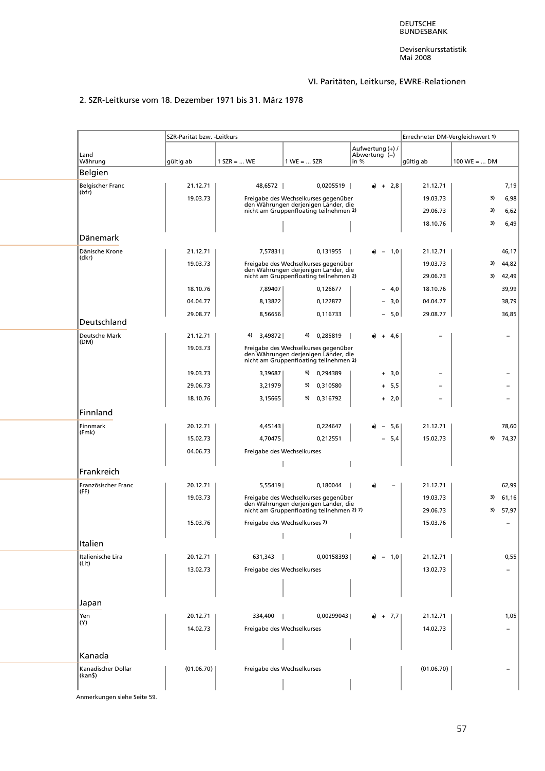# 2. SZR-Leitkurse vom 18. Dezember 1971 bis 31. März 1978

|                             | SZR-Parität bzw. - Leitkurs |               |                               |               |                                                                                                                           |                                     |                          |                 | Errechneter DM-Vergleichswert 1) |                                |          |                |
|-----------------------------|-----------------------------|---------------|-------------------------------|---------------|---------------------------------------------------------------------------------------------------------------------------|-------------------------------------|--------------------------|-----------------|----------------------------------|--------------------------------|----------|----------------|
| Land                        |                             |               |                               |               |                                                                                                                           | Aufwertung (+) /<br>Abwertung $(-)$ |                          |                 |                                  |                                |          |                |
| Währung                     | gültig ab                   | $1$ SZR =  WE |                               | $1 WE =  SZR$ |                                                                                                                           | in %                                |                          |                 | qültig ab                        | $100 \text{ WE} =  \text{ DM}$ |          |                |
| Belgien                     |                             |               |                               |               |                                                                                                                           |                                     |                          |                 |                                  |                                |          |                |
| Belgischer Franc<br>(bfr)   | 21.12.71                    |               | 48,6572                       |               | 0,0205519                                                                                                                 | $\bullet$                           | $+$                      | 2,8             | 21.12.71                         |                                |          | 7,19           |
|                             | 19.03.73                    |               |                               |               | Freigabe des Wechselkurses gegenüber<br>den Währungen derjenigen Länder, die                                              |                                     |                          |                 | 19.03.73                         |                                | 3)       | 6,98           |
|                             |                             |               |                               |               | nicht am Gruppenfloating teilnehmen 2)                                                                                    |                                     |                          |                 | 29.06.73                         |                                | 3)       | 6,62           |
|                             |                             |               |                               |               |                                                                                                                           |                                     |                          |                 | 18.10.76                         |                                | 3)       | 6,49           |
| Dänemark                    |                             |               |                               |               |                                                                                                                           |                                     |                          |                 |                                  |                                |          |                |
| Dänische Krone              | 21.12.71                    |               | 7,57831                       |               | 0,131955                                                                                                                  | $\bullet$                           | $\overline{\phantom{a}}$ | 1,0             | 21.12.71                         |                                |          | 46,17          |
| (dkr)                       | 19.03.73                    |               |                               |               | Freigabe des Wechselkurses gegenüber                                                                                      |                                     |                          |                 | 19.03.73                         |                                | 3)       | 44,82          |
|                             |                             |               |                               |               | den Währungen derjenigen Länder, die<br>nicht am Gruppenfloating teilnehmen 2)                                            |                                     |                          |                 | 29.06.73                         |                                | 3)       | 42,49          |
|                             | 18.10.76                    |               | 7,89407                       |               | 0,126677                                                                                                                  |                                     |                          | $-4,0$          | 18.10.76                         |                                |          | 39,99          |
|                             | 04.04.77                    |               | 8,13822                       |               | 0,122877                                                                                                                  |                                     |                          | $-3,0$          | 04.04.77                         |                                |          | 38,79          |
|                             | 29.08.77                    |               | 8,56656                       |               | 0,116733                                                                                                                  |                                     |                          | $-5,0$          | 29.08.77                         |                                |          | 36,85          |
| Deutschland                 |                             |               |                               |               |                                                                                                                           |                                     |                          |                 |                                  |                                |          |                |
| Deutsche Mark<br>(DM)       | 21.12.71                    |               | 3,49872<br>4)                 | 4)            | 0,285819                                                                                                                  |                                     | $\ddot{}$                | 4,6             |                                  |                                |          |                |
|                             | 19.03.73                    |               |                               |               | Freigabe des Wechselkurses gegenüber<br>den Währungen derjenigen Länder, die<br>nicht am Gruppenfloating teilnehmen 2)    |                                     |                          |                 |                                  |                                |          |                |
|                             | 19.03.73                    |               | 3,39687                       |               | 5) 0,294389                                                                                                               |                                     |                          | $+ 3,0$         |                                  |                                |          |                |
|                             | 29.06.73                    |               | 3,21979                       | 5)            | 0,310580                                                                                                                  |                                     |                          | $+ 5,5$         |                                  |                                |          |                |
|                             | 18.10.76                    |               | 3,15665                       |               | 5) 0,316792                                                                                                               |                                     |                          | $+ 2,0$         |                                  |                                |          |                |
| Finnland                    |                             |               |                               |               |                                                                                                                           |                                     |                          |                 |                                  |                                |          |                |
| Finnmark                    | 20.12.71                    |               | 4,45143                       |               | 0,224647                                                                                                                  |                                     |                          | 5,6             | 21.12.71                         |                                |          | 78,60          |
| (Fmk)                       | 15.02.73                    |               | 4,70475                       |               | 0,212551                                                                                                                  |                                     |                          | 5,4             | 15.02.73                         |                                | 6)       | 74,37          |
|                             | 04.06.73                    |               | Freigabe des Wechselkurses    |               |                                                                                                                           |                                     |                          |                 |                                  |                                |          |                |
|                             |                             |               |                               |               |                                                                                                                           |                                     |                          |                 |                                  |                                |          |                |
| Frankreich                  |                             |               |                               |               |                                                                                                                           |                                     |                          |                 |                                  |                                |          |                |
| Französischer Franc<br>(FF) | 20.12.71                    |               | 5,55419                       |               | 0,180044                                                                                                                  | $\bullet$                           |                          |                 | 21.12.71                         |                                |          | 62,99          |
|                             | 19.03.73                    |               |                               |               | Freigabe des Wechselkurses gegenüber<br>den Währungen derjenigen Länder, die<br>nicht am Gruppenfloating teilnehmen 2) 7) |                                     |                          |                 | 19.03.73<br>29.06.73             |                                | 3)<br>3) | 61,16<br>57,97 |
|                             | 15.03.76                    |               | Freigabe des Wechselkurses 7) |               |                                                                                                                           |                                     |                          |                 | 15.03.76                         |                                |          |                |
|                             |                             |               |                               |               |                                                                                                                           |                                     |                          |                 |                                  |                                |          |                |
| Italien                     |                             |               |                               |               |                                                                                                                           |                                     |                          |                 |                                  |                                |          |                |
| Italienische Lira<br>(Lit)  | 20.12.71                    |               | 631,343                       |               | 0,00158393                                                                                                                |                                     |                          | $-1,0$          | 21.12.71                         |                                |          | 0,55           |
|                             | 13.02.73                    |               | Freigabe des Wechselkurses    |               |                                                                                                                           |                                     |                          |                 | 13.02.73                         |                                |          |                |
|                             |                             |               |                               |               |                                                                                                                           |                                     |                          |                 |                                  |                                |          |                |
| Japan                       |                             |               |                               |               |                                                                                                                           |                                     |                          |                 |                                  |                                |          |                |
| Yen                         | 20.12.71                    |               | 334,400                       |               | 0,00299043                                                                                                                |                                     |                          | $\bullet$ + 7,7 | 21.12.71                         |                                |          | 1,05           |
| (Y)                         | 14.02.73                    |               | Freigabe des Wechselkurses    |               |                                                                                                                           |                                     |                          |                 | 14.02.73                         |                                |          |                |
|                             |                             |               |                               |               |                                                                                                                           |                                     |                          |                 |                                  |                                |          |                |
| Kanada                      |                             |               |                               |               |                                                                                                                           |                                     |                          |                 |                                  |                                |          |                |
| Kanadischer Dollar          | (01.06.70)                  |               | Freigabe des Wechselkurses    |               |                                                                                                                           |                                     |                          |                 | (01.06.70)                       |                                |          |                |
| (kan\$)                     |                             |               |                               |               |                                                                                                                           |                                     |                          |                 |                                  |                                |          |                |

Anmerkungen siehe Seite 59.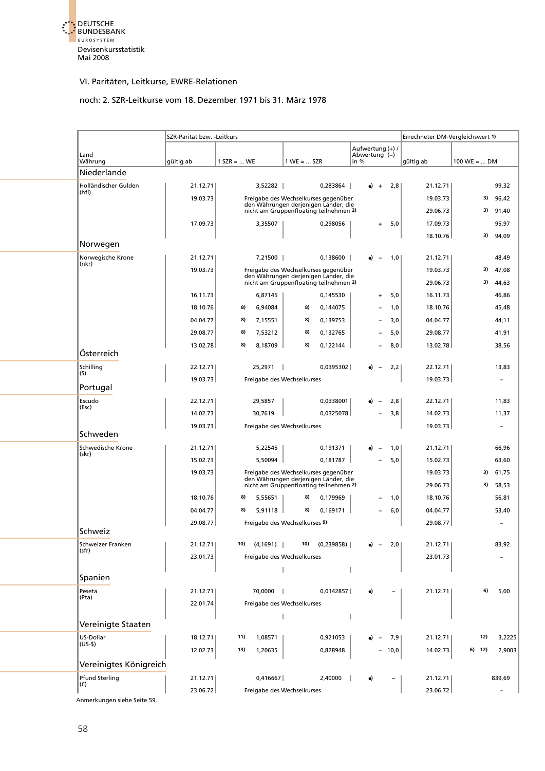

# noch: 2. SZR-Leitkurse vom 18. Dezember 1971 bis 31. März 1978

|                               | SZR-Parität bzw. - Leitkurs |               |           |                                                                                                                        |             |                                   |         | Errechneter DM-Vergleichswert 1) |                                |                          |  |
|-------------------------------|-----------------------------|---------------|-----------|------------------------------------------------------------------------------------------------------------------------|-------------|-----------------------------------|---------|----------------------------------|--------------------------------|--------------------------|--|
| Land                          |                             |               |           |                                                                                                                        |             | Aufwertung (+) /<br>Abwertung (-) |         |                                  |                                |                          |  |
| Währung<br>Niederlande        | gültig ab                   | $1$ SZR =  WE |           | $1 WE =  SZR$                                                                                                          |             | in %                              |         | gültig ab                        | $100 \text{ WE} =  \text{ DM}$ |                          |  |
|                               |                             |               |           |                                                                                                                        |             |                                   |         |                                  |                                |                          |  |
| Holländischer Gulden<br>(hfl) | 21.12.71                    |               | 3,52282   |                                                                                                                        | 0,283864    | $\overline{ }$                    | 2,8     | 21.12.71                         | 3)                             | 99,32                    |  |
|                               | 19.03.73                    |               |           | Freigabe des Wechselkurses gegenüber<br>den Währungen derjenigen Länder, die<br>nicht am Gruppenfloating teilnehmen 2) |             |                                   |         | 19.03.73<br>29.06.73             |                                | 96,42<br>$3)$ 91,40      |  |
|                               | 17.09.73                    |               | 3,35507   |                                                                                                                        | 0,298056    | $\ddot{}$                         | 5,0     | 17.09.73                         |                                | 95,97                    |  |
|                               |                             |               |           |                                                                                                                        |             |                                   |         | 18.10.76                         | 3)                             | 94,09                    |  |
| Norwegen                      |                             |               |           |                                                                                                                        |             |                                   |         |                                  |                                |                          |  |
| Norwegische Krone             | 21.12.71                    |               | 7,21500   |                                                                                                                        | 0,138600    |                                   | 1,0     | 21.12.71                         |                                | 48,49                    |  |
| (nkr)                         | 19.03.73                    |               |           | Freigabe des Wechselkurses gegenüber<br>den Währungen derjenigen Länder, die                                           |             |                                   |         | 19.03.73                         | 3)                             | 47,08                    |  |
|                               |                             |               |           | nicht am Gruppenfloating teilnehmen 2)                                                                                 |             |                                   |         | 29.06.73                         | 3)                             | 44,63                    |  |
|                               | 16.11.73                    |               | 6,87145   |                                                                                                                        | 0,145530    | $\ddot{}$                         | 5,0     | 16.11.73                         |                                | 46,86                    |  |
|                               | 18.10.76                    | 8)            | 6,94084   | 8)                                                                                                                     | 0,144075    |                                   | 1,0     | 18.10.76                         |                                | 45,48                    |  |
|                               | 04.04.77                    | 8)            | 7,15551   | 8)                                                                                                                     | 0,139753    |                                   | 3,0     | 04.04.77                         |                                | 44,11                    |  |
|                               | 29.08.77                    | 8)            | 7,53212   | 8)                                                                                                                     | 0,132765    |                                   | 5,0     | 29.08.77                         |                                | 41,91                    |  |
| Österreich                    | 13.02.78                    | 8)            | 8,18709   | 8)                                                                                                                     | 0,122144    | ۳                                 | 8,0     | 13.02.78                         |                                | 38,56                    |  |
| Schilling                     | 22.12.71                    |               | 25,2971   |                                                                                                                        | 0,0395302   |                                   |         | 22.12.71                         |                                | 13,83                    |  |
| (S)                           | 19.03.73                    |               |           | Freigabe des Wechselkurses                                                                                             |             |                                   | 2,2     | 19.03.73                         |                                | $\overline{\phantom{0}}$ |  |
| Portugal                      |                             |               |           |                                                                                                                        |             |                                   |         |                                  |                                |                          |  |
| Escudo                        | 22.12.71                    |               | 29,5857   |                                                                                                                        | 0,0338001   |                                   | 2,8     | 22.12.71                         |                                | 11,83                    |  |
| (Esc)                         | 14.02.73                    |               | 30,7619   |                                                                                                                        | 0,0325078   |                                   | 3,8     | 14.02.73                         |                                | 11,37                    |  |
|                               | 19.03.73                    |               |           | Freigabe des Wechselkurses                                                                                             |             |                                   |         | 19.03.73                         |                                | $\overline{\phantom{0}}$ |  |
| Schweden                      |                             |               |           |                                                                                                                        |             |                                   |         |                                  |                                |                          |  |
| Schwedische Krone<br>(skr)    | 21.12.71                    |               | 5,22545   |                                                                                                                        | 0,191371    |                                   | 1,0     | 21.12.71                         |                                | 66,96                    |  |
|                               | 15.02.73                    |               | 5,50094   |                                                                                                                        | 0,181787    |                                   | 5,0     | 15.02.73                         |                                | 63,60                    |  |
|                               | 19.03.73                    |               |           | Freigabe des Wechselkurses gegenüber<br>den Währungen derjenigen Länder, die<br>nicht am Gruppenfloating teilnehmen 2) |             |                                   |         | 19.03.73<br>29.06.73             | 3)                             | 61,75<br>3) 58,53        |  |
|                               | 18.10.76                    | 8)            | 5,55651   | 8)                                                                                                                     | 0,179969    |                                   | 1,0     | 18.10.76                         |                                | 56,81                    |  |
|                               | 04.04.77                    | 8)            | 5,91118   | 8)                                                                                                                     | 0,169171    |                                   | 6,0     | 04.04.77                         |                                | 53,40                    |  |
| Schweiz                       | 29.08.77                    |               |           | Freigabe des Wechselkurses 9)                                                                                          |             |                                   |         | 29.08.77                         |                                |                          |  |
|                               |                             |               |           |                                                                                                                        |             |                                   |         |                                  |                                |                          |  |
| Schweizer Franken<br>(sfr)    | 21.12.71                    | 10)           | (4, 1691) | 10)                                                                                                                    | (0, 239858) |                                   | 2,0     | 21.12.71                         |                                | 83,92                    |  |
|                               | 23.01.73                    |               |           | Freigabe des Wechselkurses                                                                                             |             |                                   |         | 23.01.73                         |                                |                          |  |
| Spanien                       |                             |               |           |                                                                                                                        |             |                                   |         |                                  |                                |                          |  |
| Peseta                        | 21.12.71                    |               | 70,0000   |                                                                                                                        | 0,0142857   |                                   |         | 21.12.71                         | 6)                             | 5,00                     |  |
| (Pta)                         | 22.01.74                    |               |           | Freigabe des Wechselkurses                                                                                             |             |                                   |         |                                  |                                |                          |  |
|                               |                             |               |           |                                                                                                                        |             |                                   |         |                                  |                                |                          |  |
| Vereinigte Staaten            |                             |               |           |                                                                                                                        |             |                                   |         |                                  |                                |                          |  |
| US-Dollar<br>$(US-$)$         | 18.12.71                    | 11)           | 1,08571   |                                                                                                                        | 0,921053    |                                   | 7,9     | 21.12.71                         | 12)                            | 3,2225                   |  |
|                               | 12.02.73                    | 13)           | 1,20635   |                                                                                                                        | 0,828948    |                                   | $-10,0$ | 14.02.73                         | 6) 12)                         | 2,9003                   |  |
| Vereinigtes Königreich        |                             |               |           |                                                                                                                        |             |                                   |         |                                  |                                |                          |  |
| <b>Pfund Sterling</b><br>(f)  | 21.12.71                    |               | 0,416667  |                                                                                                                        | 2,40000     |                                   |         | 21.12.71                         |                                | 839,69                   |  |
| Anmerkungen siehe Seite 59.   | 23.06.72                    |               |           | Freigabe des Wechselkurses                                                                                             |             |                                   |         | 23.06.72                         |                                |                          |  |
|                               |                             |               |           |                                                                                                                        |             |                                   |         |                                  |                                |                          |  |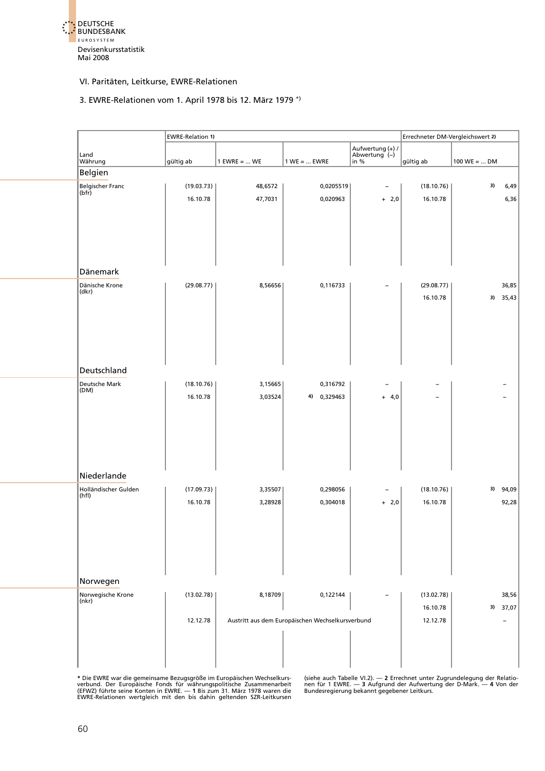

## 3. EWRE-Relationen vom 1. April 1978 bis 12. März 1979 \*)

|                            | <b>EWRE-Relation 1)</b> |                | Errechneter DM-Vergleichswert 2)                 |                                           |               |              |
|----------------------------|-------------------------|----------------|--------------------------------------------------|-------------------------------------------|---------------|--------------|
| Land                       |                         |                |                                                  | Aufwertung (+) /<br>Abwertung (-)<br>in % |               |              |
| Währung                    | gültig ab               | $1$ EWRE =  WE | $1 WE =  EWRE$                                   |                                           | $ $ gültig ab | 100 WE =  DM |
| Belgien                    |                         |                |                                                  |                                           |               |              |
| Belgischer Franc<br>(bfr)  | (19.03.73)              | 48,6572        | 0,0205519                                        |                                           | (18.10.76)    | 3)<br>6,49   |
|                            | 16.10.78                | 47,7031        | 0,020963                                         | $+ 2,0$                                   | 16.10.78      | 6,36         |
|                            |                         |                |                                                  |                                           |               |              |
|                            |                         |                |                                                  |                                           |               |              |
|                            |                         |                |                                                  |                                           |               |              |
|                            |                         |                |                                                  |                                           |               |              |
|                            |                         |                |                                                  |                                           |               |              |
| Dänemark                   |                         |                |                                                  |                                           |               |              |
| Dänische Krone<br>(dkr)    | (29.08.77)              | 8,56656        | 0,116733                                         |                                           | (29.08.77)    | 36,85        |
|                            |                         |                |                                                  |                                           | 16.10.78      | 3) 35,43     |
|                            |                         |                |                                                  |                                           |               |              |
|                            |                         |                |                                                  |                                           |               |              |
|                            |                         |                |                                                  |                                           |               |              |
|                            |                         |                |                                                  |                                           |               |              |
|                            |                         |                |                                                  |                                           |               |              |
| Deutschland                |                         |                |                                                  |                                           |               |              |
| Deutsche Mark<br>(DM)      | (18.10.76)              | 3,15665        | 0,316792                                         |                                           |               |              |
|                            | 16.10.78                | 3,03524        | 4) 0,329463                                      | $+ 4,0$                                   |               |              |
|                            |                         |                |                                                  |                                           |               |              |
|                            |                         |                |                                                  |                                           |               |              |
|                            |                         |                |                                                  |                                           |               |              |
|                            |                         |                |                                                  |                                           |               |              |
|                            |                         |                |                                                  |                                           |               |              |
| Niederlande                |                         |                |                                                  |                                           |               |              |
| Holländischer Gulden       | (17.09.73)              | 3,35507        | 0,298056                                         |                                           | (18.10.76)    | 3)<br>94,09  |
| (hfl)                      | 16.10.78                | 3,28928        | 0,304018                                         | $+ 2,0$                                   | 16.10.78      | 92,28        |
|                            |                         |                |                                                  |                                           |               |              |
|                            |                         |                |                                                  |                                           |               |              |
|                            |                         |                |                                                  |                                           |               |              |
|                            |                         |                |                                                  |                                           |               |              |
|                            |                         |                |                                                  |                                           |               |              |
|                            |                         |                |                                                  |                                           |               |              |
| Norwegen                   |                         |                |                                                  |                                           |               |              |
| Norwegische Krone<br>(nkr) | (13.02.78)              | 8,18709        | 0,122144                                         |                                           | (13.02.78)    | 38,56        |
|                            |                         |                |                                                  |                                           | 16.10.78      | 3) 37,07     |
|                            | 12.12.78                |                | Austritt aus dem Europäischen Wechselkursverbund |                                           | 12.12.78      |              |
|                            |                         |                |                                                  |                                           |               |              |
|                            |                         |                |                                                  |                                           |               |              |
|                            |                         |                |                                                  |                                           |               |              |

\* Die EWRE war die gemeinsame Bezugsgröße im Europäischen Wechselkurs- (siehe auch Tabelle VI.2). — 2 Errechnet unter Zugrundelegung der Relatio-<br>verbund. Der Europäische Fonds für währungspolitische Zusammenarbeit – nen f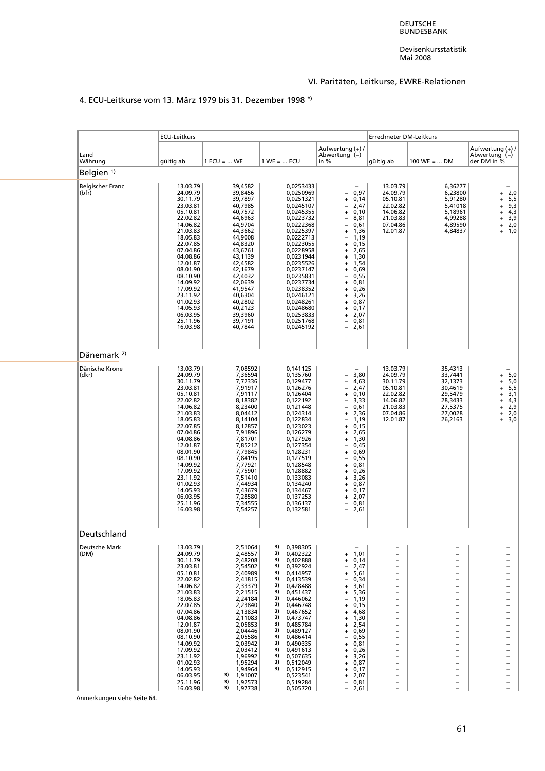# 4. ECU-Leitkurse vom 13. März 1979 bis 31. Dezember 1998 \*)

|                                  | <b>ECU-Leitkurs</b>                                                                                                                                                                                                                                                              |                                                                                                                                                                                                                                                                          |                                                                                                                                                                                                                                                                                                                                                                                                          |                                                                                                                                                                                                                                                                                                                                            | Errechneter DM-Leitkurs                                                                                                                                                                                                                                                                                                                                                                                                                    |                                                                                                                                                                                                                                                                                                                                                                   |                                                                                                                                                                                                                                                                                                                                                                                                                                                          |  |  |
|----------------------------------|----------------------------------------------------------------------------------------------------------------------------------------------------------------------------------------------------------------------------------------------------------------------------------|--------------------------------------------------------------------------------------------------------------------------------------------------------------------------------------------------------------------------------------------------------------------------|----------------------------------------------------------------------------------------------------------------------------------------------------------------------------------------------------------------------------------------------------------------------------------------------------------------------------------------------------------------------------------------------------------|--------------------------------------------------------------------------------------------------------------------------------------------------------------------------------------------------------------------------------------------------------------------------------------------------------------------------------------------|--------------------------------------------------------------------------------------------------------------------------------------------------------------------------------------------------------------------------------------------------------------------------------------------------------------------------------------------------------------------------------------------------------------------------------------------|-------------------------------------------------------------------------------------------------------------------------------------------------------------------------------------------------------------------------------------------------------------------------------------------------------------------------------------------------------------------|----------------------------------------------------------------------------------------------------------------------------------------------------------------------------------------------------------------------------------------------------------------------------------------------------------------------------------------------------------------------------------------------------------------------------------------------------------|--|--|
| Land<br>Währung                  | gültig ab                                                                                                                                                                                                                                                                        | $1 ECU =  WE$                                                                                                                                                                                                                                                            | $1 WE =  ECU$                                                                                                                                                                                                                                                                                                                                                                                            | Aufwertung (+) /<br>Abwertung (-)<br>in %                                                                                                                                                                                                                                                                                                  | gültig ab                                                                                                                                                                                                                                                                                                                                                                                                                                  | $100 \text{ WE} =  \text{ DM}$                                                                                                                                                                                                                                                                                                                                    | Aufwertung (+) /<br>Abwertung (-)<br>der DM in %                                                                                                                                                                                                                                                                                                                                                                                                         |  |  |
| Belgien <sup>1)</sup>            |                                                                                                                                                                                                                                                                                  |                                                                                                                                                                                                                                                                          |                                                                                                                                                                                                                                                                                                                                                                                                          |                                                                                                                                                                                                                                                                                                                                            |                                                                                                                                                                                                                                                                                                                                                                                                                                            |                                                                                                                                                                                                                                                                                                                                                                   |                                                                                                                                                                                                                                                                                                                                                                                                                                                          |  |  |
| <b>Belgischer Franc</b><br>(bfr) | 13.03.79<br>24.09.79<br>30.11.79<br>23.03.81<br>05.10.81<br>22.02.82<br>14.06.82<br>21.03.83<br>18.05.83<br>22.07.85<br>07.04.86<br>04.08.86<br>12.01.87<br>08.01.90<br>08.10.90<br>14.09.92<br>17.09.92<br>23.11.92<br>01.02.93<br>14.05.93<br>06.03.95<br>25.11.96<br>16.03.98 | 39,4582<br>39,8456<br>39,7897<br>40,7985<br>40,7572<br>44,6963<br>44,9704<br>44,3662<br>44,9008<br>44,8320<br>43,6761<br>43,1139<br>42,4582<br>42,1679<br>42,4032<br>42,0639<br>41,9547<br>40,6304<br>40,2802<br>40,2123<br>39,3960<br>39,7191<br>40,7844                | 0,0253433<br>0,0250969<br>0,0251321<br>0,0245107<br>0,0245355<br>0,0223732<br>0,0222368<br>0,0225397<br>0,0222713<br>0,0223055<br>0,0228958<br>0,0231944<br>0,0235526<br>0,0237147<br>0,0235831<br>0,0237734<br>0,0238352<br>0,0246121<br>0,0248261<br>0,0248680<br>0,0253833<br>0,0251768<br>0,0245192                                                                                                  | 0,97<br>$+ 0,14$<br>2,47<br>$\overline{\phantom{a}}$<br>$+ 0,10$<br>8,81<br>0,61<br>$\overline{\phantom{a}}$<br>$+ 1,36$<br>1,19<br>-<br>$+ 0,15$<br>2,65<br>$\ddot{}$<br>1,30<br>$+$<br>1,54<br>$\ddot{}$<br>0,69<br>$\ddot{}$<br>0,55<br>$+ 0,81$<br>0,26<br>$+$<br>3,26<br>$+$<br>$+ 0,87$<br>$+ 0,17$<br>$+2,07$<br>$-0,81$<br>$-2,61$ | 13.03.79<br>24.09.79<br>05.10.81<br>22.02.82<br>14.06.82<br>21.03.83<br>07.04.86<br>12.01.87                                                                                                                                                                                                                                                                                                                                               | 6,36277<br>6,23800<br>5,91280<br>5,41018<br>5,18961<br>4,99288<br>4,89590<br>4,84837                                                                                                                                                                                                                                                                              | + 2,0<br>+ 5,5<br>+ 9,3<br>+ 4,3<br>+ 3,9<br>$+2,0$<br>$+ 1,0$                                                                                                                                                                                                                                                                                                                                                                                           |  |  |
| Dänemark <sup>2)</sup>           |                                                                                                                                                                                                                                                                                  |                                                                                                                                                                                                                                                                          |                                                                                                                                                                                                                                                                                                                                                                                                          |                                                                                                                                                                                                                                                                                                                                            |                                                                                                                                                                                                                                                                                                                                                                                                                                            |                                                                                                                                                                                                                                                                                                                                                                   |                                                                                                                                                                                                                                                                                                                                                                                                                                                          |  |  |
| Dänische Krone<br>(dkr)          | 13.03.79<br>24.09.79<br>30.11.79<br>23.03.81<br>05.10.81<br>22.02.82<br>14.06.82<br>21.03.83<br>18.05.83<br>22.07.85<br>07.04.86<br>04.08.86<br>12.01.87<br>08.01.90<br>08.10.90<br>14.09.92<br>17.09.92<br>23.11.92<br>01.02.93<br>14.05.93<br>06.03.95<br>25.11.96<br>16.03.98 | 7,08592<br>7,36594<br>7,72336<br>7,91917<br>7,91117<br>8,18382<br>8,23400<br>8,04412<br>8,14104<br>8,12857<br>7,91896<br>7,81701<br>7,85212<br>7,79845<br>7,84195<br>7,77921<br>7,75901<br>7,51410<br>7,44934<br>7,43679<br>7,28580<br>7,34555<br>7,54257                | 0,141125<br>0,135760<br>0,129477<br>0,126276<br>0,126404<br>0,122192<br>0,121448<br>0,124314<br>0,122834<br>0,123023<br>0,126279<br>0,127926<br>0,127354<br>0,128231<br>0,127519<br>0,128548<br>0,128882<br>0,133083<br>0,134240<br>0,134467<br>0,137253<br>0,136137<br>0,132581                                                                                                                         | $-3,80$<br>4,63<br>$-2,47$<br>$+ 0,10$<br>3,33<br>$-0,61$<br>2,36<br>$+$<br>1,19<br>$+ 0,15$<br>2,65<br>$+$<br>$+ 1,30$<br>0,45<br>$0,69$<br>$0,55$<br>$+$<br>$\overline{\phantom{a}}$<br>$+ 0,81$<br>0,26<br>$\ddot{}$<br>$+ 3,26$<br>$+ 0,87$<br>$+ 0,17$<br>$+ 2,07$<br>$-0,81$<br>$-$<br>2,61                                          | 13.03.79<br>24.09.79<br>30.11.79<br>05.10.81<br>22.02.82<br>14.06.82<br>21.03.83<br>07.04.86<br>12.01.87                                                                                                                                                                                                                                                                                                                                   | 35,4313<br>33,7441<br>32,1373<br>30,4619<br>29,5479<br>28,3433<br>27,5375<br>27,0028<br>26,2163                                                                                                                                                                                                                                                                   | $+ 5,0$<br>$+ 5,0$<br>+ 5,5<br>$+3,1$<br>+4,3<br>+2,9<br>$+2,0$<br>+ 3,0                                                                                                                                                                                                                                                                                                                                                                                 |  |  |
| Deutschland                      |                                                                                                                                                                                                                                                                                  |                                                                                                                                                                                                                                                                          |                                                                                                                                                                                                                                                                                                                                                                                                          |                                                                                                                                                                                                                                                                                                                                            |                                                                                                                                                                                                                                                                                                                                                                                                                                            |                                                                                                                                                                                                                                                                                                                                                                   |                                                                                                                                                                                                                                                                                                                                                                                                                                                          |  |  |
| Deutsche Mark<br>(DM)            | 13.03.79<br>24.09.79<br>30.11.79<br>23.03.81<br>05.10.81<br>22.02.82<br>14.06.82<br>21.03.83<br>18.05.83<br>22.07.85<br>07.04.86<br>04.08.86<br>12.01.87<br>08.01.90<br>08.10.90<br>14.09.92<br>17.09.92<br>23.11.92<br>01.02.93<br>14.05.93<br>06.03.95<br>25.11.96<br>16.03.98 | 2,51064<br>2,48557<br>2,48208<br>2,54502<br>2,40989<br>2,41815<br>2,33379<br>2,21515<br>2,24184<br>2,23840<br>2,13834<br>2,11083<br>2,05853<br>2,04446<br>2,05586<br>2,03942<br>2,03412<br>1,96992<br>1,95294<br>1,94964<br>3)<br>1,91007<br>3)<br>1,92573<br>3) 1,97738 | 0,398305<br>3)<br>3)<br>0,402322<br>3)<br>0,402888<br>3)<br>0,392924<br>3)<br>0,414957<br>3)<br>0,413539<br>3)<br>0,428488<br>3)<br>0,451437<br>3)<br>0,446062<br>3)<br>0,446748<br>3)<br>0,467652<br>3)<br>0,473747<br>3)<br>0,485784<br>3)<br>0,489127<br>3)<br>0,486414<br>3)<br>0,490335<br>3)<br>0,491613<br>3)<br>0,507635<br>3)<br>0,512049<br>3)<br>0,512915<br>0,523541<br>0,519284<br>0,505720 | 1,01<br>0,14<br>2,47<br>5,61<br>$\ddot{}$<br>0,34<br>3,61<br>÷<br>5,36<br>$\ddot{}$<br>1,19<br>0,15<br>÷<br>4,68<br>$\ddot{}$<br>1,30<br>÷<br>2,54<br>0,69<br>$\ddot{}$<br>0,55<br>0,81<br>+<br>0,26<br>$\ddot{}$<br>3,26<br>÷<br>0,87<br>+<br>0,17<br>÷<br>2,07<br>+<br>0,81<br>- 2,61                                                    | $\overline{\phantom{0}}$<br>L,<br>$\overline{\phantom{0}}$<br>$\overline{\phantom{a}}$<br>L,<br>$\qquad \qquad -$<br>$\qquad \qquad -$<br>L,<br>$\qquad \qquad -$<br>$\overline{\phantom{a}}$<br>$\qquad \qquad -$<br>$\qquad \qquad -$<br>$\overline{\phantom{a}}$<br>$\qquad \qquad -$<br>$\qquad \qquad -$<br>$\qquad \qquad -$<br>$\qquad \qquad -$<br>$\qquad \qquad -$<br>$\overline{\phantom{a}}$<br>L,<br>$\overline{\phantom{0}}$ | $\overline{\phantom{a}}$<br>$\overline{\phantom{a}}$<br>$\qquad \qquad -$<br>$\overline{\phantom{a}}$<br>$\overline{\phantom{0}}$<br>$\overline{\phantom{a}}$<br>$\overline{\phantom{m}}$<br>$\overline{\phantom{0}}$<br>$\overline{\phantom{a}}$<br>$\overline{\phantom{0}}$<br>$\overline{\phantom{a}}$<br>$\overline{\phantom{0}}$<br>$\overline{\phantom{0}}$ | $\overline{\phantom{0}}$<br>$\overline{\phantom{0}}$<br>$\overline{\phantom{0}}$<br>$\qquad \qquad -$<br>$\qquad \qquad -$<br>Ē,<br>$\overline{\phantom{0}}$<br>$\overline{\phantom{0}}$<br>$\overline{\phantom{0}}$<br>$\qquad \qquad -$<br>$\overline{\phantom{0}}$<br>$\overline{\phantom{0}}$<br>$\qquad \qquad -$<br>$\overline{\phantom{0}}$<br>$\overline{a}$<br>$\overline{\phantom{a}}$<br>$\overline{\phantom{0}}$<br>$\overline{\phantom{0}}$ |  |  |

Anmerkungen siehe Seite 64.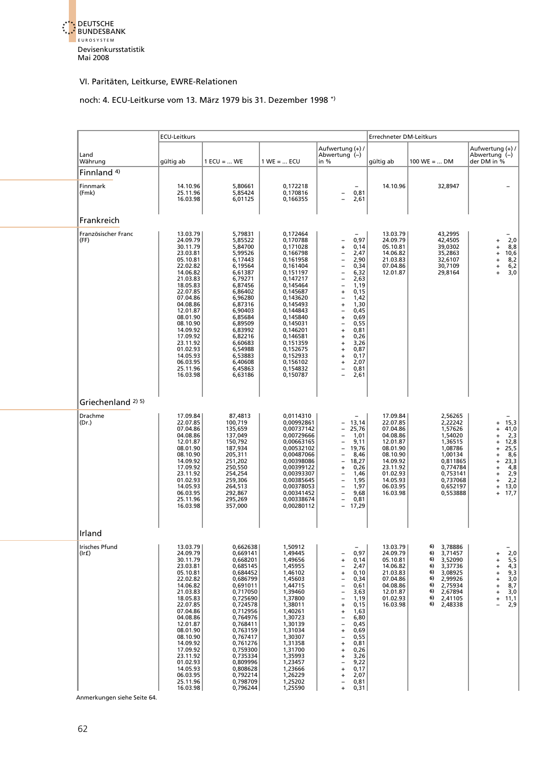

# noch: 4. ECU-Leitkurse vom 13. März 1979 bis 31. Dezember 1998 \*)

|                                          | <b>ECU-Leitkurs</b>                                                                                                                                                                                                                                                              |                                                                                                                                                                                                                                                                                  |                                                                                                                                                                                                                                                                                  |                                                                                                                                                                                                                                                                                                                                                                                                                                                                                                                                                                                                        | Errechneter DM-Leitkurs                                                                                                                                  |                                                                                                                                                                     |                                                                                                                                                                                                                                                                                       |  |  |
|------------------------------------------|----------------------------------------------------------------------------------------------------------------------------------------------------------------------------------------------------------------------------------------------------------------------------------|----------------------------------------------------------------------------------------------------------------------------------------------------------------------------------------------------------------------------------------------------------------------------------|----------------------------------------------------------------------------------------------------------------------------------------------------------------------------------------------------------------------------------------------------------------------------------|--------------------------------------------------------------------------------------------------------------------------------------------------------------------------------------------------------------------------------------------------------------------------------------------------------------------------------------------------------------------------------------------------------------------------------------------------------------------------------------------------------------------------------------------------------------------------------------------------------|----------------------------------------------------------------------------------------------------------------------------------------------------------|---------------------------------------------------------------------------------------------------------------------------------------------------------------------|---------------------------------------------------------------------------------------------------------------------------------------------------------------------------------------------------------------------------------------------------------------------------------------|--|--|
| Land<br>Währung                          | gültig ab                                                                                                                                                                                                                                                                        | $1 ECU =  WE$                                                                                                                                                                                                                                                                    | $1 WE =  ECU$                                                                                                                                                                                                                                                                    | Aufwertung (+) /<br>Abwertung (-)<br>in $%$                                                                                                                                                                                                                                                                                                                                                                                                                                                                                                                                                            | gültig ab                                                                                                                                                | $100$ WE =  DM                                                                                                                                                      | Aufwertung (+) /<br>Abwertung $(-)$<br>der DM in %                                                                                                                                                                                                                                    |  |  |
| Finnland <sup>4)</sup>                   |                                                                                                                                                                                                                                                                                  |                                                                                                                                                                                                                                                                                  |                                                                                                                                                                                                                                                                                  |                                                                                                                                                                                                                                                                                                                                                                                                                                                                                                                                                                                                        |                                                                                                                                                          |                                                                                                                                                                     |                                                                                                                                                                                                                                                                                       |  |  |
| Finnmark<br>(Fmk)                        | 14.10.96<br>25.11.96<br>16.03.98                                                                                                                                                                                                                                                 | 5,80661<br>5,85424<br>6,01125                                                                                                                                                                                                                                                    | 0,172218<br>0,170816<br>0,166355                                                                                                                                                                                                                                                 | $\overline{\phantom{0}}$<br>0,81<br>$\equiv$<br>2,61                                                                                                                                                                                                                                                                                                                                                                                                                                                                                                                                                   | 14.10.96                                                                                                                                                 | 32,8947                                                                                                                                                             |                                                                                                                                                                                                                                                                                       |  |  |
| Frankreich                               |                                                                                                                                                                                                                                                                                  |                                                                                                                                                                                                                                                                                  |                                                                                                                                                                                                                                                                                  |                                                                                                                                                                                                                                                                                                                                                                                                                                                                                                                                                                                                        |                                                                                                                                                          |                                                                                                                                                                     |                                                                                                                                                                                                                                                                                       |  |  |
| Französischer Franc<br>(FF)              | 13.03.79<br>24.09.79<br>30.11.79<br>23.03.81<br>05.10.81<br>22.02.82<br>14.06.82<br>21.03.83<br>18.05.83<br>22.07.85<br>07.04.86<br>04.08.86<br>12.01.87<br>08.01.90<br>08.10.90<br>14.09.92<br>17.09.92<br>23.11.92<br>01.02.93<br>14.05.93<br>06.03.95<br>25.11.96<br>16.03.98 | 5,79831<br>5,85522<br>5,84700<br>5,99526<br>6,17443<br>6,19564<br>6,61387<br>6,79271<br>6,87456<br>6,86402<br>6,96280<br>6,87316<br>6,90403<br>6,85684<br>6,89509<br>6,83992<br>6,82216<br>6,60683<br>6,54988<br>6,53883<br>6,40608<br>6,45863<br>6,63186                        | 0,172464<br>0,170788<br>0,171028<br>0,166798<br>0,161958<br>0,161404<br>0,151197<br>0,147217<br>0,145464<br>0,145687<br>0,143620<br>0,145493<br>0,144843<br>0,145840<br>0,145031<br>0,146201<br>0,146581<br>0,151359<br>0,152675<br>0,152933<br>0,156102<br>0,154832<br>0,150787 | 0,97<br>0,14<br>$\begin{array}{c} + \end{array}$<br>2,47<br>$\qquad \qquad -$<br>$\overline{a}$<br>2,90<br>0,34<br>$\overline{\phantom{a}}$<br>$\overline{\phantom{0}}$<br>6,32<br>$\qquad \qquad -$<br>2,63<br>1,19<br>$\overline{\phantom{a}}$<br>0,15<br>$\ddot{}$<br>1,42<br>$\overline{\phantom{a}}$<br>1,30<br>$\ddot{}$<br>0,45<br>$\overline{\phantom{a}}$<br>0,69<br>$\ddot{}$<br>0,55<br>$\qquad \qquad -$<br>0,81<br>$\ddot{}$<br>0,26<br>$\ddot{}$<br>3,26<br>$\begin{array}{c} + \end{array}$<br>0,87<br>$\ddot{}$<br>0,17<br>$\ddot{}$<br>2,07<br>$\ddot{}$<br>0,81<br>$\bar{a}$<br>2,61 | 13.03.79<br>24.09.79<br>05.10.81<br>14.06.82<br>21.03.83<br>07.04.86<br>12.01.87                                                                         | 43,2995<br>42,4505<br>39,0302<br>35,2863<br>32,6107<br>30,7109<br>29,8164                                                                                           | 2,0<br>÷<br>8,8<br>$\ddot{}$<br>10,6<br>$\begin{array}{c} + \end{array}$<br>8,2<br>$\ddot{}$<br>6,2<br>$\ddot{}$<br>3,0<br>$\ddot{}$                                                                                                                                                  |  |  |
| Griechenland <sup>2) 5)</sup>            |                                                                                                                                                                                                                                                                                  |                                                                                                                                                                                                                                                                                  |                                                                                                                                                                                                                                                                                  |                                                                                                                                                                                                                                                                                                                                                                                                                                                                                                                                                                                                        |                                                                                                                                                          |                                                                                                                                                                     |                                                                                                                                                                                                                                                                                       |  |  |
| Drachme<br>(Dr.)                         | 17.09.84<br>22.07.85<br>07.04.86<br>04.08.86<br>12.01.87<br>08.01.90<br>08.10.90<br>14.09.92<br>17.09.92<br>23.11.92<br>01.02.93<br>14.05.93<br>06.03.95<br>25.11.96<br>16.03.98                                                                                                 | 87,4813<br>100,719<br>135,659<br>137,049<br>150,792<br>187,934<br>205,311<br>251,202<br>250,550<br>254,254<br>259,306<br>264,513<br>292,867<br>295,269<br>357,000                                                                                                                | 0,0114310<br>0,00992861<br>0,00737142<br>0,00729666<br>0,00663165<br>0,00532102<br>0,00487066<br>0,00398086<br>0,00399122<br>0,00393307<br>0,00385645<br>0,00378053<br>0,00341452<br>0,00338674<br>0,00280112                                                                    | $-13,14$<br>25,76<br>$-$<br>$\overline{\phantom{a}}$<br>1,01<br>$\overline{\phantom{a}}$<br>9,11<br>$\equiv$<br>19,76<br>8,46<br>18,27<br>$\overline{\phantom{a}}$<br>0,26<br>$\ddot{}$<br>1,46<br>$\qquad \qquad -$<br>1,95<br>$\overline{\phantom{0}}$<br>1,97<br>$\overline{\phantom{a}}$<br>$\overline{a}$<br>9,68<br>$\overline{\phantom{a}}$<br>0,81<br>$-17,29$                                                                                                                                                                                                                                 | 17.09.84<br>22.07.85<br>07.04.86<br>04.08.86<br>12.01.87<br>08.01.90<br>08.10.90<br>14.09.92<br>23.11.92<br>01.02.93<br>14.05.93<br>06.03.95<br>16.03.98 | 2,56265<br>2,22242<br>1,57626<br>1,54020<br>1,36515<br>1,08786<br>1,00134<br>0,811865<br>0,774784<br>0,753141<br>0,737068<br>0,652197<br>0.553888                   | 15,3<br>+<br>41,0<br>$\ddot{}$<br>2,3<br>$\ddot{}$<br>12,8<br>$\ddot{}$<br>25,5<br>$\ddot{}$<br>8,6<br>$\ddot{}$<br>$23,3$<br>4,8<br>2,9<br>2,2<br>$\begin{array}{c} + \end{array}$<br>$\begin{array}{c} + \end{array}$<br>$\ddot{}$<br>$\ddot{}$<br>13,0<br>$\ddot{}$<br>17,7<br>$+$ |  |  |
| Irland                                   |                                                                                                                                                                                                                                                                                  |                                                                                                                                                                                                                                                                                  |                                                                                                                                                                                                                                                                                  |                                                                                                                                                                                                                                                                                                                                                                                                                                                                                                                                                                                                        |                                                                                                                                                          |                                                                                                                                                                     |                                                                                                                                                                                                                                                                                       |  |  |
| Irisches Pfund<br>$(\vert r \mathbf{f})$ | 13.03.79<br>24.09.79<br>30.11.79<br>23.03.81<br>05.10.81<br>22.02.82<br>14.06.82<br>21.03.83<br>18.05.83<br>22.07.85<br>07.04.86<br>04.08.86<br>12.01.87<br>08.01.90<br>08.10.90<br>14.09.92<br>17.09.92<br>23.11.92<br>01.02.93<br>14.05.93<br>06.03.95<br>25.11.96<br>16.03.98 | 0,662638<br>0,669141<br>0,668201<br>0,685145<br>0,684452<br>0,686799<br>0,691011<br>0,717050<br>0,725690<br>0,724578<br>0,712956<br>0,764976<br>0,768411<br>0,763159<br>0,767417<br>0,761276<br>0,759300<br>0,735334<br>0,809996<br>0,808628<br>0,792214<br>0,798709<br>0,796244 | 1,50912<br>1,49445<br>1,49656<br>1,45955<br>1,46102<br>1,45603<br>1,44715<br>1,39460<br>1,37800<br>1,38011<br>1,40261<br>1,30723<br>1,30139<br>1,31034<br>1,30307<br>1,31358<br>1,31700<br>1,35993<br>1,23457<br>1,23666<br>1,26229<br>1,25202<br>1,25590                        | $\qquad \qquad -$<br>0,97<br>0,14<br>$\ddot{}$<br>2,47<br>$\overline{\phantom{a}}$<br>0, 10<br>$\begin{array}{c} + \end{array}$<br>0,34<br>$\overline{\phantom{0}}$<br>0,61<br>$\overline{\phantom{0}}$<br>3,63<br>$\qquad \qquad -$<br>1,19<br>$\overline{\phantom{0}}$<br>0,15<br>$\ddot{}$<br>1,63<br>$\ddot{}$<br>6,80<br>0,45<br>$\overline{\phantom{a}}$<br>0,69<br>$\ddot{}$<br>0,55<br>0,81<br>$\ddot{}$<br>0,26<br>$\ddot{}$<br>3,26<br>+<br>9,22<br>$\overline{\phantom{0}}$<br>0,17<br>$\ddot{}$<br>2,07<br>+<br>0,81<br>0,31<br>$\ddot{}$                                                  | 13.03.79<br>24.09.79<br>05.10.81<br>14.06.82<br>21.03.83<br>07.04.86<br>04.08.86<br>12.01.87<br>01.02.93<br>16.03.98                                     | 6)<br>3,78886<br>3,71457<br>6)<br>6)<br>3,52090<br>6)<br>3,37736<br>3,08925<br>6)<br>6)<br>2,99926<br>6)<br>2,75934<br>2,67894<br>6)<br>6)<br>2,41105<br>6) 2,48338 | 2,0<br>+<br>5,5<br>+<br>4,3<br>$\ddot{}$<br>9,3<br>$\pmb{+}$<br>$\frac{3}{8}$ , 0<br>$\pmb{+}$<br>$\ddot{}$<br>3,0<br>$\pmb{+}$<br>11,1<br>$\ddot{}$<br>2,9<br>$\overline{a}$                                                                                                         |  |  |

Anmerkungen siehe Seite 64.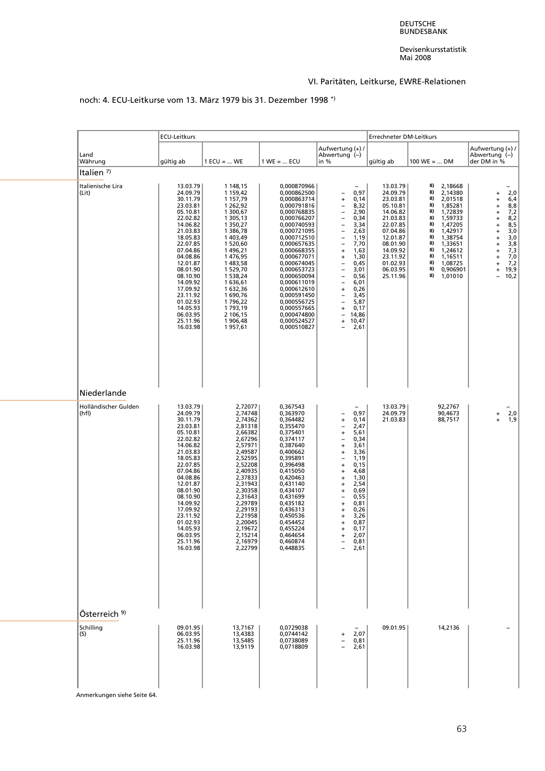# noch: 4. ECU-Leitkurse vom 13. März 1979 bis 31. Dezember 1998\*)

|                                     | <b>ECU-Leitkurs</b>                                                                                                                                                                                                                                                              |                                                                                                                                                                                                                                                                              |                                                                                                                                                                                                                                                                                                                                                       |                                                                                                                                                                                                                                                                                                                                                                                                                                                                                                                                                                                                                                 | Errechneter DM-Leitkurs                                                                                                                                                          |                                                                                                                                                                                                                                                              |                                                                                                                                                                                                                                                                                                                                                                                                                                         |
|-------------------------------------|----------------------------------------------------------------------------------------------------------------------------------------------------------------------------------------------------------------------------------------------------------------------------------|------------------------------------------------------------------------------------------------------------------------------------------------------------------------------------------------------------------------------------------------------------------------------|-------------------------------------------------------------------------------------------------------------------------------------------------------------------------------------------------------------------------------------------------------------------------------------------------------------------------------------------------------|---------------------------------------------------------------------------------------------------------------------------------------------------------------------------------------------------------------------------------------------------------------------------------------------------------------------------------------------------------------------------------------------------------------------------------------------------------------------------------------------------------------------------------------------------------------------------------------------------------------------------------|----------------------------------------------------------------------------------------------------------------------------------------------------------------------------------|--------------------------------------------------------------------------------------------------------------------------------------------------------------------------------------------------------------------------------------------------------------|-----------------------------------------------------------------------------------------------------------------------------------------------------------------------------------------------------------------------------------------------------------------------------------------------------------------------------------------------------------------------------------------------------------------------------------------|
| Land<br>Währung                     | gültig ab                                                                                                                                                                                                                                                                        | $1 ECU =  WE$                                                                                                                                                                                                                                                                | $1 WE =  ECU$                                                                                                                                                                                                                                                                                                                                         | Aufwertung (+) /<br>Abwertung (–)<br>in $%$                                                                                                                                                                                                                                                                                                                                                                                                                                                                                                                                                                                     | gültig ab                                                                                                                                                                        | $100$ WE =  DM                                                                                                                                                                                                                                               | Aufwertung (+) /<br>Abwertung (-)<br>der DM in %                                                                                                                                                                                                                                                                                                                                                                                        |
| Italien $7$                         |                                                                                                                                                                                                                                                                                  |                                                                                                                                                                                                                                                                              |                                                                                                                                                                                                                                                                                                                                                       |                                                                                                                                                                                                                                                                                                                                                                                                                                                                                                                                                                                                                                 |                                                                                                                                                                                  |                                                                                                                                                                                                                                                              |                                                                                                                                                                                                                                                                                                                                                                                                                                         |
| Italienische Lira<br>(Lit)          | 13.03.79<br>24.09.79<br>30.11.79<br>23.03.81<br>05.10.81<br>22.02.82<br>14.06.82<br>21.03.83<br>18.05.83<br>22.07.85<br>07.04.86<br>04.08.86<br>12.01.87<br>08.01.90<br>08.10.90<br>14.09.92<br>17.09.92<br>23.11.92<br>01.02.93<br>14.05.93<br>06.03.95<br>25.11.96<br>16.03.98 | 1 148,15<br>1 159,42<br>1 157,79<br>1 262,92<br>1 300,67<br>1 305,13<br>1 350,27<br>1 386,78<br>1 403,49<br>1 520,60<br>1496,21<br>1 476,95<br>1 483,58<br>1 529,70<br>1 538,24<br>1 636,61<br>1 632,36<br>1 690,76<br>1796,22<br>1793,19<br>2 106,15<br>1 906,48<br>1957,61 | 0,000870966<br>0,000862500<br>0,000863714<br>0,000791816<br>0,000768835<br>0,000766207<br>0,000740593<br>0,000721095<br>0,000712510<br>0,000657635<br>0,000668355<br>0,000677071<br>0,000674045<br>0,000653723<br>0,000650094<br>0,000611019<br>0,000612610<br>0,000591450<br>0,000556725<br>0,000557665<br>0,000474800<br>0,000524527<br>0,000510827 | 0,97<br>$\qquad \qquad -$<br>0,14<br>$\ddot{}$<br>8,32<br>$\overline{\phantom{a}}$<br>2,90<br>$\qquad \qquad -$<br>$\overline{\phantom{0}}$<br>0,34<br>$\overline{a}$<br>3,34<br>$\qquad \qquad -$<br>2,63<br>$\overline{a}$<br>1,19<br>$\overline{a}$<br>7,70<br>$\ddot{}$<br>1,63<br>$\ddot{}$<br>1,30<br>0,45<br>3,01<br>$\qquad \qquad -$<br>$\overline{a}$<br>0,56<br>$\overline{a}$<br>6,01<br>0,26<br>$\ddot{}$<br>3,45<br>$\overline{\phantom{a}}$<br>$\overline{a}$<br>5,87<br>0,17<br>$\begin{array}{c} + \end{array}$<br>14,86<br>$\overline{\phantom{a}}$<br>10,47<br>$\ddot{}$<br>2,61<br>$\overline{\phantom{0}}$ | 13.03.79<br>24.09.79<br>23.03.81<br>05.10.81<br>14.06.82<br>21.03.83<br>22.07.85<br>07.04.86<br>12.01.87<br>08.01.90<br>14.09.92<br>23.11.92<br>01.02.93<br>06.03.95<br>25.11.96 | 8)<br>2,18668<br>8)<br>2,14380<br>8)<br>2,01518<br>8)<br>1,85281<br>8)<br>1,72839<br>8)<br>1,59733<br>8)<br>1,47205<br>8)<br>1,42917<br>8)<br>1,38754<br>8)<br>1,33651<br>8)<br>1,24612<br>8)<br>1,16511<br>8)<br>1,08725<br>8)<br>0,906901<br>8)<br>1,01010 | 2,0<br>+<br>6,4<br>$\ddot{}$<br>8,8<br>$\ddot{}$<br>7,2<br>$\ddot{}$<br>$\begin{array}{c} + \end{array}$<br>8,2<br>8,5<br>$\begin{array}{c} + \end{array}$<br>3,0<br>$\ddot{}$<br>$\begin{array}{c} + \end{array}$<br>3,0<br>3,8<br>$\begin{array}{c} + \end{array}$<br>7,3<br>$\ddot{}$<br>7,0<br>$\begin{array}{c} + \end{array}$<br>7,2<br>$\ddot{}$<br>19,9<br>$\begin{array}{c} + \end{array}$<br>10,2<br>$\overline{\phantom{a}}$ |
| Niederlande<br>Holländischer Gulden | 13.03.79                                                                                                                                                                                                                                                                         | 2,72077                                                                                                                                                                                                                                                                      | 0,367543                                                                                                                                                                                                                                                                                                                                              |                                                                                                                                                                                                                                                                                                                                                                                                                                                                                                                                                                                                                                 | 13.03.79                                                                                                                                                                         | 92,2767                                                                                                                                                                                                                                                      |                                                                                                                                                                                                                                                                                                                                                                                                                                         |
| (hfl)                               | 24.09.79<br>30.11.79<br>23.03.81<br>05.10.81<br>22.02.82<br>14.06.82<br>21.03.83<br>18.05.83<br>22.07.85<br>07.04.86<br>04.08.86<br>12.01.87<br>08.01.90<br>08.10.90<br>14.09.92<br>17.09.92<br>23.11.92<br>01.02.93<br>14.05.93<br>06.03.95<br>25.11.96<br>16.03.98             | 2,74748<br>2,74362<br>2,81318<br>2,66382<br>2,67296<br>2,57971<br>2,49587<br>2,52595<br>2,52208<br>2,40935<br>2,37833<br>2,31943<br>2,30358<br>2,31643<br>2,29789<br>2,29193<br>2,21958<br>2,20045<br>2,19672<br>2,15214<br>2,16979<br>2,22799                               | 0,363970<br>0,364482<br>0,355470<br>0,375401<br>0,374117<br>0,387640<br>0,400662<br>0,395891<br>0,396498<br>0,415050<br>0,420463<br>0,431140<br>0,434107<br>0,431699<br>0,435182<br>0,436313<br>0,450536<br>0,454452<br>0,455224<br>0,464654<br>0,460874<br>0,448835                                                                                  | 0,97<br>$\overline{\phantom{a}}$<br>0,14<br>$\ddot{}$<br>2,47<br>$\qquad \qquad -$<br>5,61<br>$\ddot{}$<br>0,34<br>$\overline{\phantom{a}}$<br>3,61<br>$\ddot{}$<br>3,36<br>$\ddot{}$<br>1,19<br>$\overline{\phantom{a}}$<br>0,15<br>$\ddot{}$<br>4,68<br>$\ddot{}$<br>1,30<br>$\begin{array}{c} + \end{array}$<br>2,54<br>$\ddot{}$<br>0,69<br>$\ddot{}$<br>0,55<br>$\overline{\phantom{a}}$<br>$\ddot{}$<br>0,81<br>0,26<br>$\ddot{}$<br>3,26<br>$\ddot{}$<br>0,87<br>$\ddot{}$<br>0,17<br>$\ddot{}$<br>2,07<br>+<br>0,81<br>2,61                                                                                             | 24.09.79<br>21.03.83                                                                                                                                                             | 90,4673<br>88,7517                                                                                                                                                                                                                                           | 2,0<br>$\ddot{}$<br>1,9<br>$\ddot{}$                                                                                                                                                                                                                                                                                                                                                                                                    |
| Österreich <sup>9)</sup>            |                                                                                                                                                                                                                                                                                  |                                                                                                                                                                                                                                                                              |                                                                                                                                                                                                                                                                                                                                                       |                                                                                                                                                                                                                                                                                                                                                                                                                                                                                                                                                                                                                                 |                                                                                                                                                                                  |                                                                                                                                                                                                                                                              |                                                                                                                                                                                                                                                                                                                                                                                                                                         |
| Schilling<br>(S)                    | 09.01.95<br>06.03.95<br>25.11.96<br>16.03.98                                                                                                                                                                                                                                     | 13,7167<br>13,4383<br>13,5485<br>13,9119                                                                                                                                                                                                                                     | 0,0729038<br>0,0744142<br>0,0738089<br>0,0718809                                                                                                                                                                                                                                                                                                      | 2,07<br>$\ddot{}$<br>0,81<br>2,61                                                                                                                                                                                                                                                                                                                                                                                                                                                                                                                                                                                               | 09.01.95                                                                                                                                                                         | 14,2136                                                                                                                                                                                                                                                      |                                                                                                                                                                                                                                                                                                                                                                                                                                         |

Anmerkungen siehe Seite 64.